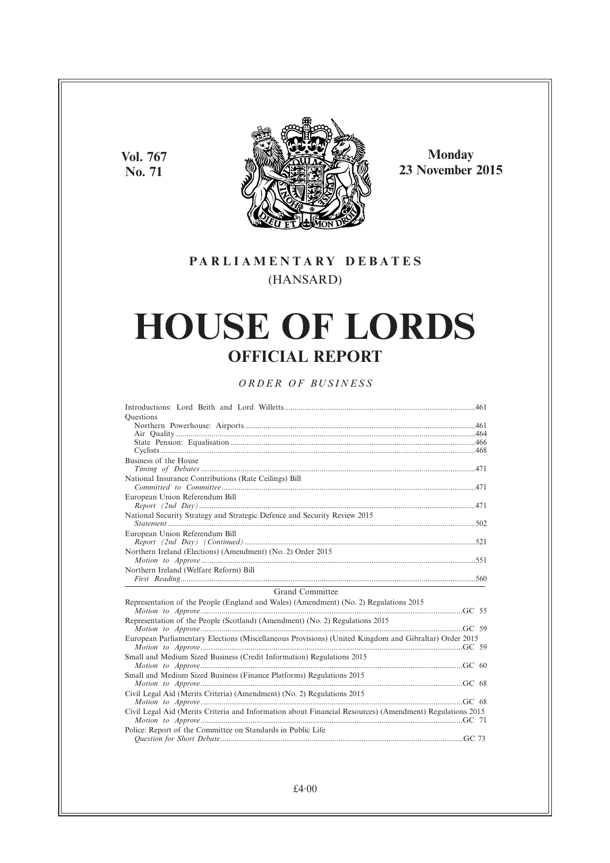**Vol. 767 No. 71**



**Monday 23 November 2015**

## **PARL IAMENTARY DEBATES** (HANSARD)

# **HOUSE OF LORDS OFFICIAL REPORT**

## *ORDER OF BUSINESS*

| <b>Ouestions</b>                                                                                         |  |
|----------------------------------------------------------------------------------------------------------|--|
|                                                                                                          |  |
|                                                                                                          |  |
|                                                                                                          |  |
|                                                                                                          |  |
| Business of the House                                                                                    |  |
|                                                                                                          |  |
| National Insurance Contributions (Rate Ceilings) Bill                                                    |  |
|                                                                                                          |  |
| European Union Referendum Bill                                                                           |  |
|                                                                                                          |  |
| National Security Strategy and Strategic Defence and Security Review 2015                                |  |
|                                                                                                          |  |
| European Union Referendum Bill                                                                           |  |
|                                                                                                          |  |
| Northern Ireland (Elections) (Amendment) (No. 2) Order 2015                                              |  |
|                                                                                                          |  |
| Northern Ireland (Welfare Reform) Bill                                                                   |  |
|                                                                                                          |  |
| Grand Committee                                                                                          |  |
| Representation of the People (England and Wales) (Amendment) (No. 2) Regulations 2015                    |  |
|                                                                                                          |  |
| Representation of the People (Scotland) (Amendment) (No. 2) Regulations 2015                             |  |
|                                                                                                          |  |
| European Parliamentary Elections (Miscellaneous Provisions) (United Kingdom and Gibraltar) Order 2015    |  |
|                                                                                                          |  |
| Small and Medium Sized Business (Credit Information) Regulations 2015                                    |  |
|                                                                                                          |  |
| Small and Medium Sized Business (Finance Platforms) Regulations 2015                                     |  |
|                                                                                                          |  |
| Civil Legal Aid (Merits Criteria) (Amendment) (No. 2) Regulations 2015                                   |  |
|                                                                                                          |  |
| Civil Legal Aid (Merits Criteria and Information about Financial Resources) (Amendment) Regulations 2015 |  |
|                                                                                                          |  |
| Police: Report of the Committee on Standards in Public Life                                              |  |
|                                                                                                          |  |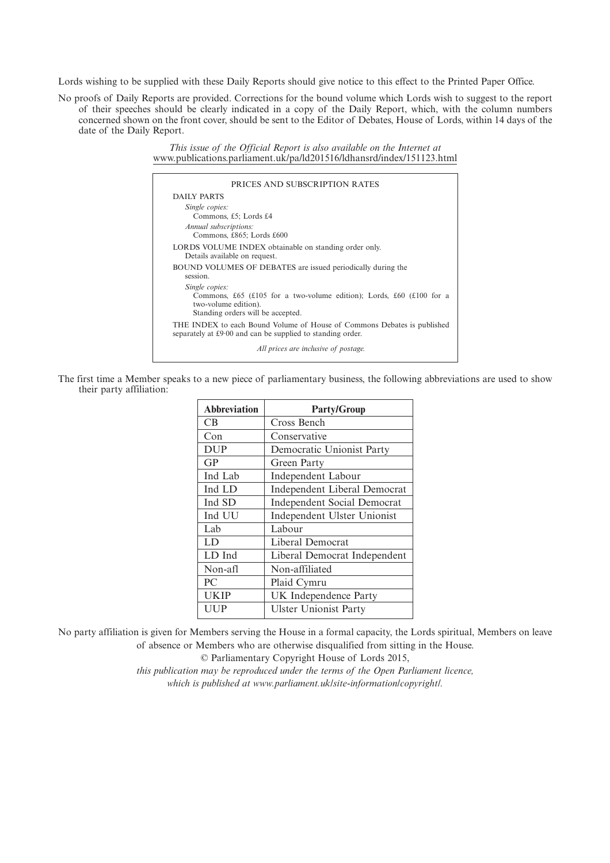Lords wishing to be supplied with these Daily Reports should give notice to this effect to the Printed Paper Office.

No proofs of Daily Reports are provided. Corrections for the bound volume which Lords wish to suggest to the report of their speeches should be clearly indicated in a copy of the Daily Report, which, with the column numbers concerned shown on the front cover, should be sent to the Editor of Debates, House of Lords, within 14 days of the date of the Daily Report.

> *This issue of the Official Report is also available on the Internet at* www.publications.parliament.uk/pa/ld201516/ldhansrd/index/151123.html

| PRICES AND SUBSCRIPTION RATES                                                                                                                       |
|-----------------------------------------------------------------------------------------------------------------------------------------------------|
| <b>DAILY PARTS</b>                                                                                                                                  |
| Single copies:<br>Commons, £5; Lords £4                                                                                                             |
| Annual subscriptions:<br>Commons, £865; Lords £600                                                                                                  |
| LORDS VOLUME INDEX obtainable on standing order only.<br>Details available on request.                                                              |
| BOUND VOLUMES OF DEBATES are issued periodically during the<br>session.                                                                             |
| Single copies:<br>Commons, £65 (£105 for a two-volume edition); Lords, £60 (£100 for a<br>two-volume edition).<br>Standing orders will be accepted. |
| THE INDEX to each Bound Volume of House of Commons Debates is published<br>separately at £9.00 and can be supplied to standing order.               |
| All prices are inclusive of postage.                                                                                                                |

The first time a Member speaks to a new piece of parliamentary business, the following abbreviations are used to show their party affiliation:

| <b>Abbreviation</b> | <b>Party/Group</b>                  |
|---------------------|-------------------------------------|
| CB                  | Cross Bench                         |
| Con                 | Conservative                        |
| <b>DUP</b>          | Democratic Unionist Party           |
| GP                  | Green Party                         |
| Ind Lab             | <b>Independent Labour</b>           |
| Ind LD              | <b>Independent Liberal Democrat</b> |
| Ind SD              | <b>Independent Social Democrat</b>  |
| Ind UU              | Independent Ulster Unionist         |
| Lab                 | Labour                              |
| LD.                 | Liberal Democrat                    |
| LD Ind              | Liberal Democrat Independent        |
| Non-afl             | Non-affiliated                      |
| PC                  | Plaid Cymru                         |
| <b>UKIP</b>         | UK Independence Party               |
| <b>UUP</b>          | <b>Ulster Unionist Party</b>        |

No party affiliation is given for Members serving the House in a formal capacity, the Lords spiritual, Members on leave of absence or Members who are otherwise disqualified from sitting in the House.

© Parliamentary Copyright House of Lords 2015,

*this publication may be reproduced under the terms of the Open Parliament licence, which is published at www.parliament.uk/site-information/copyright/.*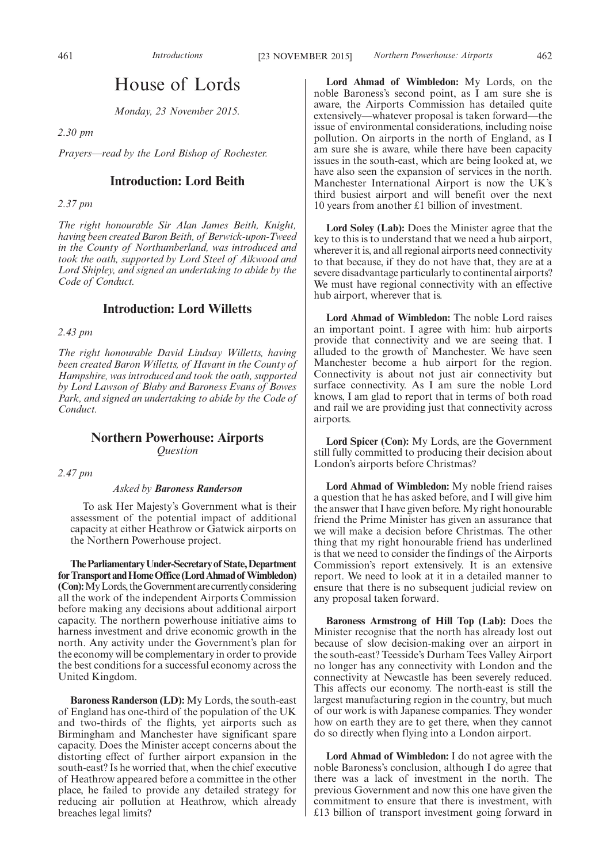## House of Lords

*Monday, 23 November 2015.*

*2.30 pm*

*Prayers—read by the Lord Bishop of Rochester.*

## **Introduction: Lord Beith**

*2.37 pm*

*The right honourable Sir Alan James Beith, Knight, having been created Baron Beith, of Berwick-upon-Tweed in the County of Northumberland, was introduced and took the oath, supported by Lord Steel of Aikwood and Lord Shipley, and signed an undertaking to abide by the Code of Conduct.*

## **Introduction: Lord Willetts**

*2.43 pm*

*The right honourable David Lindsay Willetts, having been created Baron Willetts, of Havant in the County of Hampshire, was introduced and took the oath, supported by Lord Lawson of Blaby and Baroness Evans of Bowes Park, and signed an undertaking to abide by the Code of Conduct.*

## **Northern Powerhouse: Airports** *Question*

*2.47 pm*

#### *Asked by Baroness Randerson*

To ask Her Majesty's Government what is their assessment of the potential impact of additional capacity at either Heathrow or Gatwick airports on the Northern Powerhouse project.

**TheParliamentaryUnder-Secretaryof State,Department** for Transport and Home Office (Lord Ahmad of Wimbledon) **(Con):** My Lords, the Government are currently considering all the work of the independent Airports Commission before making any decisions about additional airport capacity. The northern powerhouse initiative aims to harness investment and drive economic growth in the north. Any activity under the Government's plan for the economy will be complementary in order to provide the best conditions for a successful economy across the United Kingdom.

**Baroness Randerson (LD):** My Lords, the south-east of England has one-third of the population of the UK and two-thirds of the flights, yet airports such as Birmingham and Manchester have significant spare capacity. Does the Minister accept concerns about the distorting effect of further airport expansion in the south-east? Is he worried that, when the chief executive of Heathrow appeared before a committee in the other place, he failed to provide any detailed strategy for reducing air pollution at Heathrow, which already breaches legal limits?

**Lord Ahmad of Wimbledon:** My Lords, on the noble Baroness's second point, as I am sure she is aware, the Airports Commission has detailed quite extensively—whatever proposal is taken forward—the issue of environmental considerations, including noise pollution. On airports in the north of England, as I am sure she is aware, while there have been capacity issues in the south-east, which are being looked at, we have also seen the expansion of services in the north. Manchester International Airport is now the UK's third busiest airport and will benefit over the next 10 years from another £1 billion of investment.

**Lord Soley (Lab):** Does the Minister agree that the key to this is to understand that we need a hub airport, wherever it is, and all regional airports need connectivity to that because, if they do not have that, they are at a severe disadvantage particularly to continental airports? We must have regional connectivity with an effective hub airport, wherever that is.

**Lord Ahmad of Wimbledon:** The noble Lord raises an important point. I agree with him: hub airports provide that connectivity and we are seeing that. I alluded to the growth of Manchester. We have seen Manchester become a hub airport for the region. Connectivity is about not just air connectivity but surface connectivity. As I am sure the noble Lord knows, I am glad to report that in terms of both road and rail we are providing just that connectivity across airports.

**Lord Spicer (Con):** My Lords, are the Government still fully committed to producing their decision about London's airports before Christmas?

**Lord Ahmad of Wimbledon:** My noble friend raises a question that he has asked before, and I will give him the answer that I have given before. My right honourable friend the Prime Minister has given an assurance that we will make a decision before Christmas. The other thing that my right honourable friend has underlined is that we need to consider the findings of the Airports Commission's report extensively. It is an extensive report. We need to look at it in a detailed manner to ensure that there is no subsequent judicial review on any proposal taken forward.

**Baroness Armstrong of Hill Top (Lab):** Does the Minister recognise that the north has already lost out because of slow decision-making over an airport in the south-east? Teesside's Durham Tees Valley Airport no longer has any connectivity with London and the connectivity at Newcastle has been severely reduced. This affects our economy. The north-east is still the largest manufacturing region in the country, but much of our work is with Japanese companies. They wonder how on earth they are to get there, when they cannot do so directly when flying into a London airport.

**Lord Ahmad of Wimbledon:** I do not agree with the noble Baroness's conclusion, although I do agree that there was a lack of investment in the north. The previous Government and now this one have given the commitment to ensure that there is investment, with £13 billion of transport investment going forward in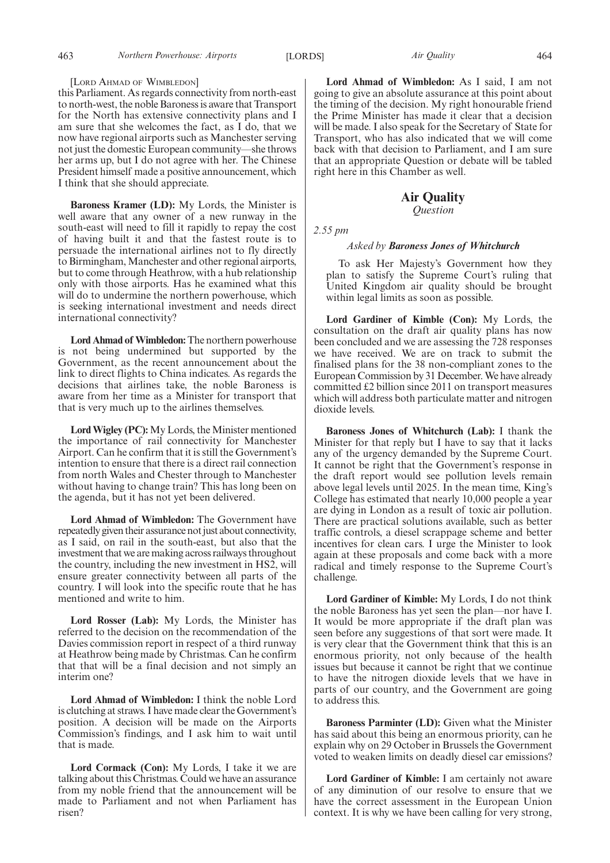#### [LORD AHMAD OF WIMBLEDON]

this Parliament. As regards connectivity from north-east to north-west, the noble Baroness is aware that Transport for the North has extensive connectivity plans and I am sure that she welcomes the fact, as I do, that we now have regional airports such as Manchester serving not just the domestic European community—she throws her arms up, but I do not agree with her. The Chinese President himself made a positive announcement, which I think that she should appreciate.

**Baroness Kramer (LD):** My Lords, the Minister is well aware that any owner of a new runway in the south-east will need to fill it rapidly to repay the cost of having built it and that the fastest route is to persuade the international airlines not to fly directly to Birmingham, Manchester and other regional airports, but to come through Heathrow, with a hub relationship only with those airports. Has he examined what this will do to undermine the northern powerhouse, which is seeking international investment and needs direct international connectivity?

**Lord Ahmad of Wimbledon:**The northern powerhouse is not being undermined but supported by the Government, as the recent announcement about the link to direct flights to China indicates. As regards the decisions that airlines take, the noble Baroness is aware from her time as a Minister for transport that that is very much up to the airlines themselves.

**Lord Wigley (PC):** My Lords, the Minister mentioned the importance of rail connectivity for Manchester Airport. Can he confirm that it is still the Government's intention to ensure that there is a direct rail connection from north Wales and Chester through to Manchester without having to change train? This has long been on the agenda, but it has not yet been delivered.

**Lord Ahmad of Wimbledon:** The Government have repeatedly given their assurance not just about connectivity, as I said, on rail in the south-east, but also that the investment that we are making across railways throughout the country, including the new investment in HS2, will ensure greater connectivity between all parts of the country. I will look into the specific route that he has mentioned and write to him.

**Lord Rosser (Lab):** My Lords, the Minister has referred to the decision on the recommendation of the Davies commission report in respect of a third runway at Heathrow being made by Christmas. Can he confirm that that will be a final decision and not simply an interim one?

**Lord Ahmad of Wimbledon:** I think the noble Lord is clutching at straws. I have made clear the Government's position. A decision will be made on the Airports Commission's findings, and I ask him to wait until that is made.

**Lord Cormack (Con):** My Lords, I take it we are talking about this Christmas. Could we have an assurance from my noble friend that the announcement will be made to Parliament and not when Parliament has risen?

**Lord Ahmad of Wimbledon:** As I said, I am not going to give an absolute assurance at this point about the timing of the decision. My right honourable friend the Prime Minister has made it clear that a decision will be made. I also speak for the Secretary of State for Transport, who has also indicated that we will come back with that decision to Parliament, and I am sure that an appropriate Question or debate will be tabled right here in this Chamber as well.

## **Air Quality**

*Question*

*2.55 pm*

#### *Asked by Baroness Jones of Whitchurch*

To ask Her Majesty's Government how they plan to satisfy the Supreme Court's ruling that United Kingdom air quality should be brought within legal limits as soon as possible.

**Lord Gardiner of Kimble (Con):** My Lords, the consultation on the draft air quality plans has now been concluded and we are assessing the 728 responses we have received. We are on track to submit the finalised plans for the 38 non-compliant zones to the European Commission by 31 December.We have already committed £2 billion since 2011 on transport measures which will address both particulate matter and nitrogen dioxide levels.

**Baroness Jones of Whitchurch (Lab):** I thank the Minister for that reply but I have to say that it lacks any of the urgency demanded by the Supreme Court. It cannot be right that the Government's response in the draft report would see pollution levels remain above legal levels until 2025. In the mean time, King's College has estimated that nearly 10,000 people a year are dying in London as a result of toxic air pollution. There are practical solutions available, such as better traffic controls, a diesel scrappage scheme and better incentives for clean cars. I urge the Minister to look again at these proposals and come back with a more radical and timely response to the Supreme Court's challenge.

**Lord Gardiner of Kimble:** My Lords, I do not think the noble Baroness has yet seen the plan—nor have I. It would be more appropriate if the draft plan was seen before any suggestions of that sort were made. It is very clear that the Government think that this is an enormous priority, not only because of the health issues but because it cannot be right that we continue to have the nitrogen dioxide levels that we have in parts of our country, and the Government are going to address this.

**Baroness Parminter (LD):** Given what the Minister has said about this being an enormous priority, can he explain why on 29 October in Brussels the Government voted to weaken limits on deadly diesel car emissions?

**Lord Gardiner of Kimble:** I am certainly not aware of any diminution of our resolve to ensure that we have the correct assessment in the European Union context. It is why we have been calling for very strong,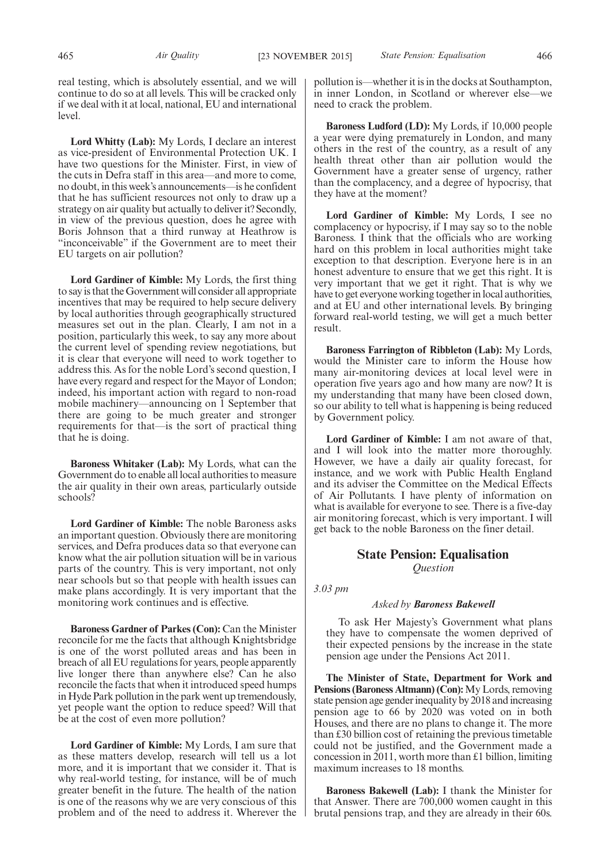real testing, which is absolutely essential, and we will continue to do so at all levels. This will be cracked only if we deal with it at local, national, EU and international level.

**Lord Whitty (Lab):** My Lords, I declare an interest as vice-president of Environmental Protection UK. I have two questions for the Minister. First, in view of the cuts in Defra staff in this area—and more to come, no doubt, in this week's announcements—is he confident that he has sufficient resources not only to draw up a strategy on air quality but actually to deliver it? Secondly, in view of the previous question, does he agree with Boris Johnson that a third runway at Heathrow is "inconceivable" if the Government are to meet their EU targets on air pollution?

**Lord Gardiner of Kimble:** My Lords, the first thing to say is that the Government will consider all appropriate incentives that may be required to help secure delivery by local authorities through geographically structured measures set out in the plan. Clearly, I am not in a position, particularly this week, to say any more about the current level of spending review negotiations, but it is clear that everyone will need to work together to address this. As for the noble Lord's second question, I have every regard and respect for the Mayor of London; indeed, his important action with regard to non-road mobile machinery—announcing on 1 September that there are going to be much greater and stronger requirements for that—is the sort of practical thing that he is doing.

**Baroness Whitaker (Lab):** My Lords, what can the Government do to enable all local authorities to measure the air quality in their own areas, particularly outside schools?

**Lord Gardiner of Kimble:** The noble Baroness asks an important question. Obviously there are monitoring services, and Defra produces data so that everyone can know what the air pollution situation will be in various parts of the country. This is very important, not only near schools but so that people with health issues can make plans accordingly. It is very important that the monitoring work continues and is effective.

**Baroness Gardner of Parkes (Con):** Can the Minister reconcile for me the facts that although Knightsbridge is one of the worst polluted areas and has been in breach of all EU regulations for years, people apparently live longer there than anywhere else? Can he also reconcile the facts that when it introduced speed humps in Hyde Park pollution in the park went up tremendously, yet people want the option to reduce speed? Will that be at the cost of even more pollution?

**Lord Gardiner of Kimble:** My Lords, I am sure that as these matters develop, research will tell us a lot more, and it is important that we consider it. That is why real-world testing, for instance, will be of much greater benefit in the future. The health of the nation is one of the reasons why we are very conscious of this problem and of the need to address it. Wherever the pollution is—whether it is in the docks at Southampton, in inner London, in Scotland or wherever else—we need to crack the problem.

**Baroness Ludford (LD):** My Lords, if 10,000 people a year were dying prematurely in London, and many others in the rest of the country, as a result of any health threat other than air pollution would the Government have a greater sense of urgency, rather than the complacency, and a degree of hypocrisy, that they have at the moment?

**Lord Gardiner of Kimble:** My Lords, I see no complacency or hypocrisy, if I may say so to the noble Baroness. I think that the officials who are working hard on this problem in local authorities might take exception to that description. Everyone here is in an honest adventure to ensure that we get this right. It is very important that we get it right. That is why we have to get everyone working together in local authorities, and at EU and other international levels. By bringing forward real-world testing, we will get a much better result.

**Baroness Farrington of Ribbleton (Lab):** My Lords, would the Minister care to inform the House how many air-monitoring devices at local level were in operation five years ago and how many are now? It is my understanding that many have been closed down, so our ability to tell what is happening is being reduced by Government policy.

**Lord Gardiner of Kimble:** I am not aware of that, and I will look into the matter more thoroughly. However, we have a daily air quality forecast, for instance, and we work with Public Health England and its adviser the Committee on the Medical Effects of Air Pollutants. I have plenty of information on what is available for everyone to see. There is a five-day air monitoring forecast, which is very important. I will get back to the noble Baroness on the finer detail.

## **State Pension: Equalisation** *Question*

*3.03 pm*

## *Asked by Baroness Bakewell*

To ask Her Majesty's Government what plans they have to compensate the women deprived of their expected pensions by the increase in the state pension age under the Pensions Act 2011.

**The Minister of State, Department for Work and Pensions (Baroness Altmann) (Con):**My Lords, removing state pension age gender inequality by 2018 and increasing pension age to 66 by 2020 was voted on in both Houses, and there are no plans to change it. The more than £30 billion cost of retaining the previous timetable could not be justified, and the Government made a concession in 2011, worth more than £1 billion, limiting maximum increases to 18 months.

**Baroness Bakewell (Lab):** I thank the Minister for that Answer. There are 700,000 women caught in this brutal pensions trap, and they are already in their 60s.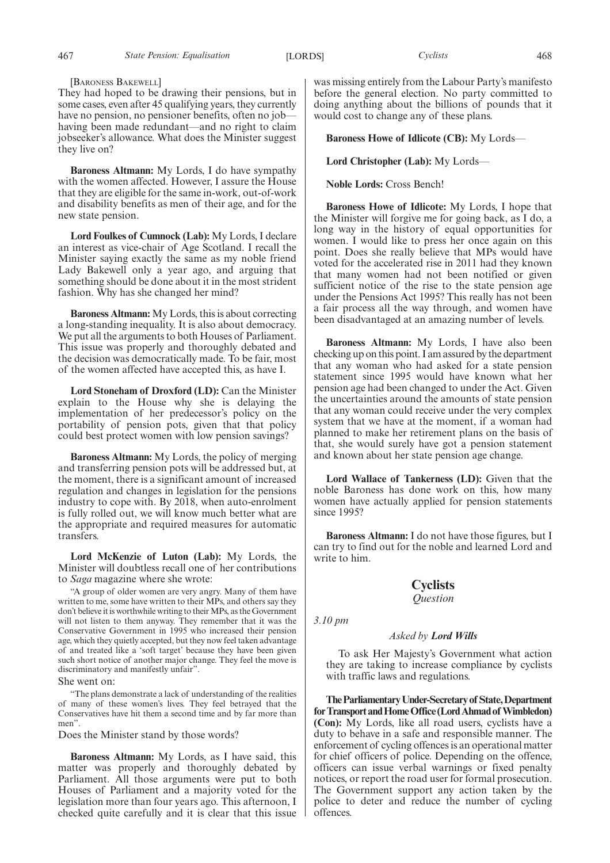#### [BARONESS BAKEWELL]

They had hoped to be drawing their pensions, but in some cases, even after 45 qualifying years, they currently have no pension, no pensioner benefits, often no job having been made redundant—and no right to claim jobseeker's allowance. What does the Minister suggest they live on?

**Baroness Altmann:** My Lords, I do have sympathy with the women affected. However, I assure the House that they are eligible for the same in-work, out-of-work and disability benefits as men of their age, and for the new state pension.

**Lord Foulkes of Cumnock (Lab):** My Lords, I declare an interest as vice-chair of Age Scotland. I recall the Minister saying exactly the same as my noble friend Lady Bakewell only a year ago, and arguing that something should be done about it in the most strident fashion. Why has she changed her mind?

**Baroness Altmann:** My Lords, this is about correcting a long-standing inequality. It is also about democracy. We put all the arguments to both Houses of Parliament. This issue was properly and thoroughly debated and the decision was democratically made. To be fair, most of the women affected have accepted this, as have I.

**Lord Stoneham of Droxford (LD):** Can the Minister explain to the House why she is delaying the implementation of her predecessor's policy on the portability of pension pots, given that that policy could best protect women with low pension savings?

**Baroness Altmann:** My Lords, the policy of merging and transferring pension pots will be addressed but, at the moment, there is a significant amount of increased regulation and changes in legislation for the pensions industry to cope with. By 2018, when auto-enrolment is fully rolled out, we will know much better what are the appropriate and required measures for automatic transfers.

**Lord McKenzie of Luton (Lab):** My Lords, the Minister will doubtless recall one of her contributions to *Saga* magazine where she wrote:

"A group of older women are very angry. Many of them have written to me, some have written to their MPs, and others say they don't believe it is worthwhile writing to their MPs, as the Government will not listen to them anyway. They remember that it was the Conservative Government in 1995 who increased their pension age, which they quietly accepted, but they now feel taken advantage of and treated like a 'soft target' because they have been given such short notice of another major change. They feel the move is discriminatory and manifestly unfair".

She went on:

"The plans demonstrate a lack of understanding of the realities of many of these women's lives. They feel betrayed that the Conservatives have hit them a second time and by far more than men".

Does the Minister stand by those words?

**Baroness Altmann:** My Lords, as I have said, this matter was properly and thoroughly debated by Parliament. All those arguments were put to both Houses of Parliament and a majority voted for the legislation more than four years ago. This afternoon, I checked quite carefully and it is clear that this issue was missing entirely from the Labour Party's manifesto before the general election. No party committed to doing anything about the billions of pounds that it would cost to change any of these plans.

**Baroness Howe of Idlicote (CB):** My Lords—

**Lord Christopher (Lab):** My Lords—

**Noble Lords:** Cross Bench!

**Baroness Howe of Idlicote:** My Lords, I hope that the Minister will forgive me for going back, as I do, a long way in the history of equal opportunities for women. I would like to press her once again on this point. Does she really believe that MPs would have voted for the accelerated rise in 2011 had they known that many women had not been notified or given sufficient notice of the rise to the state pension age under the Pensions Act 1995? This really has not been a fair process all the way through, and women have been disadvantaged at an amazing number of levels.

**Baroness Altmann:** My Lords, I have also been checking up on this point. I am assured by the department that any woman who had asked for a state pension statement since 1995 would have known what her pension age had been changed to under the Act. Given the uncertainties around the amounts of state pension that any woman could receive under the very complex system that we have at the moment, if a woman had planned to make her retirement plans on the basis of that, she would surely have got a pension statement and known about her state pension age change.

**Lord Wallace of Tankerness (LD):** Given that the noble Baroness has done work on this, how many women have actually applied for pension statements since 1995?

**Baroness Altmann:** I do not have those figures, but I can try to find out for the noble and learned Lord and write to him.

## **Cyclists**

*Question*

*3.10 pm*

#### *Asked by Lord Wills*

To ask Her Majesty's Government what action they are taking to increase compliance by cyclists with traffic laws and regulations.

**TheParliamentaryUnder-Secretaryof State,Department** for Transport and Home Office (Lord Ahmad of Wimbledon) **(Con):** My Lords, like all road users, cyclists have a duty to behave in a safe and responsible manner. The enforcement of cycling offences is an operational matter for chief officers of police. Depending on the offence, officers can issue verbal warnings or fixed penalty notices, or report the road user for formal prosecution. The Government support any action taken by the police to deter and reduce the number of cycling offences.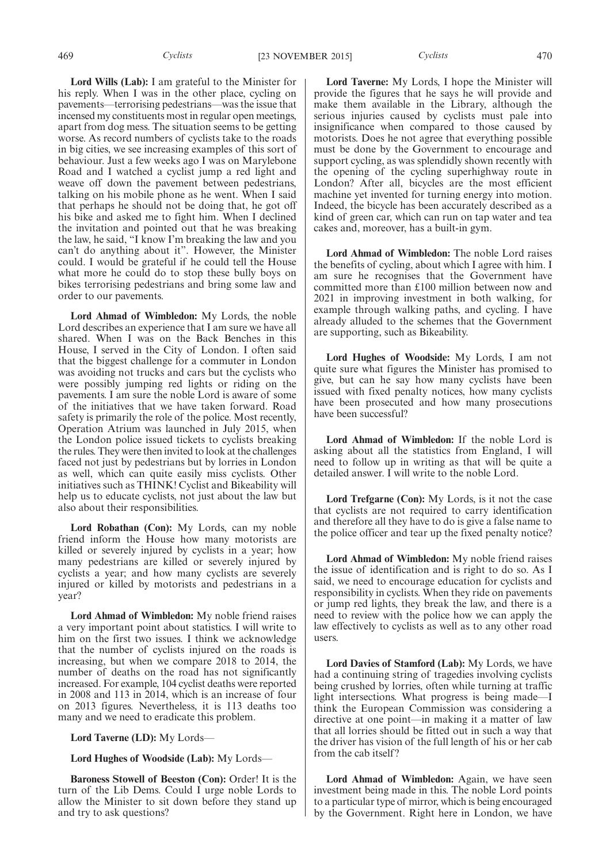**Lord Wills (Lab):** I am grateful to the Minister for his reply. When I was in the other place, cycling on pavements—terrorising pedestrians—was the issue that incensed my constituents most in regular open meetings, apart from dog mess. The situation seems to be getting worse. As record numbers of cyclists take to the roads in big cities, we see increasing examples of this sort of behaviour. Just a few weeks ago I was on Marylebone Road and I watched a cyclist jump a red light and weave off down the pavement between pedestrians, talking on his mobile phone as he went. When I said that perhaps he should not be doing that, he got off his bike and asked me to fight him. When I declined the invitation and pointed out that he was breaking the law, he said, "I know I'm breaking the law and you can't do anything about it". However, the Minister could. I would be grateful if he could tell the House what more he could do to stop these bully boys on bikes terrorising pedestrians and bring some law and order to our pavements.

**Lord Ahmad of Wimbledon:** My Lords, the noble Lord describes an experience that I am sure we have all shared. When I was on the Back Benches in this House, I served in the City of London. I often said that the biggest challenge for a commuter in London was avoiding not trucks and cars but the cyclists who were possibly jumping red lights or riding on the pavements. I am sure the noble Lord is aware of some of the initiatives that we have taken forward. Road safety is primarily the role of the police. Most recently, Operation Atrium was launched in July 2015, when the London police issued tickets to cyclists breaking the rules. They were then invited to look at the challenges faced not just by pedestrians but by lorries in London as well, which can quite easily miss cyclists. Other initiatives such as THINK! Cyclist and Bikeability will help us to educate cyclists, not just about the law but also about their responsibilities.

**Lord Robathan (Con):** My Lords, can my noble friend inform the House how many motorists are killed or severely injured by cyclists in a year; how many pedestrians are killed or severely injured by cyclists a year; and how many cyclists are severely injured or killed by motorists and pedestrians in a year?

**Lord Ahmad of Wimbledon:** My noble friend raises a very important point about statistics. I will write to him on the first two issues. I think we acknowledge that the number of cyclists injured on the roads is increasing, but when we compare 2018 to 2014, the number of deaths on the road has not significantly increased. For example, 104 cyclist deaths were reported in 2008 and 113 in 2014, which is an increase of four on 2013 figures. Nevertheless, it is 113 deaths too many and we need to eradicate this problem.

**Lord Taverne (LD):** My Lords—

**Lord Hughes of Woodside (Lab):** My Lords—

**Baroness Stowell of Beeston (Con):** Order! It is the turn of the Lib Dems. Could I urge noble Lords to allow the Minister to sit down before they stand up and try to ask questions?

**Lord Taverne:** My Lords, I hope the Minister will provide the figures that he says he will provide and make them available in the Library, although the serious injuries caused by cyclists must pale into insignificance when compared to those caused by motorists. Does he not agree that everything possible must be done by the Government to encourage and support cycling, as was splendidly shown recently with the opening of the cycling superhighway route in London? After all, bicycles are the most efficient machine yet invented for turning energy into motion. Indeed, the bicycle has been accurately described as a kind of green car, which can run on tap water and tea cakes and, moreover, has a built-in gym.

**Lord Ahmad of Wimbledon:** The noble Lord raises the benefits of cycling, about which I agree with him. I am sure he recognises that the Government have committed more than £100 million between now and 2021 in improving investment in both walking, for example through walking paths, and cycling. I have already alluded to the schemes that the Government are supporting, such as Bikeability.

**Lord Hughes of Woodside:** My Lords, I am not quite sure what figures the Minister has promised to give, but can he say how many cyclists have been issued with fixed penalty notices, how many cyclists have been prosecuted and how many prosecutions have been successful?

**Lord Ahmad of Wimbledon:** If the noble Lord is asking about all the statistics from England, I will need to follow up in writing as that will be quite a detailed answer. I will write to the noble Lord.

**Lord Trefgarne (Con):** My Lords, is it not the case that cyclists are not required to carry identification and therefore all they have to do is give a false name to the police officer and tear up the fixed penalty notice?

**Lord Ahmad of Wimbledon:** My noble friend raises the issue of identification and is right to do so. As I said, we need to encourage education for cyclists and responsibility in cyclists. When they ride on pavements or jump red lights, they break the law, and there is a need to review with the police how we can apply the law effectively to cyclists as well as to any other road users.

**Lord Davies of Stamford (Lab):** My Lords, we have had a continuing string of tragedies involving cyclists being crushed by lorries, often while turning at traffic light intersections. What progress is being made—I think the European Commission was considering a directive at one point—in making it a matter of law that all lorries should be fitted out in such a way that the driver has vision of the full length of his or her cab from the cab itself?

**Lord Ahmad of Wimbledon:** Again, we have seen investment being made in this. The noble Lord points to a particular type of mirror, which is being encouraged by the Government. Right here in London, we have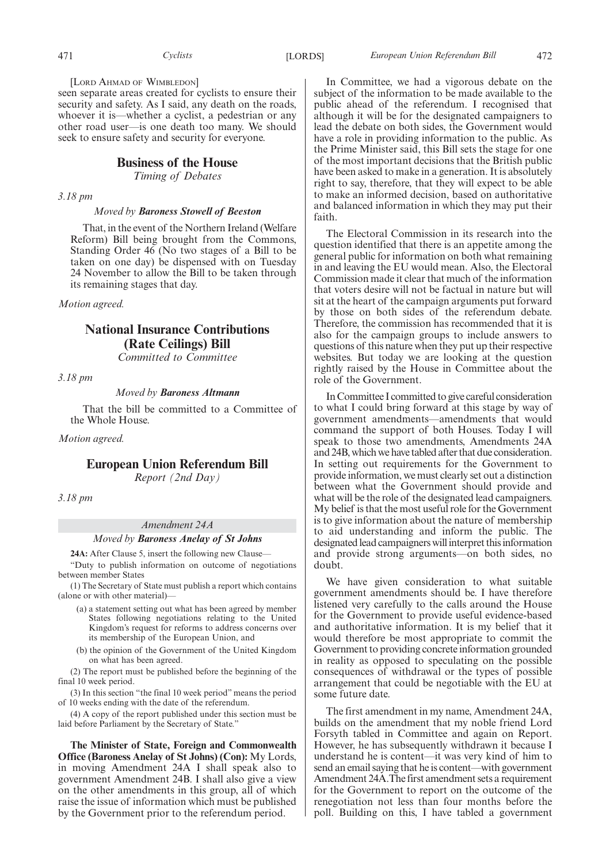[LORD AHMAD OF WIMBLEDON]

seen separate areas created for cyclists to ensure their security and safety. As I said, any death on the roads, whoever it is—whether a cyclist, a pedestrian or any other road user—is one death too many. We should seek to ensure safety and security for everyone.

## **Business of the House**

*Timing of Debates*

*3.18 pm*

*Moved by Baroness Stowell of Beeston*

That, in the event of the Northern Ireland (Welfare Reform) Bill being brought from the Commons, Standing Order 46 (No two stages of a Bill to be taken on one day) be dispensed with on Tuesday 24 November to allow the Bill to be taken through its remaining stages that day.

*Motion agreed.*

## **National Insurance Contributions (Rate Ceilings) Bill**

*Committed to Committee*

*3.18 pm*

*Moved by Baroness Altmann*

That the bill be committed to a Committee of the Whole House.

*Motion agreed.*

## **European Union Referendum Bill**

*Report (2nd Day)*

*3.18 pm*

## *Amendment 24A*

*Moved by Baroness Anelay of St Johns*

**24A:** After Clause 5, insert the following new Clause—

"Duty to publish information on outcome of negotiations between member States

(1) The Secretary of State must publish a report which contains (alone or with other material)—

- (a) a statement setting out what has been agreed by member States following negotiations relating to the United Kingdom's request for reforms to address concerns over its membership of the European Union, and
- (b) the opinion of the Government of the United Kingdom on what has been agreed.

(2) The report must be published before the beginning of the final 10 week period.

(3) In this section "the final 10 week period" means the period of 10 weeks ending with the date of the referendum.

(4) A copy of the report published under this section must be laid before Parliament by the Secretary of State."

**The Minister of State, Foreign and Commonwealth Office (Baroness Anelay of St Johns) (Con):** My Lords, in moving Amendment 24A I shall speak also to government Amendment 24B. I shall also give a view on the other amendments in this group, all of which raise the issue of information which must be published by the Government prior to the referendum period.

In Committee, we had a vigorous debate on the subject of the information to be made available to the public ahead of the referendum. I recognised that although it will be for the designated campaigners to lead the debate on both sides, the Government would have a role in providing information to the public. As the Prime Minister said, this Bill sets the stage for one of the most important decisions that the British public have been asked to make in a generation. It is absolutely right to say, therefore, that they will expect to be able to make an informed decision, based on authoritative and balanced information in which they may put their faith.

The Electoral Commission in its research into the question identified that there is an appetite among the general public for information on both what remaining in and leaving the EU would mean. Also, the Electoral Commission made it clear that much of the information that voters desire will not be factual in nature but will sit at the heart of the campaign arguments put forward by those on both sides of the referendum debate. Therefore, the commission has recommended that it is also for the campaign groups to include answers to questions of this nature when they put up their respective websites. But today we are looking at the question rightly raised by the House in Committee about the role of the Government.

In Committee I committed to give careful consideration to what I could bring forward at this stage by way of government amendments—amendments that would command the support of both Houses. Today I will speak to those two amendments, Amendments 24A and 24B, which we have tabled after that due consideration. In setting out requirements for the Government to provide information, we must clearly set out a distinction between what the Government should provide and what will be the role of the designated lead campaigners. My belief is that the most useful role for the Government is to give information about the nature of membership to aid understanding and inform the public. The designated lead campaigners will interpret this information and provide strong arguments—on both sides, no doubt.

We have given consideration to what suitable government amendments should be. I have therefore listened very carefully to the calls around the House for the Government to provide useful evidence-based and authoritative information. It is my belief that it would therefore be most appropriate to commit the Government to providing concrete information grounded in reality as opposed to speculating on the possible consequences of withdrawal or the types of possible arrangement that could be negotiable with the EU at some future date.

The first amendment in my name, Amendment 24A, builds on the amendment that my noble friend Lord Forsyth tabled in Committee and again on Report. However, he has subsequently withdrawn it because I understand he is content—it was very kind of him to send an email saying that he is content—with government Amendment 24A.The first amendment sets a requirement for the Government to report on the outcome of the renegotiation not less than four months before the poll. Building on this, I have tabled a government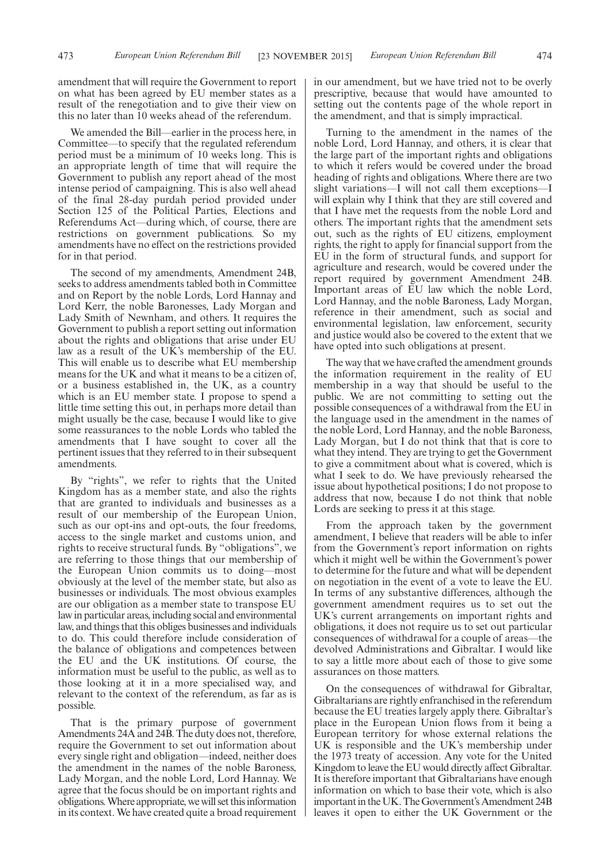amendment that will require the Government to report on what has been agreed by EU member states as a result of the renegotiation and to give their view on this no later than 10 weeks ahead of the referendum.

We amended the Bill—earlier in the process here, in Committee—to specify that the regulated referendum period must be a minimum of 10 weeks long. This is an appropriate length of time that will require the Government to publish any report ahead of the most intense period of campaigning. This is also well ahead of the final 28-day purdah period provided under Section 125 of the Political Parties, Elections and Referendums Act—during which, of course, there are restrictions on government publications. So my amendments have no effect on the restrictions provided for in that period.

The second of my amendments, Amendment 24B, seeks to address amendments tabled both in Committee and on Report by the noble Lords, Lord Hannay and Lord Kerr, the noble Baronesses, Lady Morgan and Lady Smith of Newnham, and others. It requires the Government to publish a report setting out information about the rights and obligations that arise under EU law as a result of the UK's membership of the EU. This will enable us to describe what EU membership means for the UK and what it means to be a citizen of, or a business established in, the UK, as a country which is an EU member state. I propose to spend a little time setting this out, in perhaps more detail than might usually be the case, because I would like to give some reassurances to the noble Lords who tabled the amendments that I have sought to cover all the pertinent issues that they referred to in their subsequent amendments.

By "rights", we refer to rights that the United Kingdom has as a member state, and also the rights that are granted to individuals and businesses as a result of our membership of the European Union, such as our opt-ins and opt-outs, the four freedoms, access to the single market and customs union, and rights to receive structural funds. By "obligations", we are referring to those things that our membership of the European Union commits us to doing—most obviously at the level of the member state, but also as businesses or individuals. The most obvious examples are our obligation as a member state to transpose EU law in particular areas, including social and environmental law, and things that this obliges businesses and individuals to do. This could therefore include consideration of the balance of obligations and competences between the EU and the UK institutions. Of course, the information must be useful to the public, as well as to those looking at it in a more specialised way, and relevant to the context of the referendum, as far as is possible.

That is the primary purpose of government Amendments 24A and 24B. The duty does not, therefore, require the Government to set out information about every single right and obligation—indeed, neither does the amendment in the names of the noble Baroness, Lady Morgan, and the noble Lord, Lord Hannay. We agree that the focus should be on important rights and obligations.Where appropriate, we will set thisinformation in its context. We have created quite a broad requirement in our amendment, but we have tried not to be overly prescriptive, because that would have amounted to setting out the contents page of the whole report in the amendment, and that is simply impractical.

Turning to the amendment in the names of the noble Lord, Lord Hannay, and others, it is clear that the large part of the important rights and obligations to which it refers would be covered under the broad heading of rights and obligations. Where there are two slight variations—I will not call them exceptions—I will explain why I think that they are still covered and that I have met the requests from the noble Lord and others. The important rights that the amendment sets out, such as the rights of EU citizens, employment rights, the right to apply for financial support from the EU in the form of structural funds, and support for agriculture and research, would be covered under the report required by government Amendment 24B. Important areas of EU law which the noble Lord, Lord Hannay, and the noble Baroness, Lady Morgan, reference in their amendment, such as social and environmental legislation, law enforcement, security and justice would also be covered to the extent that we have opted into such obligations at present.

The way that we have crafted the amendment grounds the information requirement in the reality of EU membership in a way that should be useful to the public. We are not committing to setting out the possible consequences of a withdrawal from the EU in the language used in the amendment in the names of the noble Lord, Lord Hannay, and the noble Baroness, Lady Morgan, but I do not think that that is core to what they intend. They are trying to get the Government to give a commitment about what is covered, which is what I seek to do. We have previously rehearsed the issue about hypothetical positions; I do not propose to address that now, because I do not think that noble Lords are seeking to press it at this stage.

From the approach taken by the government amendment, I believe that readers will be able to infer from the Government's report information on rights which it might well be within the Government's power to determine for the future and what will be dependent on negotiation in the event of a vote to leave the EU. In terms of any substantive differences, although the government amendment requires us to set out the UK's current arrangements on important rights and obligations, it does not require us to set out particular consequences of withdrawal for a couple of areas—the devolved Administrations and Gibraltar. I would like to say a little more about each of those to give some assurances on those matters.

On the consequences of withdrawal for Gibraltar, Gibraltarians are rightly enfranchised in the referendum because the EU treaties largely apply there. Gibraltar's place in the European Union flows from it being a European territory for whose external relations the UK is responsible and the UK's membership under the 1973 treaty of accession. Any vote for the United Kingdom to leave the EU would directly affect Gibraltar. It is therefore important that Gibraltarians have enough information on which to base their vote, which is also important in the UK. The Government's Amendment 24B leaves it open to either the UK Government or the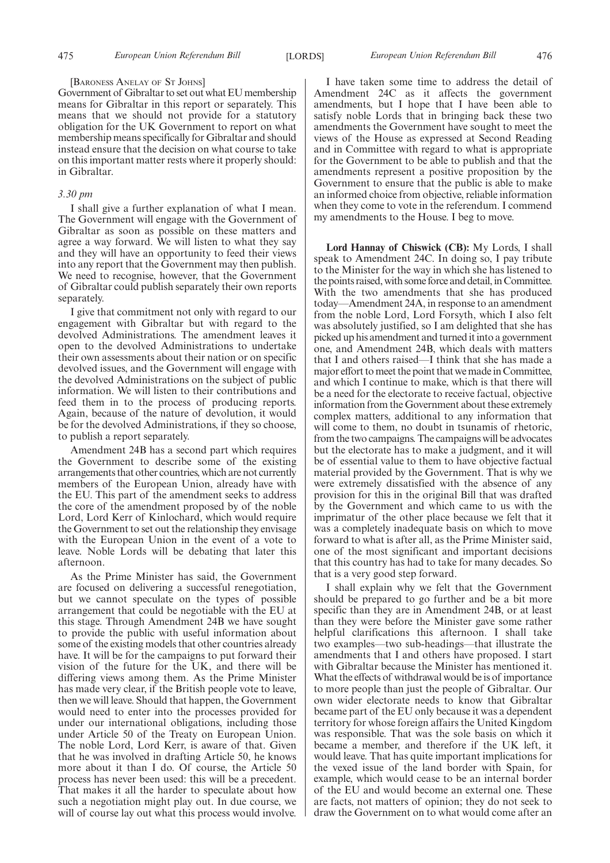#### [BARONESS ANELAY OF ST JOHNS]

Government of Gibraltar to set out what EU membership means for Gibraltar in this report or separately. This means that we should not provide for a statutory obligation for the UK Government to report on what membership means specifically for Gibraltar and should instead ensure that the decision on what course to take on this important matter rests where it properly should: in Gibraltar.

#### *3.30 pm*

I shall give a further explanation of what I mean. The Government will engage with the Government of Gibraltar as soon as possible on these matters and agree a way forward. We will listen to what they say and they will have an opportunity to feed their views into any report that the Government may then publish. We need to recognise, however, that the Government of Gibraltar could publish separately their own reports separately.

I give that commitment not only with regard to our engagement with Gibraltar but with regard to the devolved Administrations. The amendment leaves it open to the devolved Administrations to undertake their own assessments about their nation or on specific devolved issues, and the Government will engage with the devolved Administrations on the subject of public information. We will listen to their contributions and feed them in to the process of producing reports. Again, because of the nature of devolution, it would be for the devolved Administrations, if they so choose, to publish a report separately.

Amendment 24B has a second part which requires the Government to describe some of the existing arrangements that other countries, which are not currently members of the European Union, already have with the EU. This part of the amendment seeks to address the core of the amendment proposed by of the noble Lord, Lord Kerr of Kinlochard, which would require the Government to set out the relationship they envisage with the European Union in the event of a vote to leave. Noble Lords will be debating that later this afternoon.

As the Prime Minister has said, the Government are focused on delivering a successful renegotiation, but we cannot speculate on the types of possible arrangement that could be negotiable with the EU at this stage. Through Amendment 24B we have sought to provide the public with useful information about some of the existing models that other countries already have. It will be for the campaigns to put forward their vision of the future for the UK, and there will be differing views among them. As the Prime Minister has made very clear, if the British people vote to leave, then we will leave. Should that happen, the Government would need to enter into the processes provided for under our international obligations, including those under Article 50 of the Treaty on European Union. The noble Lord, Lord Kerr, is aware of that. Given that he was involved in drafting Article 50, he knows more about it than I do. Of course, the Article 50 process has never been used: this will be a precedent. That makes it all the harder to speculate about how such a negotiation might play out. In due course, we will of course lay out what this process would involve.

I have taken some time to address the detail of Amendment 24C as it affects the government amendments, but I hope that I have been able to satisfy noble Lords that in bringing back these two amendments the Government have sought to meet the views of the House as expressed at Second Reading and in Committee with regard to what is appropriate for the Government to be able to publish and that the amendments represent a positive proposition by the Government to ensure that the public is able to make an informed choice from objective, reliable information when they come to vote in the referendum. I commend my amendments to the House. I beg to move.

**Lord Hannay of Chiswick (CB):** My Lords, I shall speak to Amendment 24C. In doing so, I pay tribute to the Minister for the way in which she has listened to the points raised, with some force and detail, in Committee. With the two amendments that she has produced today—Amendment 24A, in response to an amendment from the noble Lord, Lord Forsyth, which I also felt was absolutely justified, so I am delighted that she has picked up his amendment and turned it into a government one, and Amendment 24B, which deals with matters that I and others raised—I think that she has made a major effort to meet the point that we made in Committee, and which I continue to make, which is that there will be a need for the electorate to receive factual, objective information from the Government about these extremely complex matters, additional to any information that will come to them, no doubt in tsunamis of rhetoric, from the two campaigns. The campaigns will be advocates but the electorate has to make a judgment, and it will be of essential value to them to have objective factual material provided by the Government. That is why we were extremely dissatisfied with the absence of any provision for this in the original Bill that was drafted by the Government and which came to us with the imprimatur of the other place because we felt that it was a completely inadequate basis on which to move forward to what is after all, as the Prime Minister said, one of the most significant and important decisions that this country has had to take for many decades. So that is a very good step forward.

I shall explain why we felt that the Government should be prepared to go further and be a bit more specific than they are in Amendment 24B, or at least than they were before the Minister gave some rather helpful clarifications this afternoon. I shall take two examples—two sub-headings—that illustrate the amendments that I and others have proposed. I start with Gibraltar because the Minister has mentioned it. What the effects of withdrawal would be is of importance to more people than just the people of Gibraltar. Our own wider electorate needs to know that Gibraltar became part of the EU only because it was a dependent territory for whose foreign affairs the United Kingdom was responsible. That was the sole basis on which it became a member, and therefore if the UK left, it would leave. That has quite important implications for the vexed issue of the land border with Spain, for example, which would cease to be an internal border of the EU and would become an external one. These are facts, not matters of opinion; they do not seek to draw the Government on to what would come after an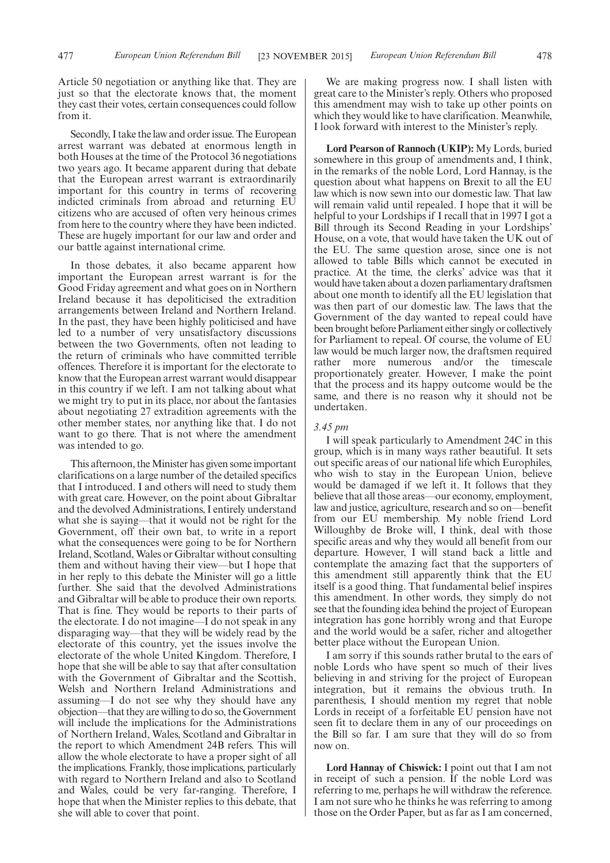Article 50 negotiation or anything like that. They are just so that the electorate knows that, the moment they cast their votes, certain consequences could follow from it.

Secondly, I take the law and order issue. The European arrest warrant was debated at enormous length in both Houses at the time of the Protocol 36 negotiations two years ago. It became apparent during that debate that the European arrest warrant is extraordinarily important for this country in terms of recovering indicted criminals from abroad and returning EU citizens who are accused of often very heinous crimes from here to the country where they have been indicted. These are hugely important for our law and order and our battle against international crime.

In those debates, it also became apparent how important the European arrest warrant is for the Good Friday agreement and what goes on in Northern Ireland because it has depoliticised the extradition arrangements between Ireland and Northern Ireland. In the past, they have been highly politicised and have led to a number of very unsatisfactory discussions between the two Governments, often not leading to the return of criminals who have committed terrible offences. Therefore it is important for the electorate to know that the European arrest warrant would disappear in this country if we left. I am not talking about what we might try to put in its place, nor about the fantasies about negotiating 27 extradition agreements with the other member states, nor anything like that. I do not want to go there. That is not where the amendment was intended to go.

This afternoon, the Minister has given some important clarifications on a large number of the detailed specifics that I introduced. I and others will need to study them with great care. However, on the point about Gibraltar and the devolved Administrations, I entirely understand what she is saying—that it would not be right for the Government, off their own bat, to write in a report what the consequences were going to be for Northern Ireland, Scotland,Wales or Gibraltar without consulting them and without having their view—but I hope that in her reply to this debate the Minister will go a little further. She said that the devolved Administrations and Gibraltar will be able to produce their own reports. That is fine. They would be reports to their parts of the electorate. I do not imagine—I do not speak in any disparaging way—that they will be widely read by the electorate of this country, yet the issues involve the electorate of the whole United Kingdom. Therefore, I hope that she will be able to say that after consultation with the Government of Gibraltar and the Scottish, Welsh and Northern Ireland Administrations and assuming—I do not see why they should have any objection—that they are willing to do so, the Government will include the implications for the Administrations of Northern Ireland, Wales, Scotland and Gibraltar in the report to which Amendment 24B refers. This will allow the whole electorate to have a proper sight of all the implications. Frankly, those implications, particularly with regard to Northern Ireland and also to Scotland and Wales, could be very far-ranging. Therefore, I hope that when the Minister replies to this debate, that she will able to cover that point.

We are making progress now. I shall listen with great care to the Minister's reply. Others who proposed this amendment may wish to take up other points on which they would like to have clarification. Meanwhile, I look forward with interest to the Minister's reply.

**Lord Pearson of Rannoch (UKIP):** My Lords, buried somewhere in this group of amendments and, I think, in the remarks of the noble Lord, Lord Hannay, is the question about what happens on Brexit to all the EU law which is now sewn into our domestic law. That law will remain valid until repealed. I hope that it will be helpful to your Lordships if I recall that in 1997 I got a Bill through its Second Reading in your Lordships' House, on a vote, that would have taken the UK out of the EU. The same question arose, since one is not allowed to table Bills which cannot be executed in practice. At the time, the clerks' advice was that it would have taken about a dozen parliamentary draftsmen about one month to identify all the EU legislation that was then part of our domestic law. The laws that the Government of the day wanted to repeal could have been brought before Parliament either singly or collectively for Parliament to repeal. Of course, the volume of EU law would be much larger now, the draftsmen required rather more numerous and/or the timescale proportionately greater. However, I make the point that the process and its happy outcome would be the same, and there is no reason why it should not be undertaken.

#### *3.45 pm*

I will speak particularly to Amendment 24C in this group, which is in many ways rather beautiful. It sets out specific areas of our national life which Europhiles, who wish to stay in the European Union, believe would be damaged if we left it. It follows that they believe that all those areas—our economy, employment, law and justice, agriculture, research and so on—benefit from our EU membership. My noble friend Lord Willoughby de Broke will, I think, deal with those specific areas and why they would all benefit from our departure. However, I will stand back a little and contemplate the amazing fact that the supporters of this amendment still apparently think that the EU itself is a good thing. That fundamental belief inspires this amendment. In other words, they simply do not see that the founding idea behind the project of European integration has gone horribly wrong and that Europe and the world would be a safer, richer and altogether better place without the European Union.

I am sorry if this sounds rather brutal to the ears of noble Lords who have spent so much of their lives believing in and striving for the project of European integration, but it remains the obvious truth. In parenthesis, I should mention my regret that noble Lords in receipt of a forfeitable EU pension have not seen fit to declare them in any of our proceedings on the Bill so far. I am sure that they will do so from now on.

**Lord Hannay of Chiswick:** I point out that I am not in receipt of such a pension. If the noble Lord was referring to me, perhaps he will withdraw the reference. I am not sure who he thinks he was referring to among those on the Order Paper, but as far as I am concerned,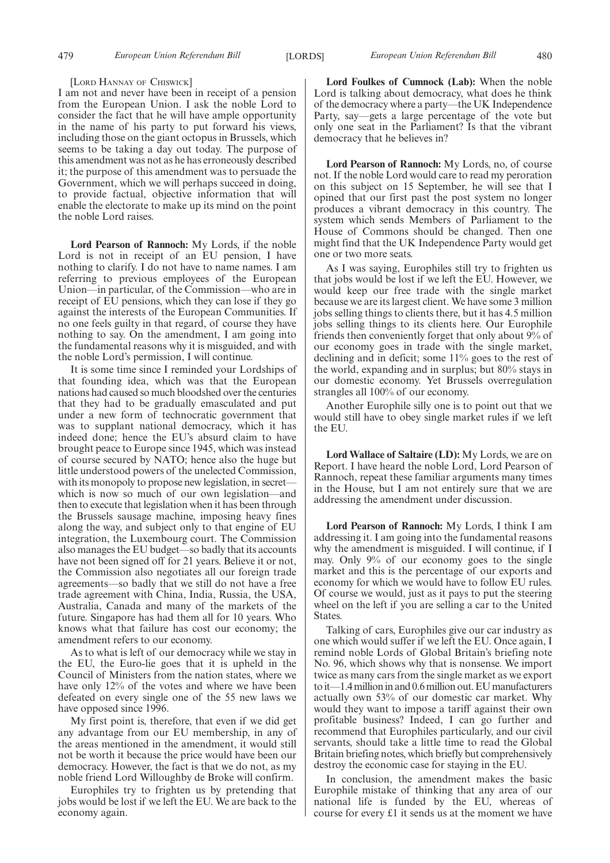#### [LORD HANNAY OF CHISWICK]

I am not and never have been in receipt of a pension from the European Union. I ask the noble Lord to consider the fact that he will have ample opportunity in the name of his party to put forward his views, including those on the giant octopus in Brussels, which seems to be taking a day out today. The purpose of this amendment was not as he has erroneously described it; the purpose of this amendment was to persuade the Government, which we will perhaps succeed in doing, to provide factual, objective information that will enable the electorate to make up its mind on the point the noble Lord raises.

**Lord Pearson of Rannoch:** My Lords, if the noble Lord is not in receipt of an EU pension, I have nothing to clarify. I do not have to name names. I am referring to previous employees of the European Union—in particular, of the Commission—who are in receipt of EU pensions, which they can lose if they go against the interests of the European Communities. If no one feels guilty in that regard, of course they have nothing to say. On the amendment, I am going into the fundamental reasons why it is misguided, and with the noble Lord's permission, I will continue.

It is some time since I reminded your Lordships of that founding idea, which was that the European nations had caused so much bloodshed over the centuries that they had to be gradually emasculated and put under a new form of technocratic government that was to supplant national democracy, which it has indeed done; hence the EU's absurd claim to have brought peace to Europe since 1945, which was instead of course secured by NATO; hence also the huge but little understood powers of the unelected Commission, with its monopoly to propose new legislation, in secretwhich is now so much of our own legislation—and then to execute that legislation when it has been through the Brussels sausage machine, imposing heavy fines along the way, and subject only to that engine of EU integration, the Luxembourg court. The Commission also manages the EU budget—so badly that its accounts have not been signed off for 21 years. Believe it or not, the Commission also negotiates all our foreign trade agreements—so badly that we still do not have a free trade agreement with China, India, Russia, the USA, Australia, Canada and many of the markets of the future. Singapore has had them all for 10 years. Who knows what that failure has cost our economy; the amendment refers to our economy.

As to what is left of our democracy while we stay in the EU, the Euro-lie goes that it is upheld in the Council of Ministers from the nation states, where we have only 12% of the votes and where we have been defeated on every single one of the 55 new laws we have opposed since 1996.

My first point is, therefore, that even if we did get any advantage from our EU membership, in any of the areas mentioned in the amendment, it would still not be worth it because the price would have been our democracy. However, the fact is that we do not, as my noble friend Lord Willoughby de Broke will confirm.

Europhiles try to frighten us by pretending that jobs would be lost if we left the EU. We are back to the economy again.

**Lord Foulkes of Cumnock (Lab):** When the noble Lord is talking about democracy, what does he think of the democracy where a party—the UK Independence Party, say—gets a large percentage of the vote but only one seat in the Parliament? Is that the vibrant democracy that he believes in?

**Lord Pearson of Rannoch:** My Lords, no, of course not. If the noble Lord would care to read my peroration on this subject on 15 September, he will see that I opined that our first past the post system no longer produces a vibrant democracy in this country. The system which sends Members of Parliament to the House of Commons should be changed. Then one might find that the UK Independence Party would get one or two more seats.

As I was saying, Europhiles still try to frighten us that jobs would be lost if we left the EU. However, we would keep our free trade with the single market because we are its largest client. We have some 3 million jobs selling things to clients there, but it has 4.5 million jobs selling things to its clients here. Our Europhile friends then conveniently forget that only about 9% of our economy goes in trade with the single market, declining and in deficit; some 11% goes to the rest of the world, expanding and in surplus; but 80% stays in our domestic economy. Yet Brussels overregulation strangles all 100% of our economy.

Another Europhile silly one is to point out that we would still have to obey single market rules if we left the EU.

**Lord Wallace of Saltaire (LD):** My Lords, we are on Report. I have heard the noble Lord, Lord Pearson of Rannoch, repeat these familiar arguments many times in the House, but I am not entirely sure that we are addressing the amendment under discussion.

**Lord Pearson of Rannoch:** My Lords, I think I am addressing it. I am going into the fundamental reasons why the amendment is misguided. I will continue, if I may. Only 9% of our economy goes to the single market and this is the percentage of our exports and economy for which we would have to follow EU rules. Of course we would, just as it pays to put the steering wheel on the left if you are selling a car to the United States.

Talking of cars, Europhiles give our car industry as one which would suffer if we left the EU. Once again, I remind noble Lords of Global Britain's briefing note No. 96, which shows why that is nonsense. We import twice as many cars from the single market as we export to it—1.4 million in and  $0.6$  million out. EU manufacturers actually own 53% of our domestic car market. Why would they want to impose a tariff against their own profitable business? Indeed, I can go further and recommend that Europhiles particularly, and our civil servants, should take a little time to read the Global Britain briefing notes, which briefly but comprehensively destroy the economic case for staying in the EU.

In conclusion, the amendment makes the basic Europhile mistake of thinking that any area of our national life is funded by the EU, whereas of course for every £1 it sends us at the moment we have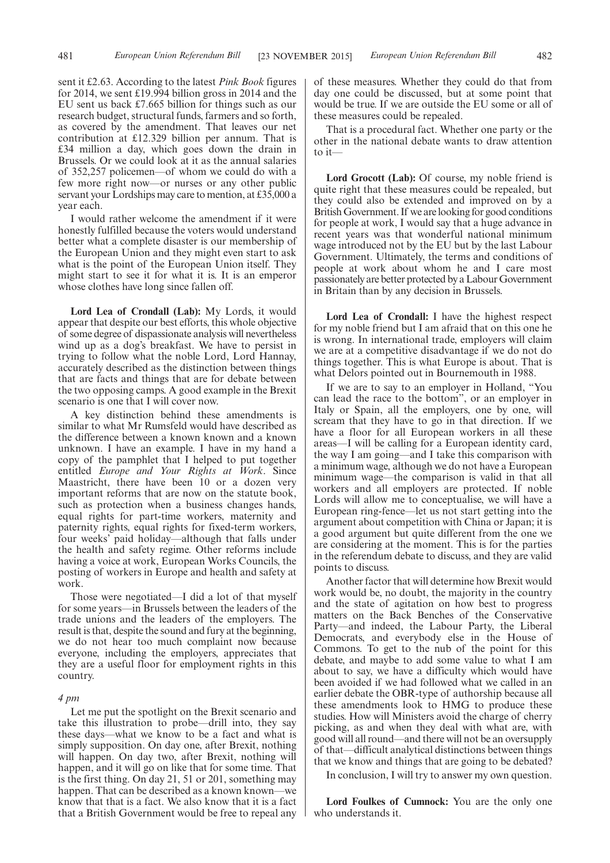sent it £2.63. According to the latest *Pink Book* figures for 2014, we sent £19.994 billion gross in 2014 and the EU sent us back £7.665 billion for things such as our research budget, structural funds, farmers and so forth, as covered by the amendment. That leaves our net contribution at £12.329 billion per annum. That is £34 million a day, which goes down the drain in Brussels. Or we could look at it as the annual salaries of 352,257 policemen—of whom we could do with a few more right now—or nurses or any other public servant your Lordships may care to mention, at £35,000 a year each.

I would rather welcome the amendment if it were honestly fulfilled because the voters would understand better what a complete disaster is our membership of the European Union and they might even start to ask what is the point of the European Union itself. They might start to see it for what it is. It is an emperor whose clothes have long since fallen off.

**Lord Lea of Crondall (Lab):** My Lords, it would appear that despite our best efforts, this whole objective of some degree of dispassionate analysis will nevertheless wind up as a dog's breakfast. We have to persist in trying to follow what the noble Lord, Lord Hannay, accurately described as the distinction between things that are facts and things that are for debate between the two opposing camps. A good example in the Brexit scenario is one that I will cover now.

A key distinction behind these amendments is similar to what Mr Rumsfeld would have described as the difference between a known known and a known unknown. I have an example. I have in my hand a copy of the pamphlet that I helped to put together entitled *Europe and Your Rights at Work*. Since Maastricht, there have been 10 or a dozen very important reforms that are now on the statute book, such as protection when a business changes hands, equal rights for part-time workers, maternity and paternity rights, equal rights for fixed-term workers, four weeks' paid holiday—although that falls under the health and safety regime. Other reforms include having a voice at work, European Works Councils, the posting of workers in Europe and health and safety at work.

Those were negotiated—I did a lot of that myself for some years—in Brussels between the leaders of the trade unions and the leaders of the employers. The result is that, despite the sound and fury at the beginning, we do not hear too much complaint now because everyone, including the employers, appreciates that they are a useful floor for employment rights in this country.

#### *4 pm*

Let me put the spotlight on the Brexit scenario and take this illustration to probe—drill into, they say these days—what we know to be a fact and what is simply supposition. On day one, after Brexit, nothing will happen. On day two, after Brexit, nothing will happen, and it will go on like that for some time. That is the first thing. On day 21, 51 or 201, something may happen. That can be described as a known known—we know that that is a fact. We also know that it is a fact that a British Government would be free to repeal any

of these measures. Whether they could do that from day one could be discussed, but at some point that would be true. If we are outside the EU some or all of these measures could be repealed.

That is a procedural fact. Whether one party or the other in the national debate wants to draw attention to it—

Lord Grocott (Lab): Of course, my noble friend is quite right that these measures could be repealed, but they could also be extended and improved on by a British Government. If we are looking for good conditions for people at work, I would say that a huge advance in recent years was that wonderful national minimum wage introduced not by the EU but by the last Labour Government. Ultimately, the terms and conditions of people at work about whom he and I care most passionately are better protected by a Labour Government in Britain than by any decision in Brussels.

**Lord Lea of Crondall:** I have the highest respect for my noble friend but I am afraid that on this one he is wrong. In international trade, employers will claim we are at a competitive disadvantage if we do not do things together. This is what Europe is about. That is what Delors pointed out in Bournemouth in 1988.

If we are to say to an employer in Holland, "You can lead the race to the bottom", or an employer in Italy or Spain, all the employers, one by one, will scream that they have to go in that direction. If we have a floor for all European workers in all these areas—I will be calling for a European identity card, the way I am going—and I take this comparison with a minimum wage, although we do not have a European minimum wage—the comparison is valid in that all workers and all employers are protected. If noble Lords will allow me to conceptualise, we will have a European ring-fence—let us not start getting into the argument about competition with China or Japan; it is a good argument but quite different from the one we are considering at the moment. This is for the parties in the referendum debate to discuss, and they are valid points to discuss.

Another factor that will determine how Brexit would work would be, no doubt, the majority in the country and the state of agitation on how best to progress matters on the Back Benches of the Conservative Party—and indeed, the Labour Party, the Liberal Democrats, and everybody else in the House of Commons. To get to the nub of the point for this debate, and maybe to add some value to what I am about to say, we have a difficulty which would have been avoided if we had followed what we called in an earlier debate the OBR-type of authorship because all these amendments look to HMG to produce these studies. How will Ministers avoid the charge of cherry picking, as and when they deal with what are, with good will all round—and there will not be an oversupply of that—difficult analytical distinctions between things that we know and things that are going to be debated?

In conclusion, I will try to answer my own question.

**Lord Foulkes of Cumnock:** You are the only one who understands it.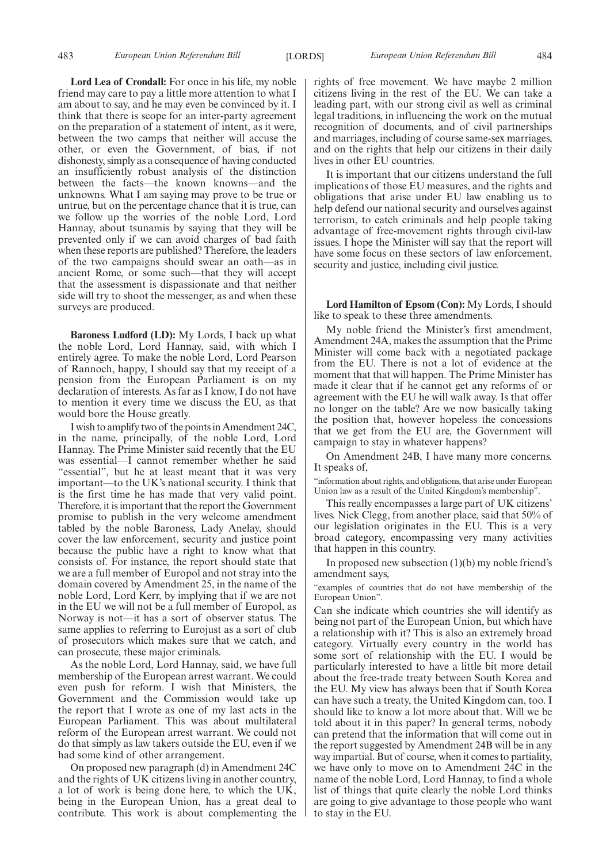**Lord Lea of Crondall:** For once in his life, my noble friend may care to pay a little more attention to what I am about to say, and he may even be convinced by it. I think that there is scope for an inter-party agreement on the preparation of a statement of intent, as it were, between the two camps that neither will accuse the other, or even the Government, of bias, if not dishonesty, simply as a consequence of having conducted an insufficiently robust analysis of the distinction between the facts—the known knowns—and the unknowns. What I am saying may prove to be true or untrue, but on the percentage chance that it is true, can we follow up the worries of the noble Lord, Lord Hannay, about tsunamis by saying that they will be prevented only if we can avoid charges of bad faith when these reports are published? Therefore, the leaders of the two campaigns should swear an oath—as in ancient Rome, or some such—that they will accept that the assessment is dispassionate and that neither side will try to shoot the messenger, as and when these surveys are produced.

**Baroness Ludford (LD):** My Lords, I back up what the noble Lord, Lord Hannay, said, with which I entirely agree. To make the noble Lord, Lord Pearson of Rannoch, happy, I should say that my receipt of a pension from the European Parliament is on my declaration of interests. As far as I know, I do not have to mention it every time we discuss the EU, as that would bore the House greatly.

I wish to amplify two of the points in Amendment 24C, in the name, principally, of the noble Lord, Lord Hannay. The Prime Minister said recently that the EU was essential—I cannot remember whether he said "essential", but he at least meant that it was very important—to the UK's national security. I think that is the first time he has made that very valid point. Therefore, it is important that the report the Government promise to publish in the very welcome amendment tabled by the noble Baroness, Lady Anelay, should cover the law enforcement, security and justice point because the public have a right to know what that consists of. For instance, the report should state that we are a full member of Europol and not stray into the domain covered by Amendment 25, in the name of the noble Lord, Lord Kerr, by implying that if we are not in the EU we will not be a full member of Europol, as Norway is not—it has a sort of observer status. The same applies to referring to Eurojust as a sort of club of prosecutors which makes sure that we catch, and can prosecute, these major criminals.

As the noble Lord, Lord Hannay, said, we have full membership of the European arrest warrant. We could even push for reform. I wish that Ministers, the Government and the Commission would take up the report that I wrote as one of my last acts in the European Parliament. This was about multilateral reform of the European arrest warrant. We could not do that simply as law takers outside the EU, even if we had some kind of other arrangement.

On proposed new paragraph (d) in Amendment 24C and the rights of UK citizens living in another country, a lot of work is being done here, to which the UK, being in the European Union, has a great deal to contribute. This work is about complementing the rights of free movement. We have maybe 2 million citizens living in the rest of the EU. We can take a leading part, with our strong civil as well as criminal legal traditions, in influencing the work on the mutual recognition of documents, and of civil partnerships and marriages, including of course same-sex marriages, and on the rights that help our citizens in their daily lives in other EU countries.

It is important that our citizens understand the full implications of those EU measures, and the rights and obligations that arise under EU law enabling us to help defend our national security and ourselves against terrorism, to catch criminals and help people taking advantage of free-movement rights through civil-law issues. I hope the Minister will say that the report will have some focus on these sectors of law enforcement, security and justice, including civil justice.

**Lord Hamilton of Epsom (Con):** My Lords, I should like to speak to these three amendments.

My noble friend the Minister's first amendment, Amendment 24A, makes the assumption that the Prime Minister will come back with a negotiated package from the EU. There is not a lot of evidence at the moment that that will happen. The Prime Minister has made it clear that if he cannot get any reforms of or agreement with the EU he will walk away. Is that offer no longer on the table? Are we now basically taking the position that, however hopeless the concessions that we get from the EU are, the Government will campaign to stay in whatever happens?

On Amendment 24B, I have many more concerns. It speaks of,

"information about rights, and obligations, that arise under European Union law as a result of the United Kingdom's membership".

This really encompasses a large part of UK citizens' lives. Nick Clegg, from another place, said that 50% of our legislation originates in the EU. This is a very broad category, encompassing very many activities that happen in this country.

In proposed new subsection  $(1)(b)$  my noble friend's amendment says,

"examples of countries that do not have membership of the European Union".

Can she indicate which countries she will identify as being not part of the European Union, but which have a relationship with it? This is also an extremely broad category. Virtually every country in the world has some sort of relationship with the EU. I would be particularly interested to have a little bit more detail about the free-trade treaty between South Korea and the EU. My view has always been that if South Korea can have such a treaty, the United Kingdom can, too. I should like to know a lot more about that. Will we be told about it in this paper? In general terms, nobody can pretend that the information that will come out in the report suggested by Amendment 24B will be in any way impartial. But of course, when it comes to partiality, we have only to move on to Amendment 24C in the name of the noble Lord, Lord Hannay, to find a whole list of things that quite clearly the noble Lord thinks are going to give advantage to those people who want to stay in the EU.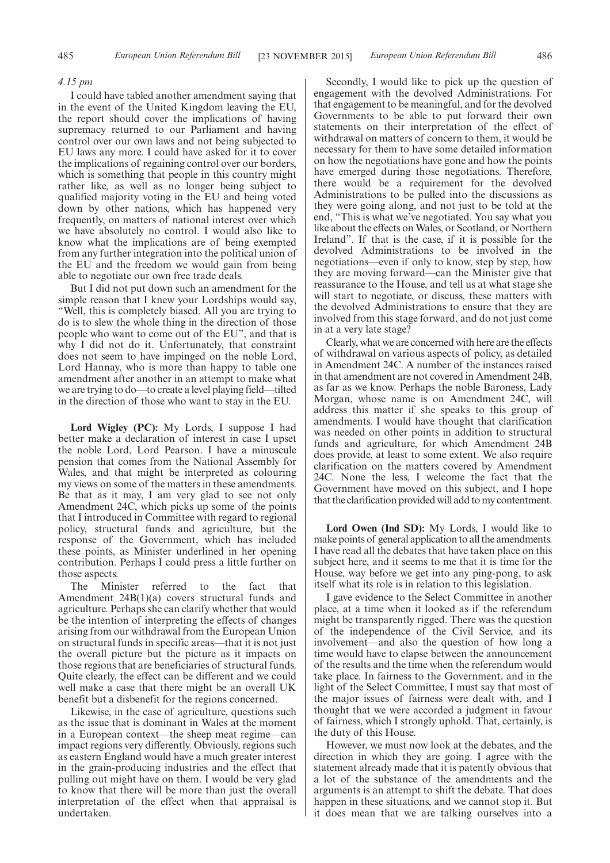#### *4.15 pm*

I could have tabled another amendment saying that in the event of the United Kingdom leaving the EU, the report should cover the implications of having supremacy returned to our Parliament and having control over our own laws and not being subjected to EU laws any more. I could have asked for it to cover the implications of regaining control over our borders, which is something that people in this country might rather like, as well as no longer being subject to qualified majority voting in the EU and being voted down by other nations, which has happened very frequently, on matters of national interest over which we have absolutely no control. I would also like to know what the implications are of being exempted from any further integration into the political union of the EU and the freedom we would gain from being able to negotiate our own free trade deals.

But I did not put down such an amendment for the simple reason that I knew your Lordships would say, "Well, this is completely biased. All you are trying to do is to slew the whole thing in the direction of those people who want to come out of the EU", and that is why I did not do it. Unfortunately, that constraint does not seem to have impinged on the noble Lord, Lord Hannay, who is more than happy to table one amendment after another in an attempt to make what we are trying to do—to create a level playing field—tilted in the direction of those who want to stay in the EU.

**Lord Wigley (PC):** My Lords, I suppose I had better make a declaration of interest in case I upset the noble Lord, Lord Pearson. I have a minuscule pension that comes from the National Assembly for Wales, and that might be interpreted as colouring my views on some of the matters in these amendments. Be that as it may, I am very glad to see not only Amendment 24C, which picks up some of the points that I introduced in Committee with regard to regional policy, structural funds and agriculture, but the response of the Government, which has included these points, as Minister underlined in her opening contribution. Perhaps I could press a little further on those aspects.

The Minister referred to the fact that Amendment 24B(1)(a) covers structural funds and agriculture. Perhaps she can clarify whether that would be the intention of interpreting the effects of changes arising from our withdrawal from the European Union on structural funds in specific areas—that it is not just the overall picture but the picture as it impacts on those regions that are beneficiaries of structural funds. Quite clearly, the effect can be different and we could well make a case that there might be an overall UK benefit but a disbenefit for the regions concerned.

Likewise, in the case of agriculture, questions such as the issue that is dominant in Wales at the moment in a European context—the sheep meat regime—can impact regions very differently. Obviously, regions such as eastern England would have a much greater interest in the grain-producing industries and the effect that pulling out might have on them. I would be very glad to know that there will be more than just the overall interpretation of the effect when that appraisal is undertaken.

Secondly, I would like to pick up the question of engagement with the devolved Administrations. For that engagement to be meaningful, and for the devolved Governments to be able to put forward their own statements on their interpretation of the effect of withdrawal on matters of concern to them, it would be necessary for them to have some detailed information on how the negotiations have gone and how the points have emerged during those negotiations. Therefore, there would be a requirement for the devolved Administrations to be pulled into the discussions as they were going along, and not just to be told at the end, "This is what we've negotiated. You say what you like about the effects on Wales, or Scotland, or Northern Ireland". If that is the case, if it is possible for the devolved Administrations to be involved in the negotiations—even if only to know, step by step, how they are moving forward—can the Minister give that reassurance to the House, and tell us at what stage she will start to negotiate, or discuss, these matters with the devolved Administrations to ensure that they are involved from this stage forward, and do not just come in at a very late stage?

Clearly, what we are concerned with here are the effects of withdrawal on various aspects of policy, as detailed in Amendment 24C. A number of the instances raised in that amendment are not covered in Amendment 24B, as far as we know. Perhaps the noble Baroness, Lady Morgan, whose name is on Amendment 24C, will address this matter if she speaks to this group of amendments. I would have thought that clarification was needed on other points in addition to structural funds and agriculture, for which Amendment 24B does provide, at least to some extent. We also require clarification on the matters covered by Amendment 24C. None the less, I welcome the fact that the Government have moved on this subject, and I hope that the clarification provided will add to my contentment.

**Lord Owen (Ind SD):** My Lords, I would like to make points of general application to all the amendments. I have read all the debates that have taken place on this subject here, and it seems to me that it is time for the House, way before we get into any ping-pong, to ask itself what its role is in relation to this legislation.

I gave evidence to the Select Committee in another place, at a time when it looked as if the referendum might be transparently rigged. There was the question of the independence of the Civil Service, and its involvement—and also the question of how long a time would have to elapse between the announcement of the results and the time when the referendum would take place. In fairness to the Government, and in the light of the Select Committee, I must say that most of the major issues of fairness were dealt with, and I thought that we were accorded a judgment in favour of fairness, which I strongly uphold. That, certainly, is the duty of this House.

However, we must now look at the debates, and the direction in which they are going. I agree with the statement already made that it is patently obvious that a lot of the substance of the amendments and the arguments is an attempt to shift the debate. That does happen in these situations, and we cannot stop it. But it does mean that we are talking ourselves into a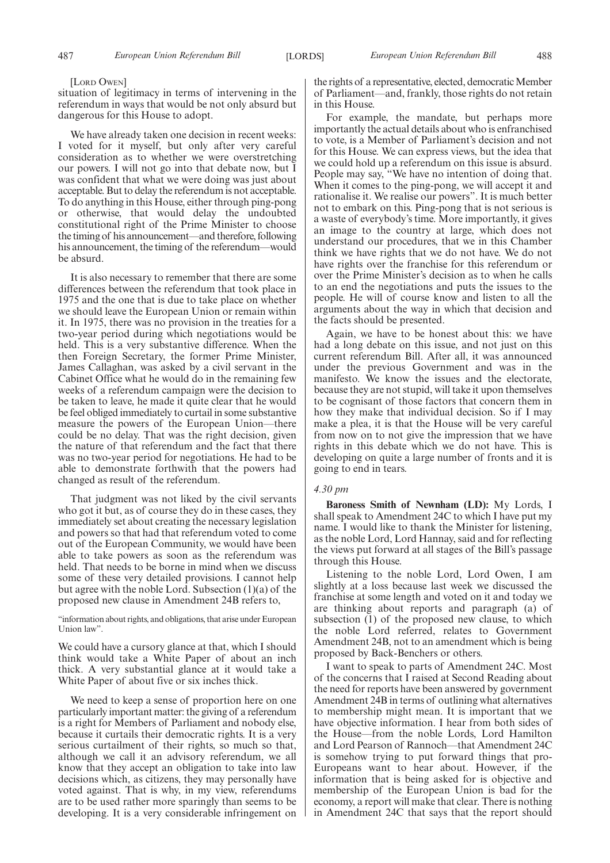#### [LORD OWEN]

situation of legitimacy in terms of intervening in the referendum in ways that would be not only absurd but dangerous for this House to adopt.

We have already taken one decision in recent weeks: I voted for it myself, but only after very careful consideration as to whether we were overstretching our powers. I will not go into that debate now, but I was confident that what we were doing was just about acceptable. But to delay the referendum is not acceptable. To do anything in this House, either through ping-pong or otherwise, that would delay the undoubted constitutional right of the Prime Minister to choose the timing of his announcement—and therefore, following his announcement, the timing of the referendum—would be absurd.

It is also necessary to remember that there are some differences between the referendum that took place in 1975 and the one that is due to take place on whether we should leave the European Union or remain within it. In 1975, there was no provision in the treaties for a two-year period during which negotiations would be held. This is a very substantive difference. When the then Foreign Secretary, the former Prime Minister, James Callaghan, was asked by a civil servant in the Cabinet Office what he would do in the remaining few weeks of a referendum campaign were the decision to be taken to leave, he made it quite clear that he would be feel obliged immediately to curtail in some substantive measure the powers of the European Union—there could be no delay. That was the right decision, given the nature of that referendum and the fact that there was no two-year period for negotiations. He had to be able to demonstrate forthwith that the powers had changed as result of the referendum.

That judgment was not liked by the civil servants who got it but, as of course they do in these cases, they immediately set about creating the necessary legislation and powers so that had that referendum voted to come out of the European Community, we would have been able to take powers as soon as the referendum was held. That needs to be borne in mind when we discuss some of these very detailed provisions. I cannot help but agree with the noble Lord. Subsection (1)(a) of the proposed new clause in Amendment 24B refers to,

"information about rights, and obligations, that arise under European Union law".

We could have a cursory glance at that, which I should think would take a White Paper of about an inch thick. A very substantial glance at it would take a White Paper of about five or six inches thick.

We need to keep a sense of proportion here on one particularly important matter: the giving of a referendum is a right for Members of Parliament and nobody else, because it curtails their democratic rights. It is a very serious curtailment of their rights, so much so that, although we call it an advisory referendum, we all know that they accept an obligation to take into law decisions which, as citizens, they may personally have voted against. That is why, in my view, referendums are to be used rather more sparingly than seems to be developing. It is a very considerable infringement on the rights of a representative, elected, democratic Member of Parliament—and, frankly, those rights do not retain in this House.

For example, the mandate, but perhaps more importantly the actual details about who is enfranchised to vote, is a Member of Parliament's decision and not for this House. We can express views, but the idea that we could hold up a referendum on this issue is absurd. People may say, "We have no intention of doing that. When it comes to the ping-pong, we will accept it and rationalise it. We realise our powers". It is much better not to embark on this. Ping-pong that is not serious is a waste of everybody's time. More importantly, it gives an image to the country at large, which does not understand our procedures, that we in this Chamber think we have rights that we do not have. We do not have rights over the franchise for this referendum or over the Prime Minister's decision as to when he calls to an end the negotiations and puts the issues to the people. He will of course know and listen to all the arguments about the way in which that decision and the facts should be presented.

Again, we have to be honest about this: we have had a long debate on this issue, and not just on this current referendum Bill. After all, it was announced under the previous Government and was in the manifesto. We know the issues and the electorate, because they are not stupid, will take it upon themselves to be cognisant of those factors that concern them in how they make that individual decision. So if I may make a plea, it is that the House will be very careful from now on to not give the impression that we have rights in this debate which we do not have. This is developing on quite a large number of fronts and it is going to end in tears.

#### *4.30 pm*

**Baroness Smith of Newnham (LD):** My Lords, I shall speak to Amendment 24C to which I have put my name. I would like to thank the Minister for listening, as the noble Lord, Lord Hannay, said and for reflecting the views put forward at all stages of the Bill's passage through this House.

Listening to the noble Lord, Lord Owen, I am slightly at a loss because last week we discussed the franchise at some length and voted on it and today we are thinking about reports and paragraph (a) of subsection (1) of the proposed new clause, to which the noble Lord referred, relates to Government Amendment 24B, not to an amendment which is being proposed by Back-Benchers or others.

I want to speak to parts of Amendment 24C. Most of the concerns that I raised at Second Reading about the need for reports have been answered by government Amendment 24B in terms of outlining what alternatives to membership might mean. It is important that we have objective information. I hear from both sides of the House—from the noble Lords, Lord Hamilton and Lord Pearson of Rannoch—that Amendment 24C is somehow trying to put forward things that pro-Europeans want to hear about. However, if the information that is being asked for is objective and membership of the European Union is bad for the economy, a report will make that clear. There is nothing in Amendment 24C that says that the report should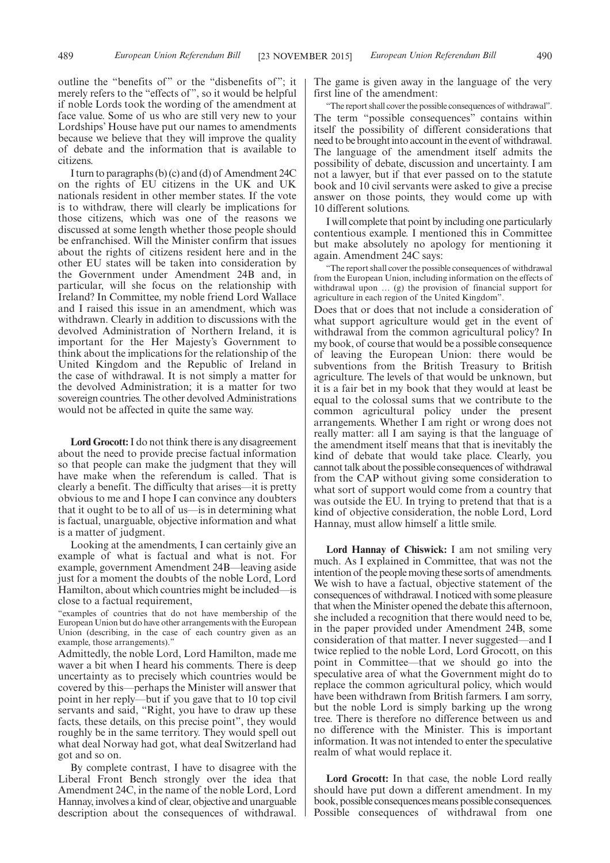outline the "benefits of" or the "disbenefits of"; it merely refers to the "effects of ", so it would be helpful if noble Lords took the wording of the amendment at face value. Some of us who are still very new to your Lordships' House have put our names to amendments because we believe that they will improve the quality of debate and the information that is available to citizens.

I turn to paragraphs (b) (c) and (d) of Amendment 24C on the rights of EU citizens in the UK and UK nationals resident in other member states. If the vote is to withdraw, there will clearly be implications for those citizens, which was one of the reasons we discussed at some length whether those people should be enfranchised. Will the Minister confirm that issues about the rights of citizens resident here and in the other EU states will be taken into consideration by the Government under Amendment 24B and, in particular, will she focus on the relationship with Ireland? In Committee, my noble friend Lord Wallace and I raised this issue in an amendment, which was withdrawn. Clearly in addition to discussions with the devolved Administration of Northern Ireland, it is important for the Her Majesty's Government to think about the implications for the relationship of the United Kingdom and the Republic of Ireland in the case of withdrawal. It is not simply a matter for the devolved Administration; it is a matter for two sovereign countries. The other devolved Administrations would not be affected in quite the same way.

**Lord Grocott:**I do not think there is any disagreement about the need to provide precise factual information so that people can make the judgment that they will have make when the referendum is called. That is clearly a benefit. The difficulty that arises—it is pretty obvious to me and I hope I can convince any doubters that it ought to be to all of us—is in determining what is factual, unarguable, objective information and what is a matter of judgment.

Looking at the amendments, I can certainly give an example of what is factual and what is not. For example, government Amendment 24B—leaving aside just for a moment the doubts of the noble Lord, Lord Hamilton, about which countries might be included—is close to a factual requirement,

"examples of countries that do not have membership of the European Union but do have other arrangements with the European Union (describing, in the case of each country given as an example, those arrangements)."

Admittedly, the noble Lord, Lord Hamilton, made me waver a bit when I heard his comments. There is deep uncertainty as to precisely which countries would be covered by this—perhaps the Minister will answer that point in her reply—but if you gave that to 10 top civil servants and said, "Right, you have to draw up these facts, these details, on this precise point", they would roughly be in the same territory. They would spell out what deal Norway had got, what deal Switzerland had got and so on.

By complete contrast, I have to disagree with the Liberal Front Bench strongly over the idea that Amendment 24C, in the name of the noble Lord, Lord Hannay, involves a kind of clear, objective and unarguable description about the consequences of withdrawal.

The game is given away in the language of the very first line of the amendment:

"The report shall cover the possible consequences of withdrawal". The term "possible consequences" contains within itself the possibility of different considerations that need to be brought into account in the event of withdrawal. The language of the amendment itself admits the possibility of debate, discussion and uncertainty. I am not a lawyer, but if that ever passed on to the statute book and 10 civil servants were asked to give a precise answer on those points, they would come up with 10 different solutions.

I will complete that point by including one particularly contentious example. I mentioned this in Committee but make absolutely no apology for mentioning it again. Amendment 24C says:

"The report shall cover the possible consequences of withdrawal from the European Union, including information on the effects of withdrawal upon … (g) the provision of financial support for agriculture in each region of the United Kingdom".

Does that or does that not include a consideration of what support agriculture would get in the event of withdrawal from the common agricultural policy? In my book, of course that would be a possible consequence of leaving the European Union: there would be subventions from the British Treasury to British agriculture. The levels of that would be unknown, but it is a fair bet in my book that they would at least be equal to the colossal sums that we contribute to the common agricultural policy under the present arrangements. Whether I am right or wrong does not really matter: all I am saying is that the language of the amendment itself means that that is inevitably the kind of debate that would take place. Clearly, you cannot talk about the possible consequences of withdrawal from the CAP without giving some consideration to what sort of support would come from a country that was outside the EU. In trying to pretend that that is a kind of objective consideration, the noble Lord, Lord Hannay, must allow himself a little smile.

**Lord Hannay of Chiswick:** I am not smiling very much. As I explained in Committee, that was not the intention of the peoplemoving these sorts of amendments. We wish to have a factual, objective statement of the consequences of withdrawal. I noticed with some pleasure that when the Minister opened the debate this afternoon, she included a recognition that there would need to be, in the paper provided under Amendment 24B, some consideration of that matter. I never suggested—and I twice replied to the noble Lord, Lord Grocott, on this point in Committee—that we should go into the speculative area of what the Government might do to replace the common agricultural policy, which would have been withdrawn from British farmers. I am sorry, but the noble Lord is simply barking up the wrong tree. There is therefore no difference between us and no difference with the Minister. This is important information. It was not intended to enter the speculative realm of what would replace it.

**Lord Grocott:** In that case, the noble Lord really should have put down a different amendment. In my book, possible consequences means possible consequences. Possible consequences of withdrawal from one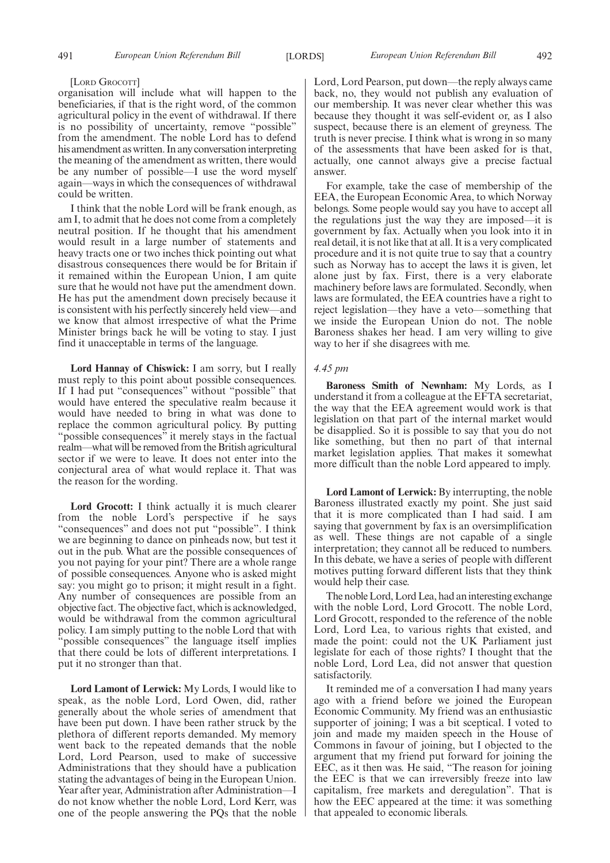#### [LORD GROCOTT]

organisation will include what will happen to the beneficiaries, if that is the right word, of the common agricultural policy in the event of withdrawal. If there is no possibility of uncertainty, remove "possible" from the amendment. The noble Lord has to defend his amendment as written. In any conversation interpreting the meaning of the amendment as written, there would be any number of possible—I use the word myself again—ways in which the consequences of withdrawal could be written.

I think that the noble Lord will be frank enough, as am I, to admit that he does not come from a completely neutral position. If he thought that his amendment would result in a large number of statements and heavy tracts one or two inches thick pointing out what disastrous consequences there would be for Britain if it remained within the European Union, I am quite sure that he would not have put the amendment down. He has put the amendment down precisely because it is consistent with his perfectly sincerely held view—and we know that almost irrespective of what the Prime Minister brings back he will be voting to stay. I just find it unacceptable in terms of the language.

**Lord Hannay of Chiswick:** I am sorry, but I really must reply to this point about possible consequences. If I had put "consequences" without "possible" that would have entered the speculative realm because it would have needed to bring in what was done to replace the common agricultural policy. By putting "possible consequences" it merely stays in the factual realm—what will be removed from the British agricultural sector if we were to leave. It does not enter into the conjectural area of what would replace it. That was the reason for the wording.

**Lord Grocott:** I think actually it is much clearer from the noble Lord's perspective if he says "consequences" and does not put "possible". I think we are beginning to dance on pinheads now, but test it out in the pub. What are the possible consequences of you not paying for your pint? There are a whole range of possible consequences. Anyone who is asked might say: you might go to prison; it might result in a fight. Any number of consequences are possible from an objective fact. The objective fact, which is acknowledged, would be withdrawal from the common agricultural policy. I am simply putting to the noble Lord that with "possible consequences" the language itself implies that there could be lots of different interpretations. I put it no stronger than that.

**Lord Lamont of Lerwick:** My Lords, I would like to speak, as the noble Lord, Lord Owen, did, rather generally about the whole series of amendment that have been put down. I have been rather struck by the plethora of different reports demanded. My memory went back to the repeated demands that the noble Lord, Lord Pearson, used to make of successive Administrations that they should have a publication stating the advantages of being in the European Union. Year after year, Administration after Administration—I do not know whether the noble Lord, Lord Kerr, was one of the people answering the PQs that the noble

Lord, Lord Pearson, put down—the reply always came back, no, they would not publish any evaluation of our membership. It was never clear whether this was because they thought it was self-evident or, as I also suspect, because there is an element of greyness. The truth is never precise. I think what is wrong in so many of the assessments that have been asked for is that, actually, one cannot always give a precise factual answer.

For example, take the case of membership of the EEA, the European Economic Area, to which Norway belongs. Some people would say you have to accept all the regulations just the way they are imposed—it is government by fax. Actually when you look into it in real detail, it is not like that at all. It is a very complicated procedure and it is not quite true to say that a country such as Norway has to accept the laws it is given, let alone just by fax. First, there is a very elaborate machinery before laws are formulated. Secondly, when laws are formulated, the EEA countries have a right to reject legislation—they have a veto—something that we inside the European Union do not. The noble Baroness shakes her head. I am very willing to give way to her if she disagrees with me.

## *4.45 pm*

**Baroness Smith of Newnham:** My Lords, as I understand it from a colleague at the EFTA secretariat, the way that the EEA agreement would work is that legislation on that part of the internal market would be disapplied. So it is possible to say that you do not like something, but then no part of that internal market legislation applies. That makes it somewhat more difficult than the noble Lord appeared to imply.

**Lord Lamont of Lerwick:** By interrupting, the noble Baroness illustrated exactly my point. She just said that it is more complicated than I had said. I am saying that government by fax is an oversimplification as well. These things are not capable of a single interpretation; they cannot all be reduced to numbers. In this debate, we have a series of people with different motives putting forward different lists that they think would help their case.

The noble Lord, Lord Lea, had an interesting exchange with the noble Lord, Lord Grocott. The noble Lord, Lord Grocott, responded to the reference of the noble Lord, Lord Lea, to various rights that existed, and made the point: could not the UK Parliament just legislate for each of those rights? I thought that the noble Lord, Lord Lea, did not answer that question satisfactorily.

It reminded me of a conversation I had many years ago with a friend before we joined the European Economic Community. My friend was an enthusiastic supporter of joining; I was a bit sceptical. I voted to join and made my maiden speech in the House of Commons in favour of joining, but I objected to the argument that my friend put forward for joining the EEC, as it then was. He said, "The reason for joining the EEC is that we can irreversibly freeze into law capitalism, free markets and deregulation". That is how the EEC appeared at the time: it was something that appealed to economic liberals.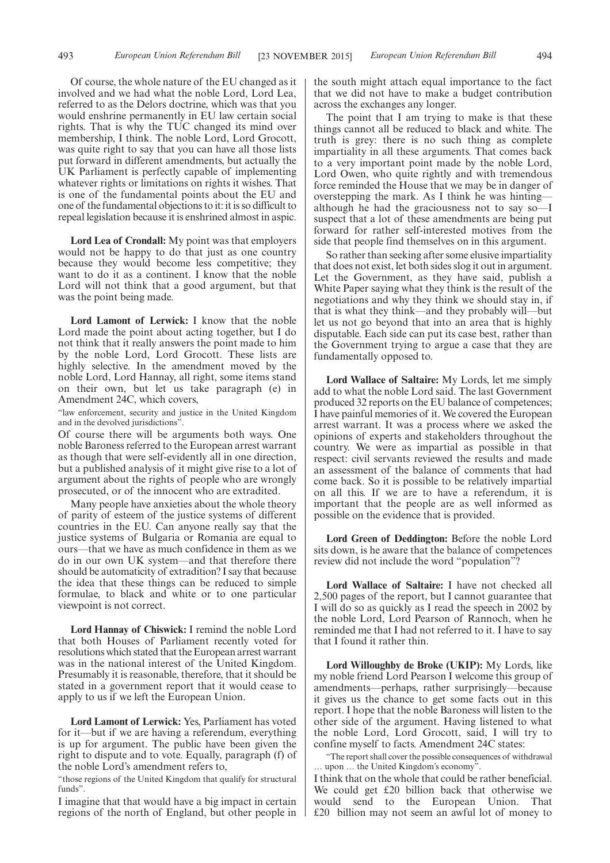Of course, the whole nature of the EU changed as it involved and we had what the noble Lord, Lord Lea, referred to as the Delors doctrine, which was that you would enshrine permanently in EU law certain social rights. That is why the TUC changed its mind over membership, I think. The noble Lord, Lord Grocott, was quite right to say that you can have all those lists put forward in different amendments, but actually the UK Parliament is perfectly capable of implementing whatever rights or limitations on rights it wishes. That is one of the fundamental points about the EU and one of the fundamental objections to it: it is so difficult to repeal legislation because it is enshrined almost in aspic.

**Lord Lea of Crondall:** My point was that employers would not be happy to do that just as one country because they would become less competitive; they want to do it as a continent. I know that the noble Lord will not think that a good argument, but that was the point being made.

**Lord Lamont of Lerwick:** I know that the noble Lord made the point about acting together, but I do not think that it really answers the point made to him by the noble Lord, Lord Grocott. These lists are highly selective. In the amendment moved by the noble Lord, Lord Hannay, all right, some items stand on their own, but let us take paragraph (e) in Amendment 24C, which covers,

"law enforcement, security and justice in the United Kingdom and in the devolved jurisdictions".

Of course there will be arguments both ways. One noble Baroness referred to the European arrest warrant as though that were self-evidently all in one direction, but a published analysis of it might give rise to a lot of argument about the rights of people who are wrongly prosecuted, or of the innocent who are extradited.

Many people have anxieties about the whole theory of parity of esteem of the justice systems of different countries in the EU. Can anyone really say that the justice systems of Bulgaria or Romania are equal to ours—that we have as much confidence in them as we do in our own UK system—and that therefore there should be automaticity of extradition? I say that because the idea that these things can be reduced to simple formulae, to black and white or to one particular viewpoint is not correct.

**Lord Hannay of Chiswick:** I remind the noble Lord that both Houses of Parliament recently voted for resolutions which stated that the European arrest warrant was in the national interest of the United Kingdom. Presumably it is reasonable, therefore, that it should be stated in a government report that it would cease to apply to us if we left the European Union.

**Lord Lamont of Lerwick:** Yes, Parliament has voted for it—but if we are having a referendum, everything is up for argument. The public have been given the right to dispute and to vote. Equally, paragraph (f) of the noble Lord's amendment refers to,

"those regions of the United Kingdom that qualify for structural funds".

I imagine that that would have a big impact in certain regions of the north of England, but other people in the south might attach equal importance to the fact that we did not have to make a budget contribution across the exchanges any longer.

The point that I am trying to make is that these things cannot all be reduced to black and white. The truth is grey: there is no such thing as complete impartiality in all these arguments. That comes back to a very important point made by the noble Lord, Lord Owen, who quite rightly and with tremendous force reminded the House that we may be in danger of overstepping the mark. As I think he was hinting although he had the graciousness not to say so—I suspect that a lot of these amendments are being put forward for rather self-interested motives from the side that people find themselves on in this argument.

So rather than seeking after some elusive impartiality that does not exist, let both sides slog it out in argument. Let the Government, as they have said, publish a White Paper saying what they think is the result of the negotiations and why they think we should stay in, if that is what they think—and they probably will—but let us not go beyond that into an area that is highly disputable. Each side can put its case best, rather than the Government trying to argue a case that they are fundamentally opposed to.

**Lord Wallace of Saltaire:** My Lords, let me simply add to what the noble Lord said. The last Government produced 32 reports on the EU balance of competences; I have painful memories of it. We covered the European arrest warrant. It was a process where we asked the opinions of experts and stakeholders throughout the country. We were as impartial as possible in that respect: civil servants reviewed the results and made an assessment of the balance of comments that had come back. So it is possible to be relatively impartial on all this. If we are to have a referendum, it is important that the people are as well informed as possible on the evidence that is provided.

**Lord Green of Deddington:** Before the noble Lord sits down, is he aware that the balance of competences review did not include the word "population"?

**Lord Wallace of Saltaire:** I have not checked all 2,500 pages of the report, but I cannot guarantee that I will do so as quickly as I read the speech in 2002 by the noble Lord, Lord Pearson of Rannoch, when he reminded me that I had not referred to it. I have to say that I found it rather thin.

**Lord Willoughby de Broke (UKIP):** My Lords, like my noble friend Lord Pearson I welcome this group of amendments—perhaps, rather surprisingly—because it gives us the chance to get some facts out in this report. I hope that the noble Baroness will listen to the other side of the argument. Having listened to what the noble Lord, Lord Grocott, said, I will try to confine myself to facts. Amendment 24C states:

"The report shall cover the possible consequences of withdrawal … upon … the United Kingdom's economy".

I think that on the whole that could be rather beneficial. We could get £20 billion back that otherwise we would send to the European Union. That £20 billion may not seem an awful lot of money to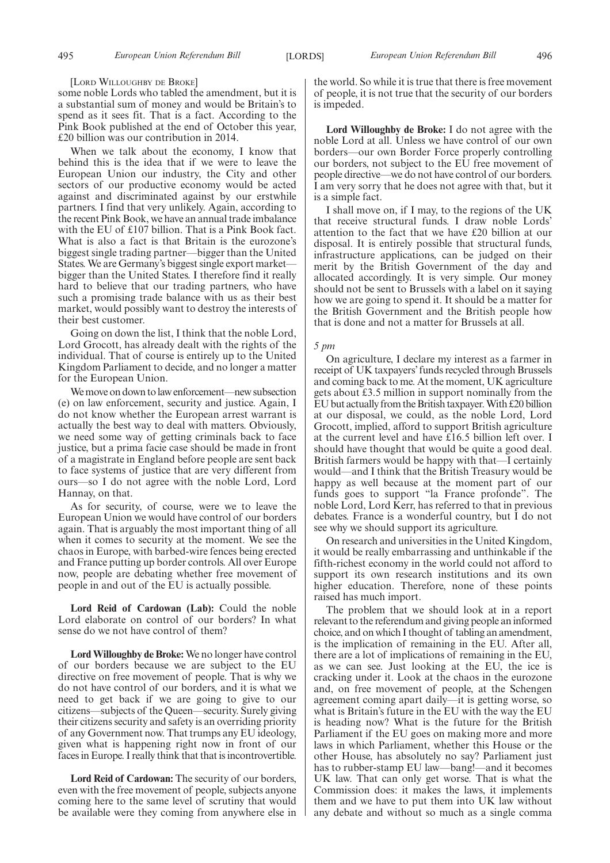[LORD WILLOUGHBY DE BROKE]

some noble Lords who tabled the amendment, but it is a substantial sum of money and would be Britain's to spend as it sees fit. That is a fact. According to the Pink Book published at the end of October this year, £20 billion was our contribution in 2014.

When we talk about the economy, I know that behind this is the idea that if we were to leave the European Union our industry, the City and other sectors of our productive economy would be acted against and discriminated against by our erstwhile partners. I find that very unlikely. Again, according to the recent Pink Book, we have an annual trade imbalance with the EU of £107 billion. That is a Pink Book fact. What is also a fact is that Britain is the eurozone's biggest single trading partner—bigger than the United States. We are Germany's biggest single export market bigger than the United States. I therefore find it really hard to believe that our trading partners, who have such a promising trade balance with us as their best market, would possibly want to destroy the interests of their best customer.

Going on down the list, I think that the noble Lord, Lord Grocott, has already dealt with the rights of the individual. That of course is entirely up to the United Kingdom Parliament to decide, and no longer a matter for the European Union.

We move on down to law enforcement—new subsection (e) on law enforcement, security and justice. Again, I do not know whether the European arrest warrant is actually the best way to deal with matters. Obviously, we need some way of getting criminals back to face justice, but a prima facie case should be made in front of a magistrate in England before people are sent back to face systems of justice that are very different from ours—so I do not agree with the noble Lord, Lord Hannay, on that.

As for security, of course, were we to leave the European Union we would have control of our borders again. That is arguably the most important thing of all when it comes to security at the moment. We see the chaos in Europe, with barbed-wire fences being erected and France putting up border controls. All over Europe now, people are debating whether free movement of people in and out of the EU is actually possible.

**Lord Reid of Cardowan (Lab):** Could the noble Lord elaborate on control of our borders? In what sense do we not have control of them?

**Lord Willoughby de Broke:** We no longer have control of our borders because we are subject to the EU directive on free movement of people. That is why we do not have control of our borders, and it is what we need to get back if we are going to give to our citizens—subjects of the Queen—security. Surely giving their citizens security and safety is an overriding priority of any Government now. That trumps any EU ideology, given what is happening right now in front of our faces in Europe. I really think that that is incontrovertible.

**Lord Reid of Cardowan:** The security of our borders, even with the free movement of people, subjects anyone coming here to the same level of scrutiny that would be available were they coming from anywhere else in the world. So while it is true that there is free movement of people, it is not true that the security of our borders is impeded.

**Lord Willoughby de Broke:** I do not agree with the noble Lord at all. Unless we have control of our own borders—our own Border Force properly controlling our borders, not subject to the EU free movement of people directive—we do not have control of our borders. I am very sorry that he does not agree with that, but it is a simple fact.

I shall move on, if I may, to the regions of the UK that receive structural funds. I draw noble Lords' attention to the fact that we have £20 billion at our disposal. It is entirely possible that structural funds, infrastructure applications, can be judged on their merit by the British Government of the day and allocated accordingly. It is very simple. Our money should not be sent to Brussels with a label on it saying how we are going to spend it. It should be a matter for the British Government and the British people how that is done and not a matter for Brussels at all.

#### *5 pm*

On agriculture, I declare my interest as a farmer in receipt of UK taxpayers' funds recycled through Brussels and coming back to me. At the moment, UK agriculture gets about £3.5 million in support nominally from the EU but actually from the British taxpayer.With £20 billion at our disposal, we could, as the noble Lord, Lord Grocott, implied, afford to support British agriculture at the current level and have £16.5 billion left over. I should have thought that would be quite a good deal. British farmers would be happy with that—I certainly would—and I think that the British Treasury would be happy as well because at the moment part of our funds goes to support "la France profonde". The noble Lord, Lord Kerr, has referred to that in previous debates. France is a wonderful country, but I do not see why we should support its agriculture.

On research and universities in the United Kingdom, it would be really embarrassing and unthinkable if the fifth-richest economy in the world could not afford to support its own research institutions and its own higher education. Therefore, none of these points raised has much import.

The problem that we should look at in a report relevant to the referendum and giving people an informed choice, and on which I thought of tabling an amendment, is the implication of remaining in the EU. After all, there are a lot of implications of remaining in the EU, as we can see. Just looking at the EU, the ice is cracking under it. Look at the chaos in the eurozone and, on free movement of people, at the Schengen agreement coming apart daily—it is getting worse, so what is Britain's future in the EU with the way the EU is heading now? What is the future for the British Parliament if the EU goes on making more and more laws in which Parliament, whether this House or the other House, has absolutely no say? Parliament just has to rubber-stamp EU law—bang!—and it becomes UK law. That can only get worse. That is what the Commission does: it makes the laws, it implements them and we have to put them into UK law without any debate and without so much as a single comma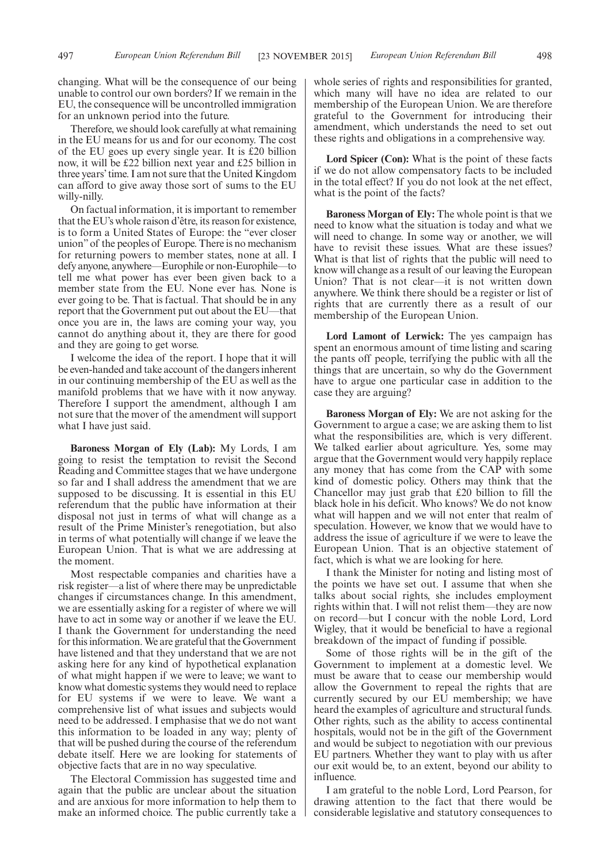Therefore, we should look carefully at what remaining in the EU means for us and for our economy. The cost of the EU goes up every single year. It is £20 billion now, it will be £22 billion next year and £25 billion in three years' time. I am not sure that the United Kingdom can afford to give away those sort of sums to the EU willy-nilly.

On factual information, it is important to remember that the EU's whole raison d'être, its reason for existence, is to form a United States of Europe: the "ever closer union" of the peoples of Europe. There is no mechanism for returning powers to member states, none at all. I defy anyone, anywhere—Europhile or non-Europhile—to tell me what power has ever been given back to a member state from the EU. None ever has. None is ever going to be. That is factual. That should be in any report that the Government put out about the EU—that once you are in, the laws are coming your way, you cannot do anything about it, they are there for good and they are going to get worse.

I welcome the idea of the report. I hope that it will be even-handed and take account of the dangers inherent in our continuing membership of the EU as well as the manifold problems that we have with it now anyway. Therefore I support the amendment, although I am not sure that the mover of the amendment will support what I have just said.

**Baroness Morgan of Ely (Lab):** My Lords, I am going to resist the temptation to revisit the Second Reading and Committee stages that we have undergone so far and I shall address the amendment that we are supposed to be discussing. It is essential in this EU referendum that the public have information at their disposal not just in terms of what will change as a result of the Prime Minister's renegotiation, but also in terms of what potentially will change if we leave the European Union. That is what we are addressing at the moment.

Most respectable companies and charities have a risk register—a list of where there may be unpredictable changes if circumstances change. In this amendment, we are essentially asking for a register of where we will have to act in some way or another if we leave the EU. I thank the Government for understanding the need for this information.We are grateful that the Government have listened and that they understand that we are not asking here for any kind of hypothetical explanation of what might happen if we were to leave; we want to know what domestic systems they would need to replace for EU systems if we were to leave. We want a comprehensive list of what issues and subjects would need to be addressed. I emphasise that we do not want this information to be loaded in any way; plenty of that will be pushed during the course of the referendum debate itself. Here we are looking for statements of objective facts that are in no way speculative.

The Electoral Commission has suggested time and again that the public are unclear about the situation and are anxious for more information to help them to make an informed choice. The public currently take a whole series of rights and responsibilities for granted, which many will have no idea are related to our membership of the European Union. We are therefore grateful to the Government for introducing their amendment, which understands the need to set out these rights and obligations in a comprehensive way.

**Lord Spicer (Con):** What is the point of these facts if we do not allow compensatory facts to be included in the total effect? If you do not look at the net effect, what is the point of the facts?

**Baroness Morgan of Ely:** The whole point is that we need to know what the situation is today and what we will need to change. In some way or another, we will have to revisit these issues. What are these issues? What is that list of rights that the public will need to know will change as a result of our leaving the European Union? That is not clear—it is not written down anywhere. We think there should be a register or list of rights that are currently there as a result of our membership of the European Union.

**Lord Lamont of Lerwick:** The yes campaign has spent an enormous amount of time listing and scaring the pants off people, terrifying the public with all the things that are uncertain, so why do the Government have to argue one particular case in addition to the case they are arguing?

**Baroness Morgan of Ely:** We are not asking for the Government to argue a case; we are asking them to list what the responsibilities are, which is very different. We talked earlier about agriculture. Yes, some may argue that the Government would very happily replace any money that has come from the CAP with some kind of domestic policy. Others may think that the Chancellor may just grab that £20 billion to fill the black hole in his deficit. Who knows? We do not know what will happen and we will not enter that realm of speculation. However, we know that we would have to address the issue of agriculture if we were to leave the European Union. That is an objective statement of fact, which is what we are looking for here.

I thank the Minister for noting and listing most of the points we have set out. I assume that when she talks about social rights, she includes employment rights within that. I will not relist them—they are now on record—but I concur with the noble Lord, Lord Wigley, that it would be beneficial to have a regional breakdown of the impact of funding if possible.

Some of those rights will be in the gift of the Government to implement at a domestic level. We must be aware that to cease our membership would allow the Government to repeal the rights that are currently secured by our EU membership; we have heard the examples of agriculture and structural funds. Other rights, such as the ability to access continental hospitals, would not be in the gift of the Government and would be subject to negotiation with our previous EU partners. Whether they want to play with us after our exit would be, to an extent, beyond our ability to influence.

I am grateful to the noble Lord, Lord Pearson, for drawing attention to the fact that there would be considerable legislative and statutory consequences to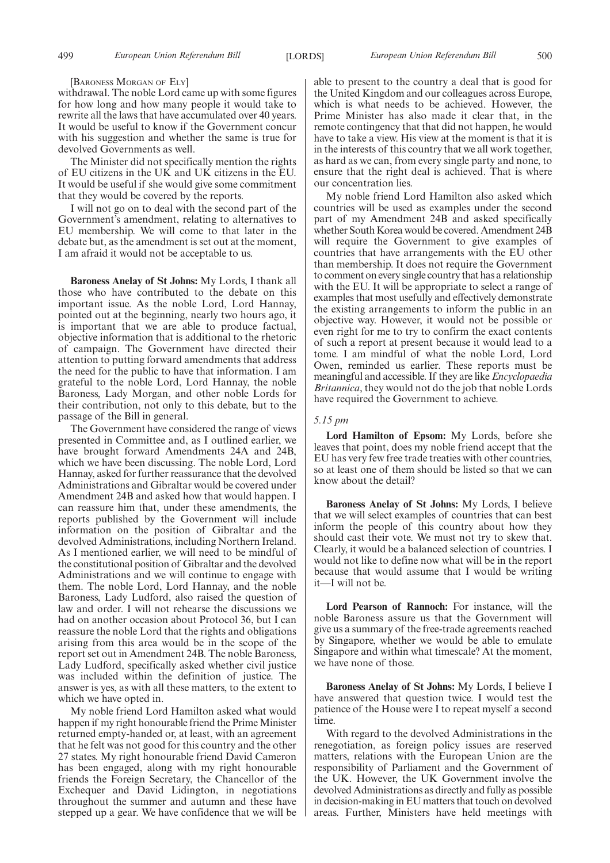#### [BARONESS MORGAN OF ELY]

withdrawal. The noble Lord came up with some figures for how long and how many people it would take to rewrite all the laws that have accumulated over 40 years. It would be useful to know if the Government concur with his suggestion and whether the same is true for devolved Governments as well.

The Minister did not specifically mention the rights of EU citizens in the UK and UK citizens in the EU. It would be useful if she would give some commitment that they would be covered by the reports.

I will not go on to deal with the second part of the Government's amendment, relating to alternatives to EU membership. We will come to that later in the debate but, as the amendment is set out at the moment, I am afraid it would not be acceptable to us.

**Baroness Anelay of St Johns:** My Lords, I thank all those who have contributed to the debate on this important issue. As the noble Lord, Lord Hannay, pointed out at the beginning, nearly two hours ago, it is important that we are able to produce factual, objective information that is additional to the rhetoric of campaign. The Government have directed their attention to putting forward amendments that address the need for the public to have that information. I am grateful to the noble Lord, Lord Hannay, the noble Baroness, Lady Morgan, and other noble Lords for their contribution, not only to this debate, but to the passage of the Bill in general.

The Government have considered the range of views presented in Committee and, as I outlined earlier, we have brought forward Amendments 24A and 24B, which we have been discussing. The noble Lord, Lord Hannay, asked for further reassurance that the devolved Administrations and Gibraltar would be covered under Amendment 24B and asked how that would happen. I can reassure him that, under these amendments, the reports published by the Government will include information on the position of Gibraltar and the devolved Administrations, including Northern Ireland. As I mentioned earlier, we will need to be mindful of the constitutional position of Gibraltar and the devolved Administrations and we will continue to engage with them. The noble Lord, Lord Hannay, and the noble Baroness, Lady Ludford, also raised the question of law and order. I will not rehearse the discussions we had on another occasion about Protocol 36, but I can reassure the noble Lord that the rights and obligations arising from this area would be in the scope of the report set out in Amendment 24B. The noble Baroness, Lady Ludford, specifically asked whether civil justice was included within the definition of justice. The answer is yes, as with all these matters, to the extent to which we have opted in.

My noble friend Lord Hamilton asked what would happen if my right honourable friend the Prime Minister returned empty-handed or, at least, with an agreement that he felt was not good for this country and the other 27 states. My right honourable friend David Cameron has been engaged, along with my right honourable friends the Foreign Secretary, the Chancellor of the Exchequer and David Lidington, in negotiations throughout the summer and autumn and these have stepped up a gear. We have confidence that we will be able to present to the country a deal that is good for the United Kingdom and our colleagues across Europe, which is what needs to be achieved. However, the Prime Minister has also made it clear that, in the remote contingency that that did not happen, he would have to take a view. His view at the moment is that it is in the interests of this country that we all work together, as hard as we can, from every single party and none, to ensure that the right deal is achieved. That is where our concentration lies.

My noble friend Lord Hamilton also asked which countries will be used as examples under the second part of my Amendment 24B and asked specifically whether South Korea would be covered. Amendment 24B will require the Government to give examples of countries that have arrangements with the EU other than membership. It does not require the Government to comment on every single country that has a relationship with the EU. It will be appropriate to select a range of examples that most usefully and effectively demonstrate the existing arrangements to inform the public in an objective way. However, it would not be possible or even right for me to try to confirm the exact contents of such a report at present because it would lead to a tome. I am mindful of what the noble Lord, Lord Owen, reminded us earlier. These reports must be meaningful and accessible. If they are like *Encyclopaedia Britannica*, they would not do the job that noble Lords have required the Government to achieve.

#### *5.15 pm*

**Lord Hamilton of Epsom:** My Lords, before she leaves that point, does my noble friend accept that the EU has very few free trade treaties with other countries, so at least one of them should be listed so that we can know about the detail?

**Baroness Anelay of St Johns:** My Lords, I believe that we will select examples of countries that can best inform the people of this country about how they should cast their vote. We must not try to skew that. Clearly, it would be a balanced selection of countries. I would not like to define now what will be in the report because that would assume that I would be writing it—I will not be.

Lord Pearson of Rannoch: For instance, will the noble Baroness assure us that the Government will give us a summary of the free-trade agreements reached by Singapore, whether we would be able to emulate Singapore and within what timescale? At the moment, we have none of those.

**Baroness Anelay of St Johns:** My Lords, I believe I have answered that question twice. I would test the patience of the House were I to repeat myself a second time.

With regard to the devolved Administrations in the renegotiation, as foreign policy issues are reserved matters, relations with the European Union are the responsibility of Parliament and the Government of the UK. However, the UK Government involve the devolved Administrations as directly and fully as possible in decision-making in EU matters that touch on devolved areas. Further, Ministers have held meetings with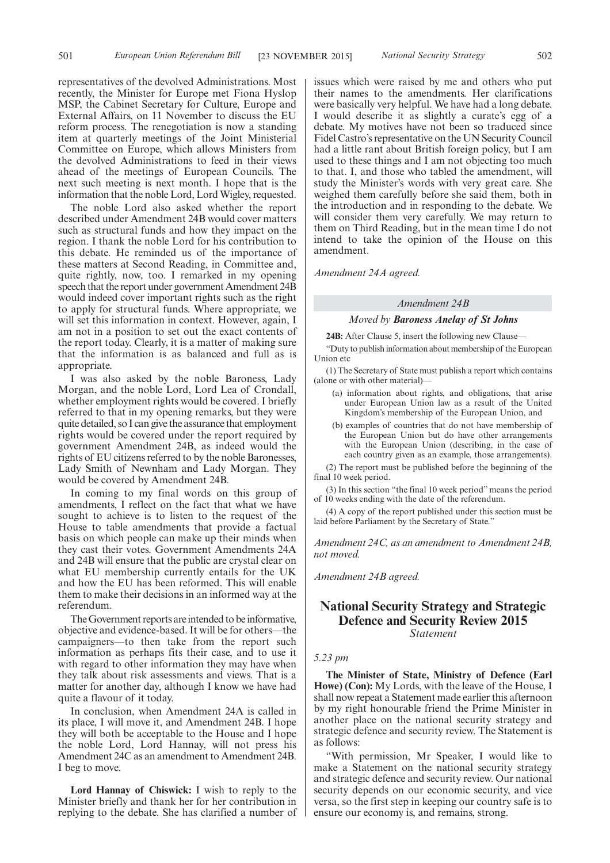representatives of the devolved Administrations. Most recently, the Minister for Europe met Fiona Hyslop MSP, the Cabinet Secretary for Culture, Europe and External Affairs, on 11 November to discuss the EU reform process. The renegotiation is now a standing item at quarterly meetings of the Joint Ministerial Committee on Europe, which allows Ministers from the devolved Administrations to feed in their views ahead of the meetings of European Councils. The next such meeting is next month. I hope that is the information that the noble Lord, Lord Wigley, requested.

The noble Lord also asked whether the report described under Amendment 24B would cover matters such as structural funds and how they impact on the region. I thank the noble Lord for his contribution to this debate. He reminded us of the importance of these matters at Second Reading, in Committee and, quite rightly, now, too. I remarked in my opening speech that the report under government Amendment 24B would indeed cover important rights such as the right to apply for structural funds. Where appropriate, we will set this information in context. However, again, I am not in a position to set out the exact contents of the report today. Clearly, it is a matter of making sure that the information is as balanced and full as is appropriate.

I was also asked by the noble Baroness, Lady Morgan, and the noble Lord, Lord Lea of Crondall, whether employment rights would be covered. I briefly referred to that in my opening remarks, but they were quite detailed, so I can give the assurance that employment rights would be covered under the report required by government Amendment 24B, as indeed would the rights of EU citizens referred to by the noble Baronesses, Lady Smith of Newnham and Lady Morgan. They would be covered by Amendment 24B.

In coming to my final words on this group of amendments, I reflect on the fact that what we have sought to achieve is to listen to the request of the House to table amendments that provide a factual basis on which people can make up their minds when they cast their votes. Government Amendments 24A and 24B will ensure that the public are crystal clear on what EU membership currently entails for the UK and how the EU has been reformed. This will enable them to make their decisions in an informed way at the referendum.

The Government reports are intended to be informative, objective and evidence-based. It will be for others—the campaigners—to then take from the report such information as perhaps fits their case, and to use it with regard to other information they may have when they talk about risk assessments and views. That is a matter for another day, although I know we have had quite a flavour of it today.

In conclusion, when Amendment 24A is called in its place, I will move it, and Amendment 24B. I hope they will both be acceptable to the House and I hope the noble Lord, Lord Hannay, will not press his Amendment 24C as an amendment to Amendment 24B. I beg to move.

**Lord Hannay of Chiswick:** I wish to reply to the Minister briefly and thank her for her contribution in replying to the debate. She has clarified a number of issues which were raised by me and others who put their names to the amendments. Her clarifications were basically very helpful. We have had a long debate. I would describe it as slightly a curate's egg of a debate. My motives have not been so traduced since Fidel Castro's representative on the UN Security Council had a little rant about British foreign policy, but I am used to these things and I am not objecting too much to that. I, and those who tabled the amendment, will study the Minister's words with very great care. She weighed them carefully before she said them, both in the introduction and in responding to the debate. We will consider them very carefully. We may return to them on Third Reading, but in the mean time I do not intend to take the opinion of the House on this amendment.

*Amendment 24A agreed.*

#### *Amendment 24B*

#### *Moved by Baroness Anelay of St Johns*

**24B:** After Clause 5, insert the following new Clause—

"Duty to publish information about membership of the European Union etc

(1) The Secretary of State must publish a report which contains (alone or with other material)—

- (a) information about rights, and obligations, that arise under European Union law as a result of the United Kingdom's membership of the European Union, and
- (b) examples of countries that do not have membership of the European Union but do have other arrangements with the European Union (describing, in the case of each country given as an example, those arrangements).

(2) The report must be published before the beginning of the final 10 week period.

(3) In this section "the final 10 week period" means the period of 10 weeks ending with the date of the referendum.

(4) A copy of the report published under this section must be laid before Parliament by the Secretary of State."

*Amendment 24C, as an amendment to Amendment 24B, not moved.*

*Amendment 24B agreed.*

## **National Security Strategy and Strategic Defence and Security Review 2015** *Statement*

#### *5.23 pm*

**The Minister of State, Ministry of Defence (Earl Howe) (Con):** My Lords, with the leave of the House, I shall now repeat a Statement made earlier this afternoon by my right honourable friend the Prime Minister in another place on the national security strategy and strategic defence and security review. The Statement is as follows:

"With permission, Mr Speaker, I would like to make a Statement on the national security strategy and strategic defence and security review. Our national security depends on our economic security, and vice versa, so the first step in keeping our country safe is to ensure our economy is, and remains, strong.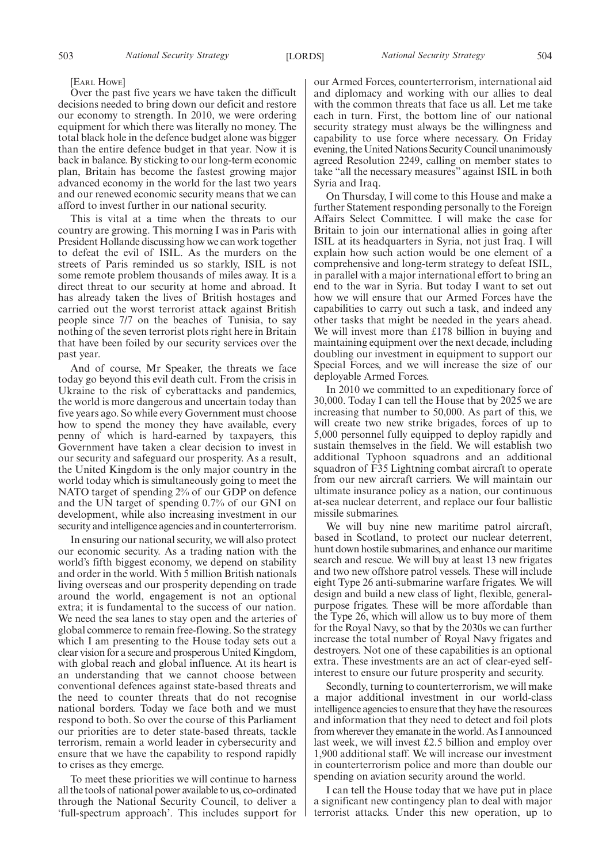#### [EARL HOWE]

Over the past five years we have taken the difficult decisions needed to bring down our deficit and restore our economy to strength. In 2010, we were ordering equipment for which there was literally no money. The total black hole in the defence budget alone was bigger than the entire defence budget in that year. Now it is back in balance. By sticking to our long-term economic plan, Britain has become the fastest growing major advanced economy in the world for the last two years and our renewed economic security means that we can afford to invest further in our national security.

This is vital at a time when the threats to our country are growing. This morning I was in Paris with President Hollande discussing how we can work together to defeat the evil of ISIL. As the murders on the streets of Paris reminded us so starkly, ISIL is not some remote problem thousands of miles away. It is a direct threat to our security at home and abroad. It has already taken the lives of British hostages and carried out the worst terrorist attack against British people since 7/7 on the beaches of Tunisia, to say nothing of the seven terrorist plots right here in Britain that have been foiled by our security services over the past year.

And of course, Mr Speaker, the threats we face today go beyond this evil death cult. From the crisis in Ukraine to the risk of cyberattacks and pandemics, the world is more dangerous and uncertain today than five years ago. So while every Government must choose how to spend the money they have available, every penny of which is hard-earned by taxpayers, this Government have taken a clear decision to invest in our security and safeguard our prosperity. As a result, the United Kingdom is the only major country in the world today which is simultaneously going to meet the NATO target of spending 2% of our GDP on defence and the UN target of spending 0.7% of our GNI on development, while also increasing investment in our security and intelligence agencies and in counterterrorism.

In ensuring our national security, we will also protect our economic security. As a trading nation with the world's fifth biggest economy, we depend on stability and order in the world. With 5 million British nationals living overseas and our prosperity depending on trade around the world, engagement is not an optional extra; it is fundamental to the success of our nation. We need the sea lanes to stay open and the arteries of global commerce to remain free-flowing. So the strategy which I am presenting to the House today sets out a clear vision for a secure and prosperous United Kingdom, with global reach and global influence. At its heart is an understanding that we cannot choose between conventional defences against state-based threats and the need to counter threats that do not recognise national borders. Today we face both and we must respond to both. So over the course of this Parliament our priorities are to deter state-based threats, tackle terrorism, remain a world leader in cybersecurity and ensure that we have the capability to respond rapidly to crises as they emerge.

To meet these priorities we will continue to harness all the tools of national power available to us, co-ordinated through the National Security Council, to deliver a 'full-spectrum approach'. This includes support for our Armed Forces, counterterrorism, international aid and diplomacy and working with our allies to deal with the common threats that face us all. Let me take each in turn. First, the bottom line of our national security strategy must always be the willingness and capability to use force where necessary. On Friday evening, the United Nations Security Council unanimously agreed Resolution 2249, calling on member states to take "all the necessary measures" against ISIL in both Syria and Iraq.

On Thursday, I will come to this House and make a further Statement responding personally to the Foreign Affairs Select Committee. I will make the case for Britain to join our international allies in going after ISIL at its headquarters in Syria, not just Iraq. I will explain how such action would be one element of a comprehensive and long-term strategy to defeat ISIL, in parallel with a major international effort to bring an end to the war in Syria. But today I want to set out how we will ensure that our Armed Forces have the capabilities to carry out such a task, and indeed any other tasks that might be needed in the years ahead. We will invest more than £178 billion in buying and maintaining equipment over the next decade, including doubling our investment in equipment to support our Special Forces, and we will increase the size of our deployable Armed Forces.

In 2010 we committed to an expeditionary force of 30,000. Today I can tell the House that by 2025 we are increasing that number to 50,000. As part of this, we will create two new strike brigades, forces of up to 5,000 personnel fully equipped to deploy rapidly and sustain themselves in the field. We will establish two additional Typhoon squadrons and an additional squadron of F35 Lightning combat aircraft to operate from our new aircraft carriers. We will maintain our ultimate insurance policy as a nation, our continuous at-sea nuclear deterrent, and replace our four ballistic missile submarines.

We will buy nine new maritime patrol aircraft, based in Scotland, to protect our nuclear deterrent, hunt down hostile submarines, and enhance our maritime search and rescue. We will buy at least 13 new frigates and two new offshore patrol vessels. These will include eight Type 26 anti-submarine warfare frigates. We will design and build a new class of light, flexible, generalpurpose frigates. These will be more affordable than the Type 26, which will allow us to buy more of them for the Royal Navy, so that by the 2030s we can further increase the total number of Royal Navy frigates and destroyers. Not one of these capabilities is an optional extra. These investments are an act of clear-eyed selfinterest to ensure our future prosperity and security.

Secondly, turning to counterterrorism, we will make a major additional investment in our world-class intelligence agencies to ensure that they have the resources and information that they need to detect and foil plots from wherever they emanate in the world. As I announced last week, we will invest £2.5 billion and employ over 1,900 additional staff. We will increase our investment in counterterrorism police and more than double our spending on aviation security around the world.

I can tell the House today that we have put in place a significant new contingency plan to deal with major terrorist attacks. Under this new operation, up to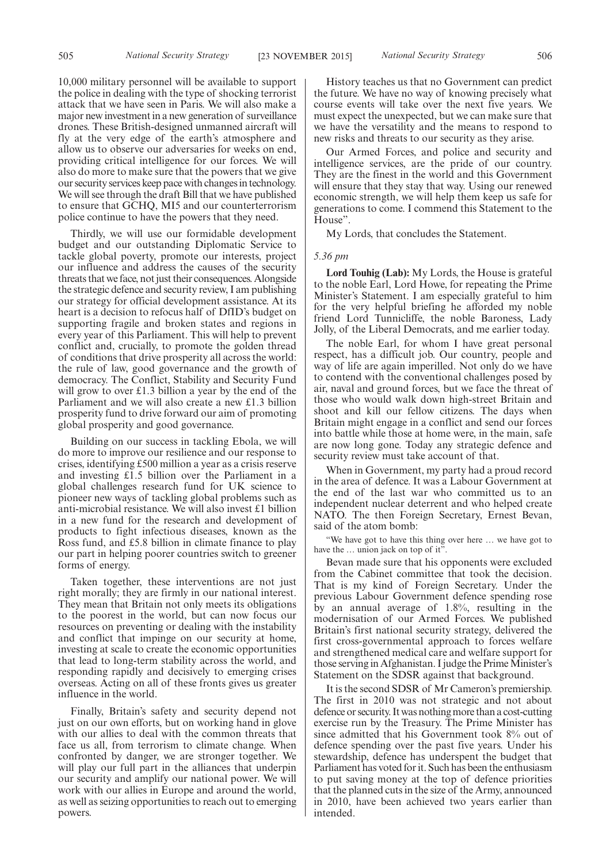10,000 military personnel will be available to support the police in dealing with the type of shocking terrorist attack that we have seen in Paris. We will also make a major new investment in a new generation of surveillance drones. These British-designed unmanned aircraft will fly at the very edge of the earth's atmosphere and allow us to observe our adversaries for weeks on end, providing critical intelligence for our forces. We will also do more to make sure that the powers that we give our security services keep pace with changes in technology. We will see through the draft Bill that we have published to ensure that GCHQ, MI5 and our counterterrorism police continue to have the powers that they need.

Thirdly, we will use our formidable development budget and our outstanding Diplomatic Service to tackle global poverty, promote our interests, project our influence and address the causes of the security threats that we face, not just their consequences. Alongside the strategic defence and security review, I am publishing our strategy for official development assistance. At its heart is a decision to refocus half of DfID's budget on supporting fragile and broken states and regions in every year of this Parliament. This will help to prevent conflict and, crucially, to promote the golden thread of conditions that drive prosperity all across the world: the rule of law, good governance and the growth of democracy. The Conflict, Stability and Security Fund will grow to over £1.3 billion a year by the end of the Parliament and we will also create a new £1.3 billion prosperity fund to drive forward our aim of promoting global prosperity and good governance.

Building on our success in tackling Ebola, we will do more to improve our resilience and our response to crises, identifying £500 million a year as a crisis reserve and investing £1.5 billion over the Parliament in a global challenges research fund for UK science to pioneer new ways of tackling global problems such as anti-microbial resistance. We will also invest £1 billion in a new fund for the research and development of products to fight infectious diseases, known as the Ross fund, and £5.8 billion in climate finance to play our part in helping poorer countries switch to greener forms of energy.

Taken together, these interventions are not just right morally; they are firmly in our national interest. They mean that Britain not only meets its obligations to the poorest in the world, but can now focus our resources on preventing or dealing with the instability and conflict that impinge on our security at home, investing at scale to create the economic opportunities that lead to long-term stability across the world, and responding rapidly and decisively to emerging crises overseas. Acting on all of these fronts gives us greater influence in the world.

Finally, Britain's safety and security depend not just on our own efforts, but on working hand in glove with our allies to deal with the common threats that face us all, from terrorism to climate change. When confronted by danger, we are stronger together. We will play our full part in the alliances that underpin our security and amplify our national power. We will work with our allies in Europe and around the world, as well as seizing opportunities to reach out to emerging powers.

History teaches us that no Government can predict the future. We have no way of knowing precisely what course events will take over the next five years. We must expect the unexpected, but we can make sure that we have the versatility and the means to respond to new risks and threats to our security as they arise.

Our Armed Forces, and police and security and intelligence services, are the pride of our country. They are the finest in the world and this Government will ensure that they stay that way. Using our renewed economic strength, we will help them keep us safe for generations to come. I commend this Statement to the House".

My Lords, that concludes the Statement.

#### *5.36 pm*

**Lord Touhig (Lab):** My Lords, the House is grateful to the noble Earl, Lord Howe, for repeating the Prime Minister's Statement. I am especially grateful to him for the very helpful briefing he afforded my noble friend Lord Tunnicliffe, the noble Baroness, Lady Jolly, of the Liberal Democrats, and me earlier today.

The noble Earl, for whom I have great personal respect, has a difficult job. Our country, people and way of life are again imperilled. Not only do we have to contend with the conventional challenges posed by air, naval and ground forces, but we face the threat of those who would walk down high-street Britain and shoot and kill our fellow citizens. The days when Britain might engage in a conflict and send our forces into battle while those at home were, in the main, safe are now long gone. Today any strategic defence and security review must take account of that.

When in Government, my party had a proud record in the area of defence. It was a Labour Government at the end of the last war who committed us to an independent nuclear deterrent and who helped create NATO. The then Foreign Secretary, Ernest Bevan, said of the atom bomb:

"We have got to have this thing over here … we have got to have the ... union jack on top of it"

Bevan made sure that his opponents were excluded from the Cabinet committee that took the decision. That is my kind of Foreign Secretary. Under the previous Labour Government defence spending rose by an annual average of 1.8%, resulting in the modernisation of our Armed Forces. We published Britain's first national security strategy, delivered the first cross-governmental approach to forces welfare and strengthened medical care and welfare support for those serving in Afghanistan. I judge the PrimeMinister's Statement on the SDSR against that background.

It is the second SDSR of Mr Cameron's premiership. The first in 2010 was not strategic and not about defence or security. It was nothingmore than a cost-cutting exercise run by the Treasury. The Prime Minister has since admitted that his Government took 8% out of defence spending over the past five years. Under his stewardship, defence has underspent the budget that Parliament has voted for it. Such has been the enthusiasm to put saving money at the top of defence priorities that the planned cuts in the size of the Army, announced in 2010, have been achieved two years earlier than intended.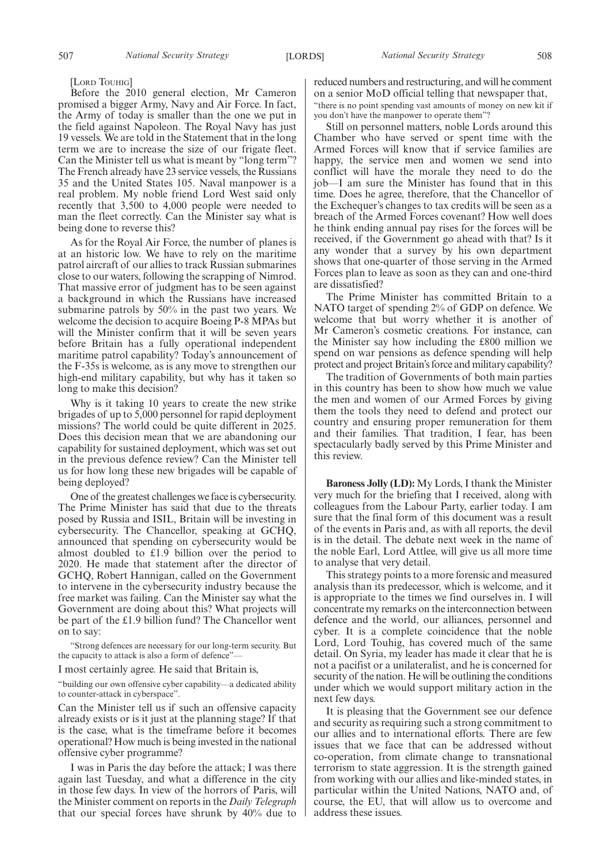[LORD TOUHIG]

Before the 2010 general election, Mr Cameron promised a bigger Army, Navy and Air Force. In fact, the Army of today is smaller than the one we put in the field against Napoleon. The Royal Navy has just 19 vessels. We are told in the Statement that in the long term we are to increase the size of our frigate fleet. Can the Minister tell us what is meant by "long term"? The French already have 23 service vessels, the Russians 35 and the United States 105. Naval manpower is a real problem. My noble friend Lord West said only recently that 3,500 to 4,000 people were needed to man the fleet correctly. Can the Minister say what is being done to reverse this?

As for the Royal Air Force, the number of planes is at an historic low. We have to rely on the maritime patrol aircraft of our allies to track Russian submarines close to our waters, following the scrapping of Nimrod. That massive error of judgment has to be seen against a background in which the Russians have increased submarine patrols by 50% in the past two years. We welcome the decision to acquire Boeing P-8 MPAs but will the Minister confirm that it will be seven years before Britain has a fully operational independent maritime patrol capability? Today's announcement of the F-35s is welcome, as is any move to strengthen our high-end military capability, but why has it taken so long to make this decision?

Why is it taking 10 years to create the new strike brigades of up to 5,000 personnel for rapid deployment missions? The world could be quite different in 2025. Does this decision mean that we are abandoning our capability for sustained deployment, which was set out in the previous defence review? Can the Minister tell us for how long these new brigades will be capable of being deployed?

One of the greatest challenges we face is cybersecurity. The Prime Minister has said that due to the threats posed by Russia and ISIL, Britain will be investing in cybersecurity. The Chancellor, speaking at GCHQ, announced that spending on cybersecurity would be almost doubled to £1.9 billion over the period to 2020. He made that statement after the director of GCHQ, Robert Hannigan, called on the Government to intervene in the cybersecurity industry because the free market was failing. Can the Minister say what the Government are doing about this? What projects will be part of the £1.9 billion fund? The Chancellor went on to say:

"Strong defences are necessary for our long-term security. But the capacity to attack is also a form of defence".

I most certainly agree. He said that Britain is,

"building our own offensive cyber capability—a dedicated ability to counter-attack in cyberspace".

Can the Minister tell us if such an offensive capacity already exists or is it just at the planning stage? If that is the case, what is the timeframe before it becomes operational? How much is being invested in the national offensive cyber programme?

I was in Paris the day before the attack; I was there again last Tuesday, and what a difference in the city in those few days. In view of the horrors of Paris, will the Minister comment on reports in the *Daily Telegraph* that our special forces have shrunk by 40% due to reduced numbers and restructuring, and will he comment on a senior MoD official telling that newspaper that,

"there is no point spending vast amounts of money on new kit if you don't have the manpower to operate them"?

Still on personnel matters, noble Lords around this Chamber who have served or spent time with the Armed Forces will know that if service families are happy, the service men and women we send into conflict will have the morale they need to do the job—I am sure the Minister has found that in this time. Does he agree, therefore, that the Chancellor of the Exchequer's changes to tax credits will be seen as a breach of the Armed Forces covenant? How well does he think ending annual pay rises for the forces will be received, if the Government go ahead with that? Is it any wonder that a survey by his own department shows that one-quarter of those serving in the Armed Forces plan to leave as soon as they can and one-third are dissatisfied?

The Prime Minister has committed Britain to a NATO target of spending 2% of GDP on defence. We welcome that but worry whether it is another of Mr Cameron's cosmetic creations. For instance, can the Minister say how including the £800 million we spend on war pensions as defence spending will help protect and project Britain's force and military capability?

The tradition of Governments of both main parties in this country has been to show how much we value the men and women of our Armed Forces by giving them the tools they need to defend and protect our country and ensuring proper remuneration for them and their families. That tradition, I fear, has been spectacularly badly served by this Prime Minister and this review.

**Baroness Jolly (LD):** My Lords, I thank the Minister very much for the briefing that I received, along with colleagues from the Labour Party, earlier today. I am sure that the final form of this document was a result of the events in Paris and, as with all reports, the devil is in the detail. The debate next week in the name of the noble Earl, Lord Attlee, will give us all more time to analyse that very detail.

This strategy points to a more forensic and measured analysis than its predecessor, which is welcome, and it is appropriate to the times we find ourselves in. I will concentrate my remarks on the interconnection between defence and the world, our alliances, personnel and cyber. It is a complete coincidence that the noble Lord, Lord Touhig, has covered much of the same detail. On Syria, my leader has made it clear that he is not a pacifist or a unilateralist, and he is concerned for security of the nation. He will be outlining the conditions under which we would support military action in the next few days.

It is pleasing that the Government see our defence and security as requiring such a strong commitment to our allies and to international efforts. There are few issues that we face that can be addressed without co-operation, from climate change to transnational terrorism to state aggression. It is the strength gained from working with our allies and like-minded states, in particular within the United Nations, NATO and, of course, the EU, that will allow us to overcome and address these issues.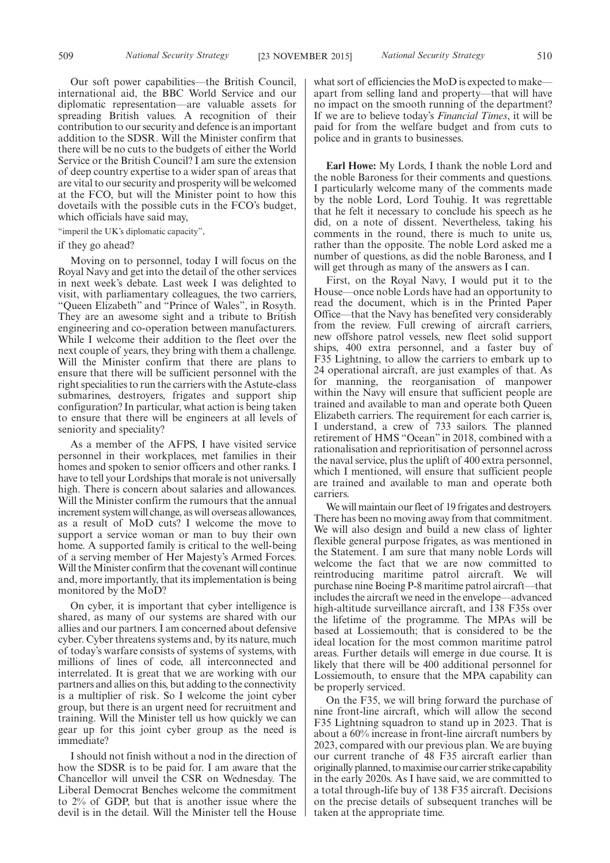Our soft power capabilities—the British Council, international aid, the BBC World Service and our diplomatic representation—are valuable assets for spreading British values. A recognition of their contribution to our security and defence is an important addition to the SDSR. Will the Minister confirm that there will be no cuts to the budgets of either the World Service or the British Council? I am sure the extension of deep country expertise to a wider span of areas that are vital to our security and prosperity will be welcomed at the FCO, but will the Minister point to how this dovetails with the possible cuts in the FCO's budget, which officials have said may,

"imperil the UK's diplomatic capacity",

#### if they go ahead?

Moving on to personnel, today I will focus on the Royal Navy and get into the detail of the other services in next week's debate. Last week I was delighted to visit, with parliamentary colleagues, the two carriers, "Queen Elizabeth" and "Prince of Wales", in Rosyth. They are an awesome sight and a tribute to British engineering and co-operation between manufacturers. While I welcome their addition to the fleet over the next couple of years, they bring with them a challenge. Will the Minister confirm that there are plans to ensure that there will be sufficient personnel with the right specialities to run the carriers with the Astute-class submarines, destroyers, frigates and support ship configuration? In particular, what action is being taken to ensure that there will be engineers at all levels of seniority and speciality?

As a member of the AFPS, I have visited service personnel in their workplaces, met families in their homes and spoken to senior officers and other ranks. I have to tell your Lordships that morale is not universally high. There is concern about salaries and allowances. Will the Minister confirm the rumours that the annual increment system will change, as will overseas allowances, as a result of MoD cuts? I welcome the move to support a service woman or man to buy their own home. A supported family is critical to the well-being of a serving member of Her Majesty's Armed Forces. Will the Minister confirm that the covenant will continue and, more importantly, that its implementation is being monitored by the MoD?

On cyber, it is important that cyber intelligence is shared, as many of our systems are shared with our allies and our partners. I am concerned about defensive cyber. Cyber threatens systems and, by its nature, much of today's warfare consists of systems of systems, with millions of lines of code, all interconnected and interrelated. It is great that we are working with our partners and allies on this, but adding to the connectivity is a multiplier of risk. So I welcome the joint cyber group, but there is an urgent need for recruitment and training. Will the Minister tell us how quickly we can gear up for this joint cyber group as the need is immediate?

I should not finish without a nod in the direction of how the SDSR is to be paid for. I am aware that the Chancellor will unveil the CSR on Wednesday. The Liberal Democrat Benches welcome the commitment to 2% of GDP, but that is another issue where the devil is in the detail. Will the Minister tell the House

what sort of efficiencies the MoD is expected to make apart from selling land and property—that will have no impact on the smooth running of the department? If we are to believe today's *Financial Times*, it will be paid for from the welfare budget and from cuts to police and in grants to businesses.

**Earl Howe:** My Lords, I thank the noble Lord and the noble Baroness for their comments and questions. I particularly welcome many of the comments made by the noble Lord, Lord Touhig. It was regrettable that he felt it necessary to conclude his speech as he did, on a note of dissent. Nevertheless, taking his comments in the round, there is much to unite us, rather than the opposite. The noble Lord asked me a number of questions, as did the noble Baroness, and I will get through as many of the answers as I can.

First, on the Royal Navy, I would put it to the House—once noble Lords have had an opportunity to read the document, which is in the Printed Paper Office—that the Navy has benefited very considerably from the review. Full crewing of aircraft carriers, new offshore patrol vessels, new fleet solid support ships, 400 extra personnel, and a faster buy of F35 Lightning, to allow the carriers to embark up to 24 operational aircraft, are just examples of that. As for manning, the reorganisation of manpower within the Navy will ensure that sufficient people are trained and available to man and operate both Queen Elizabeth carriers. The requirement for each carrier is, I understand, a crew of 733 sailors. The planned retirement of HMS "Ocean" in 2018, combined with a rationalisation and reprioritisation of personnel across the naval service, plus the uplift of 400 extra personnel, which I mentioned, will ensure that sufficient people are trained and available to man and operate both carriers.

We will maintain our fleet of 19 frigates and destroyers. There has been no moving away from that commitment. We will also design and build a new class of lighter flexible general purpose frigates, as was mentioned in the Statement. I am sure that many noble Lords will welcome the fact that we are now committed to reintroducing maritime patrol aircraft. We will purchase nine Boeing P-8 maritime patrol aircraft—that includes the aircraft we need in the envelope—advanced high-altitude surveillance aircraft, and 138 F35s over the lifetime of the programme. The MPAs will be based at Lossiemouth; that is considered to be the ideal location for the most common maritime patrol areas. Further details will emerge in due course. It is likely that there will be 400 additional personnel for Lossiemouth, to ensure that the MPA capability can be properly serviced.

On the F35, we will bring forward the purchase of nine front-line aircraft, which will allow the second F35 Lightning squadron to stand up in 2023. That is about a 60% increase in front-line aircraft numbers by 2023, compared with our previous plan. We are buying our current tranche of 48 F35 aircraft earlier than originally planned, tomaximise our carrier strike capability in the early 2020s. As I have said, we are committed to a total through-life buy of 138 F35 aircraft. Decisions on the precise details of subsequent tranches will be taken at the appropriate time.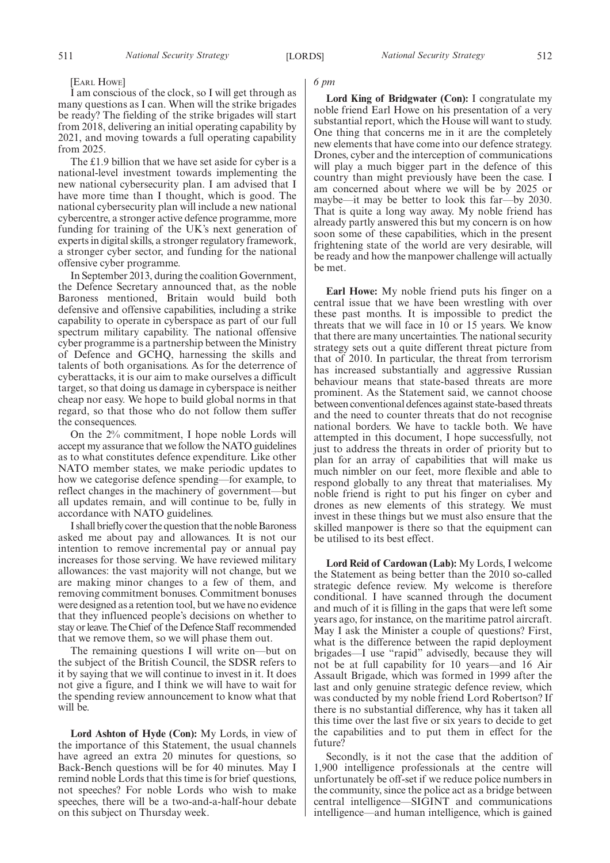#### [EARL HOWE]

I am conscious of the clock, so I will get through as many questions as I can. When will the strike brigades be ready? The fielding of the strike brigades will start from 2018, delivering an initial operating capability by 2021, and moving towards a full operating capability from 2025.

The £1.9 billion that we have set aside for cyber is a national-level investment towards implementing the new national cybersecurity plan. I am advised that I have more time than I thought, which is good. The national cybersecurity plan will include a new national cybercentre, a stronger active defence programme, more funding for training of the UK's next generation of experts in digital skills, a stronger regulatory framework, a stronger cyber sector, and funding for the national offensive cyber programme.

In September 2013, during the coalition Government, the Defence Secretary announced that, as the noble Baroness mentioned, Britain would build both defensive and offensive capabilities, including a strike capability to operate in cyberspace as part of our full spectrum military capability. The national offensive cyber programme is a partnership between the Ministry of Defence and GCHQ, harnessing the skills and talents of both organisations. As for the deterrence of cyberattacks, it is our aim to make ourselves a difficult target, so that doing us damage in cyberspace is neither cheap nor easy. We hope to build global norms in that regard, so that those who do not follow them suffer the consequences.

On the 2% commitment, I hope noble Lords will accept my assurance that we follow the NATO guidelines as to what constitutes defence expenditure. Like other NATO member states, we make periodic updates to how we categorise defence spending—for example, to reflect changes in the machinery of government—but all updates remain, and will continue to be, fully in accordance with NATO guidelines.

I shall briefly cover the question that the noble Baroness asked me about pay and allowances. It is not our intention to remove incremental pay or annual pay increases for those serving. We have reviewed military allowances: the vast majority will not change, but we are making minor changes to a few of them, and removing commitment bonuses. Commitment bonuses were designed as a retention tool, but we have no evidence that they influenced people's decisions on whether to stay or leave. The Chief of the Defence Staff recommended that we remove them, so we will phase them out.

The remaining questions I will write on—but on the subject of the British Council, the SDSR refers to it by saying that we will continue to invest in it. It does not give a figure, and I think we will have to wait for the spending review announcement to know what that will be.

**Lord Ashton of Hyde (Con):** My Lords, in view of the importance of this Statement, the usual channels have agreed an extra 20 minutes for questions, so Back-Bench questions will be for 40 minutes. May I remind noble Lords that this time is for brief questions, not speeches? For noble Lords who wish to make speeches, there will be a two-and-a-half-hour debate on this subject on Thursday week.

#### *6 pm*

**Lord King of Bridgwater (Con):** I congratulate my noble friend Earl Howe on his presentation of a very substantial report, which the House will want to study. One thing that concerns me in it are the completely new elements that have come into our defence strategy. Drones, cyber and the interception of communications will play a much bigger part in the defence of this country than might previously have been the case. I am concerned about where we will be by 2025 or maybe—it may be better to look this far—by 2030. That is quite a long way away. My noble friend has already partly answered this but my concern is on how soon some of these capabilities, which in the present frightening state of the world are very desirable, will be ready and how the manpower challenge will actually be met.

**Earl Howe:** My noble friend puts his finger on a central issue that we have been wrestling with over these past months. It is impossible to predict the threats that we will face in 10 or 15 years. We know that there are many uncertainties. The national security strategy sets out a quite different threat picture from that of 2010. In particular, the threat from terrorism has increased substantially and aggressive Russian behaviour means that state-based threats are more prominent. As the Statement said, we cannot choose between conventional defences against state-based threats and the need to counter threats that do not recognise national borders. We have to tackle both. We have attempted in this document, I hope successfully, not just to address the threats in order of priority but to plan for an array of capabilities that will make us much nimbler on our feet, more flexible and able to respond globally to any threat that materialises. My noble friend is right to put his finger on cyber and drones as new elements of this strategy. We must invest in these things but we must also ensure that the skilled manpower is there so that the equipment can be utilised to its best effect.

**Lord Reid of Cardowan (Lab):** My Lords, I welcome the Statement as being better than the 2010 so-called strategic defence review. My welcome is therefore conditional. I have scanned through the document and much of it is filling in the gaps that were left some years ago, for instance, on the maritime patrol aircraft. May I ask the Minister a couple of questions? First, what is the difference between the rapid deployment brigades—I use "rapid" advisedly, because they will not be at full capability for 10 years—and 16 Air Assault Brigade, which was formed in 1999 after the last and only genuine strategic defence review, which was conducted by my noble friend Lord Robertson? If there is no substantial difference, why has it taken all this time over the last five or six years to decide to get the capabilities and to put them in effect for the future?

Secondly, is it not the case that the addition of 1,900 intelligence professionals at the centre will unfortunately be off-set if we reduce police numbers in the community, since the police act as a bridge between central intelligence—SIGINT and communications intelligence—and human intelligence, which is gained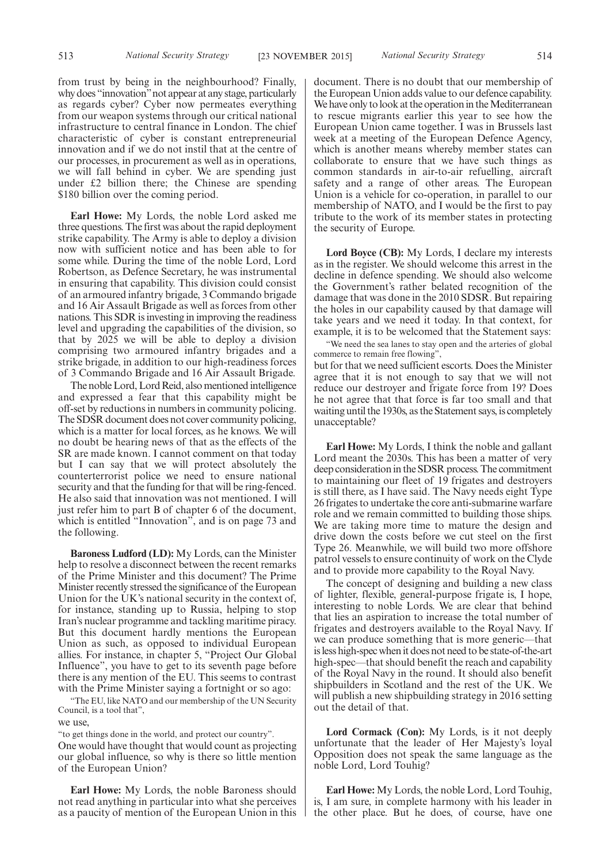from trust by being in the neighbourhood? Finally, why does "innovation"not appear at any stage, particularly as regards cyber? Cyber now permeates everything from our weapon systems through our critical national infrastructure to central finance in London. The chief characteristic of cyber is constant entrepreneurial innovation and if we do not instil that at the centre of our processes, in procurement as well as in operations, we will fall behind in cyber. We are spending just under £2 billion there; the Chinese are spending \$180 billion over the coming period.

**Earl Howe:** My Lords, the noble Lord asked me three questions. The first was about the rapid deployment strike capability. The Army is able to deploy a division now with sufficient notice and has been able to for some while. During the time of the noble Lord, Lord Robertson, as Defence Secretary, he was instrumental in ensuring that capability. This division could consist of an armoured infantry brigade, 3 Commando brigade and 16 Air Assault Brigade as well as forces from other nations. This SDR is investing in improving the readiness level and upgrading the capabilities of the division, so that by 2025 we will be able to deploy a division comprising two armoured infantry brigades and a strike brigade, in addition to our high-readiness forces of 3 Commando Brigade and 16 Air Assault Brigade.

The noble Lord, Lord Reid, also mentioned intelligence and expressed a fear that this capability might be off-set by reductions in numbers in community policing. The SDSR document does not cover community policing, which is a matter for local forces, as he knows. We will no doubt be hearing news of that as the effects of the SR are made known. I cannot comment on that today but I can say that we will protect absolutely the counterterrorist police we need to ensure national security and that the funding for that will be ring-fenced. He also said that innovation was not mentioned. I will just refer him to part B of chapter 6 of the document, which is entitled "Innovation", and is on page 73 and the following.

**Baroness Ludford (LD):** My Lords, can the Minister help to resolve a disconnect between the recent remarks of the Prime Minister and this document? The Prime Minister recently stressed the significance of the European Union for the UK's national security in the context of, for instance, standing up to Russia, helping to stop Iran's nuclear programme and tackling maritime piracy. But this document hardly mentions the European Union as such, as opposed to individual European allies. For instance, in chapter 5, "Project Our Global Influence", you have to get to its seventh page before there is any mention of the EU. This seems to contrast with the Prime Minister saying a fortnight or so ago:

"The EU, like NATO and our membership of the UN Security Council, is a tool that",

we use,

"to get things done in the world, and protect our country".

One would have thought that would count as projecting our global influence, so why is there so little mention of the European Union?

**Earl Howe:** My Lords, the noble Baroness should not read anything in particular into what she perceives as a paucity of mention of the European Union in this document. There is no doubt that our membership of the European Union adds value to our defence capability. We have only to look at the operation in the Mediterranean to rescue migrants earlier this year to see how the European Union came together. I was in Brussels last week at a meeting of the European Defence Agency, which is another means whereby member states can collaborate to ensure that we have such things as common standards in air-to-air refuelling, aircraft safety and a range of other areas. The European Union is a vehicle for co-operation, in parallel to our membership of NATO, and I would be the first to pay tribute to the work of its member states in protecting the security of Europe.

**Lord Boyce (CB):** My Lords, I declare my interests as in the register. We should welcome this arrest in the decline in defence spending. We should also welcome the Government's rather belated recognition of the damage that was done in the 2010 SDSR. But repairing the holes in our capability caused by that damage will take years and we need it today. In that context, for example, it is to be welcomed that the Statement says:

"We need the sea lanes to stay open and the arteries of global commerce to remain free flowing",

but for that we need sufficient escorts. Does the Minister agree that it is not enough to say that we will not reduce our destroyer and frigate force from 19? Does he not agree that that force is far too small and that waiting until the 1930s, as the Statement says, is completely unacceptable?

**Earl Howe:** My Lords, I think the noble and gallant Lord meant the 2030s. This has been a matter of very deep consideration in the SDSR process. The commitment to maintaining our fleet of 19 frigates and destroyers is still there, as I have said. The Navy needs eight Type 26 frigates to undertake the core anti-submarine warfare role and we remain committed to building those ships. We are taking more time to mature the design and drive down the costs before we cut steel on the first Type 26. Meanwhile, we will build two more offshore patrol vessels to ensure continuity of work on the Clyde and to provide more capability to the Royal Navy.

The concept of designing and building a new class of lighter, flexible, general-purpose frigate is, I hope, interesting to noble Lords. We are clear that behind that lies an aspiration to increase the total number of frigates and destroyers available to the Royal Navy. If we can produce something that is more generic—that is less high-spec when it does not need to be state-of-the-art high-spec—that should benefit the reach and capability of the Royal Navy in the round. It should also benefit shipbuilders in Scotland and the rest of the UK. We will publish a new shipbuilding strategy in 2016 setting out the detail of that.

**Lord Cormack (Con):** My Lords, is it not deeply unfortunate that the leader of Her Majesty's loyal Opposition does not speak the same language as the noble Lord, Lord Touhig?

**Earl Howe:** My Lords, the noble Lord, Lord Touhig, is, I am sure, in complete harmony with his leader in the other place. But he does, of course, have one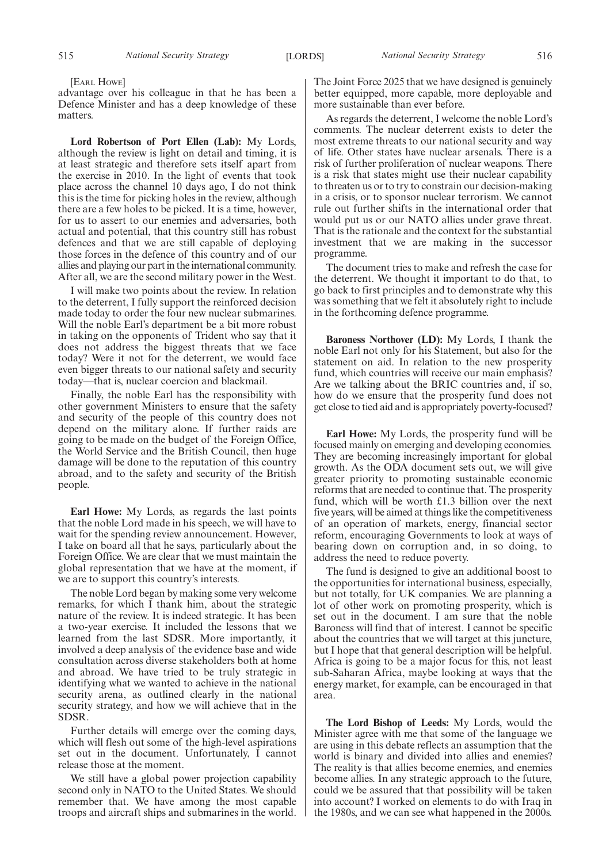[EARL HOWE]

advantage over his colleague in that he has been a Defence Minister and has a deep knowledge of these matters.

**Lord Robertson of Port Ellen (Lab):** My Lords, although the review is light on detail and timing, it is at least strategic and therefore sets itself apart from the exercise in 2010. In the light of events that took place across the channel 10 days ago, I do not think this is the time for picking holes in the review, although there are a few holes to be picked. It is a time, however, for us to assert to our enemies and adversaries, both actual and potential, that this country still has robust defences and that we are still capable of deploying those forces in the defence of this country and of our allies and playing our part in the international community. After all, we are the second military power in the West.

I will make two points about the review. In relation to the deterrent, I fully support the reinforced decision made today to order the four new nuclear submarines. Will the noble Earl's department be a bit more robust in taking on the opponents of Trident who say that it does not address the biggest threats that we face today? Were it not for the deterrent, we would face even bigger threats to our national safety and security today—that is, nuclear coercion and blackmail.

Finally, the noble Earl has the responsibility with other government Ministers to ensure that the safety and security of the people of this country does not depend on the military alone. If further raids are going to be made on the budget of the Foreign Office, the World Service and the British Council, then huge damage will be done to the reputation of this country abroad, and to the safety and security of the British people.

**Earl Howe:** My Lords, as regards the last points that the noble Lord made in his speech, we will have to wait for the spending review announcement. However, I take on board all that he says, particularly about the Foreign Office. We are clear that we must maintain the global representation that we have at the moment, if we are to support this country's interests.

The noble Lord began by making some very welcome remarks, for which I thank him, about the strategic nature of the review. It is indeed strategic. It has been a two-year exercise. It included the lessons that we learned from the last SDSR. More importantly, it involved a deep analysis of the evidence base and wide consultation across diverse stakeholders both at home and abroad. We have tried to be truly strategic in identifying what we wanted to achieve in the national security arena, as outlined clearly in the national security strategy, and how we will achieve that in the SDSR.

Further details will emerge over the coming days, which will flesh out some of the high-level aspirations set out in the document. Unfortunately, I cannot release those at the moment.

We still have a global power projection capability second only in NATO to the United States. We should remember that. We have among the most capable troops and aircraft ships and submarines in the world. The Joint Force 2025 that we have designed is genuinely better equipped, more capable, more deployable and more sustainable than ever before.

As regards the deterrent, I welcome the noble Lord's comments. The nuclear deterrent exists to deter the most extreme threats to our national security and way of life. Other states have nuclear arsenals. There is a risk of further proliferation of nuclear weapons. There is a risk that states might use their nuclear capability to threaten us or to try to constrain our decision-making in a crisis, or to sponsor nuclear terrorism. We cannot rule out further shifts in the international order that would put us or our NATO allies under grave threat. That is the rationale and the context for the substantial investment that we are making in the successor programme.

The document tries to make and refresh the case for the deterrent. We thought it important to do that, to go back to first principles and to demonstrate why this was something that we felt it absolutely right to include in the forthcoming defence programme.

**Baroness Northover (LD):** My Lords, I thank the noble Earl not only for his Statement, but also for the statement on aid. In relation to the new prosperity fund, which countries will receive our main emphasis? Are we talking about the BRIC countries and, if so, how do we ensure that the prosperity fund does not get close to tied aid and is appropriately poverty-focused?

**Earl Howe:** My Lords, the prosperity fund will be focused mainly on emerging and developing economies. They are becoming increasingly important for global growth. As the ODA document sets out, we will give greater priority to promoting sustainable economic reforms that are needed to continue that. The prosperity fund, which will be worth £1.3 billion over the next five years, will be aimed at things like the competitiveness of an operation of markets, energy, financial sector reform, encouraging Governments to look at ways of bearing down on corruption and, in so doing, to address the need to reduce poverty.

The fund is designed to give an additional boost to the opportunities for international business, especially, but not totally, for UK companies. We are planning a lot of other work on promoting prosperity, which is set out in the document. I am sure that the noble Baroness will find that of interest. I cannot be specific about the countries that we will target at this juncture, but I hope that that general description will be helpful. Africa is going to be a major focus for this, not least sub-Saharan Africa, maybe looking at ways that the energy market, for example, can be encouraged in that area.

**The Lord Bishop of Leeds:** My Lords, would the Minister agree with me that some of the language we are using in this debate reflects an assumption that the world is binary and divided into allies and enemies? The reality is that allies become enemies, and enemies become allies. In any strategic approach to the future, could we be assured that that possibility will be taken into account? I worked on elements to do with Iraq in the 1980s, and we can see what happened in the 2000s.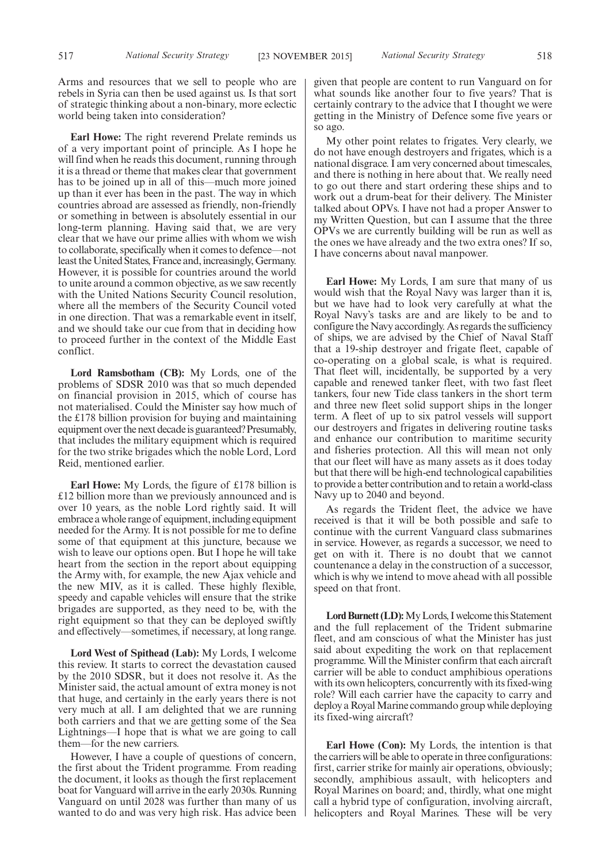Arms and resources that we sell to people who are rebels in Syria can then be used against us. Is that sort of strategic thinking about a non-binary, more eclectic world being taken into consideration?

**Earl Howe:** The right reverend Prelate reminds us of a very important point of principle. As I hope he will find when he reads this document, running through it is a thread or theme that makes clear that government has to be joined up in all of this—much more joined up than it ever has been in the past. The way in which countries abroad are assessed as friendly, non-friendly or something in between is absolutely essential in our long-term planning. Having said that, we are very clear that we have our prime allies with whom we wish to collaborate, specifically when it comes to defence—not least the United States, France and, increasingly, Germany. However, it is possible for countries around the world to unite around a common objective, as we saw recently with the United Nations Security Council resolution, where all the members of the Security Council voted in one direction. That was a remarkable event in itself, and we should take our cue from that in deciding how to proceed further in the context of the Middle East conflict.

**Lord Ramsbotham (CB):** My Lords, one of the problems of SDSR 2010 was that so much depended on financial provision in 2015, which of course has not materialised. Could the Minister say how much of the £178 billion provision for buying and maintaining equipment over the next decadeis guaranteed? Presumably, that includes the military equipment which is required for the two strike brigades which the noble Lord, Lord Reid, mentioned earlier.

**Earl Howe:** My Lords, the figure of £178 billion is £12 billion more than we previously announced and is over 10 years, as the noble Lord rightly said. It will embrace a whole range of equipment, including equipment needed for the Army. It is not possible for me to define some of that equipment at this juncture, because we wish to leave our options open. But I hope he will take heart from the section in the report about equipping the Army with, for example, the new Ajax vehicle and the new MIV, as it is called. These highly flexible, speedy and capable vehicles will ensure that the strike brigades are supported, as they need to be, with the right equipment so that they can be deployed swiftly and effectively—sometimes, if necessary, at long range.

**Lord West of Spithead (Lab):** My Lords, I welcome this review. It starts to correct the devastation caused by the 2010 SDSR, but it does not resolve it. As the Minister said, the actual amount of extra money is not that huge, and certainly in the early years there is not very much at all. I am delighted that we are running both carriers and that we are getting some of the Sea Lightnings—I hope that is what we are going to call them—for the new carriers.

However, I have a couple of questions of concern, the first about the Trident programme. From reading the document, it looks as though the first replacement boat for Vanguard will arrive in the early 2030s. Running Vanguard on until 2028 was further than many of us wanted to do and was very high risk. Has advice been given that people are content to run Vanguard on for what sounds like another four to five years? That is certainly contrary to the advice that I thought we were getting in the Ministry of Defence some five years or so ago.

My other point relates to frigates. Very clearly, we do not have enough destroyers and frigates, which is a national disgrace. I am very concerned about timescales, and there is nothing in here about that. We really need to go out there and start ordering these ships and to work out a drum-beat for their delivery. The Minister talked about OPVs. I have not had a proper Answer to my Written Question, but can I assume that the three OPVs we are currently building will be run as well as the ones we have already and the two extra ones? If so, I have concerns about naval manpower.

**Earl Howe:** My Lords, I am sure that many of us would wish that the Royal Navy was larger than it is, but we have had to look very carefully at what the Royal Navy's tasks are and are likely to be and to configure the Navy accordingly. As regards the sufficiency of ships, we are advised by the Chief of Naval Staff that a 19-ship destroyer and frigate fleet, capable of co-operating on a global scale, is what is required. That fleet will, incidentally, be supported by a very capable and renewed tanker fleet, with two fast fleet tankers, four new Tide class tankers in the short term and three new fleet solid support ships in the longer term. A fleet of up to six patrol vessels will support our destroyers and frigates in delivering routine tasks and enhance our contribution to maritime security and fisheries protection. All this will mean not only that our fleet will have as many assets as it does today but that there will be high-end technological capabilities to provide a better contribution and to retain a world-class Navy up to 2040 and beyond.

As regards the Trident fleet, the advice we have received is that it will be both possible and safe to continue with the current Vanguard class submarines in service. However, as regards a successor, we need to get on with it. There is no doubt that we cannot countenance a delay in the construction of a successor, which is why we intend to move ahead with all possible speed on that front.

Lord Burnett (LD): My Lords, I welcome this Statement and the full replacement of the Trident submarine fleet, and am conscious of what the Minister has just said about expediting the work on that replacement programme. Will the Minister confirm that each aircraft carrier will be able to conduct amphibious operations with its own helicopters, concurrently with its fixed-wing role? Will each carrier have the capacity to carry and deploy a Royal Marine commando group while deploying its fixed-wing aircraft?

**Earl Howe (Con):** My Lords, the intention is that the carriers will be able to operate in three configurations: first, carrier strike for mainly air operations, obviously; secondly, amphibious assault, with helicopters and Royal Marines on board; and, thirdly, what one might call a hybrid type of configuration, involving aircraft, helicopters and Royal Marines. These will be very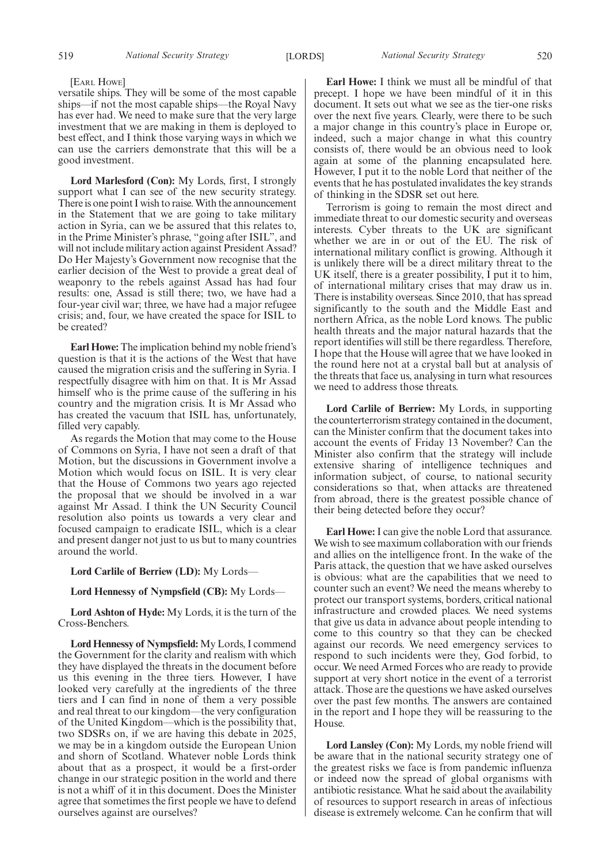#### [EARL HOWE]

versatile ships. They will be some of the most capable ships—if not the most capable ships—the Royal Navy has ever had. We need to make sure that the very large investment that we are making in them is deployed to best effect, and I think those varying ways in which we can use the carriers demonstrate that this will be a good investment.

**Lord Marlesford (Con):** My Lords, first, I strongly support what I can see of the new security strategy. There is one point I wish to raise.With the announcement in the Statement that we are going to take military action in Syria, can we be assured that this relates to, in the Prime Minister's phrase, "going after ISIL", and will not include military action against President Assad? Do Her Majesty's Government now recognise that the earlier decision of the West to provide a great deal of weaponry to the rebels against Assad has had four results: one, Assad is still there; two, we have had a four-year civil war; three, we have had a major refugee crisis; and, four, we have created the space for ISIL to be created?

**Earl Howe:** The implication behind my noble friend's question is that it is the actions of the West that have caused the migration crisis and the suffering in Syria. I respectfully disagree with him on that. It is Mr Assad himself who is the prime cause of the suffering in his country and the migration crisis. It is Mr Assad who has created the vacuum that ISIL has, unfortunately, filled very capably.

As regards the Motion that may come to the House of Commons on Syria, I have not seen a draft of that Motion, but the discussions in Government involve a Motion which would focus on ISIL. It is very clear that the House of Commons two years ago rejected the proposal that we should be involved in a war against Mr Assad. I think the UN Security Council resolution also points us towards a very clear and focused campaign to eradicate ISIL, which is a clear and present danger not just to us but to many countries around the world.

#### **Lord Carlile of Berriew (LD):** My Lords—

### **Lord Hennessy of Nympsfield (CB):** My Lords—

**Lord Ashton of Hyde:** My Lords, it is the turn of the Cross-Benchers.

**Lord Hennessy of Nympsfield:** My Lords, I commend the Government for the clarity and realism with which they have displayed the threats in the document before us this evening in the three tiers. However, I have looked very carefully at the ingredients of the three tiers and I can find in none of them a very possible and real threat to our kingdom—the very configuration of the United Kingdom—which is the possibility that, two SDSRs on, if we are having this debate in 2025, we may be in a kingdom outside the European Union and shorn of Scotland. Whatever noble Lords think about that as a prospect, it would be a first-order change in our strategic position in the world and there is not a whiff of it in this document. Does the Minister agree that sometimes the first people we have to defend ourselves against are ourselves?

**Earl Howe:** I think we must all be mindful of that precept. I hope we have been mindful of it in this document. It sets out what we see as the tier-one risks over the next five years. Clearly, were there to be such a major change in this country's place in Europe or, indeed, such a major change in what this country consists of, there would be an obvious need to look again at some of the planning encapsulated here. However, I put it to the noble Lord that neither of the events that he has postulated invalidates the key strands of thinking in the SDSR set out here.

Terrorism is going to remain the most direct and immediate threat to our domestic security and overseas interests. Cyber threats to the UK are significant whether we are in or out of the EU. The risk of international military conflict is growing. Although it is unlikely there will be a direct military threat to the UK itself, there is a greater possibility, I put it to him, of international military crises that may draw us in. There is instability overseas. Since 2010, that has spread significantly to the south and the Middle East and northern Africa, as the noble Lord knows. The public health threats and the major natural hazards that the report identifies will still be there regardless. Therefore, I hope that the House will agree that we have looked in the round here not at a crystal ball but at analysis of the threats that face us, analysing in turn what resources we need to address those threats.

**Lord Carlile of Berriew:** My Lords, in supporting the counterterrorism strategy contained in the document, can the Minister confirm that the document takes into account the events of Friday 13 November? Can the Minister also confirm that the strategy will include extensive sharing of intelligence techniques and information subject, of course, to national security considerations so that, when attacks are threatened from abroad, there is the greatest possible chance of their being detected before they occur?

**Earl Howe:** I can give the noble Lord that assurance. We wish to see maximum collaboration with our friends and allies on the intelligence front. In the wake of the Paris attack, the question that we have asked ourselves is obvious: what are the capabilities that we need to counter such an event? We need the means whereby to protect our transport systems, borders, critical national infrastructure and crowded places. We need systems that give us data in advance about people intending to come to this country so that they can be checked against our records. We need emergency services to respond to such incidents were they, God forbid, to occur. We need Armed Forces who are ready to provide support at very short notice in the event of a terrorist attack. Those are the questions we have asked ourselves over the past few months. The answers are contained in the report and I hope they will be reassuring to the House.

**Lord Lansley (Con):** My Lords, my noble friend will be aware that in the national security strategy one of the greatest risks we face is from pandemic influenza or indeed now the spread of global organisms with antibiotic resistance. What he said about the availability of resources to support research in areas of infectious disease is extremely welcome. Can he confirm that will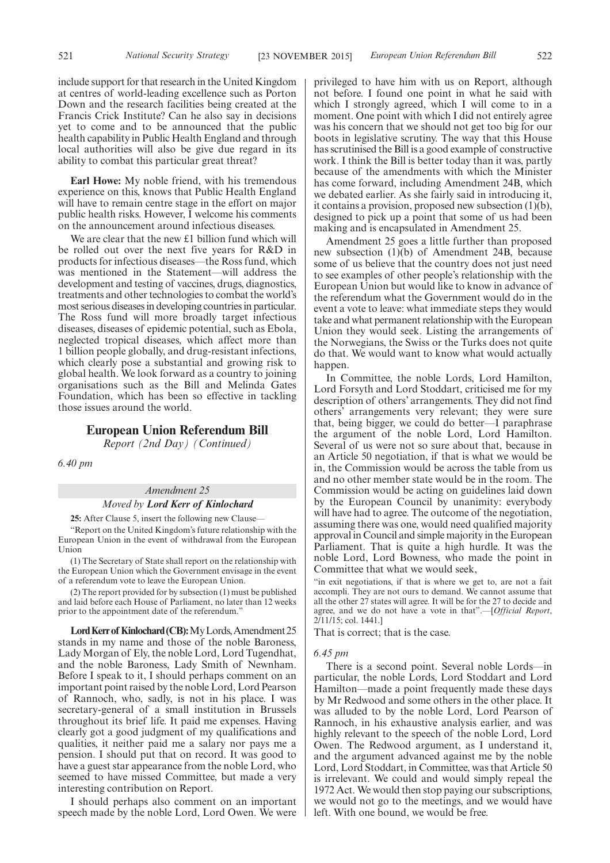521 **National Security Strategy** [23 NOVEMBER 2015] *European Union Referendum Bill* 522

**Earl Howe:** My noble friend, with his tremendous experience on this, knows that Public Health England will have to remain centre stage in the effort on major public health risks. However, I welcome his comments on the announcement around infectious diseases.

ability to combat this particular great threat?

We are clear that the new £1 billion fund which will be rolled out over the next five years for R&D in products for infectious diseases—the Ross fund, which was mentioned in the Statement—will address the development and testing of vaccines, drugs, diagnostics, treatments and other technologies to combat the world's most serious diseases in developing countries in particular. The Ross fund will more broadly target infectious diseases, diseases of epidemic potential, such as Ebola, neglected tropical diseases, which affect more than 1 billion people globally, and drug-resistant infections, which clearly pose a substantial and growing risk to global health. We look forward as a country to joining organisations such as the Bill and Melinda Gates Foundation, which has been so effective in tackling those issues around the world.

## **European Union Referendum Bill**

*Report (2nd Day) (Continued)*

*6.40 pm*

## *Amendment 25*

#### *Moved by Lord Kerr of Kinlochard*

**25:** After Clause 5, insert the following new Clause—

"Report on the United Kingdom's future relationship with the European Union in the event of withdrawal from the European Union

(1) The Secretary of State shall report on the relationship with the European Union which the Government envisage in the event of a referendum vote to leave the European Union.

(2) The report provided for by subsection (1) must be published and laid before each House of Parliament, no later than 12 weeks prior to the appointment date of the referendum.'

Lord Kerr of Kinlochard (CB): My Lords, Amendment 25 stands in my name and those of the noble Baroness, Lady Morgan of Ely, the noble Lord, Lord Tugendhat, and the noble Baroness, Lady Smith of Newnham. Before I speak to it, I should perhaps comment on an important point raised by the noble Lord, Lord Pearson of Rannoch, who, sadly, is not in his place. I was secretary-general of a small institution in Brussels throughout its brief life. It paid me expenses. Having clearly got a good judgment of my qualifications and qualities, it neither paid me a salary nor pays me a pension. I should put that on record. It was good to have a guest star appearance from the noble Lord, who seemed to have missed Committee, but made a very interesting contribution on Report.

I should perhaps also comment on an important speech made by the noble Lord, Lord Owen. We were privileged to have him with us on Report, although not before. I found one point in what he said with which I strongly agreed, which I will come to in a moment. One point with which I did not entirely agree was his concern that we should not get too big for our boots in legislative scrutiny. The way that this House has scrutinised the Bill is a good example of constructive work. I think the Bill is better today than it was, partly because of the amendments with which the Minister has come forward, including Amendment 24B, which we debated earlier. As she fairly said in introducing it, it contains a provision, proposed new subsection (1)(b), designed to pick up a point that some of us had been making and is encapsulated in Amendment 25.

Amendment 25 goes a little further than proposed new subsection (1)(b) of Amendment 24B, because some of us believe that the country does not just need to see examples of other people's relationship with the European Union but would like to know in advance of the referendum what the Government would do in the event a vote to leave: what immediate steps they would take and what permanent relationship with the European Union they would seek. Listing the arrangements of the Norwegians, the Swiss or the Turks does not quite do that. We would want to know what would actually happen.

In Committee, the noble Lords, Lord Hamilton, Lord Forsyth and Lord Stoddart, criticised me for my description of others' arrangements. They did not find others' arrangements very relevant; they were sure that, being bigger, we could do better—I paraphrase the argument of the noble Lord, Lord Hamilton. Several of us were not so sure about that, because in an Article 50 negotiation, if that is what we would be in, the Commission would be across the table from us and no other member state would be in the room. The Commission would be acting on guidelines laid down by the European Council by unanimity: everybody will have had to agree. The outcome of the negotiation, assuming there was one, would need qualified majority approval in Council and simple majority in the European Parliament. That is quite a high hurdle. It was the noble Lord, Lord Bowness, who made the point in Committee that what we would seek,

"in exit negotiations, if that is where we get to, are not a fait accompli. They are not ours to demand. We cannot assume that all the other 27 states will agree. It will be for the 27 to decide and agree, and we do not have a vote in that".—[*Official Report*, 2/11/15; col. 1441.]

That is correct; that is the case.

#### *6.45 pm*

There is a second point. Several noble Lords—in particular, the noble Lords, Lord Stoddart and Lord Hamilton—made a point frequently made these days by Mr Redwood and some others in the other place. It was alluded to by the noble Lord, Lord Pearson of Rannoch, in his exhaustive analysis earlier, and was highly relevant to the speech of the noble Lord, Lord Owen. The Redwood argument, as I understand it, and the argument advanced against me by the noble Lord, Lord Stoddart, in Committee, was that Article 50 is irrelevant. We could and would simply repeal the 1972 Act. We would then stop paying our subscriptions, we would not go to the meetings, and we would have left. With one bound, we would be free.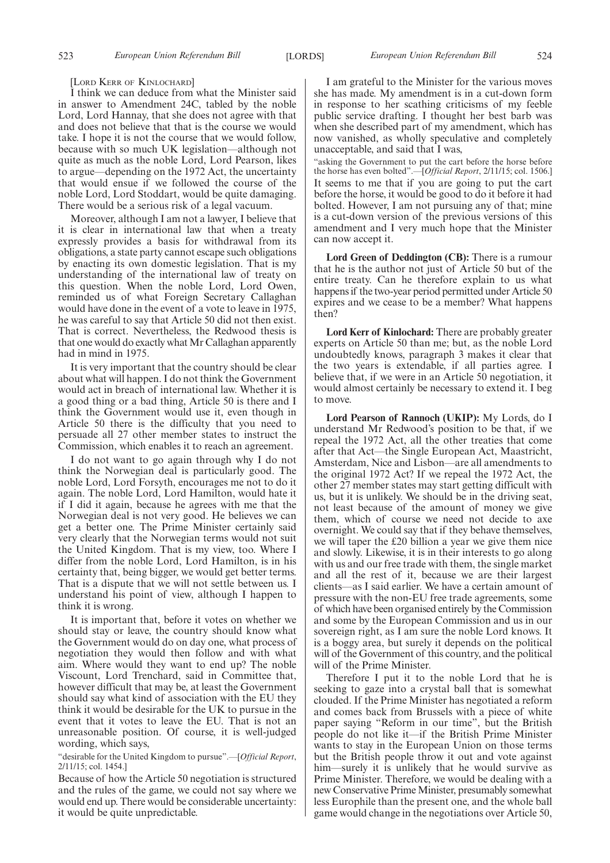#### [LORD KERR OF KINLOCHARD]

I think we can deduce from what the Minister said in answer to Amendment 24C, tabled by the noble Lord, Lord Hannay, that she does not agree with that and does not believe that that is the course we would take. I hope it is not the course that we would follow, because with so much UK legislation—although not quite as much as the noble Lord, Lord Pearson, likes to argue—depending on the 1972 Act, the uncertainty that would ensue if we followed the course of the noble Lord, Lord Stoddart, would be quite damaging. There would be a serious risk of a legal vacuum.

Moreover, although I am not a lawyer, I believe that it is clear in international law that when a treaty expressly provides a basis for withdrawal from its obligations, a state party cannot escape such obligations by enacting its own domestic legislation. That is my understanding of the international law of treaty on this question. When the noble Lord, Lord Owen, reminded us of what Foreign Secretary Callaghan would have done in the event of a vote to leave in 1975, he was careful to say that Article 50 did not then exist. That is correct. Nevertheless, the Redwood thesis is that one would do exactly what Mr Callaghan apparently had in mind in 1975.

It is very important that the country should be clear about what will happen. I do not think the Government would act in breach of international law. Whether it is a good thing or a bad thing, Article 50 is there and I think the Government would use it, even though in Article 50 there is the difficulty that you need to persuade all 27 other member states to instruct the Commission, which enables it to reach an agreement.

I do not want to go again through why I do not think the Norwegian deal is particularly good. The noble Lord, Lord Forsyth, encourages me not to do it again. The noble Lord, Lord Hamilton, would hate it if I did it again, because he agrees with me that the Norwegian deal is not very good. He believes we can get a better one. The Prime Minister certainly said very clearly that the Norwegian terms would not suit the United Kingdom. That is my view, too. Where I differ from the noble Lord, Lord Hamilton, is in his certainty that, being bigger, we would get better terms. That is a dispute that we will not settle between us. I understand his point of view, although I happen to think it is wrong.

It is important that, before it votes on whether we should stay or leave, the country should know what the Government would do on day one, what process of negotiation they would then follow and with what aim. Where would they want to end up? The noble Viscount, Lord Trenchard, said in Committee that, however difficult that may be, at least the Government should say what kind of association with the EU they think it would be desirable for the UK to pursue in the event that it votes to leave the EU. That is not an unreasonable position. Of course, it is well-judged wording, which says,

"desirable for the United Kingdom to pursue".—[*Official Report*, 2/11/15; col. 1454.]

Because of how the Article 50 negotiation is structured and the rules of the game, we could not say where we would end up. There would be considerable uncertainty: it would be quite unpredictable.

I am grateful to the Minister for the various moves she has made. My amendment is in a cut-down form in response to her scathing criticisms of my feeble public service drafting. I thought her best barb was when she described part of my amendment, which has now vanished, as wholly speculative and completely unacceptable, and said that I was,

"asking the Government to put the cart before the horse before the horse has even bolted".—[*Official Report*, 2/11/15; col. 1506.] It seems to me that if you are going to put the cart before the horse, it would be good to do it before it had bolted. However, I am not pursuing any of that; mine is a cut-down version of the previous versions of this amendment and I very much hope that the Minister can now accept it.

**Lord Green of Deddington (CB):** There is a rumour that he is the author not just of Article 50 but of the entire treaty. Can he therefore explain to us what happens if the two-year period permitted under Article 50 expires and we cease to be a member? What happens then?

**Lord Kerr of Kinlochard:** There are probably greater experts on Article 50 than me; but, as the noble Lord undoubtedly knows, paragraph 3 makes it clear that the two years is extendable, if all parties agree. I believe that, if we were in an Article 50 negotiation, it would almost certainly be necessary to extend it. I beg to move.

**Lord Pearson of Rannoch (UKIP):** My Lords, do I understand Mr Redwood's position to be that, if we repeal the 1972 Act, all the other treaties that come after that Act—the Single European Act, Maastricht, Amsterdam, Nice and Lisbon—are all amendments to the original 1972 Act? If we repeal the 1972 Act, the other 27 member states may start getting difficult with us, but it is unlikely. We should be in the driving seat, not least because of the amount of money we give them, which of course we need not decide to axe overnight. We could say that if they behave themselves, we will taper the £20 billion a year we give them nice and slowly. Likewise, it is in their interests to go along with us and our free trade with them, the single market and all the rest of it, because we are their largest clients—as I said earlier. We have a certain amount of pressure with the non-EU free trade agreements, some of which have been organised entirely by the Commission and some by the European Commission and us in our sovereign right, as I am sure the noble Lord knows. It is a boggy area, but surely it depends on the political will of the Government of this country, and the political will of the Prime Minister.

Therefore I put it to the noble Lord that he is seeking to gaze into a crystal ball that is somewhat clouded. If the Prime Minister has negotiated a reform and comes back from Brussels with a piece of white paper saying "Reform in our time", but the British people do not like it—if the British Prime Minister wants to stay in the European Union on those terms but the British people throw it out and vote against him—surely it is unlikely that he would survive as Prime Minister. Therefore, we would be dealing with a new Conservative Prime Minister, presumably somewhat less Europhile than the present one, and the whole ball game would change in the negotiations over Article 50,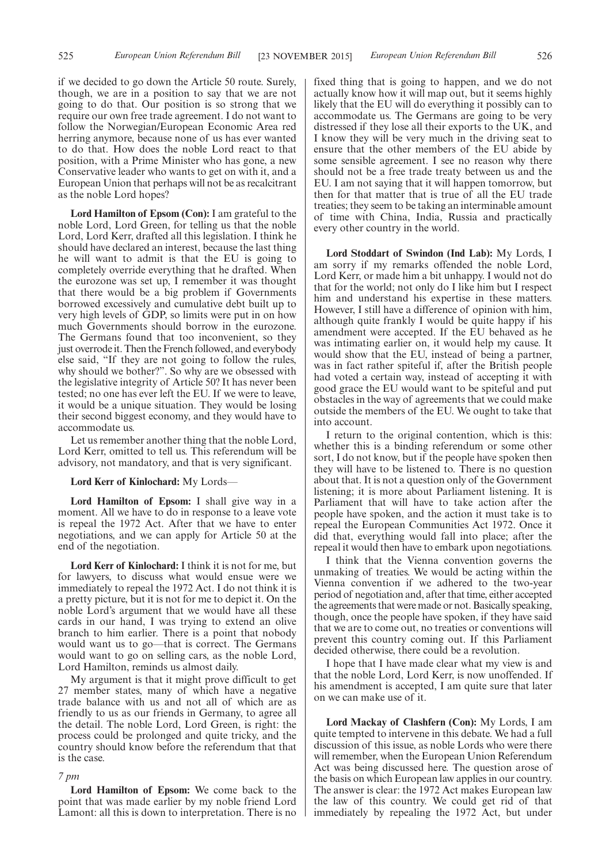if we decided to go down the Article 50 route. Surely, though, we are in a position to say that we are not going to do that. Our position is so strong that we require our own free trade agreement. I do not want to follow the Norwegian/European Economic Area red herring anymore, because none of us has ever wanted to do that. How does the noble Lord react to that position, with a Prime Minister who has gone, a new Conservative leader who wants to get on with it, and a European Union that perhaps will not be as recalcitrant as the noble Lord hopes?

**Lord Hamilton of Epsom (Con):** I am grateful to the noble Lord, Lord Green, for telling us that the noble Lord, Lord Kerr, drafted all this legislation. I think he should have declared an interest, because the last thing he will want to admit is that the EU is going to completely override everything that he drafted. When the eurozone was set up, I remember it was thought that there would be a big problem if Governments borrowed excessively and cumulative debt built up to very high levels of GDP, so limits were put in on how much Governments should borrow in the eurozone. The Germans found that too inconvenient, so they just overrode it. Then the French followed, and everybody else said, "If they are not going to follow the rules, why should we bother?". So why are we obsessed with the legislative integrity of Article 50? It has never been tested; no one has ever left the EU. If we were to leave, it would be a unique situation. They would be losing their second biggest economy, and they would have to accommodate us.

Let us remember another thing that the noble Lord, Lord Kerr, omitted to tell us. This referendum will be advisory, not mandatory, and that is very significant.

#### **Lord Kerr of Kinlochard:** My Lords—

**Lord Hamilton of Epsom:** I shall give way in a moment. All we have to do in response to a leave vote is repeal the 1972 Act. After that we have to enter negotiations, and we can apply for Article 50 at the end of the negotiation.

**Lord Kerr of Kinlochard:** I think it is not for me, but for lawyers, to discuss what would ensue were we immediately to repeal the 1972 Act. I do not think it is a pretty picture, but it is not for me to depict it. On the noble Lord's argument that we would have all these cards in our hand, I was trying to extend an olive branch to him earlier. There is a point that nobody would want us to go—that is correct. The Germans would want to go on selling cars, as the noble Lord, Lord Hamilton, reminds us almost daily.

My argument is that it might prove difficult to get 27 member states, many of which have a negative trade balance with us and not all of which are as friendly to us as our friends in Germany, to agree all the detail. The noble Lord, Lord Green, is right: the process could be prolonged and quite tricky, and the country should know before the referendum that that is the case.

#### *7 pm*

**Lord Hamilton of Epsom:** We come back to the point that was made earlier by my noble friend Lord Lamont: all this is down to interpretation. There is no fixed thing that is going to happen, and we do not actually know how it will map out, but it seems highly likely that the EU will do everything it possibly can to accommodate us. The Germans are going to be very distressed if they lose all their exports to the UK, and I know they will be very much in the driving seat to ensure that the other members of the EU abide by some sensible agreement. I see no reason why there should not be a free trade treaty between us and the EU. I am not saying that it will happen tomorrow, but then for that matter that is true of all the EU trade treaties; they seem to be taking an interminable amount of time with China, India, Russia and practically every other country in the world.

**Lord Stoddart of Swindon (Ind Lab):** My Lords, I am sorry if my remarks offended the noble Lord, Lord Kerr, or made him a bit unhappy. I would not do that for the world; not only do I like him but I respect him and understand his expertise in these matters. However, I still have a difference of opinion with him, although quite frankly I would be quite happy if his amendment were accepted. If the EU behaved as he was intimating earlier on, it would help my cause. It would show that the EU, instead of being a partner, was in fact rather spiteful if, after the British people had voted a certain way, instead of accepting it with good grace the EU would want to be spiteful and put obstacles in the way of agreements that we could make outside the members of the EU. We ought to take that into account.

I return to the original contention, which is this: whether this is a binding referendum or some other sort, I do not know, but if the people have spoken then they will have to be listened to. There is no question about that. It is not a question only of the Government listening; it is more about Parliament listening. It is Parliament that will have to take action after the people have spoken, and the action it must take is to repeal the European Communities Act 1972. Once it did that, everything would fall into place; after the repeal it would then have to embark upon negotiations.

I think that the Vienna convention governs the unmaking of treaties. We would be acting within the Vienna convention if we adhered to the two-year period of negotiation and, after that time, either accepted the agreements that were made or not. Basically speaking, though, once the people have spoken, if they have said that we are to come out, no treaties or conventions will prevent this country coming out. If this Parliament decided otherwise, there could be a revolution.

I hope that I have made clear what my view is and that the noble Lord, Lord Kerr, is now unoffended. If his amendment is accepted, I am quite sure that later on we can make use of it.

**Lord Mackay of Clashfern (Con):** My Lords, I am quite tempted to intervene in this debate. We had a full discussion of this issue, as noble Lords who were there will remember, when the European Union Referendum Act was being discussed here. The question arose of the basis on which European law applies in our country. The answer is clear: the 1972 Act makes European law the law of this country. We could get rid of that immediately by repealing the 1972 Act, but under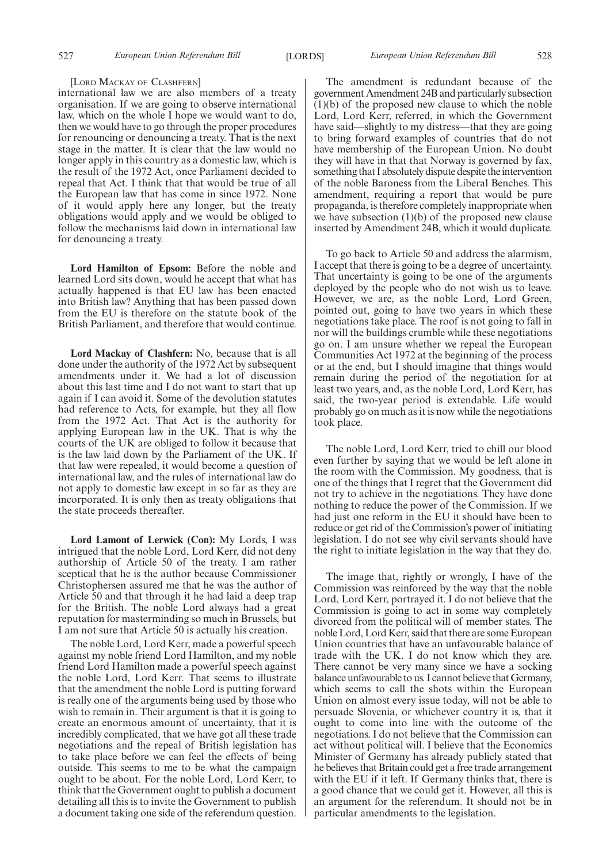#### [LORD MACKAY OF CLASHFERN]

international law we are also members of a treaty organisation. If we are going to observe international law, which on the whole I hope we would want to do, then we would have to go through the proper procedures for renouncing or denouncing a treaty. That is the next stage in the matter. It is clear that the law would no longer apply in this country as a domestic law, which is the result of the 1972 Act, once Parliament decided to repeal that Act. I think that that would be true of all the European law that has come in since 1972. None of it would apply here any longer, but the treaty obligations would apply and we would be obliged to follow the mechanisms laid down in international law for denouncing a treaty.

**Lord Hamilton of Epsom:** Before the noble and learned Lord sits down, would he accept that what has actually happened is that EU law has been enacted into British law? Anything that has been passed down from the EU is therefore on the statute book of the British Parliament, and therefore that would continue.

**Lord Mackay of Clashfern:** No, because that is all done under the authority of the 1972 Act by subsequent amendments under it. We had a lot of discussion about this last time and I do not want to start that up again if I can avoid it. Some of the devolution statutes had reference to Acts, for example, but they all flow from the 1972 Act. That Act is the authority for applying European law in the UK. That is why the courts of the UK are obliged to follow it because that is the law laid down by the Parliament of the UK. If that law were repealed, it would become a question of international law, and the rules of international law do not apply to domestic law except in so far as they are incorporated. It is only then as treaty obligations that the state proceeds thereafter.

**Lord Lamont of Lerwick (Con):** My Lords, I was intrigued that the noble Lord, Lord Kerr, did not deny authorship of Article 50 of the treaty. I am rather sceptical that he is the author because Commissioner Christophersen assured me that he was the author of Article 50 and that through it he had laid a deep trap for the British. The noble Lord always had a great reputation for masterminding so much in Brussels, but I am not sure that Article 50 is actually his creation.

The noble Lord, Lord Kerr, made a powerful speech against my noble friend Lord Hamilton, and my noble friend Lord Hamilton made a powerful speech against the noble Lord, Lord Kerr. That seems to illustrate that the amendment the noble Lord is putting forward is really one of the arguments being used by those who wish to remain in. Their argument is that it is going to create an enormous amount of uncertainty, that it is incredibly complicated, that we have got all these trade negotiations and the repeal of British legislation has to take place before we can feel the effects of being outside. This seems to me to be what the campaign ought to be about. For the noble Lord, Lord Kerr, to think that the Government ought to publish a document detailing all this is to invite the Government to publish a document taking one side of the referendum question.

The amendment is redundant because of the government Amendment 24B and particularly subsection (1)(b) of the proposed new clause to which the noble Lord, Lord Kerr, referred, in which the Government have said—slightly to my distress—that they are going to bring forward examples of countries that do not have membership of the European Union. No doubt they will have in that that Norway is governed by fax, something that I absolutely dispute despite the intervention of the noble Baroness from the Liberal Benches. This amendment, requiring a report that would be pure propaganda, is therefore completely inappropriate when we have subsection  $(1)(b)$  of the proposed new clause inserted by Amendment 24B, which it would duplicate.

To go back to Article 50 and address the alarmism, I accept that there is going to be a degree of uncertainty. That uncertainty is going to be one of the arguments deployed by the people who do not wish us to leave. However, we are, as the noble Lord, Lord Green, pointed out, going to have two years in which these negotiations take place. The roof is not going to fall in nor will the buildings crumble while these negotiations go on. I am unsure whether we repeal the European Communities Act 1972 at the beginning of the process or at the end, but I should imagine that things would remain during the period of the negotiation for at least two years, and, as the noble Lord, Lord Kerr, has said, the two-year period is extendable. Life would probably go on much as it is now while the negotiations took place.

The noble Lord, Lord Kerr, tried to chill our blood even further by saying that we would be left alone in the room with the Commission. My goodness, that is one of the things that I regret that the Government did not try to achieve in the negotiations. They have done nothing to reduce the power of the Commission. If we had just one reform in the EU it should have been to reduce or get rid of the Commission's power of initiating legislation. I do not see why civil servants should have the right to initiate legislation in the way that they do.

The image that, rightly or wrongly, I have of the Commission was reinforced by the way that the noble Lord, Lord Kerr, portrayed it. I do not believe that the Commission is going to act in some way completely divorced from the political will of member states. The noble Lord, Lord Kerr, said that there are some European Union countries that have an unfavourable balance of trade with the UK. I do not know which they are. There cannot be very many since we have a socking balance unfavourable to us. I cannot believe that Germany, which seems to call the shots within the European Union on almost every issue today, will not be able to persuade Slovenia, or whichever country it is, that it ought to come into line with the outcome of the negotiations. I do not believe that the Commission can act without political will. I believe that the Economics Minister of Germany has already publicly stated that he believes that Britain could get a free trade arrangement with the EU if it left. If Germany thinks that, there is a good chance that we could get it. However, all this is an argument for the referendum. It should not be in particular amendments to the legislation.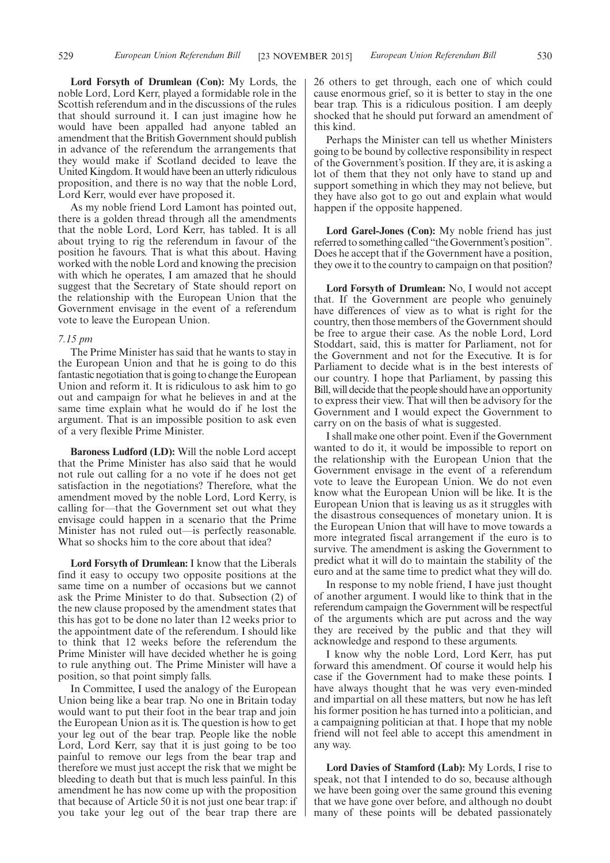**Lord Forsyth of Drumlean (Con):** My Lords, the noble Lord, Lord Kerr, played a formidable role in the Scottish referendum and in the discussions of the rules that should surround it. I can just imagine how he would have been appalled had anyone tabled an amendment that the British Government should publish in advance of the referendum the arrangements that they would make if Scotland decided to leave the United Kingdom. It would have been an utterly ridiculous proposition, and there is no way that the noble Lord, Lord Kerr, would ever have proposed it.

As my noble friend Lord Lamont has pointed out, there is a golden thread through all the amendments that the noble Lord, Lord Kerr, has tabled. It is all about trying to rig the referendum in favour of the position he favours. That is what this about. Having worked with the noble Lord and knowing the precision with which he operates, I am amazed that he should suggest that the Secretary of State should report on the relationship with the European Union that the Government envisage in the event of a referendum vote to leave the European Union.

#### *7.15 pm*

The Prime Minister has said that he wants to stay in the European Union and that he is going to do this fantastic negotiation that is going to change the European Union and reform it. It is ridiculous to ask him to go out and campaign for what he believes in and at the same time explain what he would do if he lost the argument. That is an impossible position to ask even of a very flexible Prime Minister.

**Baroness Ludford (LD):** Will the noble Lord accept that the Prime Minister has also said that he would not rule out calling for a no vote if he does not get satisfaction in the negotiations? Therefore, what the amendment moved by the noble Lord, Lord Kerry, is calling for—that the Government set out what they envisage could happen in a scenario that the Prime Minister has not ruled out—is perfectly reasonable. What so shocks him to the core about that idea?

**Lord Forsyth of Drumlean:** I know that the Liberals find it easy to occupy two opposite positions at the same time on a number of occasions but we cannot ask the Prime Minister to do that. Subsection (2) of the new clause proposed by the amendment states that this has got to be done no later than 12 weeks prior to the appointment date of the referendum. I should like to think that 12 weeks before the referendum the Prime Minister will have decided whether he is going to rule anything out. The Prime Minister will have a position, so that point simply falls.

In Committee, I used the analogy of the European Union being like a bear trap. No one in Britain today would want to put their foot in the bear trap and join the European Union as it is. The question is how to get your leg out of the bear trap. People like the noble Lord, Lord Kerr, say that it is just going to be too painful to remove our legs from the bear trap and therefore we must just accept the risk that we might be bleeding to death but that is much less painful. In this amendment he has now come up with the proposition that because of Article 50 it is not just one bear trap: if you take your leg out of the bear trap there are

26 others to get through, each one of which could cause enormous grief, so it is better to stay in the one bear trap. This is a ridiculous position. I am deeply shocked that he should put forward an amendment of this kind.

Perhaps the Minister can tell us whether Ministers going to be bound by collective responsibility in respect of the Government's position. If they are, it is asking a lot of them that they not only have to stand up and support something in which they may not believe, but they have also got to go out and explain what would happen if the opposite happened.

Lord Garel-Jones (Con): My noble friend has just referred to something called "the Government's position". Does he accept that if the Government have a position, they owe it to the country to campaign on that position?

**Lord Forsyth of Drumlean:** No, I would not accept that. If the Government are people who genuinely have differences of view as to what is right for the country, then those members of the Government should be free to argue their case. As the noble Lord, Lord Stoddart, said, this is matter for Parliament, not for the Government and not for the Executive. It is for Parliament to decide what is in the best interests of our country. I hope that Parliament, by passing this Bill, will decide that the people should have an opportunity to express their view. That will then be advisory for the Government and I would expect the Government to carry on on the basis of what is suggested.

I shall make one other point. Even if the Government wanted to do it, it would be impossible to report on the relationship with the European Union that the Government envisage in the event of a referendum vote to leave the European Union. We do not even know what the European Union will be like. It is the European Union that is leaving us as it struggles with the disastrous consequences of monetary union. It is the European Union that will have to move towards a more integrated fiscal arrangement if the euro is to survive. The amendment is asking the Government to predict what it will do to maintain the stability of the euro and at the same time to predict what they will do.

In response to my noble friend, I have just thought of another argument. I would like to think that in the referendum campaign the Government will be respectful of the arguments which are put across and the way they are received by the public and that they will acknowledge and respond to these arguments.

I know why the noble Lord, Lord Kerr, has put forward this amendment. Of course it would help his case if the Government had to make these points. I have always thought that he was very even-minded and impartial on all these matters, but now he has left his former position he has turned into a politician, and a campaigning politician at that. I hope that my noble friend will not feel able to accept this amendment in any way.

**Lord Davies of Stamford (Lab):** My Lords, I rise to speak, not that I intended to do so, because although we have been going over the same ground this evening that we have gone over before, and although no doubt many of these points will be debated passionately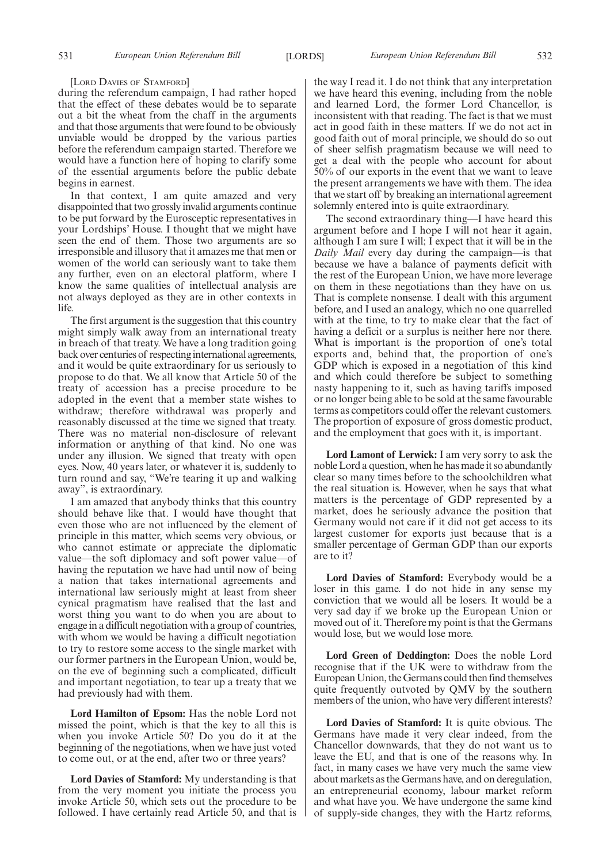#### [LORD DAVIES OF STAMFORD]

during the referendum campaign, I had rather hoped that the effect of these debates would be to separate out a bit the wheat from the chaff in the arguments and that those arguments that were found to be obviously unviable would be dropped by the various parties before the referendum campaign started. Therefore we would have a function here of hoping to clarify some of the essential arguments before the public debate begins in earnest.

In that context, I am quite amazed and very disappointed that two grossly invalid arguments continue to be put forward by the Eurosceptic representatives in your Lordships' House. I thought that we might have seen the end of them. Those two arguments are so irresponsible and illusory that it amazes me that men or women of the world can seriously want to take them any further, even on an electoral platform, where I know the same qualities of intellectual analysis are not always deployed as they are in other contexts in life.

The first argument is the suggestion that this country might simply walk away from an international treaty in breach of that treaty. We have a long tradition going back over centuries of respecting international agreements, and it would be quite extraordinary for us seriously to propose to do that. We all know that Article 50 of the treaty of accession has a precise procedure to be adopted in the event that a member state wishes to withdraw; therefore withdrawal was properly and reasonably discussed at the time we signed that treaty. There was no material non-disclosure of relevant information or anything of that kind. No one was under any illusion. We signed that treaty with open eyes. Now, 40 years later, or whatever it is, suddenly to turn round and say, "We're tearing it up and walking away", is extraordinary.

I am amazed that anybody thinks that this country should behave like that. I would have thought that even those who are not influenced by the element of principle in this matter, which seems very obvious, or who cannot estimate or appreciate the diplomatic value—the soft diplomacy and soft power value—of having the reputation we have had until now of being a nation that takes international agreements and international law seriously might at least from sheer cynical pragmatism have realised that the last and worst thing you want to do when you are about to engage in a difficult negotiation with a group of countries, with whom we would be having a difficult negotiation to try to restore some access to the single market with our former partners in the European Union, would be, on the eve of beginning such a complicated, difficult and important negotiation, to tear up a treaty that we had previously had with them.

**Lord Hamilton of Epsom:** Has the noble Lord not missed the point, which is that the key to all this is when you invoke Article 50? Do you do it at the beginning of the negotiations, when we have just voted to come out, or at the end, after two or three years?

**Lord Davies of Stamford:** My understanding is that from the very moment you initiate the process you invoke Article 50, which sets out the procedure to be followed. I have certainly read Article 50, and that is the way I read it. I do not think that any interpretation we have heard this evening, including from the noble and learned Lord, the former Lord Chancellor, is inconsistent with that reading. The fact is that we must act in good faith in these matters. If we do not act in good faith out of moral principle, we should do so out of sheer selfish pragmatism because we will need to get a deal with the people who account for about 50% of our exports in the event that we want to leave the present arrangements we have with them. The idea that we start off by breaking an international agreement solemnly entered into is quite extraordinary.

The second extraordinary thing—I have heard this argument before and I hope I will not hear it again, although I am sure I will; I expect that it will be in the *Daily Mail* every day during the campaign—is that because we have a balance of payments deficit with the rest of the European Union, we have more leverage on them in these negotiations than they have on us. That is complete nonsense. I dealt with this argument before, and I used an analogy, which no one quarrelled with at the time, to try to make clear that the fact of having a deficit or a surplus is neither here nor there. What is important is the proportion of one's total exports and, behind that, the proportion of one's GDP which is exposed in a negotiation of this kind and which could therefore be subject to something nasty happening to it, such as having tariffs imposed or no longer being able to be sold at the same favourable terms as competitors could offer the relevant customers. The proportion of exposure of gross domestic product, and the employment that goes with it, is important.

**Lord Lamont of Lerwick:** I am very sorry to ask the noble Lord a question, when he has made it so abundantly clear so many times before to the schoolchildren what the real situation is. However, when he says that what matters is the percentage of GDP represented by a market, does he seriously advance the position that Germany would not care if it did not get access to its largest customer for exports just because that is a smaller percentage of German GDP than our exports are to it?

**Lord Davies of Stamford:** Everybody would be a loser in this game. I do not hide in any sense my conviction that we would all be losers. It would be a very sad day if we broke up the European Union or moved out of it. Therefore my point is that the Germans would lose, but we would lose more.

**Lord Green of Deddington:** Does the noble Lord recognise that if the UK were to withdraw from the European Union, the Germans could then find themselves quite frequently outvoted by QMV by the southern members of the union, who have very different interests?

**Lord Davies of Stamford:** It is quite obvious. The Germans have made it very clear indeed, from the Chancellor downwards, that they do not want us to leave the EU, and that is one of the reasons why. In fact, in many cases we have very much the same view about markets as the Germans have, and on deregulation, an entrepreneurial economy, labour market reform and what have you. We have undergone the same kind of supply-side changes, they with the Hartz reforms,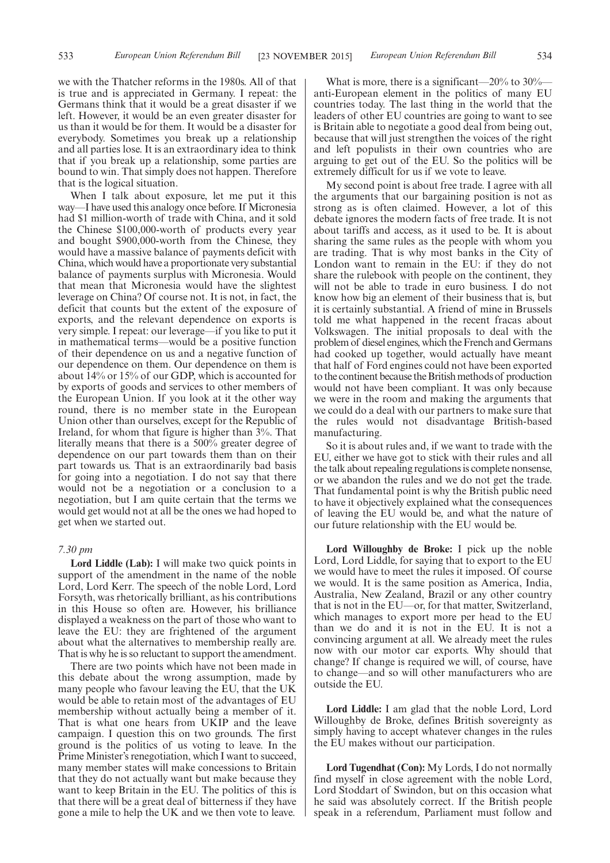we with the Thatcher reforms in the 1980s. All of that is true and is appreciated in Germany. I repeat: the Germans think that it would be a great disaster if we left. However, it would be an even greater disaster for us than it would be for them. It would be a disaster for everybody. Sometimes you break up a relationship and all parties lose. It is an extraordinary idea to think that if you break up a relationship, some parties are bound to win. That simply does not happen. Therefore that is the logical situation.

When I talk about exposure, let me put it this way—I have used this analogy once before. If Micronesia had \$1 million-worth of trade with China, and it sold the Chinese \$100,000-worth of products every year and bought \$900,000-worth from the Chinese, they would have a massive balance of payments deficit with China, which would have a proportionate very substantial balance of payments surplus with Micronesia. Would that mean that Micronesia would have the slightest leverage on China? Of course not. It is not, in fact, the deficit that counts but the extent of the exposure of exports, and the relevant dependence on exports is very simple. I repeat: our leverage—if you like to put it in mathematical terms—would be a positive function of their dependence on us and a negative function of our dependence on them. Our dependence on them is about 14% or 15% of our GDP, which is accounted for by exports of goods and services to other members of the European Union. If you look at it the other way round, there is no member state in the European Union other than ourselves, except for the Republic of Ireland, for whom that figure is higher than 3%. That literally means that there is a 500% greater degree of dependence on our part towards them than on their part towards us. That is an extraordinarily bad basis for going into a negotiation. I do not say that there would not be a negotiation or a conclusion to a negotiation, but I am quite certain that the terms we would get would not at all be the ones we had hoped to get when we started out.

#### *7.30 pm*

**Lord Liddle (Lab):** I will make two quick points in support of the amendment in the name of the noble Lord, Lord Kerr. The speech of the noble Lord, Lord Forsyth, was rhetorically brilliant, as his contributions in this House so often are. However, his brilliance displayed a weakness on the part of those who want to leave the EU: they are frightened of the argument about what the alternatives to membership really are. That is why he is so reluctant to support the amendment.

There are two points which have not been made in this debate about the wrong assumption, made by many people who favour leaving the EU, that the UK would be able to retain most of the advantages of EU membership without actually being a member of it. That is what one hears from UKIP and the leave campaign. I question this on two grounds. The first ground is the politics of us voting to leave. In the Prime Minister's renegotiation, which I want to succeed, many member states will make concessions to Britain that they do not actually want but make because they want to keep Britain in the EU. The politics of this is that there will be a great deal of bitterness if they have gone a mile to help the UK and we then vote to leave.

What is more, there is a significant—20% to 30% anti-European element in the politics of many EU countries today. The last thing in the world that the leaders of other EU countries are going to want to see is Britain able to negotiate a good deal from being out, because that will just strengthen the voices of the right and left populists in their own countries who are arguing to get out of the EU. So the politics will be extremely difficult for us if we vote to leave.

My second point is about free trade. I agree with all the arguments that our bargaining position is not as strong as is often claimed. However, a lot of this debate ignores the modern facts of free trade. It is not about tariffs and access, as it used to be. It is about sharing the same rules as the people with whom you are trading. That is why most banks in the City of London want to remain in the EU: if they do not share the rulebook with people on the continent, they will not be able to trade in euro business. I do not know how big an element of their business that is, but it is certainly substantial. A friend of mine in Brussels told me what happened in the recent fracas about Volkswagen. The initial proposals to deal with the problem of diesel engines, which the French and Germans had cooked up together, would actually have meant that half of Ford engines could not have been exported to the continent because the British methods of production would not have been compliant. It was only because we were in the room and making the arguments that we could do a deal with our partners to make sure that the rules would not disadvantage British-based manufacturing.

So it is about rules and, if we want to trade with the EU, either we have got to stick with their rules and all the talk about repealing regulations is complete nonsense, or we abandon the rules and we do not get the trade. That fundamental point is why the British public need to have it objectively explained what the consequences of leaving the EU would be, and what the nature of our future relationship with the EU would be.

Lord Willoughby de Broke: I pick up the noble Lord, Lord Liddle, for saying that to export to the EU we would have to meet the rules it imposed. Of course we would. It is the same position as America, India, Australia, New Zealand, Brazil or any other country that is not in the EU—or, for that matter, Switzerland, which manages to export more per head to the EU than we do and it is not in the EU. It is not a convincing argument at all. We already meet the rules now with our motor car exports. Why should that change? If change is required we will, of course, have to change—and so will other manufacturers who are outside the EU.

**Lord Liddle:** I am glad that the noble Lord, Lord Willoughby de Broke, defines British sovereignty as simply having to accept whatever changes in the rules the EU makes without our participation.

**Lord Tugendhat (Con):** My Lords, I do not normally find myself in close agreement with the noble Lord, Lord Stoddart of Swindon, but on this occasion what he said was absolutely correct. If the British people speak in a referendum, Parliament must follow and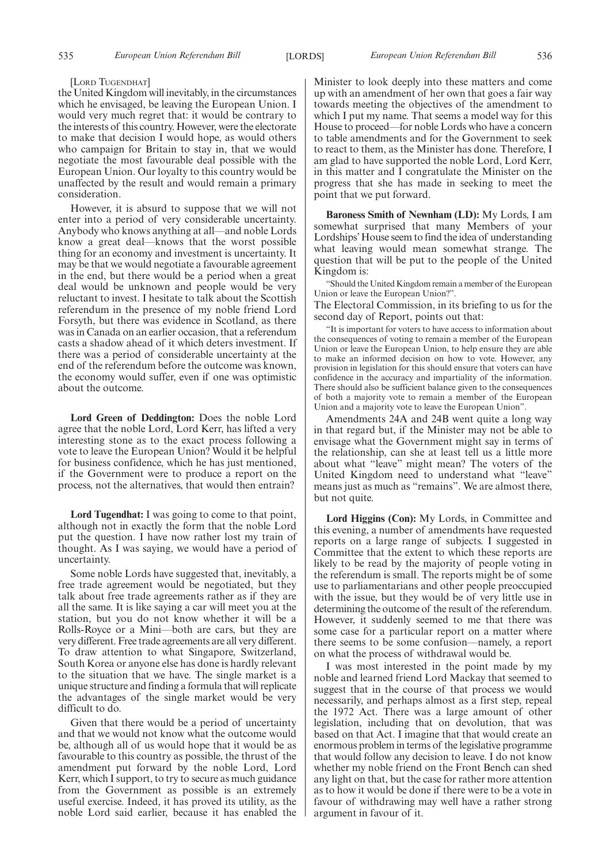### [LORD TUGENDHAT]

the United Kingdom will inevitably, in the circumstances which he envisaged, be leaving the European Union. I would very much regret that: it would be contrary to the interests of this country. However, were the electorate to make that decision I would hope, as would others who campaign for Britain to stay in, that we would negotiate the most favourable deal possible with the European Union. Our loyalty to this country would be unaffected by the result and would remain a primary consideration.

However, it is absurd to suppose that we will not enter into a period of very considerable uncertainty. Anybody who knows anything at all—and noble Lords know a great deal—knows that the worst possible thing for an economy and investment is uncertainty. It may be that we would negotiate a favourable agreement in the end, but there would be a period when a great deal would be unknown and people would be very reluctant to invest. I hesitate to talk about the Scottish referendum in the presence of my noble friend Lord Forsyth, but there was evidence in Scotland, as there was in Canada on an earlier occasion, that a referendum casts a shadow ahead of it which deters investment. If there was a period of considerable uncertainty at the end of the referendum before the outcome was known, the economy would suffer, even if one was optimistic about the outcome.

**Lord Green of Deddington:** Does the noble Lord agree that the noble Lord, Lord Kerr, has lifted a very interesting stone as to the exact process following a vote to leave the European Union? Would it be helpful for business confidence, which he has just mentioned, if the Government were to produce a report on the process, not the alternatives, that would then entrain?

**Lord Tugendhat:** I was going to come to that point, although not in exactly the form that the noble Lord put the question. I have now rather lost my train of thought. As I was saying, we would have a period of uncertainty.

Some noble Lords have suggested that, inevitably, a free trade agreement would be negotiated, but they talk about free trade agreements rather as if they are all the same. It is like saying a car will meet you at the station, but you do not know whether it will be a Rolls-Royce or a Mini—both are cars, but they are very different. Free trade agreements are all very different. To draw attention to what Singapore, Switzerland, South Korea or anyone else has done is hardly relevant to the situation that we have. The single market is a unique structure and finding a formula that will replicate the advantages of the single market would be very difficult to do.

Given that there would be a period of uncertainty and that we would not know what the outcome would be, although all of us would hope that it would be as favourable to this country as possible, the thrust of the amendment put forward by the noble Lord, Lord Kerr, which I support, to try to secure as much guidance from the Government as possible is an extremely useful exercise. Indeed, it has proved its utility, as the noble Lord said earlier, because it has enabled the Minister to look deeply into these matters and come up with an amendment of her own that goes a fair way towards meeting the objectives of the amendment to which I put my name. That seems a model way for this House to proceed—for noble Lords who have a concern to table amendments and for the Government to seek to react to them, as the Minister has done. Therefore, I am glad to have supported the noble Lord, Lord Kerr, in this matter and I congratulate the Minister on the progress that she has made in seeking to meet the point that we put forward.

**Baroness Smith of Newnham (LD):** My Lords, I am somewhat surprised that many Members of your Lordships'House seem to find the idea of understanding what leaving would mean somewhat strange. The question that will be put to the people of the United Kingdom is:

"Should the United Kingdom remain a member of the European Union or leave the European Union?". The Electoral Commission, in its briefing to us for the

second day of Report, points out that:

"It is important for voters to have access to information about the consequences of voting to remain a member of the European Union or leave the European Union, to help ensure they are able to make an informed decision on how to vote. However, any provision in legislation for this should ensure that voters can have confidence in the accuracy and impartiality of the information. There should also be sufficient balance given to the consequences of both a majority vote to remain a member of the European Union and a majority vote to leave the European Union".

Amendments 24A and 24B went quite a long way in that regard but, if the Minister may not be able to envisage what the Government might say in terms of the relationship, can she at least tell us a little more about what "leave" might mean? The voters of the United Kingdom need to understand what "leave" means just as much as "remains". We are almost there, but not quite.

**Lord Higgins (Con):** My Lords, in Committee and this evening, a number of amendments have requested reports on a large range of subjects. I suggested in Committee that the extent to which these reports are likely to be read by the majority of people voting in the referendum is small. The reports might be of some use to parliamentarians and other people preoccupied with the issue, but they would be of very little use in determining the outcome of the result of the referendum. However, it suddenly seemed to me that there was some case for a particular report on a matter where there seems to be some confusion—namely, a report on what the process of withdrawal would be.

I was most interested in the point made by my noble and learned friend Lord Mackay that seemed to suggest that in the course of that process we would necessarily, and perhaps almost as a first step, repeal the 1972 Act. There was a large amount of other legislation, including that on devolution, that was based on that Act. I imagine that that would create an enormous problem in terms of the legislative programme that would follow any decision to leave. I do not know whether my noble friend on the Front Bench can shed any light on that, but the case for rather more attention as to how it would be done if there were to be a vote in favour of withdrawing may well have a rather strong argument in favour of it.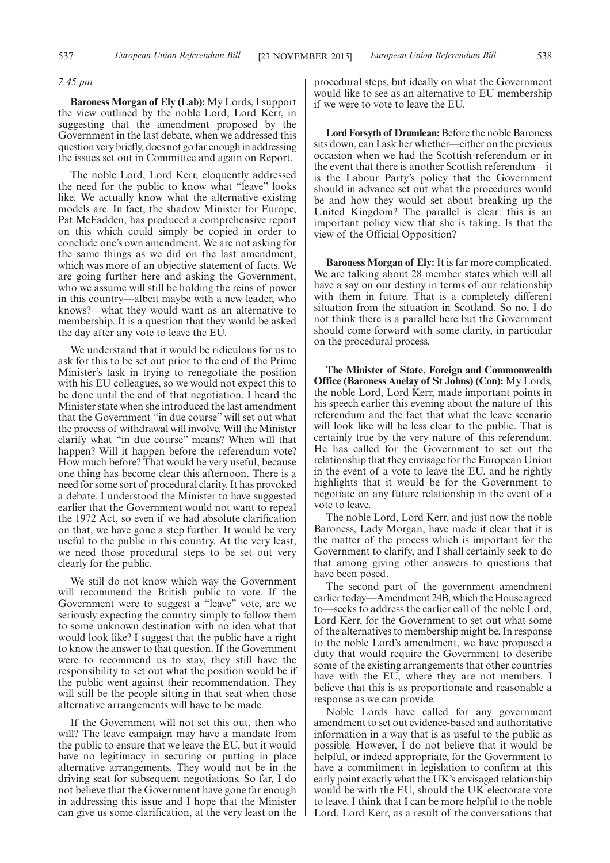### *7.45 pm*

**Baroness Morgan of Ely (Lab):** My Lords, I support the view outlined by the noble Lord, Lord Kerr, in suggesting that the amendment proposed by the Government in the last debate, when we addressed this question very briefly, does not go far enough in addressing the issues set out in Committee and again on Report.

The noble Lord, Lord Kerr, eloquently addressed the need for the public to know what "leave" looks like. We actually know what the alternative existing models are. In fact, the shadow Minister for Europe, Pat McFadden, has produced a comprehensive report on this which could simply be copied in order to conclude one's own amendment. We are not asking for the same things as we did on the last amendment, which was more of an objective statement of facts. We are going further here and asking the Government, who we assume will still be holding the reins of power in this country—albeit maybe with a new leader, who knows?—what they would want as an alternative to membership. It is a question that they would be asked the day after any vote to leave the EU.

We understand that it would be ridiculous for us to ask for this to be set out prior to the end of the Prime Minister's task in trying to renegotiate the position with his EU colleagues, so we would not expect this to be done until the end of that negotiation. I heard the Minister state when she introduced the last amendment that the Government "in due course" will set out what the process of withdrawal will involve. Will the Minister clarify what "in due course" means? When will that happen? Will it happen before the referendum vote? How much before? That would be very useful, because one thing has become clear this afternoon. There is a need for some sort of procedural clarity. It has provoked a debate. I understood the Minister to have suggested earlier that the Government would not want to repeal the 1972 Act, so even if we had absolute clarification on that, we have gone a step further. It would be very useful to the public in this country. At the very least, we need those procedural steps to be set out very clearly for the public.

We still do not know which way the Government will recommend the British public to vote. If the Government were to suggest a "leave" vote, are we seriously expecting the country simply to follow them to some unknown destination with no idea what that would look like? I suggest that the public have a right to know the answer to that question. If the Government were to recommend us to stay, they still have the responsibility to set out what the position would be if the public went against their recommendation. They will still be the people sitting in that seat when those alternative arrangements will have to be made.

If the Government will not set this out, then who will? The leave campaign may have a mandate from the public to ensure that we leave the EU, but it would have no legitimacy in securing or putting in place alternative arrangements. They would not be in the driving seat for subsequent negotiations. So far, I do not believe that the Government have gone far enough in addressing this issue and I hope that the Minister can give us some clarification, at the very least on the procedural steps, but ideally on what the Government would like to see as an alternative to EU membership if we were to vote to leave the EU.

**Lord Forsyth of Drumlean:** Before the noble Baroness sits down, can I ask her whether—either on the previous occasion when we had the Scottish referendum or in the event that there is another Scottish referendum—it is the Labour Party's policy that the Government should in advance set out what the procedures would be and how they would set about breaking up the United Kingdom? The parallel is clear: this is an important policy view that she is taking. Is that the view of the Official Opposition?

**Baroness Morgan of Ely:** It is far more complicated. We are talking about 28 member states which will all have a say on our destiny in terms of our relationship with them in future. That is a completely different situation from the situation in Scotland. So no, I do not think there is a parallel here but the Government should come forward with some clarity, in particular on the procedural process.

**The Minister of State, Foreign and Commonwealth Office (Baroness Anelay of St Johns) (Con):** My Lords, the noble Lord, Lord Kerr, made important points in his speech earlier this evening about the nature of this referendum and the fact that what the leave scenario will look like will be less clear to the public. That is certainly true by the very nature of this referendum. He has called for the Government to set out the relationship that they envisage for the European Union in the event of a vote to leave the EU, and he rightly highlights that it would be for the Government to negotiate on any future relationship in the event of a vote to leave.

The noble Lord, Lord Kerr, and just now the noble Baroness, Lady Morgan, have made it clear that it is the matter of the process which is important for the Government to clarify, and I shall certainly seek to do that among giving other answers to questions that have been posed.

The second part of the government amendment earlier today—Amendment 24B, which the House agreed to—seeks to address the earlier call of the noble Lord, Lord Kerr, for the Government to set out what some of the alternatives to membership might be. In response to the noble Lord's amendment, we have proposed a duty that would require the Government to describe some of the existing arrangements that other countries have with the EU, where they are not members. I believe that this is as proportionate and reasonable a response as we can provide.

Noble Lords have called for any government amendment to set out evidence-based and authoritative information in a way that is as useful to the public as possible. However, I do not believe that it would be helpful, or indeed appropriate, for the Government to have a commitment in legislation to confirm at this early point exactly what the UK's envisaged relationship would be with the EU, should the UK electorate vote to leave. I think that I can be more helpful to the noble Lord, Lord Kerr, as a result of the conversations that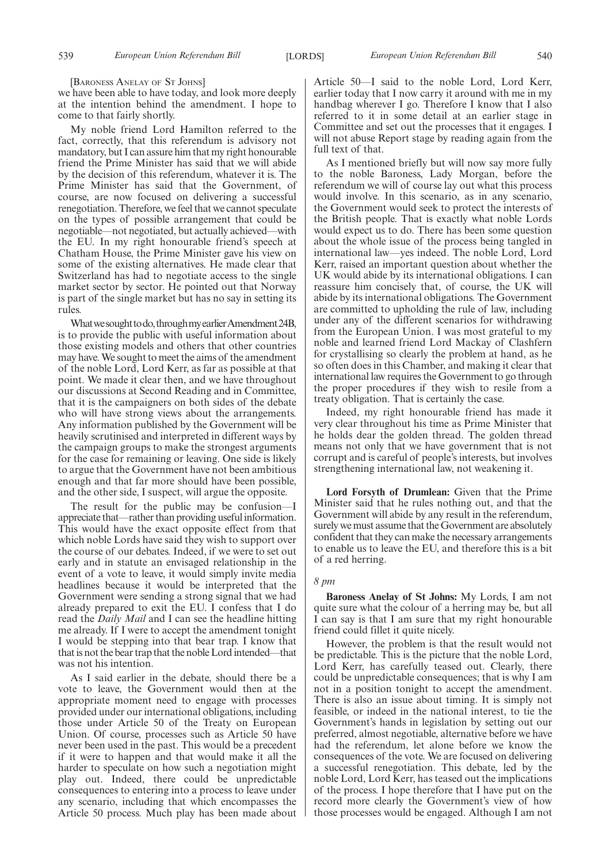[BARONESS ANELAY OF ST JOHNS]

we have been able to have today, and look more deeply at the intention behind the amendment. I hope to come to that fairly shortly.

My noble friend Lord Hamilton referred to the fact, correctly, that this referendum is advisory not mandatory, but I can assure him that my right honourable friend the Prime Minister has said that we will abide by the decision of this referendum, whatever it is. The Prime Minister has said that the Government, of course, are now focused on delivering a successful renegotiation. Therefore, we feel that we cannot speculate on the types of possible arrangement that could be negotiable—not negotiated, but actually achieved—with the EU. In my right honourable friend's speech at Chatham House, the Prime Minister gave his view on some of the existing alternatives. He made clear that Switzerland has had to negotiate access to the single market sector by sector. He pointed out that Norway is part of the single market but has no say in setting its rules.

What we sought to do, through my earlier Amendment 24B, is to provide the public with useful information about those existing models and others that other countries may have.We sought to meet the aims of the amendment of the noble Lord, Lord Kerr, as far as possible at that point. We made it clear then, and we have throughout our discussions at Second Reading and in Committee, that it is the campaigners on both sides of the debate who will have strong views about the arrangements. Any information published by the Government will be heavily scrutinised and interpreted in different ways by the campaign groups to make the strongest arguments for the case for remaining or leaving. One side is likely to argue that the Government have not been ambitious enough and that far more should have been possible, and the other side, I suspect, will argue the opposite.

The result for the public may be confusion—I appreciate that—rather than providing useful information. This would have the exact opposite effect from that which noble Lords have said they wish to support over the course of our debates. Indeed, if we were to set out early and in statute an envisaged relationship in the event of a vote to leave, it would simply invite media headlines because it would be interpreted that the Government were sending a strong signal that we had already prepared to exit the EU. I confess that I do read the *Daily Mail* and I can see the headline hitting me already. If I were to accept the amendment tonight I would be stepping into that bear trap. I know that that is not the bear trap that the noble Lord intended—that was not his intention.

As I said earlier in the debate, should there be a vote to leave, the Government would then at the appropriate moment need to engage with processes provided under our international obligations, including those under Article 50 of the Treaty on European Union. Of course, processes such as Article 50 have never been used in the past. This would be a precedent if it were to happen and that would make it all the harder to speculate on how such a negotiation might play out. Indeed, there could be unpredictable consequences to entering into a process to leave under any scenario, including that which encompasses the Article 50 process. Much play has been made about

Article 50—I said to the noble Lord, Lord Kerr, earlier today that I now carry it around with me in my handbag wherever I go. Therefore I know that I also referred to it in some detail at an earlier stage in Committee and set out the processes that it engages. I will not abuse Report stage by reading again from the full text of that.

As I mentioned briefly but will now say more fully to the noble Baroness, Lady Morgan, before the referendum we will of course lay out what this process would involve. In this scenario, as in any scenario, the Government would seek to protect the interests of the British people. That is exactly what noble Lords would expect us to do. There has been some question about the whole issue of the process being tangled in international law—yes indeed. The noble Lord, Lord Kerr, raised an important question about whether the UK would abide by its international obligations. I can reassure him concisely that, of course, the UK will abide by its international obligations. The Government are committed to upholding the rule of law, including under any of the different scenarios for withdrawing from the European Union. I was most grateful to my noble and learned friend Lord Mackay of Clashfern for crystallising so clearly the problem at hand, as he so often does in this Chamber, and making it clear that international law requires the Government to go through the proper procedures if they wish to resile from a treaty obligation. That is certainly the case.

Indeed, my right honourable friend has made it very clear throughout his time as Prime Minister that he holds dear the golden thread. The golden thread means not only that we have government that is not corrupt and is careful of people's interests, but involves strengthening international law, not weakening it.

**Lord Forsyth of Drumlean:** Given that the Prime Minister said that he rules nothing out, and that the Government will abide by any result in the referendum, surely we must assume that the Government are absolutely confident that they can make the necessary arrangements to enable us to leave the EU, and therefore this is a bit of a red herring.

### *8 pm*

**Baroness Anelay of St Johns:** My Lords, I am not quite sure what the colour of a herring may be, but all I can say is that I am sure that my right honourable friend could fillet it quite nicely.

However, the problem is that the result would not be predictable. This is the picture that the noble Lord, Lord Kerr, has carefully teased out. Clearly, there could be unpredictable consequences; that is why I am not in a position tonight to accept the amendment. There is also an issue about timing. It is simply not feasible, or indeed in the national interest, to tie the Government's hands in legislation by setting out our preferred, almost negotiable, alternative before we have had the referendum, let alone before we know the consequences of the vote. We are focused on delivering a successful renegotiation. This debate, led by the noble Lord, Lord Kerr, has teased out the implications of the process. I hope therefore that I have put on the record more clearly the Government's view of how those processes would be engaged. Although I am not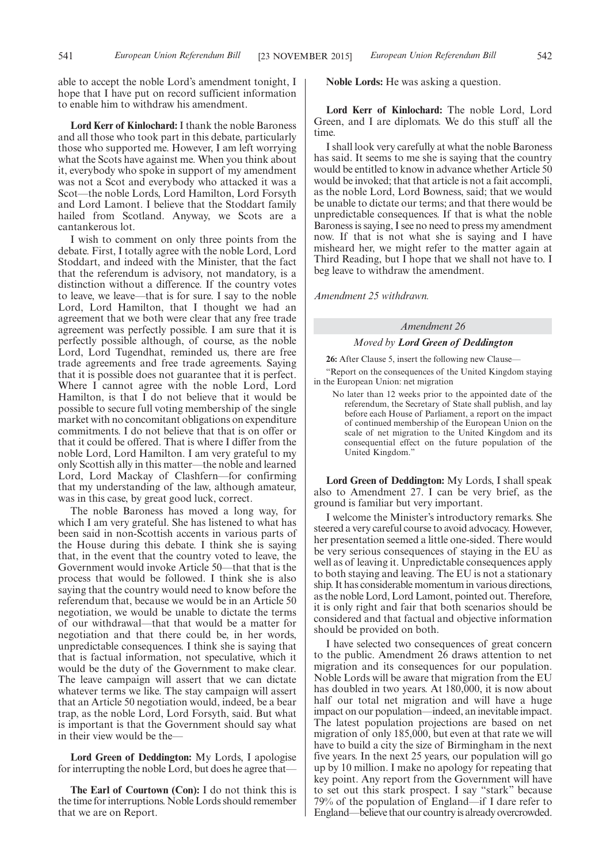able to accept the noble Lord's amendment tonight, I hope that I have put on record sufficient information to enable him to withdraw his amendment.

**Lord Kerr of Kinlochard:** I thank the noble Baroness and all those who took part in this debate, particularly those who supported me. However, I am left worrying what the Scots have against me. When you think about it, everybody who spoke in support of my amendment was not a Scot and everybody who attacked it was a Scot—the noble Lords, Lord Hamilton, Lord Forsyth and Lord Lamont. I believe that the Stoddart family hailed from Scotland. Anyway, we Scots are a cantankerous lot.

I wish to comment on only three points from the debate. First, I totally agree with the noble Lord, Lord Stoddart, and indeed with the Minister, that the fact that the referendum is advisory, not mandatory, is a distinction without a difference. If the country votes to leave, we leave—that is for sure. I say to the noble Lord, Lord Hamilton, that I thought we had an agreement that we both were clear that any free trade agreement was perfectly possible. I am sure that it is perfectly possible although, of course, as the noble Lord, Lord Tugendhat, reminded us, there are free trade agreements and free trade agreements. Saying that it is possible does not guarantee that it is perfect. Where I cannot agree with the noble Lord, Lord Hamilton, is that I do not believe that it would be possible to secure full voting membership of the single market with no concomitant obligations on expenditure commitments. I do not believe that that is on offer or that it could be offered. That is where I differ from the noble Lord, Lord Hamilton. I am very grateful to my only Scottish ally in this matter—the noble and learned Lord, Lord Mackay of Clashfern—for confirming that my understanding of the law, although amateur, was in this case, by great good luck, correct.

The noble Baroness has moved a long way, for which I am very grateful. She has listened to what has been said in non-Scottish accents in various parts of the House during this debate. I think she is saying that, in the event that the country voted to leave, the Government would invoke Article 50—that that is the process that would be followed. I think she is also saying that the country would need to know before the referendum that, because we would be in an Article 50 negotiation, we would be unable to dictate the terms of our withdrawal—that that would be a matter for negotiation and that there could be, in her words, unpredictable consequences. I think she is saying that that is factual information, not speculative, which it would be the duty of the Government to make clear. The leave campaign will assert that we can dictate whatever terms we like. The stay campaign will assert that an Article 50 negotiation would, indeed, be a bear trap, as the noble Lord, Lord Forsyth, said. But what is important is that the Government should say what in their view would be the—

**Lord Green of Deddington:** My Lords, I apologise for interrupting the noble  $L$ ord, but does he agree that-

**The Earl of Courtown (Con):** I do not think this is the time for interruptions. Noble Lords should remember that we are on Report.

**Noble Lords:** He was asking a question.

**Lord Kerr of Kinlochard:** The noble Lord, Lord Green, and I are diplomats. We do this stuff all the time.

I shall look very carefully at what the noble Baroness has said. It seems to me she is saying that the country would be entitled to know in advance whether Article 50 would be invoked; that that article is not a fait accompli, as the noble Lord, Lord Bowness, said; that we would be unable to dictate our terms; and that there would be unpredictable consequences. If that is what the noble Baroness is saying, I see no need to press my amendment now. If that is not what she is saying and I have misheard her, we might refer to the matter again at Third Reading, but I hope that we shall not have to. I beg leave to withdraw the amendment.

*Amendment 25 withdrawn.*

### *Amendment 26*

### *Moved by Lord Green of Deddington*

**26:** After Clause 5, insert the following new Clause—

"Report on the consequences of the United Kingdom staying in the European Union: net migration

No later than 12 weeks prior to the appointed date of the referendum, the Secretary of State shall publish, and lay before each House of Parliament, a report on the impact of continued membership of the European Union on the scale of net migration to the United Kingdom and its consequential effect on the future population of the United Kingdom."

**Lord Green of Deddington:** My Lords, I shall speak also to Amendment 27. I can be very brief, as the ground is familiar but very important.

I welcome the Minister's introductory remarks. She steered a very careful course to avoid advocacy. However, her presentation seemed a little one-sided. There would be very serious consequences of staying in the EU as well as of leaving it. Unpredictable consequences apply to both staying and leaving. The EU is not a stationary ship. It has considerable momentum in various directions, as the noble Lord, Lord Lamont, pointed out. Therefore, it is only right and fair that both scenarios should be considered and that factual and objective information should be provided on both.

I have selected two consequences of great concern to the public. Amendment 26 draws attention to net migration and its consequences for our population. Noble Lords will be aware that migration from the EU has doubled in two years. At 180,000, it is now about half our total net migration and will have a huge impact on our population—indeed, an inevitable impact. The latest population projections are based on net migration of only 185,000, but even at that rate we will have to build a city the size of Birmingham in the next five years. In the next 25 years, our population will go up by 10 million. I make no apology for repeating that key point. Any report from the Government will have to set out this stark prospect. I say "stark" because 79% of the population of England—if I dare refer to England—believe that our countryis already overcrowded.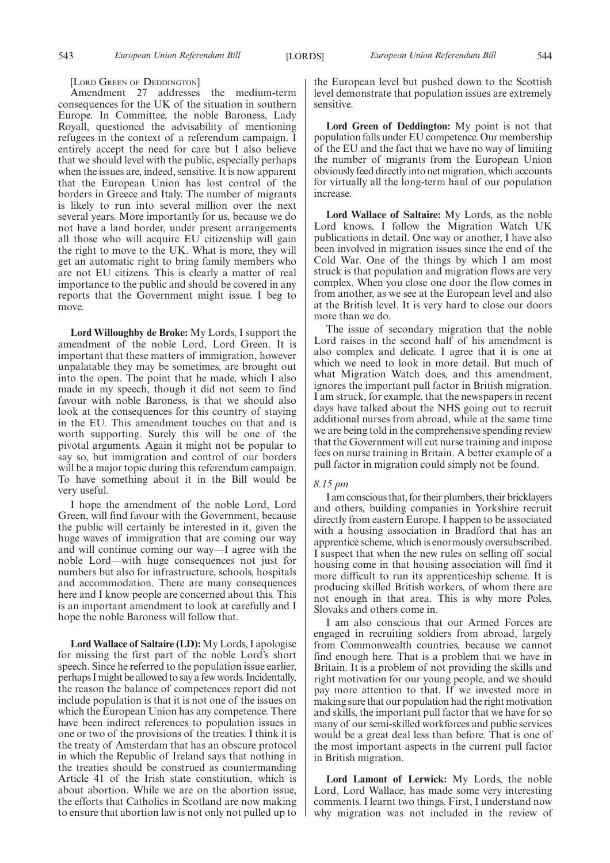[LORD GREEN OF DEDDINGTON]

Amendment 27 addresses the medium-term consequences for the UK of the situation in southern Europe. In Committee, the noble Baroness, Lady Royall, questioned the advisability of mentioning refugees in the context of a referendum campaign. I entirely accept the need for care but I also believe that we should level with the public, especially perhaps when the issues are, indeed, sensitive. It is now apparent that the European Union has lost control of the borders in Greece and Italy. The number of migrants is likely to run into several million over the next several years. More importantly for us, because we do not have a land border, under present arrangements all those who will acquire EU citizenship will gain the right to move to the UK. What is more, they will get an automatic right to bring family members who are not EU citizens. This is clearly a matter of real importance to the public and should be covered in any reports that the Government might issue. I beg to move.

**Lord Willoughby de Broke:** My Lords, I support the amendment of the noble Lord, Lord Green. It is important that these matters of immigration, however unpalatable they may be sometimes, are brought out into the open. The point that he made, which I also made in my speech, though it did not seem to find favour with noble Baroness, is that we should also look at the consequences for this country of staying in the EU. This amendment touches on that and is worth supporting. Surely this will be one of the pivotal arguments. Again it might not be popular to say so, but immigration and control of our borders will be a major topic during this referendum campaign. To have something about it in the Bill would be very useful.

I hope the amendment of the noble Lord, Lord Green, will find favour with the Government, because the public will certainly be interested in it, given the huge waves of immigration that are coming our way and will continue coming our way—I agree with the noble Lord—with huge consequences not just for numbers but also for infrastructure, schools, hospitals and accommodation. There are many consequences here and I know people are concerned about this. This is an important amendment to look at carefully and I hope the noble Baroness will follow that.

**Lord Wallace of Saltaire (LD):** My Lords, I apologise for missing the first part of the noble Lord's short speech. Since he referred to the population issue earlier, perhaps Imight be allowed to say a few words. Incidentally, the reason the balance of competences report did not include population is that it is not one of the issues on which the European Union has any competence. There have been indirect references to population issues in one or two of the provisions of the treaties. I think it is the treaty of Amsterdam that has an obscure protocol in which the Republic of Ireland says that nothing in the treaties should be construed as countermanding Article 41 of the Irish state constitution, which is about abortion. While we are on the abortion issue, the efforts that Catholics in Scotland are now making to ensure that abortion law is not only not pulled up to the European level but pushed down to the Scottish level demonstrate that population issues are extremely sensitive.

**Lord Green of Deddington:** My point is not that population falls under EU competence. Our membership of the EU and the fact that we have no way of limiting the number of migrants from the European Union obviously feed directly into net migration, which accounts for virtually all the long-term haul of our population increase.

**Lord Wallace of Saltaire:** My Lords, as the noble Lord knows, I follow the Migration Watch UK publications in detail. One way or another, I have also been involved in migration issues since the end of the Cold War. One of the things by which I am most struck is that population and migration flows are very complex. When you close one door the flow comes in from another, as we see at the European level and also at the British level. It is very hard to close our doors more than we do.

The issue of secondary migration that the noble Lord raises in the second half of his amendment is also complex and delicate. I agree that it is one at which we need to look in more detail. But much of what Migration Watch does, and this amendment, ignores the important pull factor in British migration. I am struck, for example, that the newspapers in recent days have talked about the NHS going out to recruit additional nurses from abroad, while at the same time we are being told in the comprehensive spending review that the Government will cut nurse training and impose fees on nurse training in Britain. A better example of a pull factor in migration could simply not be found.

### *8.15 pm*

I am conscious that, for their plumbers, their bricklayers and others, building companies in Yorkshire recruit directly from eastern Europe. I happen to be associated with a housing association in Bradford that has an apprentice scheme, which is enormously oversubscribed. I suspect that when the new rules on selling off social housing come in that housing association will find it more difficult to run its apprenticeship scheme. It is producing skilled British workers, of whom there are not enough in that area. This is why more Poles, Slovaks and others come in.

I am also conscious that our Armed Forces are engaged in recruiting soldiers from abroad, largely from Commonwealth countries, because we cannot find enough here. That is a problem that we have in Britain. It is a problem of not providing the skills and right motivation for our young people, and we should pay more attention to that. If we invested more in making sure that our population had the right motivation and skills, the important pull factor that we have for so many of our semi-skilled workforces and public services would be a great deal less than before. That is one of the most important aspects in the current pull factor in British migration.

**Lord Lamont of Lerwick:** My Lords, the noble Lord, Lord Wallace, has made some very interesting comments. I learnt two things. First, I understand now why migration was not included in the review of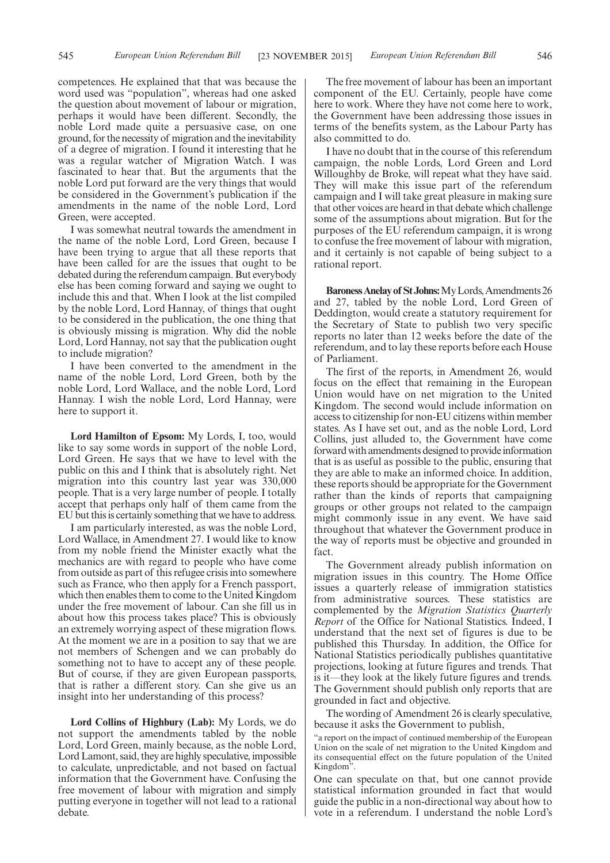competences. He explained that that was because the word used was "population", whereas had one asked the question about movement of labour or migration, perhaps it would have been different. Secondly, the noble Lord made quite a persuasive case, on one ground, for the necessity of migration and the inevitability of a degree of migration. I found it interesting that he was a regular watcher of Migration Watch. I was fascinated to hear that. But the arguments that the noble Lord put forward are the very things that would be considered in the Government's publication if the amendments in the name of the noble Lord, Lord Green, were accepted.

I was somewhat neutral towards the amendment in the name of the noble Lord, Lord Green, because I have been trying to argue that all these reports that have been called for are the issues that ought to be debated during the referendum campaign. But everybody else has been coming forward and saying we ought to include this and that. When I look at the list compiled by the noble Lord, Lord Hannay, of things that ought to be considered in the publication, the one thing that is obviously missing is migration. Why did the noble Lord, Lord Hannay, not say that the publication ought to include migration?

I have been converted to the amendment in the name of the noble Lord, Lord Green, both by the noble Lord, Lord Wallace, and the noble Lord, Lord Hannay. I wish the noble Lord, Lord Hannay, were here to support it.

**Lord Hamilton of Epsom:** My Lords, I, too, would like to say some words in support of the noble Lord, Lord Green. He says that we have to level with the public on this and I think that is absolutely right. Net migration into this country last year was 330,000 people. That is a very large number of people. I totally accept that perhaps only half of them came from the EU but this is certainly something that we have to address.

I am particularly interested, as was the noble Lord, Lord Wallace, in Amendment 27. I would like to know from my noble friend the Minister exactly what the mechanics are with regard to people who have come from outside as part of this refugee crisis into somewhere such as France, who then apply for a French passport, which then enables them to come to the United Kingdom under the free movement of labour. Can she fill us in about how this process takes place? This is obviously an extremely worrying aspect of these migration flows. At the moment we are in a position to say that we are not members of Schengen and we can probably do something not to have to accept any of these people. But of course, if they are given European passports, that is rather a different story. Can she give us an insight into her understanding of this process?

**Lord Collins of Highbury (Lab):** My Lords, we do not support the amendments tabled by the noble Lord, Lord Green, mainly because, as the noble Lord, Lord Lamont, said, they are highly speculative, impossible to calculate, unpredictable, and not based on factual information that the Government have. Confusing the free movement of labour with migration and simply putting everyone in together will not lead to a rational debate.

The free movement of labour has been an important component of the EU. Certainly, people have come here to work. Where they have not come here to work, the Government have been addressing those issues in terms of the benefits system, as the Labour Party has also committed to do.

I have no doubt that in the course of this referendum campaign, the noble Lords, Lord Green and Lord Willoughby de Broke, will repeat what they have said. They will make this issue part of the referendum campaign and I will take great pleasure in making sure that other voices are heard in that debate which challenge some of the assumptions about migration. But for the purposes of the EU referendum campaign, it is wrong to confuse the free movement of labour with migration, and it certainly is not capable of being subject to a rational report.

**BaronessAnelay of StJohns:**MyLords,Amendments 26 and 27, tabled by the noble Lord, Lord Green of Deddington, would create a statutory requirement for the Secretary of State to publish two very specific reports no later than 12 weeks before the date of the referendum, and to lay these reports before each House of Parliament.

The first of the reports, in Amendment 26, would focus on the effect that remaining in the European Union would have on net migration to the United Kingdom. The second would include information on access to citizenship for non-EU citizens within member states. As I have set out, and as the noble Lord, Lord Collins, just alluded to, the Government have come forward with amendments designed to provide information that is as useful as possible to the public, ensuring that they are able to make an informed choice. In addition, these reports should be appropriate for the Government rather than the kinds of reports that campaigning groups or other groups not related to the campaign might commonly issue in any event. We have said throughout that whatever the Government produce in the way of reports must be objective and grounded in fact.

The Government already publish information on migration issues in this country. The Home Office issues a quarterly release of immigration statistics from administrative sources. These statistics are complemented by the *Migration Statistics Quarterly Report* of the Office for National Statistics. Indeed, I understand that the next set of figures is due to be published this Thursday. In addition, the Office for National Statistics periodically publishes quantitative projections, looking at future figures and trends. That is it—they look at the likely future figures and trends. The Government should publish only reports that are grounded in fact and objective.

The wording of Amendment 26 is clearly speculative, because it asks the Government to publish,

"a report on the impact of continued membership of the European Union on the scale of net migration to the United Kingdom and its consequential effect on the future population of the United Kingdom".

One can speculate on that, but one cannot provide statistical information grounded in fact that would guide the public in a non-directional way about how to vote in a referendum. I understand the noble Lord's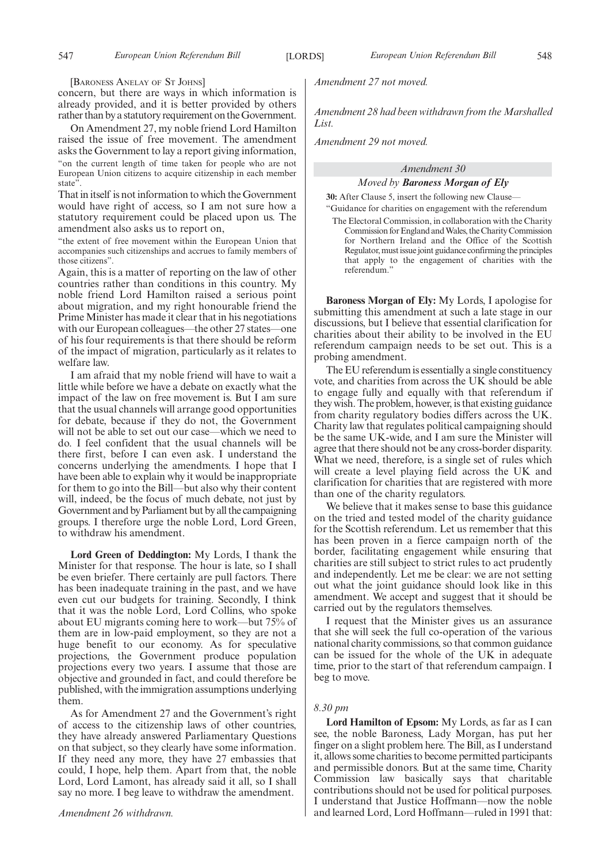[BARONESS ANELAY OF ST JOHNS]

concern, but there are ways in which information is already provided, and it is better provided by others rather than by a statutory requirement on the Government.

On Amendment 27, my noble friend Lord Hamilton raised the issue of free movement. The amendment asks the Government to lay a report giving information, "on the current length of time taken for people who are not European Union citizens to acquire citizenship in each member state".

That in itself is not information to which the Government would have right of access, so I am not sure how a statutory requirement could be placed upon us. The amendment also asks us to report on,

"the extent of free movement within the European Union that accompanies such citizenships and accrues to family members of those citizens".

Again, this is a matter of reporting on the law of other countries rather than conditions in this country. My noble friend Lord Hamilton raised a serious point about migration, and my right honourable friend the Prime Minister has made it clear that in his negotiations with our European colleagues—the other 27 states—one of his four requirements is that there should be reform of the impact of migration, particularly as it relates to welfare law.

I am afraid that my noble friend will have to wait a little while before we have a debate on exactly what the impact of the law on free movement is. But I am sure that the usual channels will arrange good opportunities for debate, because if they do not, the Government will not be able to set out our case—which we need to do. I feel confident that the usual channels will be there first, before I can even ask. I understand the concerns underlying the amendments. I hope that I have been able to explain why it would be inappropriate for them to go into the Bill—but also why their content will, indeed, be the focus of much debate, not just by Government and by Parliament but by all the campaigning groups. I therefore urge the noble Lord, Lord Green, to withdraw his amendment.

**Lord Green of Deddington:** My Lords, I thank the Minister for that response. The hour is late, so I shall be even briefer. There certainly are pull factors. There has been inadequate training in the past, and we have even cut our budgets for training. Secondly, I think that it was the noble Lord, Lord Collins, who spoke about EU migrants coming here to work—but 75% of them are in low-paid employment, so they are not a huge benefit to our economy. As for speculative projections, the Government produce population projections every two years. I assume that those are objective and grounded in fact, and could therefore be published, with the immigration assumptions underlying them.

As for Amendment 27 and the Government's right of access to the citizenship laws of other countries, they have already answered Parliamentary Questions on that subject, so they clearly have some information. If they need any more, they have 27 embassies that could, I hope, help them. Apart from that, the noble Lord, Lord Lamont, has already said it all, so I shall say no more. I beg leave to withdraw the amendment.

*Amendment 27 not moved.*

*Amendment 28 had been withdrawn from the Marshalled List.*

*Amendment 29 not moved.*

### *Amendment 30*

### *Moved by Baroness Morgan of Ely*

**30:** After Clause 5, insert the following new Clause— "Guidance for charities on engagement with the referendum

The Electoral Commission, in collaboration with the Charity Commission forEngland andWales, the Charity Commission for Northern Ireland and the Office of the Scottish Regulator, must issue joint guidance confirming the principles that apply to the engagement of charities with the referendum.'

**Baroness Morgan of Ely:** My Lords, I apologise for submitting this amendment at such a late stage in our discussions, but I believe that essential clarification for charities about their ability to be involved in the EU referendum campaign needs to be set out. This is a probing amendment.

The EU referendum is essentially a single constituency vote, and charities from across the UK should be able to engage fully and equally with that referendum if they wish. The problem, however, is that existing guidance from charity regulatory bodies differs across the UK. Charity law that regulates political campaigning should be the same UK-wide, and I am sure the Minister will agree that there should not be any cross-border disparity. What we need, therefore, is a single set of rules which will create a level playing field across the UK and clarification for charities that are registered with more than one of the charity regulators.

We believe that it makes sense to base this guidance on the tried and tested model of the charity guidance for the Scottish referendum. Let us remember that this has been proven in a fierce campaign north of the border, facilitating engagement while ensuring that charities are still subject to strict rules to act prudently and independently. Let me be clear: we are not setting out what the joint guidance should look like in this amendment. We accept and suggest that it should be carried out by the regulators themselves.

I request that the Minister gives us an assurance that she will seek the full co-operation of the various national charity commissions, so that common guidance can be issued for the whole of the UK in adequate time, prior to the start of that referendum campaign. I beg to move.

### *8.30 pm*

**Lord Hamilton of Epsom:** My Lords, as far as I can see, the noble Baroness, Lady Morgan, has put her finger on a slight problem here. The Bill, as I understand it, allows some charities to become permitted participants and permissible donors. But at the same time, Charity Commission law basically says that charitable contributions should not be used for political purposes. I understand that Justice Hoffmann—now the noble and learned Lord, Lord Hoffmann—ruled in 1991 that: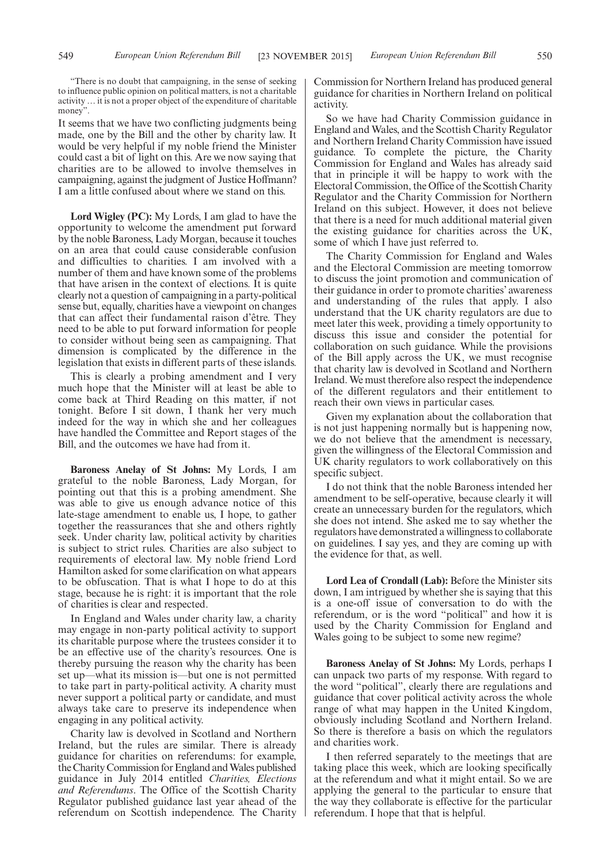"There is no doubt that campaigning, in the sense of seeking to influence public opinion on political matters, is not a charitable activity … it is not a proper object of the expenditure of charitable money".

It seems that we have two conflicting judgments being made, one by the Bill and the other by charity law. It would be very helpful if my noble friend the Minister could cast a bit of light on this. Are we now saying that charities are to be allowed to involve themselves in campaigning, against the judgment of Justice Hoffmann? I am a little confused about where we stand on this.

**Lord Wigley (PC):** My Lords, I am glad to have the opportunity to welcome the amendment put forward by the noble Baroness, Lady Morgan, because it touches on an area that could cause considerable confusion and difficulties to charities. I am involved with a number of them and have known some of the problems that have arisen in the context of elections. It is quite clearly not a question of campaigning in a party-political sense but, equally, charities have a viewpoint on changes that can affect their fundamental raison d'être. They need to be able to put forward information for people to consider without being seen as campaigning. That dimension is complicated by the difference in the legislation that exists in different parts of these islands.

This is clearly a probing amendment and I very much hope that the Minister will at least be able to come back at Third Reading on this matter, if not tonight. Before I sit down, I thank her very much indeed for the way in which she and her colleagues have handled the Committee and Report stages of the Bill, and the outcomes we have had from it.

**Baroness Anelay of St Johns:** My Lords, I am grateful to the noble Baroness, Lady Morgan, for pointing out that this is a probing amendment. She was able to give us enough advance notice of this late-stage amendment to enable us, I hope, to gather together the reassurances that she and others rightly seek. Under charity law, political activity by charities is subject to strict rules. Charities are also subject to requirements of electoral law. My noble friend Lord Hamilton asked for some clarification on what appears to be obfuscation. That is what I hope to do at this stage, because he is right: it is important that the role of charities is clear and respected.

In England and Wales under charity law, a charity may engage in non-party political activity to support its charitable purpose where the trustees consider it to be an effective use of the charity's resources. One is thereby pursuing the reason why the charity has been set up—what its mission is—but one is not permitted to take part in party-political activity. A charity must never support a political party or candidate, and must always take care to preserve its independence when engaging in any political activity.

Charity law is devolved in Scotland and Northern Ireland, but the rules are similar. There is already guidance for charities on referendums: for example, the Charity Commission for England and Wales published guidance in July 2014 entitled *Charities, Elections and Referendums*. The Office of the Scottish Charity Regulator published guidance last year ahead of the referendum on Scottish independence. The Charity Commission for Northern Ireland has produced general guidance for charities in Northern Ireland on political activity.

So we have had Charity Commission guidance in England and Wales, and the Scottish Charity Regulator and Northern Ireland Charity Commission have issued guidance. To complete the picture, the Charity Commission for England and Wales has already said that in principle it will be happy to work with the Electoral Commission, the Office of the Scottish Charity Regulator and the Charity Commission for Northern Ireland on this subject. However, it does not believe that there is a need for much additional material given the existing guidance for charities across the UK, some of which I have just referred to.

The Charity Commission for England and Wales and the Electoral Commission are meeting tomorrow to discuss the joint promotion and communication of their guidance in order to promote charities' awareness and understanding of the rules that apply. I also understand that the UK charity regulators are due to meet later this week, providing a timely opportunity to discuss this issue and consider the potential for collaboration on such guidance. While the provisions of the Bill apply across the UK, we must recognise that charity law is devolved in Scotland and Northern Ireland.We must therefore also respect the independence of the different regulators and their entitlement to reach their own views in particular cases.

Given my explanation about the collaboration that is not just happening normally but is happening now, we do not believe that the amendment is necessary, given the willingness of the Electoral Commission and UK charity regulators to work collaboratively on this specific subject.

I do not think that the noble Baroness intended her amendment to be self-operative, because clearly it will create an unnecessary burden for the regulators, which she does not intend. She asked me to say whether the regulators have demonstrated a willingness to collaborate on guidelines. I say yes, and they are coming up with the evidence for that, as well.

**Lord Lea of Crondall (Lab):** Before the Minister sits down, I am intrigued by whether she is saying that this is a one-off issue of conversation to do with the referendum, or is the word "political" and how it is used by the Charity Commission for England and Wales going to be subject to some new regime?

**Baroness Anelay of St Johns:** My Lords, perhaps I can unpack two parts of my response. With regard to the word "political", clearly there are regulations and guidance that cover political activity across the whole range of what may happen in the United Kingdom, obviously including Scotland and Northern Ireland. So there is therefore a basis on which the regulators and charities work.

I then referred separately to the meetings that are taking place this week, which are looking specifically at the referendum and what it might entail. So we are applying the general to the particular to ensure that the way they collaborate is effective for the particular referendum. I hope that that is helpful.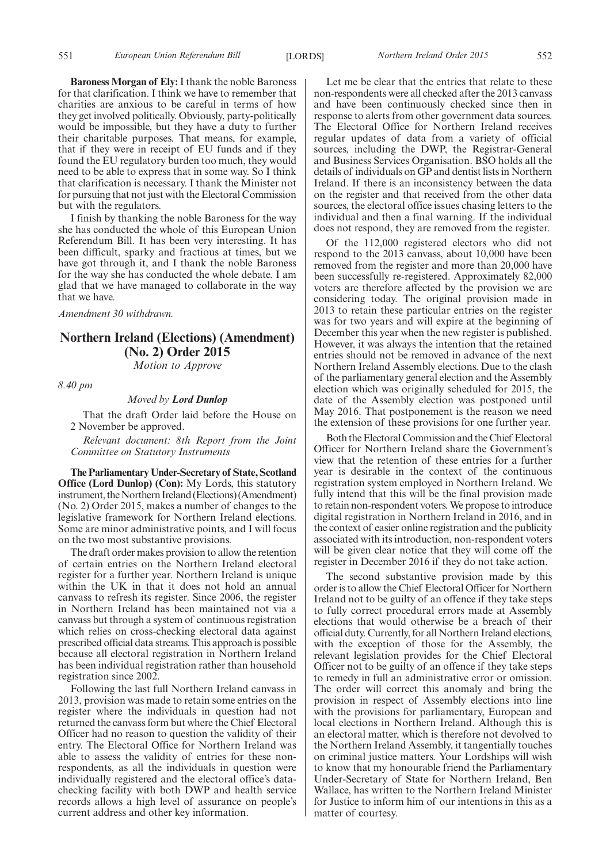**Baroness Morgan of Ely:** I thank the noble Baroness for that clarification. I think we have to remember that charities are anxious to be careful in terms of how they get involved politically. Obviously, party-politically would be impossible, but they have a duty to further their charitable purposes. That means, for example, that if they were in receipt of EU funds and if they found the EU regulatory burden too much, they would need to be able to express that in some way. So I think that clarification is necessary. I thank the Minister not for pursuing that not just with the Electoral Commission but with the regulators.

I finish by thanking the noble Baroness for the way she has conducted the whole of this European Union Referendum Bill. It has been very interesting. It has been difficult, sparky and fractious at times, but we have got through it, and I thank the noble Baroness for the way she has conducted the whole debate. I am glad that we have managed to collaborate in the way that we have.

*Amendment 30 withdrawn.*

## **Northern Ireland (Elections) (Amendment) (No. 2) Order 2015**

*Motion to Approve*

*8.40 pm*

### *Moved by Lord Dunlop*

That the draft Order laid before the House on 2 November be approved.

*Relevant document: 8th Report from the Joint Committee on Statutory Instruments*

**The Parliamentary Under-Secretary of State, Scotland Office (Lord Dunlop) (Con):** My Lords, this statutory instrument, the Northern Ireland (Elections) (Amendment) (No. 2) Order 2015, makes a number of changes to the legislative framework for Northern Ireland elections. Some are minor administrative points, and I will focus on the two most substantive provisions.

The draft order makes provision to allow the retention of certain entries on the Northern Ireland electoral register for a further year. Northern Ireland is unique within the UK in that it does not hold an annual canvass to refresh its register. Since 2006, the register in Northern Ireland has been maintained not via a canvass but through a system of continuous registration which relies on cross-checking electoral data against prescribed official data streams. This approach is possible because all electoral registration in Northern Ireland has been individual registration rather than household registration since 2002.

Following the last full Northern Ireland canvass in 2013, provision was made to retain some entries on the register where the individuals in question had not returned the canvass form but where the Chief Electoral Officer had no reason to question the validity of their entry. The Electoral Office for Northern Ireland was able to assess the validity of entries for these nonrespondents, as all the individuals in question were individually registered and the electoral office's datachecking facility with both DWP and health service records allows a high level of assurance on people's current address and other key information.

Let me be clear that the entries that relate to these non-respondents were all checked after the 2013 canvass and have been continuously checked since then in response to alerts from other government data sources. The Electoral Office for Northern Ireland receives regular updates of data from a variety of official sources, including the DWP, the Registrar-General and Business Services Organisation. BSO holds all the details of individuals on GP and dentist lists in Northern Ireland. If there is an inconsistency between the data on the register and that received from the other data sources, the electoral office issues chasing letters to the individual and then a final warning. If the individual does not respond, they are removed from the register.

Of the 112,000 registered electors who did not respond to the 2013 canvass, about 10,000 have been removed from the register and more than 20,000 have been successfully re-registered. Approximately 82,000 voters are therefore affected by the provision we are considering today. The original provision made in 2013 to retain these particular entries on the register was for two years and will expire at the beginning of December this year when the new register is published. However, it was always the intention that the retained entries should not be removed in advance of the next Northern Ireland Assembly elections. Due to the clash of the parliamentary general election and the Assembly election which was originally scheduled for 2015, the date of the Assembly election was postponed until May 2016. That postponement is the reason we need the extension of these provisions for one further year.

Both the Electoral Commission and the Chief Electoral Officer for Northern Ireland share the Government's view that the retention of these entries for a further year is desirable in the context of the continuous registration system employed in Northern Ireland. We fully intend that this will be the final provision made to retain non-respondent voters.We propose to introduce digital registration in Northern Ireland in 2016, and in the context of easier online registration and the publicity associated with its introduction, non-respondent voters will be given clear notice that they will come off the register in December 2016 if they do not take action.

The second substantive provision made by this order is to allow the Chief Electoral Officer for Northern Ireland not to be guilty of an offence if they take steps to fully correct procedural errors made at Assembly elections that would otherwise be a breach of their official duty. Currently, for all Northern Ireland elections, with the exception of those for the Assembly, the relevant legislation provides for the Chief Electoral Officer not to be guilty of an offence if they take steps to remedy in full an administrative error or omission. The order will correct this anomaly and bring the provision in respect of Assembly elections into line with the provisions for parliamentary, European and local elections in Northern Ireland. Although this is an electoral matter, which is therefore not devolved to the Northern Ireland Assembly, it tangentially touches on criminal justice matters. Your Lordships will wish to know that my honourable friend the Parliamentary Under-Secretary of State for Northern Ireland, Ben Wallace, has written to the Northern Ireland Minister for Justice to inform him of our intentions in this as a matter of courtesy.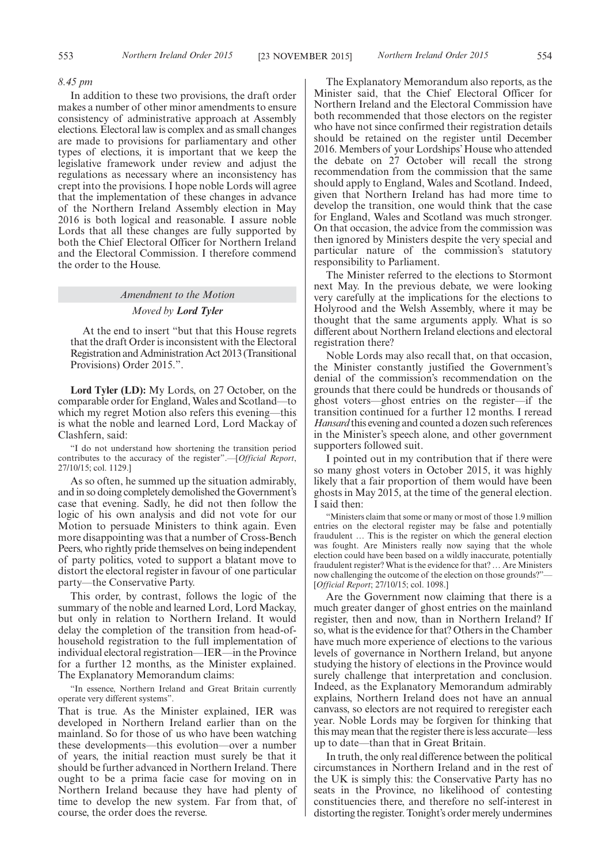#### *8.45 pm*

In addition to these two provisions, the draft order makes a number of other minor amendments to ensure consistency of administrative approach at Assembly elections. Electoral law is complex and as small changes are made to provisions for parliamentary and other types of elections, it is important that we keep the legislative framework under review and adjust the regulations as necessary where an inconsistency has crept into the provisions. I hope noble Lords will agree that the implementation of these changes in advance of the Northern Ireland Assembly election in May 2016 is both logical and reasonable. I assure noble Lords that all these changes are fully supported by both the Chief Electoral Officer for Northern Ireland and the Electoral Commission. I therefore commend the order to the House.

### *Amendment to the Motion*

### *Moved by Lord Tyler*

At the end to insert "but that this House regrets that the draft Order is inconsistent with the Electoral Registration and Administration Act 2013 (Transitional Provisions) Order 2015.".

**Lord Tyler (LD):** My Lords, on 27 October, on the comparable order for England, Wales and Scotland—to which my regret Motion also refers this evening—this is what the noble and learned Lord, Lord Mackay of Clashfern, said:

"I do not understand how shortening the transition period contributes to the accuracy of the register".—[*Official Report*, 27/10/15; col. 1129.]

As so often, he summed up the situation admirably, and in so doing completely demolished the Government's case that evening. Sadly, he did not then follow the logic of his own analysis and did not vote for our Motion to persuade Ministers to think again. Even more disappointing was that a number of Cross-Bench Peers, who rightly pride themselves on being independent of party politics, voted to support a blatant move to distort the electoral register in favour of one particular party—the Conservative Party.

This order, by contrast, follows the logic of the summary of the noble and learned Lord, Lord Mackay, but only in relation to Northern Ireland. It would delay the completion of the transition from head-ofhousehold registration to the full implementation of individual electoral registration—IER—in the Province for a further 12 months, as the Minister explained. The Explanatory Memorandum claims:

"In essence, Northern Ireland and Great Britain currently operate very different systems".

That is true. As the Minister explained, IER was developed in Northern Ireland earlier than on the mainland. So for those of us who have been watching these developments—this evolution—over a number of years, the initial reaction must surely be that it should be further advanced in Northern Ireland. There ought to be a prima facie case for moving on in Northern Ireland because they have had plenty of time to develop the new system. Far from that, of course, the order does the reverse.

The Explanatory Memorandum also reports, as the Minister said, that the Chief Electoral Officer for Northern Ireland and the Electoral Commission have both recommended that those electors on the register who have not since confirmed their registration details should be retained on the register until December 2016. Members of your Lordships'House who attended the debate on 27 October will recall the strong recommendation from the commission that the same should apply to England, Wales and Scotland. Indeed, given that Northern Ireland has had more time to develop the transition, one would think that the case for England, Wales and Scotland was much stronger. On that occasion, the advice from the commission was then ignored by Ministers despite the very special and particular nature of the commission's statutory responsibility to Parliament.

The Minister referred to the elections to Stormont next May. In the previous debate, we were looking very carefully at the implications for the elections to Holyrood and the Welsh Assembly, where it may be thought that the same arguments apply. What is so different about Northern Ireland elections and electoral registration there?

Noble Lords may also recall that, on that occasion, the Minister constantly justified the Government's denial of the commission's recommendation on the grounds that there could be hundreds or thousands of ghost voters—ghost entries on the register—if the transition continued for a further 12 months. I reread *Hansard* this evening and counted a dozen such references in the Minister's speech alone, and other government supporters followed suit.

I pointed out in my contribution that if there were so many ghost voters in October 2015, it was highly likely that a fair proportion of them would have been ghosts in May 2015, at the time of the general election. I said then:

"Ministers claim that some or many or most of those 1.9 million entries on the electoral register may be false and potentially fraudulent … This is the register on which the general election was fought. Are Ministers really now saying that the whole election could have been based on a wildly inaccurate, potentially fraudulent register? What is the evidence for that? … Are Ministers now challenging the outcome of the election on those grounds?"— [*Official Report*; 27/10/15; col. 1098.]

Are the Government now claiming that there is a much greater danger of ghost entries on the mainland register, then and now, than in Northern Ireland? If so, what is the evidence for that? Others in the Chamber have much more experience of elections to the various levels of governance in Northern Ireland, but anyone studying the history of elections in the Province would surely challenge that interpretation and conclusion. Indeed, as the Explanatory Memorandum admirably explains, Northern Ireland does not have an annual canvass, so electors are not required to reregister each year. Noble Lords may be forgiven for thinking that this may mean that the register there is less accurate—less up to date—than that in Great Britain.

In truth, the only real difference between the political circumstances in Northern Ireland and in the rest of the UK is simply this: the Conservative Party has no seats in the Province, no likelihood of contesting constituencies there, and therefore no self-interest in distorting the register. Tonight's order merely undermines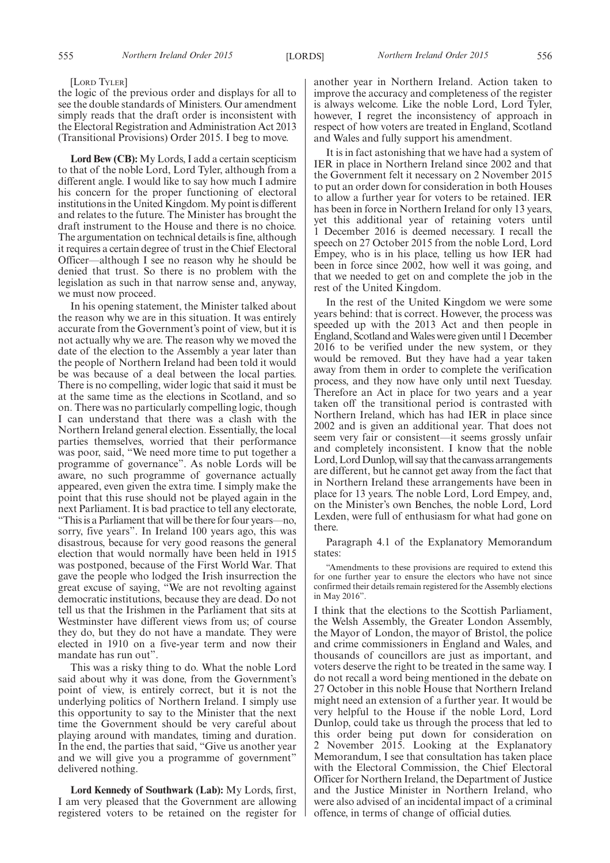### [LORD TYLER]

the logic of the previous order and displays for all to see the double standards of Ministers. Our amendment simply reads that the draft order is inconsistent with the Electoral Registration and Administration Act 2013 (Transitional Provisions) Order 2015. I beg to move.

**Lord Bew (CB):** My Lords, I add a certain scepticism to that of the noble Lord, Lord Tyler, although from a different angle. I would like to say how much I admire his concern for the proper functioning of electoral institutions in the United Kingdom.My point is different and relates to the future. The Minister has brought the draft instrument to the House and there is no choice. The argumentation on technical details is fine, although it requires a certain degree of trust in the Chief Electoral Officer—although I see no reason why he should be denied that trust. So there is no problem with the legislation as such in that narrow sense and, anyway, we must now proceed.

In his opening statement, the Minister talked about the reason why we are in this situation. It was entirely accurate from the Government's point of view, but it is not actually why we are. The reason why we moved the date of the election to the Assembly a year later than the people of Northern Ireland had been told it would be was because of a deal between the local parties. There is no compelling, wider logic that said it must be at the same time as the elections in Scotland, and so on. There was no particularly compelling logic, though I can understand that there was a clash with the Northern Ireland general election. Essentially, the local parties themselves, worried that their performance was poor, said, "We need more time to put together a programme of governance". As noble Lords will be aware, no such programme of governance actually appeared, even given the extra time. I simply make the point that this ruse should not be played again in the next Parliament. It is bad practice to tell any electorate, "This is a Parliament that will be there for four years—no, sorry, five years". In Ireland 100 years ago, this was disastrous, because for very good reasons the general election that would normally have been held in 1915 was postponed, because of the First World War. That gave the people who lodged the Irish insurrection the great excuse of saying, "We are not revolting against democratic institutions, because they are dead. Do not tell us that the Irishmen in the Parliament that sits at Westminster have different views from us; of course they do, but they do not have a mandate. They were elected in 1910 on a five-year term and now their mandate has run out".

This was a risky thing to do. What the noble Lord said about why it was done, from the Government's point of view, is entirely correct, but it is not the underlying politics of Northern Ireland. I simply use this opportunity to say to the Minister that the next time the Government should be very careful about playing around with mandates, timing and duration. In the end, the parties that said, "Give us another year and we will give you a programme of government" delivered nothing.

**Lord Kennedy of Southwark (Lab):** My Lords, first, I am very pleased that the Government are allowing registered voters to be retained on the register for another year in Northern Ireland. Action taken to improve the accuracy and completeness of the register is always welcome. Like the noble Lord, Lord Tyler, however, I regret the inconsistency of approach in respect of how voters are treated in England, Scotland and Wales and fully support his amendment.

It is in fact astonishing that we have had a system of IER in place in Northern Ireland since 2002 and that the Government felt it necessary on 2 November 2015 to put an order down for consideration in both Houses to allow a further year for voters to be retained. IER has been in force in Northern Ireland for only 13 years, yet this additional year of retaining voters until 1 December 2016 is deemed necessary. I recall the speech on 27 October 2015 from the noble Lord, Lord Empey, who is in his place, telling us how IER had been in force since 2002, how well it was going, and that we needed to get on and complete the job in the rest of the United Kingdom.

In the rest of the United Kingdom we were some years behind: that is correct. However, the process was speeded up with the 2013 Act and then people in England, Scotland andWales were given until 1 December 2016 to be verified under the new system, or they would be removed. But they have had a year taken away from them in order to complete the verification process, and they now have only until next Tuesday. Therefore an Act in place for two years and a year taken off the transitional period is contrasted with Northern Ireland, which has had IER in place since 2002 and is given an additional year. That does not seem very fair or consistent—it seems grossly unfair and completely inconsistent. I know that the noble Lord, Lord Dunlop, will say that the canvass arrangements are different, but he cannot get away from the fact that in Northern Ireland these arrangements have been in place for 13 years. The noble Lord, Lord Empey, and, on the Minister's own Benches, the noble Lord, Lord Lexden, were full of enthusiasm for what had gone on there.

Paragraph 4.1 of the Explanatory Memorandum states:

"Amendments to these provisions are required to extend this for one further year to ensure the electors who have not since confirmed their details remain registered for the Assembly elections in May 2016".

I think that the elections to the Scottish Parliament, the Welsh Assembly, the Greater London Assembly, the Mayor of London, the mayor of Bristol, the police and crime commissioners in England and Wales, and thousands of councillors are just as important, and voters deserve the right to be treated in the same way. I do not recall a word being mentioned in the debate on 27 October in this noble House that Northern Ireland might need an extension of a further year. It would be very helpful to the House if the noble Lord, Lord Dunlop, could take us through the process that led to this order being put down for consideration on 2 November 2015. Looking at the Explanatory Memorandum, I see that consultation has taken place with the Electoral Commission, the Chief Electoral Officer for Northern Ireland, the Department of Justice and the Justice Minister in Northern Ireland, who were also advised of an incidental impact of a criminal offence, in terms of change of official duties.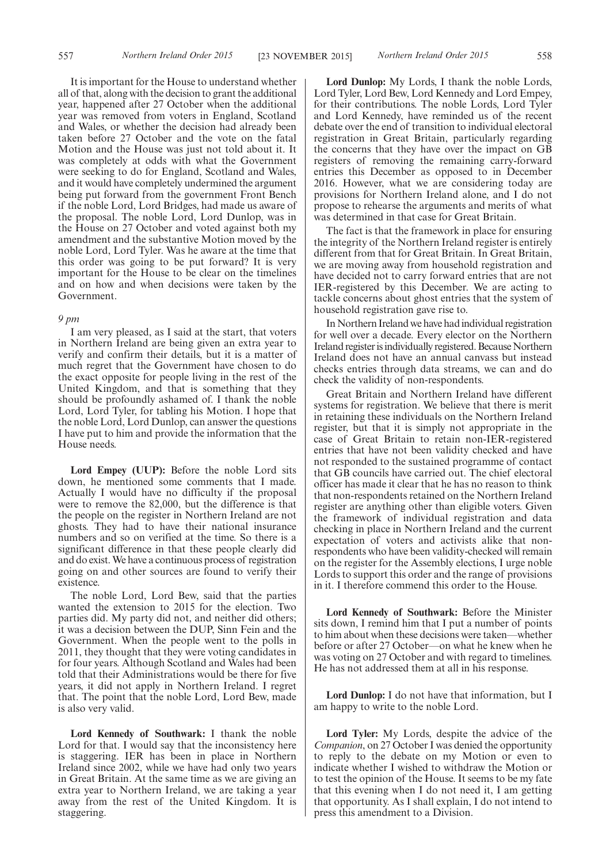It is important for the House to understand whether all of that, along with the decision to grant the additional year, happened after 27 October when the additional year was removed from voters in England, Scotland and Wales, or whether the decision had already been taken before 27 October and the vote on the fatal Motion and the House was just not told about it. It was completely at odds with what the Government were seeking to do for England, Scotland and Wales, and it would have completely undermined the argument being put forward from the government Front Bench if the noble Lord, Lord Bridges, had made us aware of the proposal. The noble Lord, Lord Dunlop, was in the House on 27 October and voted against both my amendment and the substantive Motion moved by the noble Lord, Lord Tyler. Was he aware at the time that this order was going to be put forward? It is very important for the House to be clear on the timelines and on how and when decisions were taken by the Government.

### *9 pm*

I am very pleased, as I said at the start, that voters in Northern Ireland are being given an extra year to verify and confirm their details, but it is a matter of much regret that the Government have chosen to do the exact opposite for people living in the rest of the United Kingdom, and that is something that they should be profoundly ashamed of. I thank the noble Lord, Lord Tyler, for tabling his Motion. I hope that the noble Lord, Lord Dunlop, can answer the questions I have put to him and provide the information that the House needs.

**Lord Empey (UUP):** Before the noble Lord sits down, he mentioned some comments that I made. Actually I would have no difficulty if the proposal were to remove the 82,000, but the difference is that the people on the register in Northern Ireland are not ghosts. They had to have their national insurance numbers and so on verified at the time. So there is a significant difference in that these people clearly did and do exist.We have a continuous process of registration going on and other sources are found to verify their existence.

The noble Lord, Lord Bew, said that the parties wanted the extension to 2015 for the election. Two parties did. My party did not, and neither did others; it was a decision between the DUP, Sinn Fein and the Government. When the people went to the polls in 2011, they thought that they were voting candidates in for four years. Although Scotland and Wales had been told that their Administrations would be there for five years, it did not apply in Northern Ireland. I regret that. The point that the noble Lord, Lord Bew, made is also very valid.

**Lord Kennedy of Southwark:** I thank the noble Lord for that. I would say that the inconsistency here is staggering. IER has been in place in Northern Ireland since 2002, while we have had only two years in Great Britain. At the same time as we are giving an extra year to Northern Ireland, we are taking a year away from the rest of the United Kingdom. It is staggering.

**Lord Dunlop:** My Lords, I thank the noble Lords, Lord Tyler, Lord Bew, Lord Kennedy and Lord Empey, for their contributions. The noble Lords, Lord Tyler and Lord Kennedy, have reminded us of the recent debate over the end of transition to individual electoral registration in Great Britain, particularly regarding the concerns that they have over the impact on GB registers of removing the remaining carry-forward entries this December as opposed to in December 2016. However, what we are considering today are provisions for Northern Ireland alone, and I do not propose to rehearse the arguments and merits of what was determined in that case for Great Britain.

The fact is that the framework in place for ensuring the integrity of the Northern Ireland register is entirely different from that for Great Britain. In Great Britain, we are moving away from household registration and have decided not to carry forward entries that are not IER-registered by this December. We are acting to tackle concerns about ghost entries that the system of household registration gave rise to.

In Northern Ireland we have had individual registration for well over a decade. Every elector on the Northern Ireland register is individually registered. Because Northern Ireland does not have an annual canvass but instead checks entries through data streams, we can and do check the validity of non-respondents.

Great Britain and Northern Ireland have different systems for registration. We believe that there is merit in retaining these individuals on the Northern Ireland register, but that it is simply not appropriate in the case of Great Britain to retain non-IER-registered entries that have not been validity checked and have not responded to the sustained programme of contact that GB councils have carried out. The chief electoral officer has made it clear that he has no reason to think that non-respondents retained on the Northern Ireland register are anything other than eligible voters. Given the framework of individual registration and data checking in place in Northern Ireland and the current expectation of voters and activists alike that nonrespondents who have been validity-checked will remain on the register for the Assembly elections, I urge noble Lords to support this order and the range of provisions in it. I therefore commend this order to the House.

**Lord Kennedy of Southwark:** Before the Minister sits down, I remind him that I put a number of points to him about when these decisions were taken—whether before or after 27 October—on what he knew when he was voting on 27 October and with regard to timelines. He has not addressed them at all in his response.

**Lord Dunlop:** I do not have that information, but I am happy to write to the noble Lord.

**Lord Tyler:** My Lords, despite the advice of the *Companion*, on 27 October I was denied the opportunity to reply to the debate on my Motion or even to indicate whether I wished to withdraw the Motion or to test the opinion of the House. It seems to be my fate that this evening when I do not need it, I am getting that opportunity. As I shall explain, I do not intend to press this amendment to a Division.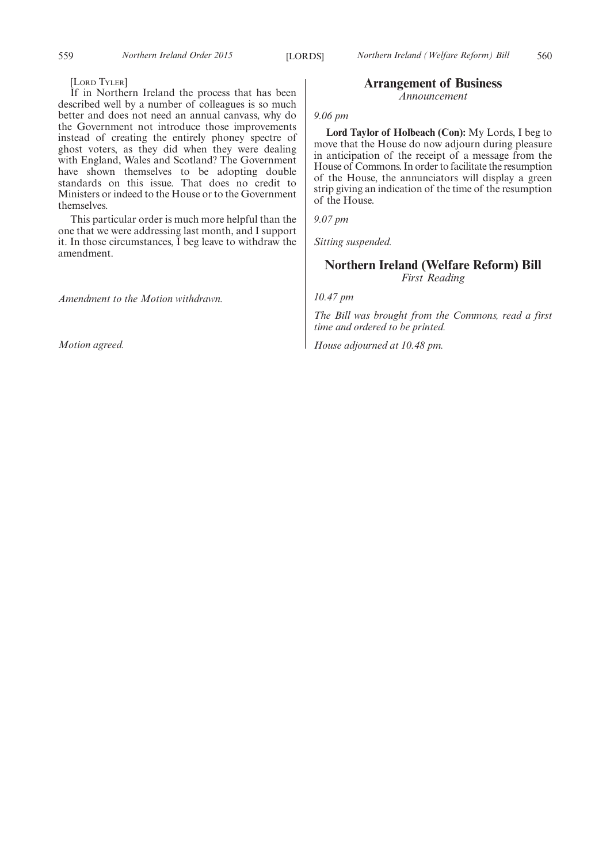[LORD TYLER]

If in Northern Ireland the process that has been described well by a number of colleagues is so much better and does not need an annual canvass, why do the Government not introduce those improvements instead of creating the entirely phoney spectre of ghost voters, as they did when they were dealing with England, Wales and Scotland? The Government have shown themselves to be adopting double standards on this issue. That does no credit to Ministers or indeed to the House or to the Government themselves.

This particular order is much more helpful than the one that we were addressing last month, and I support it. In those circumstances, I beg leave to withdraw the amendment.

*Amendment to the Motion withdrawn.*

*Motion agreed.*

### **Arrangement of Business**

*Announcement*

### *9.06 pm*

**Lord Taylor of Holbeach (Con):** My Lords, I beg to move that the House do now adjourn during pleasure in anticipation of the receipt of a message from the House of Commons. In order to facilitate the resumption of the House, the annunciators will display a green strip giving an indication of the time of the resumption of the House.

*9.07 pm*

*Sitting suspended.*

## **Northern Ireland (Welfare Reform) Bill** *First Reading*

*10.47 pm*

*The Bill was brought from the Commons, read a first time and ordered to be printed.*

*House adjourned at 10.48 pm.*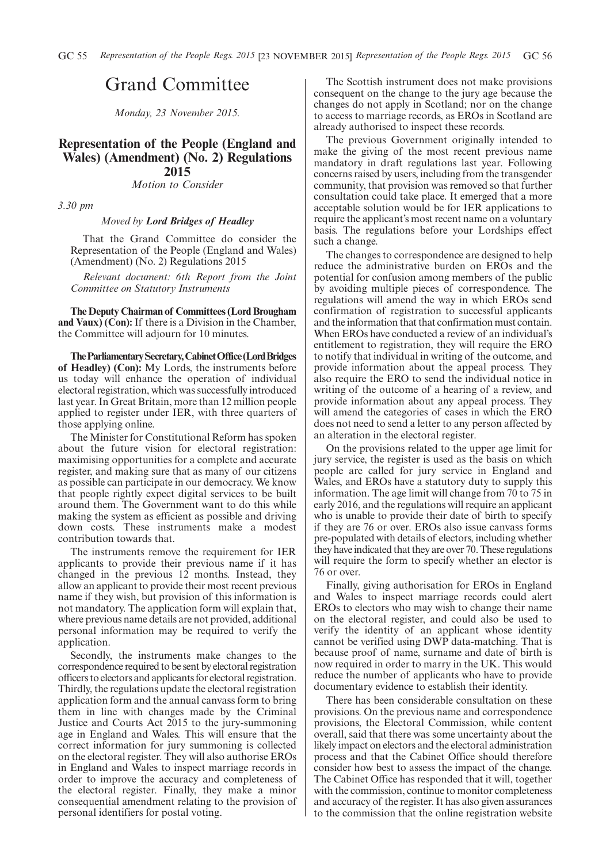# Grand Committee

*Monday, 23 November 2015.*

### **Representation of the People (England and Wales) (Amendment) (No. 2) Regulations 2015**

*Motion to Consider*

*3.30 pm*

### *Moved by Lord Bridges of Headley*

That the Grand Committee do consider the Representation of the People (England and Wales) (Amendment) (No. 2) Regulations 2015

*Relevant document: 6th Report from the Joint Committee on Statutory Instruments*

**The Deputy Chairman of Committees (Lord Brougham and Vaux) (Con):** If there is a Division in the Chamber, the Committee will adjourn for 10 minutes.

**TheParliamentarySecretary,CabinetOffice(LordBridges of Headley) (Con):** My Lords, the instruments before us today will enhance the operation of individual electoral registration, which was successfully introduced last year. In Great Britain, more than 12 million people applied to register under IER, with three quarters of those applying online.

The Minister for Constitutional Reform has spoken about the future vision for electoral registration: maximising opportunities for a complete and accurate register, and making sure that as many of our citizens as possible can participate in our democracy. We know that people rightly expect digital services to be built around them. The Government want to do this while making the system as efficient as possible and driving down costs. These instruments make a modest contribution towards that.

The instruments remove the requirement for IER applicants to provide their previous name if it has changed in the previous 12 months. Instead, they allow an applicant to provide their most recent previous name if they wish, but provision of this information is not mandatory. The application form will explain that, where previous name details are not provided, additional personal information may be required to verify the application.

Secondly, the instruments make changes to the correspondence required to be sent by electoral registration officers to electors and applicants for electoral registration. Thirdly, the regulations update the electoral registration application form and the annual canvass form to bring them in line with changes made by the Criminal Justice and Courts Act 2015 to the jury-summoning age in England and Wales. This will ensure that the correct information for jury summoning is collected on the electoral register. They will also authorise EROs in England and Wales to inspect marriage records in order to improve the accuracy and completeness of the electoral register. Finally, they make a minor consequential amendment relating to the provision of personal identifiers for postal voting.

The Scottish instrument does not make provisions consequent on the change to the jury age because the changes do not apply in Scotland; nor on the change to access to marriage records, as EROs in Scotland are already authorised to inspect these records.

The previous Government originally intended to make the giving of the most recent previous name mandatory in draft regulations last year. Following concerns raised by users, including from the transgender community, that provision was removed so that further consultation could take place. It emerged that a more acceptable solution would be for IER applications to require the applicant's most recent name on a voluntary basis. The regulations before your Lordships effect such a change.

The changes to correspondence are designed to help reduce the administrative burden on EROs and the potential for confusion among members of the public by avoiding multiple pieces of correspondence. The regulations will amend the way in which EROs send confirmation of registration to successful applicants and the information that that confirmation must contain. When EROs have conducted a review of an individual's entitlement to registration, they will require the ERO to notify that individual in writing of the outcome, and provide information about the appeal process. They also require the ERO to send the individual notice in writing of the outcome of a hearing of a review, and provide information about any appeal process. They will amend the categories of cases in which the ERO does not need to send a letter to any person affected by an alteration in the electoral register.

On the provisions related to the upper age limit for jury service, the register is used as the basis on which people are called for jury service in England and Wales, and EROs have a statutory duty to supply this information. The age limit will change from 70 to 75 in early 2016, and the regulations will require an applicant who is unable to provide their date of birth to specify if they are 76 or over. EROs also issue canvass forms pre-populated with details of electors, including whether they have indicated that they are over 70. These regulations will require the form to specify whether an elector is 76 or over.

Finally, giving authorisation for EROs in England and Wales to inspect marriage records could alert EROs to electors who may wish to change their name on the electoral register, and could also be used to verify the identity of an applicant whose identity cannot be verified using DWP data-matching. That is because proof of name, surname and date of birth is now required in order to marry in the UK. This would reduce the number of applicants who have to provide documentary evidence to establish their identity.

There has been considerable consultation on these provisions. On the previous name and correspondence provisions, the Electoral Commission, while content overall, said that there was some uncertainty about the likely impact on electors and the electoral administration process and that the Cabinet Office should therefore consider how best to assess the impact of the change. The Cabinet Office has responded that it will, together with the commission, continue to monitor completeness and accuracy of the register. It has also given assurances to the commission that the online registration website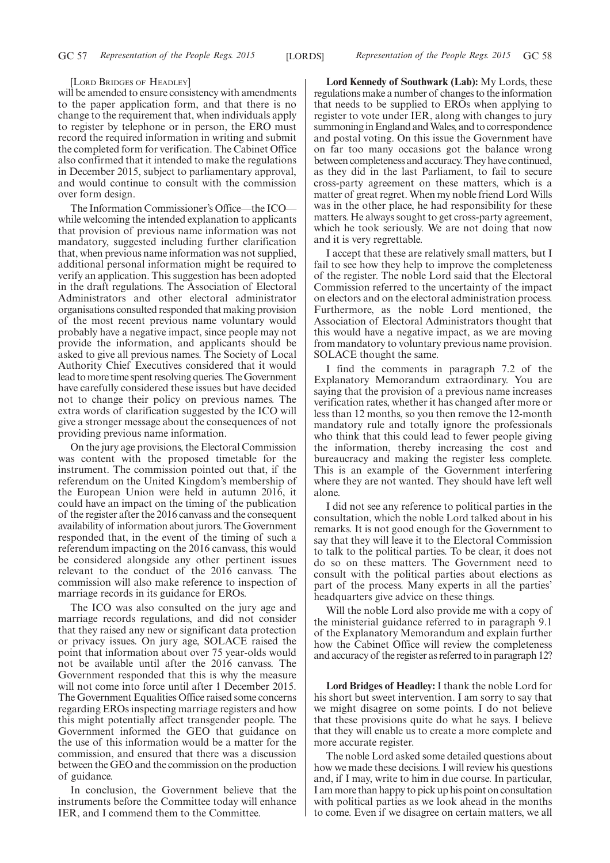#### [LORD BRIDGES OF HEADLEY]

will be amended to ensure consistency with amendments to the paper application form, and that there is no change to the requirement that, when individuals apply to register by telephone or in person, the ERO must record the required information in writing and submit the completed form for verification. The Cabinet Office also confirmed that it intended to make the regulations in December 2015, subject to parliamentary approval, and would continue to consult with the commission over form design.

The Information Commissioner's Office—the ICO while welcoming the intended explanation to applicants that provision of previous name information was not mandatory, suggested including further clarification that, when previous name information was not supplied, additional personal information might be required to verify an application. This suggestion has been adopted in the draft regulations. The Association of Electoral Administrators and other electoral administrator organisations consulted responded that making provision of the most recent previous name voluntary would probably have a negative impact, since people may not provide the information, and applicants should be asked to give all previous names. The Society of Local Authority Chief Executives considered that it would lead tomore time spent resolving queries.TheGovernment have carefully considered these issues but have decided not to change their policy on previous names. The extra words of clarification suggested by the ICO will give a stronger message about the consequences of not providing previous name information.

On the jury age provisions, the Electoral Commission was content with the proposed timetable for the instrument. The commission pointed out that, if the referendum on the United Kingdom's membership of the European Union were held in autumn 2016, it could have an impact on the timing of the publication of the register after the 2016 canvass and the consequent availability of information about jurors. The Government responded that, in the event of the timing of such a referendum impacting on the 2016 canvass, this would be considered alongside any other pertinent issues relevant to the conduct of the 2016 canvass. The commission will also make reference to inspection of marriage records in its guidance for EROs.

The ICO was also consulted on the jury age and marriage records regulations, and did not consider that they raised any new or significant data protection or privacy issues. On jury age, SOLACE raised the point that information about over 75 year-olds would not be available until after the 2016 canvass. The Government responded that this is why the measure will not come into force until after 1 December 2015. The Government Equalities Office raised some concerns regarding EROs inspecting marriage registers and how this might potentially affect transgender people. The Government informed the GEO that guidance on the use of this information would be a matter for the commission, and ensured that there was a discussion between the GEO and the commission on the production of guidance.

In conclusion, the Government believe that the instruments before the Committee today will enhance IER, and I commend them to the Committee.

**Lord Kennedy of Southwark (Lab):** My Lords, these regulations make a number of changes to the information that needs to be supplied to EROs when applying to register to vote under IER, along with changes to jury summoning in England and Wales, and to correspondence and postal voting. On this issue the Government have on far too many occasions got the balance wrong between completeness and accuracy. They have continued, as they did in the last Parliament, to fail to secure cross-party agreement on these matters, which is a matter of great regret. When my noble friend Lord Wills was in the other place, he had responsibility for these matters. He always sought to get cross-party agreement, which he took seriously. We are not doing that now and it is very regrettable.

I accept that these are relatively small matters, but I fail to see how they help to improve the completeness of the register. The noble Lord said that the Electoral Commission referred to the uncertainty of the impact on electors and on the electoral administration process. Furthermore, as the noble Lord mentioned, the Association of Electoral Administrators thought that this would have a negative impact, as we are moving from mandatory to voluntary previous name provision. SOLACE thought the same.

I find the comments in paragraph 7.2 of the Explanatory Memorandum extraordinary. You are saying that the provision of a previous name increases verification rates, whether it has changed after more or less than 12 months, so you then remove the 12-month mandatory rule and totally ignore the professionals who think that this could lead to fewer people giving the information, thereby increasing the cost and bureaucracy and making the register less complete. This is an example of the Government interfering where they are not wanted. They should have left well alone.

I did not see any reference to political parties in the consultation, which the noble Lord talked about in his remarks. It is not good enough for the Government to say that they will leave it to the Electoral Commission to talk to the political parties. To be clear, it does not do so on these matters. The Government need to consult with the political parties about elections as part of the process. Many experts in all the parties' headquarters give advice on these things.

Will the noble Lord also provide me with a copy of the ministerial guidance referred to in paragraph 9.1 of the Explanatory Memorandum and explain further how the Cabinet Office will review the completeness and accuracy of the register as referred to in paragraph 12?

**Lord Bridges of Headley:** I thank the noble Lord for his short but sweet intervention. I am sorry to say that we might disagree on some points. I do not believe that these provisions quite do what he says. I believe that they will enable us to create a more complete and more accurate register.

The noble Lord asked some detailed questions about how we made these decisions. I will review his questions and, if I may, write to him in due course. In particular, I am more than happy to pick up his point on consultation with political parties as we look ahead in the months to come. Even if we disagree on certain matters, we all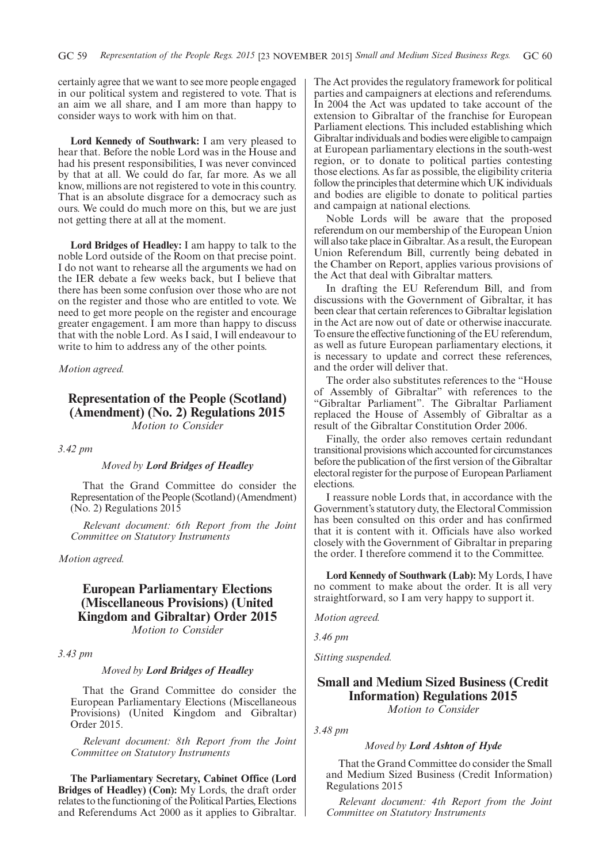certainly agree that we want to see more people engaged in our political system and registered to vote. That is an aim we all share, and I am more than happy to consider ways to work with him on that.

**Lord Kennedy of Southwark:** I am very pleased to hear that. Before the noble Lord was in the House and had his present responsibilities, I was never convinced by that at all. We could do far, far more. As we all know, millions are not registered to vote in this country. That is an absolute disgrace for a democracy such as ours. We could do much more on this, but we are just not getting there at all at the moment.

**Lord Bridges of Headley:** I am happy to talk to the noble Lord outside of the Room on that precise point. I do not want to rehearse all the arguments we had on the IER debate a few weeks back, but I believe that there has been some confusion over those who are not on the register and those who are entitled to vote. We need to get more people on the register and encourage greater engagement. I am more than happy to discuss that with the noble Lord. As I said, I will endeavour to write to him to address any of the other points.

*Motion agreed.*

### **Representation of the People (Scotland) (Amendment) (No. 2) Regulations 2015** *Motion to Consider*

### *3.42 pm*

### *Moved by Lord Bridges of Headley*

That the Grand Committee do consider the Representation of the People (Scotland) (Amendment) (No. 2) Regulations 2015

*Relevant document: 6th Report from the Joint Committee on Statutory Instruments*

*Motion agreed.*

## **European Parliamentary Elections (Miscellaneous Provisions) (United Kingdom and Gibraltar) Order 2015**

*Motion to Consider*

*3.43 pm*

### *Moved by Lord Bridges of Headley*

That the Grand Committee do consider the European Parliamentary Elections (Miscellaneous Provisions) (United Kingdom and Gibraltar) Order 2015.

*Relevant document: 8th Report from the Joint Committee on Statutory Instruments*

**The Parliamentary Secretary, Cabinet Office (Lord Bridges of Headley) (Con):** My Lords, the draft order relates to the functioning of the Political Parties, Elections and Referendums Act 2000 as it applies to Gibraltar. The Act provides the regulatory framework for political parties and campaigners at elections and referendums. In 2004 the Act was updated to take account of the extension to Gibraltar of the franchise for European Parliament elections. This included establishing which Gibraltar individuals and bodies were eligible to campaign at European parliamentary elections in the south-west region, or to donate to political parties contesting those elections. As far as possible, the eligibility criteria follow the principles that determine which UK individuals and bodies are eligible to donate to political parties and campaign at national elections.

Noble Lords will be aware that the proposed referendum on our membership of the European Union will also take place in Gibraltar. As a result, the European Union Referendum Bill, currently being debated in the Chamber on Report, applies various provisions of the Act that deal with Gibraltar matters.

In drafting the EU Referendum Bill, and from discussions with the Government of Gibraltar, it has been clear that certain references to Gibraltar legislation in the Act are now out of date or otherwise inaccurate. To ensure the effective functioning of the EU referendum, as well as future European parliamentary elections, it is necessary to update and correct these references, and the order will deliver that.

The order also substitutes references to the "House of Assembly of Gibraltar" with references to the "Gibraltar Parliament". The Gibraltar Parliament replaced the House of Assembly of Gibraltar as a result of the Gibraltar Constitution Order 2006.

Finally, the order also removes certain redundant transitional provisions which accounted for circumstances before the publication of the first version of the Gibraltar electoral register for the purpose of European Parliament elections.

I reassure noble Lords that, in accordance with the Government's statutory duty, the Electoral Commission has been consulted on this order and has confirmed that it is content with it. Officials have also worked closely with the Government of Gibraltar in preparing the order. I therefore commend it to the Committee.

**Lord Kennedy of Southwark (Lab):** My Lords, I have no comment to make about the order. It is all very straightforward, so I am very happy to support it.

*Motion agreed.*

*3.46 pm*

*Sitting suspended.*

## **Small and Medium Sized Business (Credit Information) Regulations 2015**

*Motion to Consider*

*3.48 pm*

### *Moved by Lord Ashton of Hyde*

That the Grand Committee do consider the Small and Medium Sized Business (Credit Information) Regulations 2015

*Relevant document: 4th Report from the Joint Committee on Statutory Instruments*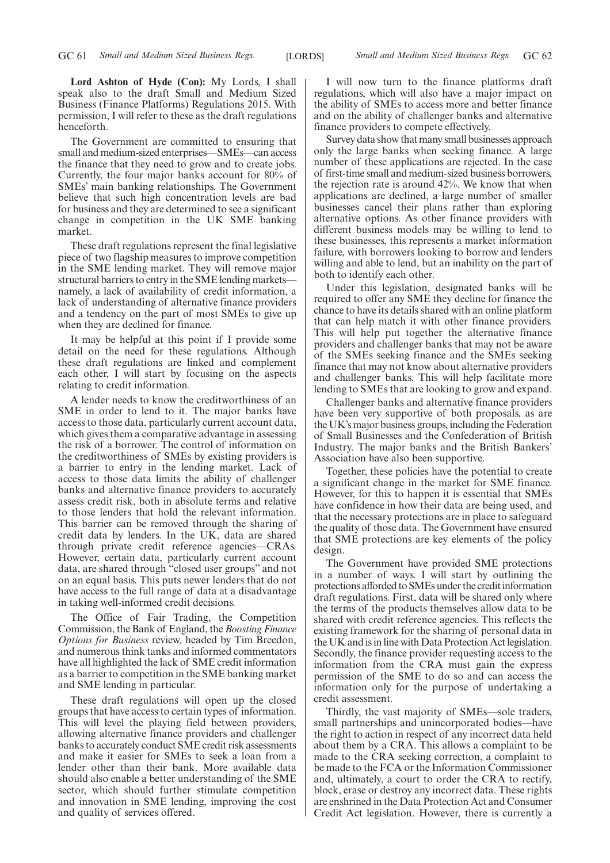**Lord Ashton of Hyde (Con):** My Lords, I shall speak also to the draft Small and Medium Sized Business (Finance Platforms) Regulations 2015. With permission, I will refer to these as the draft regulations henceforth.

The Government are committed to ensuring that small and medium-sized enterprises—SMEs—can access the finance that they need to grow and to create jobs. Currently, the four major banks account for 80% of SMEs' main banking relationships. The Government believe that such high concentration levels are bad for business and they are determined to see a significant change in competition in the UK SME banking market.

These draft regulations represent the final legislative piece of two flagship measures to improve competition in the SME lending market. They will remove major structural barriers to entry in the SME lending markets namely, a lack of availability of credit information, a lack of understanding of alternative finance providers and a tendency on the part of most SMEs to give up when they are declined for finance.

It may be helpful at this point if I provide some detail on the need for these regulations. Although these draft regulations are linked and complement each other, I will start by focusing on the aspects relating to credit information.

A lender needs to know the creditworthiness of an SME in order to lend to it. The major banks have access to those data, particularly current account data, which gives them a comparative advantage in assessing the risk of a borrower. The control of information on the creditworthiness of SMEs by existing providers is a barrier to entry in the lending market. Lack of access to those data limits the ability of challenger banks and alternative finance providers to accurately assess credit risk, both in absolute terms and relative to those lenders that hold the relevant information. This barrier can be removed through the sharing of credit data by lenders. In the UK, data are shared through private credit reference agencies—CRAs. However, certain data, particularly current account data, are shared through "closed user groups" and not on an equal basis. This puts newer lenders that do not have access to the full range of data at a disadvantage in taking well-informed credit decisions.

The Office of Fair Trading, the Competition Commission, the Bank of England, the*Boosting Finance Options for Business* review, headed by Tim Breedon, and numerous think tanks and informed commentators have all highlighted the lack of SME credit information as a barrier to competition in the SME banking market and SME lending in particular.

These draft regulations will open up the closed groups that have access to certain types of information. This will level the playing field between providers, allowing alternative finance providers and challenger banks to accurately conduct SME credit risk assessments and make it easier for SMEs to seek a loan from a lender other than their bank. More available data should also enable a better understanding of the SME sector, which should further stimulate competition and innovation in SME lending, improving the cost and quality of services offered.

I will now turn to the finance platforms draft regulations, which will also have a major impact on the ability of SMEs to access more and better finance and on the ability of challenger banks and alternative finance providers to compete effectively.

Survey data show that many small businesses approach only the large banks when seeking finance. A large number of these applications are rejected. In the case of first-time small and medium-sized business borrowers, the rejection rate is around 42%. We know that when applications are declined, a large number of smaller businesses cancel their plans rather than exploring alternative options. As other finance providers with different business models may be willing to lend to these businesses, this represents a market information failure, with borrowers looking to borrow and lenders willing and able to lend, but an inability on the part of both to identify each other.

Under this legislation, designated banks will be required to offer any SME they decline for finance the chance to have its details shared with an online platform that can help match it with other finance providers. This will help put together the alternative finance providers and challenger banks that may not be aware of the SMEs seeking finance and the SMEs seeking finance that may not know about alternative providers and challenger banks. This will help facilitate more lending to SMEs that are looking to grow and expand.

Challenger banks and alternative finance providers have been very supportive of both proposals, as are the UK's major business groups, including the Federation of Small Businesses and the Confederation of British Industry. The major banks and the British Bankers' Association have also been supportive.

Together, these policies have the potential to create a significant change in the market for SME finance. However, for this to happen it is essential that SMEs have confidence in how their data are being used, and that the necessary protections are in place to safeguard the quality of those data. The Government have ensured that SME protections are key elements of the policy design.

The Government have provided SME protections in a number of ways. I will start by outlining the protections afforded to SMEs under the credit information draft regulations. First, data will be shared only where the terms of the products themselves allow data to be shared with credit reference agencies. This reflects the existing framework for the sharing of personal data in the UK and is in line with Data Protection Act legislation. Secondly, the finance provider requesting access to the information from the CRA must gain the express permission of the SME to do so and can access the information only for the purpose of undertaking a credit assessment.

Thirdly, the vast majority of SMEs—sole traders, small partnerships and unincorporated bodies—have the right to action in respect of any incorrect data held about them by a CRA. This allows a complaint to be made to the CRA seeking correction, a complaint to be made to the FCA or the Information Commissioner and, ultimately, a court to order the CRA to rectify, block, erase or destroy any incorrect data. These rights are enshrined in the Data Protection Act and Consumer Credit Act legislation. However, there is currently a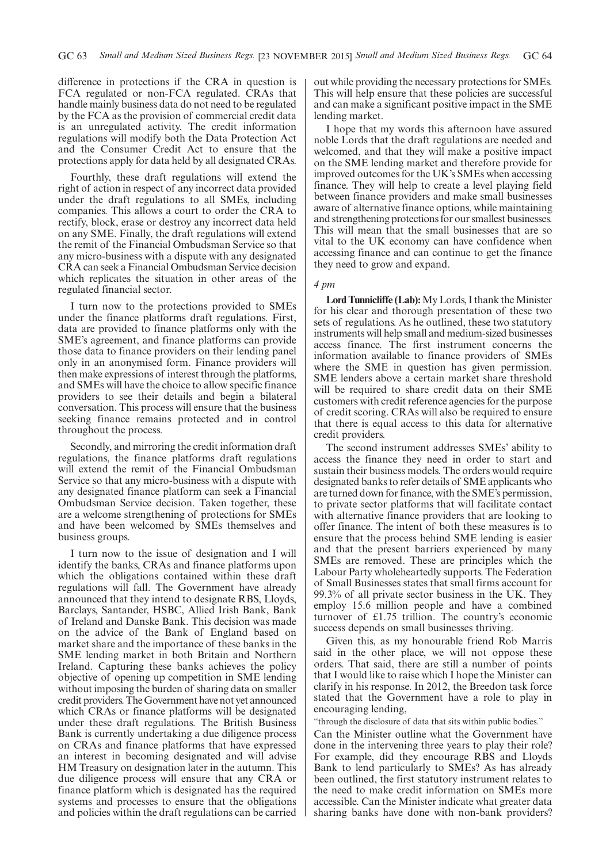difference in protections if the CRA in question is FCA regulated or non-FCA regulated. CRAs that handle mainly business data do not need to be regulated by the FCA as the provision of commercial credit data is an unregulated activity. The credit information regulations will modify both the Data Protection Act and the Consumer Credit Act to ensure that the protections apply for data held by all designated CRAs.

Fourthly, these draft regulations will extend the right of action in respect of any incorrect data provided under the draft regulations to all SMEs, including companies. This allows a court to order the CRA to rectify, block, erase or destroy any incorrect data held on any SME. Finally, the draft regulations will extend the remit of the Financial Ombudsman Service so that any micro-business with a dispute with any designated CRA can seek a Financial Ombudsman Service decision which replicates the situation in other areas of the regulated financial sector.

I turn now to the protections provided to SMEs under the finance platforms draft regulations. First, data are provided to finance platforms only with the SME's agreement, and finance platforms can provide those data to finance providers on their lending panel only in an anonymised form. Finance providers will then make expressions of interest through the platforms, and SMEs will have the choice to allow specific finance providers to see their details and begin a bilateral conversation. This process will ensure that the business seeking finance remains protected and in control throughout the process.

Secondly, and mirroring the credit information draft regulations, the finance platforms draft regulations will extend the remit of the Financial Ombudsman Service so that any micro-business with a dispute with any designated finance platform can seek a Financial Ombudsman Service decision. Taken together, these are a welcome strengthening of protections for SMEs and have been welcomed by SMEs themselves and business groups.

I turn now to the issue of designation and I will identify the banks, CRAs and finance platforms upon which the obligations contained within these draft regulations will fall. The Government have already announced that they intend to designate RBS, Lloyds, Barclays, Santander, HSBC, Allied Irish Bank, Bank of Ireland and Danske Bank. This decision was made on the advice of the Bank of England based on market share and the importance of these banks in the SME lending market in both Britain and Northern Ireland. Capturing these banks achieves the policy objective of opening up competition in SME lending without imposing the burden of sharing data on smaller credit providers. The Government have not yet announced which CRAs or finance platforms will be designated under these draft regulations. The British Business Bank is currently undertaking a due diligence process on CRAs and finance platforms that have expressed an interest in becoming designated and will advise HM Treasury on designation later in the autumn. This due diligence process will ensure that any CRA or finance platform which is designated has the required systems and processes to ensure that the obligations and policies within the draft regulations can be carried out while providing the necessary protections for SMEs. This will help ensure that these policies are successful and can make a significant positive impact in the SME lending market.

I hope that my words this afternoon have assured noble Lords that the draft regulations are needed and welcomed, and that they will make a positive impact on the SME lending market and therefore provide for improved outcomes for the UK's SMEs when accessing finance. They will help to create a level playing field between finance providers and make small businesses aware of alternative finance options, while maintaining and strengthening protections for our smallest businesses. This will mean that the small businesses that are so vital to the UK economy can have confidence when accessing finance and can continue to get the finance they need to grow and expand.

### *4 pm*

Lord Tunnicliffe (Lab): My Lords, I thank the Minister for his clear and thorough presentation of these two sets of regulations. As he outlined, these two statutory instruments will help small and medium-sized businesses access finance. The first instrument concerns the information available to finance providers of SMEs where the SME in question has given permission. SME lenders above a certain market share threshold will be required to share credit data on their SME customers with credit reference agencies for the purpose of credit scoring. CRAs will also be required to ensure that there is equal access to this data for alternative credit providers.

The second instrument addresses SMEs' ability to access the finance they need in order to start and sustain their business models. The orders would require designated banks to refer details of SME applicants who are turned down for finance, with the SME's permission, to private sector platforms that will facilitate contact with alternative finance providers that are looking to offer finance. The intent of both these measures is to ensure that the process behind SME lending is easier and that the present barriers experienced by many SMEs are removed. These are principles which the Labour Party wholeheartedly supports. The Federation of Small Businesses states that small firms account for 99.3% of all private sector business in the UK. They employ 15.6 million people and have a combined turnover of £1.75 trillion. The country's economic success depends on small businesses thriving.

Given this, as my honourable friend Rob Marris said in the other place, we will not oppose these orders. That said, there are still a number of points that I would like to raise which I hope the Minister can clarify in his response. In 2012, the Breedon task force stated that the Government have a role to play in encouraging lending,

"through the disclosure of data that sits within public bodies."

Can the Minister outline what the Government have done in the intervening three years to play their role? For example, did they encourage RBS and Lloyds Bank to lend particularly to SMEs? As has already been outlined, the first statutory instrument relates to the need to make credit information on SMEs more accessible. Can the Minister indicate what greater data sharing banks have done with non-bank providers?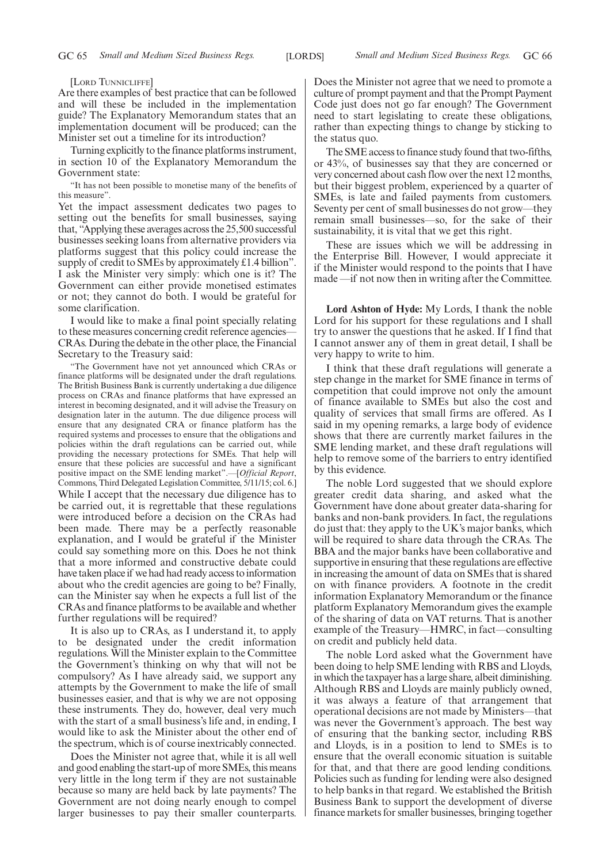[LORD TUNNICLIFFE]

Are there examples of best practice that can be followed and will these be included in the implementation guide? The Explanatory Memorandum states that an implementation document will be produced; can the Minister set out a timeline for its introduction?

Turning explicitly to the finance platforms instrument, in section 10 of the Explanatory Memorandum the Government state:

"It has not been possible to monetise many of the benefits of this measure".

Yet the impact assessment dedicates two pages to setting out the benefits for small businesses, saying that, "Applying these averages across the 25,500 successful businesses seeking loans from alternative providers via platforms suggest that this policy could increase the supply of credit to SMEs by approximately £1.4 billion". I ask the Minister very simply: which one is it? The Government can either provide monetised estimates or not; they cannot do both. I would be grateful for some clarification.

I would like to make a final point specially relating to these measures concerning credit reference agencies— CRAs. During the debate in the other place, the Financial Secretary to the Treasury said:

"The Government have not yet announced which CRAs or finance platforms will be designated under the draft regulations. The British Business Bank is currently undertaking a due diligence process on CRAs and finance platforms that have expressed an interest in becoming designated, and it will advise the Treasury on designation later in the autumn. The due diligence process will ensure that any designated CRA or finance platform has the required systems and processes to ensure that the obligations and policies within the draft regulations can be carried out, while providing the necessary protections for SMEs. That help will ensure that these policies are successful and have a significant positive impact on the SME lending market".—[*Official Report*, Commons, Third Delegated Legislation Committee, 5/11/15; col. 6.] While I accept that the necessary due diligence has to be carried out, it is regrettable that these regulations were introduced before a decision on the CRAs had been made. There may be a perfectly reasonable explanation, and I would be grateful if the Minister could say something more on this. Does he not think that a more informed and constructive debate could have taken place if we had had ready access to information about who the credit agencies are going to be? Finally, can the Minister say when he expects a full list of the CRAs and finance platforms to be available and whether further regulations will be required?

It is also up to CRAs, as I understand it, to apply to be designated under the credit information regulations. Will the Minister explain to the Committee the Government's thinking on why that will not be compulsory? As I have already said, we support any attempts by the Government to make the life of small businesses easier, and that is why we are not opposing these instruments. They do, however, deal very much with the start of a small business's life and, in ending, I would like to ask the Minister about the other end of the spectrum, which is of course inextricably connected.

Does the Minister not agree that, while it is all well and good enabling the start-up of more SMEs, this means very little in the long term if they are not sustainable because so many are held back by late payments? The Government are not doing nearly enough to compel larger businesses to pay their smaller counterparts. Does the Minister not agree that we need to promote a culture of prompt payment and that the Prompt Payment Code just does not go far enough? The Government need to start legislating to create these obligations, rather than expecting things to change by sticking to the status quo.

The SME access to finance study found that two-fifths, or 43%, of businesses say that they are concerned or very concerned about cash flow over the next 12 months, but their biggest problem, experienced by a quarter of SMEs, is late and failed payments from customers. Seventy per cent of small businesses do not grow—they remain small businesses—so, for the sake of their sustainability, it is vital that we get this right.

These are issues which we will be addressing in the Enterprise Bill. However, I would appreciate it if the Minister would respond to the points that I have made —if not now then in writing after the Committee.

**Lord Ashton of Hyde:** My Lords, I thank the noble Lord for his support for these regulations and I shall try to answer the questions that he asked. If I find that I cannot answer any of them in great detail, I shall be very happy to write to him.

I think that these draft regulations will generate a step change in the market for SME finance in terms of competition that could improve not only the amount of finance available to SMEs but also the cost and quality of services that small firms are offered. As I said in my opening remarks, a large body of evidence shows that there are currently market failures in the SME lending market, and these draft regulations will help to remove some of the barriers to entry identified by this evidence.

The noble Lord suggested that we should explore greater credit data sharing, and asked what the Government have done about greater data-sharing for banks and non-bank providers. In fact, the regulations do just that: they apply to the UK's major banks, which will be required to share data through the CRAs. The BBA and the major banks have been collaborative and supportive in ensuring that these regulations are effective in increasing the amount of data on SMEs that is shared on with finance providers. A footnote in the credit information Explanatory Memorandum or the finance platform Explanatory Memorandum gives the example of the sharing of data on VAT returns. That is another example of the Treasury—HMRC, in fact—consulting on credit and publicly held data.

The noble Lord asked what the Government have been doing to help SME lending with RBS and Lloyds, in which the taxpayer has a large share, albeit diminishing. Although RBS and Lloyds are mainly publicly owned, it was always a feature of that arrangement that operational decisions are not made by Ministers—that was never the Government's approach. The best way of ensuring that the banking sector, including RBS and Lloyds, is in a position to lend to SMEs is to ensure that the overall economic situation is suitable for that, and that there are good lending conditions. Policies such as funding for lending were also designed to help banks in that regard. We established the British Business Bank to support the development of diverse finance markets for smaller businesses, bringing together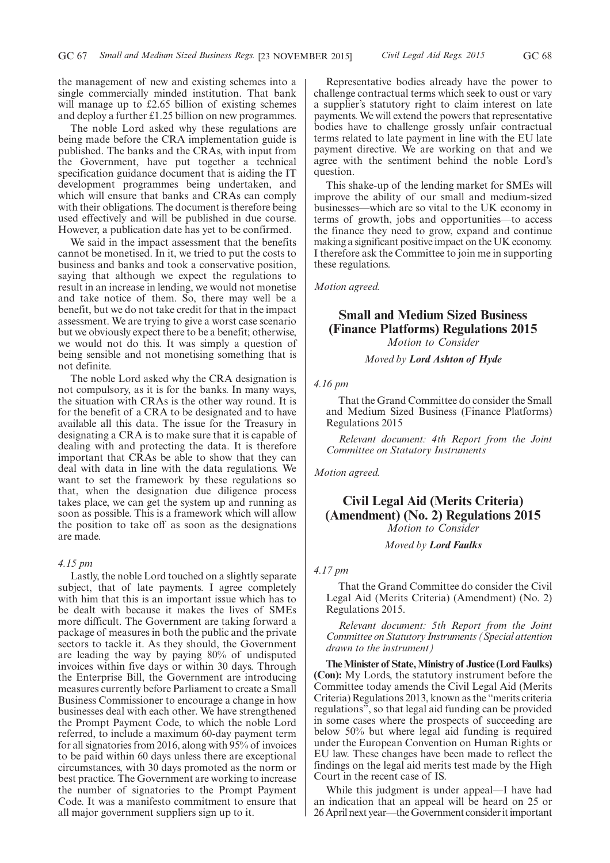the management of new and existing schemes into a single commercially minded institution. That bank will manage up to £2.65 billion of existing schemes and deploy a further £1.25 billion on new programmes.

The noble Lord asked why these regulations are being made before the CRA implementation guide is published. The banks and the CRAs, with input from the Government, have put together a technical specification guidance document that is aiding the IT development programmes being undertaken, and which will ensure that banks and CRAs can comply with their obligations. The document is therefore being used effectively and will be published in due course. However, a publication date has yet to be confirmed.

We said in the impact assessment that the benefits cannot be monetised. In it, we tried to put the costs to business and banks and took a conservative position, saying that although we expect the regulations to result in an increase in lending, we would not monetise and take notice of them. So, there may well be a benefit, but we do not take credit for that in the impact assessment. We are trying to give a worst case scenario but we obviously expect there to be a benefit; otherwise, we would not do this. It was simply a question of being sensible and not monetising something that is not definite.

The noble Lord asked why the CRA designation is not compulsory, as it is for the banks. In many ways, the situation with CRAs is the other way round. It is for the benefit of a CRA to be designated and to have available all this data. The issue for the Treasury in designating a CRA is to make sure that it is capable of dealing with and protecting the data. It is therefore important that CRAs be able to show that they can deal with data in line with the data regulations. We want to set the framework by these regulations so that, when the designation due diligence process takes place, we can get the system up and running as soon as possible. This is a framework which will allow the position to take off as soon as the designations are made.

### *4.15 pm*

Lastly, the noble Lord touched on a slightly separate subject, that of late payments. I agree completely with him that this is an important issue which has to be dealt with because it makes the lives of SMEs more difficult. The Government are taking forward a package of measures in both the public and the private sectors to tackle it. As they should, the Government are leading the way by paying 80% of undisputed invoices within five days or within 30 days. Through the Enterprise Bill, the Government are introducing measures currently before Parliament to create a Small Business Commissioner to encourage a change in how businesses deal with each other. We have strengthened the Prompt Payment Code, to which the noble Lord referred, to include a maximum 60-day payment term for all signatories from 2016, along with 95% of invoices to be paid within 60 days unless there are exceptional circumstances, with 30 days promoted as the norm or best practice. The Government are working to increase the number of signatories to the Prompt Payment Code. It was a manifesto commitment to ensure that all major government suppliers sign up to it.

Representative bodies already have the power to challenge contractual terms which seek to oust or vary a supplier's statutory right to claim interest on late payments. We will extend the powers that representative bodies have to challenge grossly unfair contractual terms related to late payment in line with the EU late payment directive. We are working on that and we agree with the sentiment behind the noble Lord's question.

This shake-up of the lending market for SMEs will improve the ability of our small and medium-sized businesses—which are so vital to the UK economy in terms of growth, jobs and opportunities—to access the finance they need to grow, expand and continue making a significant positive impact on the UK economy. I therefore ask the Committee to join me in supporting these regulations.

*Motion agreed.*

## **Small and Medium Sized Business (Finance Platforms) Regulations 2015**

*Motion to Consider*

*Moved by Lord Ashton of Hyde*

*4.16 pm*

That the Grand Committee do consider the Small and Medium Sized Business (Finance Platforms) Regulations 2015

*Relevant document: 4th Report from the Joint Committee on Statutory Instruments*

*Motion agreed.*

**Civil Legal Aid (Merits Criteria) (Amendment) (No. 2) Regulations 2015** *Motion to Consider*

*Moved by Lord Faulks*

### *4.17 pm*

That the Grand Committee do consider the Civil Legal Aid (Merits Criteria) (Amendment) (No. 2) Regulations 2015.

*Relevant document: 5th Report from the Joint Committee on Statutory Instruments (Special attention drawn to the instrument)*

**TheMinister of State,Ministry of Justice (Lord Faulks) (Con):** My Lords, the statutory instrument before the Committee today amends the Civil Legal Aid (Merits Criteria) Regulations 2013, known as the "merits criteria regulations", so that legal aid funding can be provided in some cases where the prospects of succeeding are below 50% but where legal aid funding is required under the European Convention on Human Rights or EU law. These changes have been made to reflect the findings on the legal aid merits test made by the High Court in the recent case of IS.

While this judgment is under appeal—I have had an indication that an appeal will be heard on 25 or 26 April next year—the Government consider it important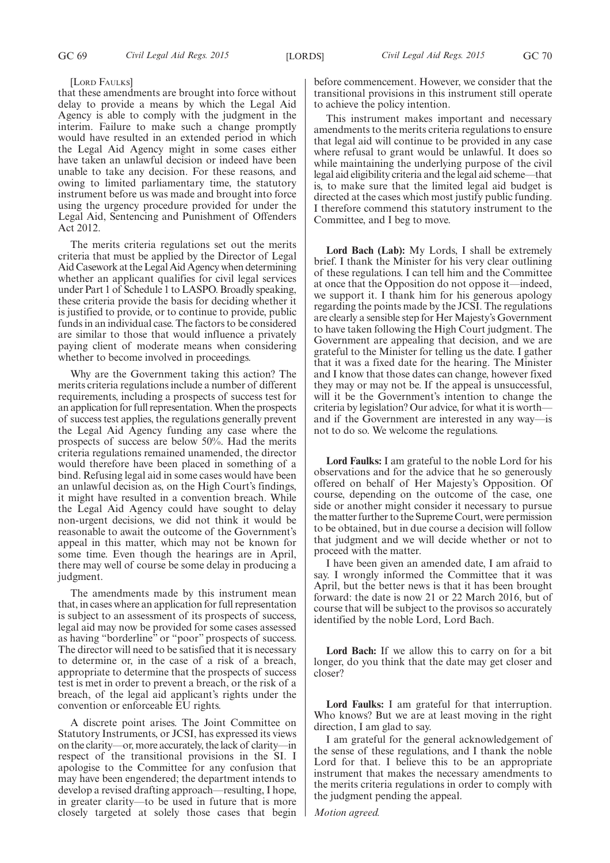### [LORD FAULKS]

that these amendments are brought into force without delay to provide a means by which the Legal Aid Agency is able to comply with the judgment in the interim. Failure to make such a change promptly would have resulted in an extended period in which the Legal Aid Agency might in some cases either have taken an unlawful decision or indeed have been unable to take any decision. For these reasons, and owing to limited parliamentary time, the statutory instrument before us was made and brought into force using the urgency procedure provided for under the Legal Aid, Sentencing and Punishment of Offenders Act 2012.

The merits criteria regulations set out the merits criteria that must be applied by the Director of Legal Aid Casework at the Legal Aid Agency when determining whether an applicant qualifies for civil legal services under Part 1 of Schedule 1 to LASPO. Broadly speaking, these criteria provide the basis for deciding whether it is justified to provide, or to continue to provide, public funds in an individual case. The factors to be considered are similar to those that would influence a privately paying client of moderate means when considering whether to become involved in proceedings.

Why are the Government taking this action? The merits criteria regulations include a number of different requirements, including a prospects of success test for an application for full representation.When the prospects of success test applies, the regulations generally prevent the Legal Aid Agency funding any case where the prospects of success are below 50%. Had the merits criteria regulations remained unamended, the director would therefore have been placed in something of a bind. Refusing legal aid in some cases would have been an unlawful decision as, on the High Court's findings, it might have resulted in a convention breach. While the Legal Aid Agency could have sought to delay non-urgent decisions, we did not think it would be reasonable to await the outcome of the Government's appeal in this matter, which may not be known for some time. Even though the hearings are in April, there may well of course be some delay in producing a judgment.

The amendments made by this instrument mean that, in cases where an application for full representation is subject to an assessment of its prospects of success, legal aid may now be provided for some cases assessed as having "borderline" or "poor" prospects of success. The director will need to be satisfied that it is necessary to determine or, in the case of a risk of a breach, appropriate to determine that the prospects of success test is met in order to prevent a breach, or the risk of a breach, of the legal aid applicant's rights under the convention or enforceable EU rights.

A discrete point arises. The Joint Committee on Statutory Instruments, or JCSI, has expressed its views on the clarity—or, more accurately, the lack of clarity—in respect of the transitional provisions in the SI. I apologise to the Committee for any confusion that may have been engendered; the department intends to develop a revised drafting approach—resulting, I hope, in greater clarity—to be used in future that is more closely targeted at solely those cases that begin before commencement. However, we consider that the transitional provisions in this instrument still operate to achieve the policy intention.

This instrument makes important and necessary amendments to the merits criteria regulations to ensure that legal aid will continue to be provided in any case where refusal to grant would be unlawful. It does so while maintaining the underlying purpose of the civil legal aid eligibility criteria and the legal aid scheme—that is, to make sure that the limited legal aid budget is directed at the cases which most justify public funding. I therefore commend this statutory instrument to the Committee, and I beg to move.

**Lord Bach (Lab):** My Lords, I shall be extremely brief. I thank the Minister for his very clear outlining of these regulations. I can tell him and the Committee at once that the Opposition do not oppose it—indeed, we support it. I thank him for his generous apology regarding the points made by the JCSI. The regulations are clearly a sensible step for Her Majesty's Government to have taken following the High Court judgment. The Government are appealing that decision, and we are grateful to the Minister for telling us the date. I gather that it was a fixed date for the hearing. The Minister and I know that those dates can change, however fixed they may or may not be. If the appeal is unsuccessful, will it be the Government's intention to change the criteria by legislation? Our advice, for what it is worth and if the Government are interested in any way—is not to do so. We welcome the regulations.

**Lord Faulks:** I am grateful to the noble Lord for his observations and for the advice that he so generously offered on behalf of Her Majesty's Opposition. Of course, depending on the outcome of the case, one side or another might consider it necessary to pursue the matter further to the Supreme Court, were permission to be obtained, but in due course a decision will follow that judgment and we will decide whether or not to proceed with the matter.

I have been given an amended date, I am afraid to say. I wrongly informed the Committee that it was April, but the better news is that it has been brought forward: the date is now 21 or 22 March 2016, but of course that will be subject to the provisos so accurately identified by the noble Lord, Lord Bach.

**Lord Bach:** If we allow this to carry on for a bit longer, do you think that the date may get closer and closer?

**Lord Faulks:** I am grateful for that interruption. Who knows? But we are at least moving in the right direction, I am glad to say.

I am grateful for the general acknowledgement of the sense of these regulations, and I thank the noble Lord for that. I believe this to be an appropriate instrument that makes the necessary amendments to the merits criteria regulations in order to comply with the judgment pending the appeal.

*Motion agreed.*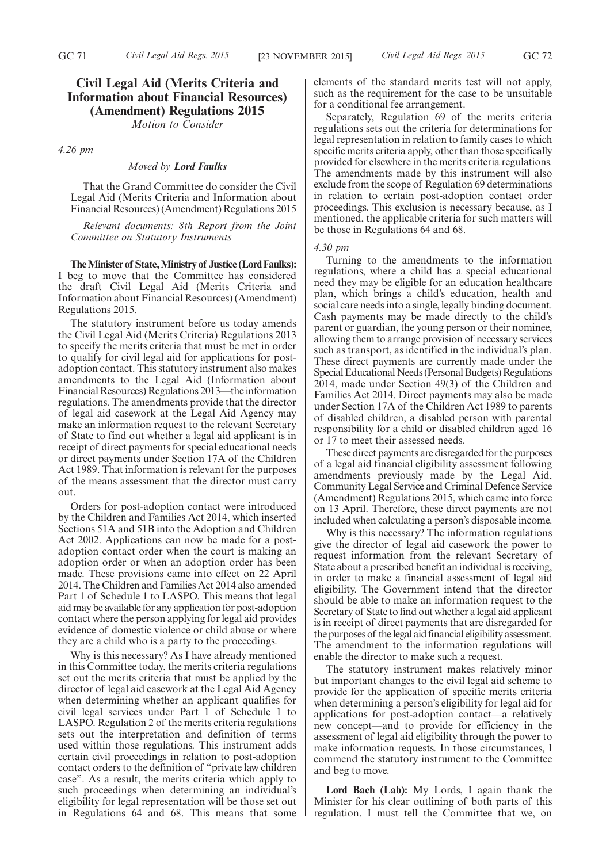## **Civil Legal Aid (Merits Criteria and Information about Financial Resources) (Amendment) Regulations 2015**

*Motion to Consider*

*4.26 pm*

### *Moved by Lord Faulks*

That the Grand Committee do consider the Civil Legal Aid (Merits Criteria and Information about Financial Resources) (Amendment) Regulations 2015

*Relevant documents: 8th Report from the Joint Committee on Statutory Instruments*

**TheMinister of State,Ministry of Justice (Lord Faulks):** I beg to move that the Committee has considered the draft Civil Legal Aid (Merits Criteria and Information about Financial Resources) (Amendment) Regulations 2015.

The statutory instrument before us today amends the Civil Legal Aid (Merits Criteria) Regulations 2013 to specify the merits criteria that must be met in order to qualify for civil legal aid for applications for postadoption contact. This statutory instrument also makes amendments to the Legal Aid (Information about Financial Resources) Regulations 2013—the information regulations. The amendments provide that the director of legal aid casework at the Legal Aid Agency may make an information request to the relevant Secretary of State to find out whether a legal aid applicant is in receipt of direct payments for special educational needs or direct payments under Section 17A of the Children Act 1989. That information is relevant for the purposes of the means assessment that the director must carry out.

Orders for post-adoption contact were introduced by the Children and Families Act 2014, which inserted Sections 51A and 51B into the Adoption and Children Act 2002. Applications can now be made for a postadoption contact order when the court is making an adoption order or when an adoption order has been made. These provisions came into effect on 22 April 2014. The Children and Families Act 2014 also amended Part 1 of Schedule 1 to LASPO. This means that legal aid may be available for any application for post-adoption contact where the person applying for legal aid provides evidence of domestic violence or child abuse or where they are a child who is a party to the proceedings.

Why is this necessary? As I have already mentioned in this Committee today, the merits criteria regulations set out the merits criteria that must be applied by the director of legal aid casework at the Legal Aid Agency when determining whether an applicant qualifies for civil legal services under Part 1 of Schedule 1 to LASPO. Regulation 2 of the merits criteria regulations sets out the interpretation and definition of terms used within those regulations. This instrument adds certain civil proceedings in relation to post-adoption contact orders to the definition of "private law children case". As a result, the merits criteria which apply to such proceedings when determining an individual's eligibility for legal representation will be those set out in Regulations 64 and 68. This means that some elements of the standard merits test will not apply, such as the requirement for the case to be unsuitable for a conditional fee arrangement.

Separately, Regulation 69 of the merits criteria regulations sets out the criteria for determinations for legal representation in relation to family cases to which specific merits criteria apply, other than those specifically provided for elsewhere in the merits criteria regulations. The amendments made by this instrument will also exclude from the scope of Regulation 69 determinations in relation to certain post-adoption contact order proceedings. This exclusion is necessary because, as I mentioned, the applicable criteria for such matters will be those in Regulations 64 and 68.

### *4.30 pm*

Turning to the amendments to the information regulations, where a child has a special educational need they may be eligible for an education healthcare plan, which brings a child's education, health and social care needs into a single, legally binding document. Cash payments may be made directly to the child's parent or guardian, the young person or their nominee, allowing them to arrange provision of necessary services such as transport, as identified in the individual's plan. These direct payments are currently made under the Special Educational Needs (Personal Budgets) Regulations 2014, made under Section 49(3) of the Children and Families Act 2014. Direct payments may also be made under Section 17A of the Children Act 1989 to parents of disabled children, a disabled person with parental responsibility for a child or disabled children aged 16 or 17 to meet their assessed needs.

These direct payments are disregarded for the purposes of a legal aid financial eligibility assessment following amendments previously made by the Legal Aid, Community Legal Service and Criminal Defence Service (Amendment) Regulations 2015, which came into force on 13 April. Therefore, these direct payments are not included when calculating a person's disposable income.

Why is this necessary? The information regulations give the director of legal aid casework the power to request information from the relevant Secretary of State about a prescribed benefit an individual is receiving, in order to make a financial assessment of legal aid eligibility. The Government intend that the director should be able to make an information request to the Secretary of State to find out whether a legal aid applicant is in receipt of direct payments that are disregarded for the purposes of thelegal aid financial eligibility assessment. The amendment to the information regulations will enable the director to make such a request.

The statutory instrument makes relatively minor but important changes to the civil legal aid scheme to provide for the application of specific merits criteria when determining a person's eligibility for legal aid for applications for post-adoption contact—a relatively new concept—and to provide for efficiency in the assessment of legal aid eligibility through the power to make information requests. In those circumstances, I commend the statutory instrument to the Committee and beg to move.

**Lord Bach (Lab):** My Lords, I again thank the Minister for his clear outlining of both parts of this regulation. I must tell the Committee that we, on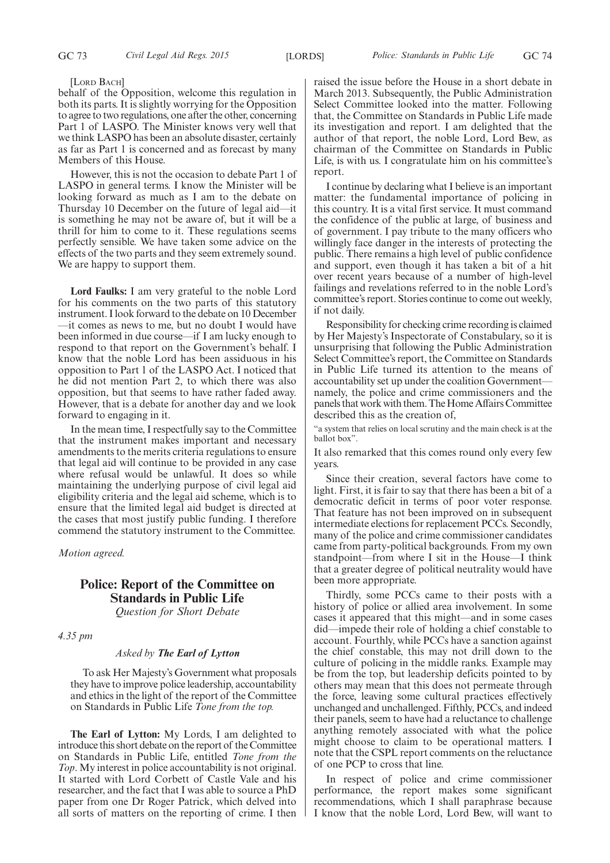### [LORD BACH]

behalf of the Opposition, welcome this regulation in both its parts. It is slightly worrying for the Opposition to agree to two regulations, one after the other, concerning Part 1 of LASPO. The Minister knows very well that we think LASPO has been an absolute disaster, certainly as far as Part 1 is concerned and as forecast by many Members of this House.

However, this is not the occasion to debate Part 1 of LASPO in general terms. I know the Minister will be looking forward as much as I am to the debate on Thursday 10 December on the future of legal aid—it is something he may not be aware of, but it will be a thrill for him to come to it. These regulations seems perfectly sensible. We have taken some advice on the effects of the two parts and they seem extremely sound. We are happy to support them.

**Lord Faulks:** I am very grateful to the noble Lord for his comments on the two parts of this statutory instrument. I look forward to the debate on 10 December —it comes as news to me, but no doubt I would have been informed in due course—if I am lucky enough to respond to that report on the Government's behalf. I know that the noble Lord has been assiduous in his opposition to Part 1 of the LASPO Act. I noticed that he did not mention Part 2, to which there was also opposition, but that seems to have rather faded away. However, that is a debate for another day and we look forward to engaging in it.

In the mean time, I respectfully say to the Committee that the instrument makes important and necessary amendments to the merits criteria regulations to ensure that legal aid will continue to be provided in any case where refusal would be unlawful. It does so while maintaining the underlying purpose of civil legal aid eligibility criteria and the legal aid scheme, which is to ensure that the limited legal aid budget is directed at the cases that most justify public funding. I therefore commend the statutory instrument to the Committee.

*Motion agreed.*

## **Police: Report of the Committee on Standards in Public Life**

*Question for Short Debate*

*4.35 pm*

### *Asked by The Earl of Lytton*

To ask Her Majesty's Government what proposals they have to improve police leadership, accountability and ethics in the light of the report of the Committee on Standards in Public Life *Tone from the top.*

**The Earl of Lytton:** My Lords, I am delighted to introduce this short debate on the report of the Committee on Standards in Public Life, entitled *Tone from the Top*. My interest in police accountability is not original. It started with Lord Corbett of Castle Vale and his researcher, and the fact that I was able to source a PhD paper from one Dr Roger Patrick, which delved into all sorts of matters on the reporting of crime. I then raised the issue before the House in a short debate in March 2013. Subsequently, the Public Administration Select Committee looked into the matter. Following that, the Committee on Standards in Public Life made its investigation and report. I am delighted that the author of that report, the noble Lord, Lord Bew, as chairman of the Committee on Standards in Public Life, is with us. I congratulate him on his committee's report.

I continue by declaring what I believe is an important matter: the fundamental importance of policing in this country. It is a vital first service. It must command the confidence of the public at large, of business and of government. I pay tribute to the many officers who willingly face danger in the interests of protecting the public. There remains a high level of public confidence and support, even though it has taken a bit of a hit over recent years because of a number of high-level failings and revelations referred to in the noble Lord's committee's report. Stories continue to come out weekly, if not daily.

Responsibility for checking crime recording is claimed by Her Majesty's Inspectorate of Constabulary, so it is unsurprising that following the Public Administration Select Committee's report, the Committee on Standards in Public Life turned its attention to the means of accountability set up under the coalition Government namely, the police and crime commissioners and the panels that work with them. The Home Affairs Committee described this as the creation of,

"a system that relies on local scrutiny and the main check is at the ballot box".

It also remarked that this comes round only every few years.

Since their creation, several factors have come to light. First, it is fair to say that there has been a bit of a democratic deficit in terms of poor voter response. That feature has not been improved on in subsequent intermediate elections for replacement PCCs. Secondly, many of the police and crime commissioner candidates came from party-political backgrounds. From my own standpoint—from where I sit in the House—I think that a greater degree of political neutrality would have been more appropriate.

Thirdly, some PCCs came to their posts with a history of police or allied area involvement. In some cases it appeared that this might—and in some cases did—impede their role of holding a chief constable to account. Fourthly, while PCCs have a sanction against the chief constable, this may not drill down to the culture of policing in the middle ranks. Example may be from the top, but leadership deficits pointed to by others may mean that this does not permeate through the force, leaving some cultural practices effectively unchanged and unchallenged. Fifthly, PCCs, and indeed their panels, seem to have had a reluctance to challenge anything remotely associated with what the police might choose to claim to be operational matters. I note that the CSPL report comments on the reluctance of one PCP to cross that line.

In respect of police and crime commissioner performance, the report makes some significant recommendations, which I shall paraphrase because I know that the noble Lord, Lord Bew, will want to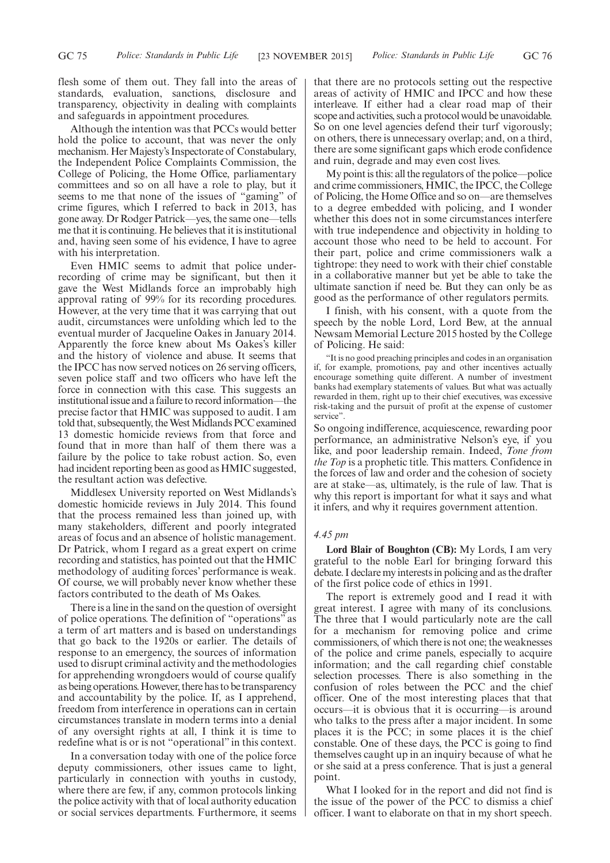flesh some of them out. They fall into the areas of standards, evaluation, sanctions, disclosure and transparency, objectivity in dealing with complaints and safeguards in appointment procedures.

Although the intention was that PCCs would better hold the police to account, that was never the only mechanism. Her Majesty's Inspectorate of Constabulary, the Independent Police Complaints Commission, the College of Policing, the Home Office, parliamentary committees and so on all have a role to play, but it seems to me that none of the issues of "gaming" of crime figures, which I referred to back in 2013, has gone away. Dr Rodger Patrick—yes, the same one—tells me that it is continuing. He believes that it is institutional and, having seen some of his evidence, I have to agree with his interpretation.

Even HMIC seems to admit that police underrecording of crime may be significant, but then it gave the West Midlands force an improbably high approval rating of 99% for its recording procedures. However, at the very time that it was carrying that out audit, circumstances were unfolding which led to the eventual murder of Jacqueline Oakes in January 2014. Apparently the force knew about Ms Oakes's killer and the history of violence and abuse. It seems that the IPCC has now served notices on 26 serving officers, seven police staff and two officers who have left the force in connection with this case. This suggests an institutional issue and a failure to record information—the precise factor that HMIC was supposed to audit. I am told that, subsequently, the West Midlands PCC examined 13 domestic homicide reviews from that force and found that in more than half of them there was a failure by the police to take robust action. So, even had incident reporting been as good as HMIC suggested, the resultant action was defective.

Middlesex University reported on West Midlands's domestic homicide reviews in July 2014. This found that the process remained less than joined up, with many stakeholders, different and poorly integrated areas of focus and an absence of holistic management. Dr Patrick, whom I regard as a great expert on crime recording and statistics, has pointed out that the HMIC methodology of auditing forces' performance is weak. Of course, we will probably never know whether these factors contributed to the death of Ms Oakes.

There is a line in the sand on the question of oversight of police operations. The definition of "operations" as a term of art matters and is based on understandings that go back to the 1920s or earlier. The details of response to an emergency, the sources of information used to disrupt criminal activity and the methodologies for apprehending wrongdoers would of course qualify as being operations.However, there has to be transparency and accountability by the police. If, as I apprehend, freedom from interference in operations can in certain circumstances translate in modern terms into a denial of any oversight rights at all, I think it is time to redefine what is or is not "operational" in this context.

In a conversation today with one of the police force deputy commissioners, other issues came to light, particularly in connection with youths in custody, where there are few, if any, common protocols linking the police activity with that of local authority education or social services departments. Furthermore, it seems that there are no protocols setting out the respective areas of activity of HMIC and IPCC and how these interleave. If either had a clear road map of their scope and activities, such a protocol would be unavoidable. So on one level agencies defend their turf vigorously; on others, there is unnecessary overlap; and, on a third, there are some significant gaps which erode confidence and ruin, degrade and may even cost lives.

My point is this: all the regulators of the police—police and crime commissioners, HMIC, the IPCC, the College of Policing, the Home Office and so on—are themselves to a degree embedded with policing, and I wonder whether this does not in some circumstances interfere with true independence and objectivity in holding to account those who need to be held to account. For their part, police and crime commissioners walk a tightrope: they need to work with their chief constable in a collaborative manner but yet be able to take the ultimate sanction if need be. But they can only be as good as the performance of other regulators permits.

I finish, with his consent, with a quote from the speech by the noble Lord, Lord Bew, at the annual Newsam Memorial Lecture 2015 hosted by the College of Policing. He said:

"It is no good preaching principles and codes in an organisation if, for example, promotions, pay and other incentives actually encourage something quite different. A number of investment banks had exemplary statements of values. But what was actually rewarded in them, right up to their chief executives, was excessive risk-taking and the pursuit of profit at the expense of customer service".

So ongoing indifference, acquiescence, rewarding poor performance, an administrative Nelson's eye, if you like, and poor leadership remain. Indeed, *Tone from the Top* is a prophetic title. This matters. Confidence in the forces of law and order and the cohesion of society are at stake—as, ultimately, is the rule of law. That is why this report is important for what it says and what it infers, and why it requires government attention.

### *4.45 pm*

**Lord Blair of Boughton (CB):** My Lords, I am very grateful to the noble Earl for bringing forward this debate. I declare my interests in policing and as the drafter of the first police code of ethics in 1991.

The report is extremely good and I read it with great interest. I agree with many of its conclusions. The three that I would particularly note are the call for a mechanism for removing police and crime commissioners, of which there is not one; the weaknesses of the police and crime panels, especially to acquire information; and the call regarding chief constable selection processes. There is also something in the confusion of roles between the PCC and the chief officer. One of the most interesting places that that occurs—it is obvious that it is occurring—is around who talks to the press after a major incident. In some places it is the PCC; in some places it is the chief constable. One of these days, the PCC is going to find themselves caught up in an inquiry because of what he or she said at a press conference. That is just a general point.

What I looked for in the report and did not find is the issue of the power of the PCC to dismiss a chief officer. I want to elaborate on that in my short speech.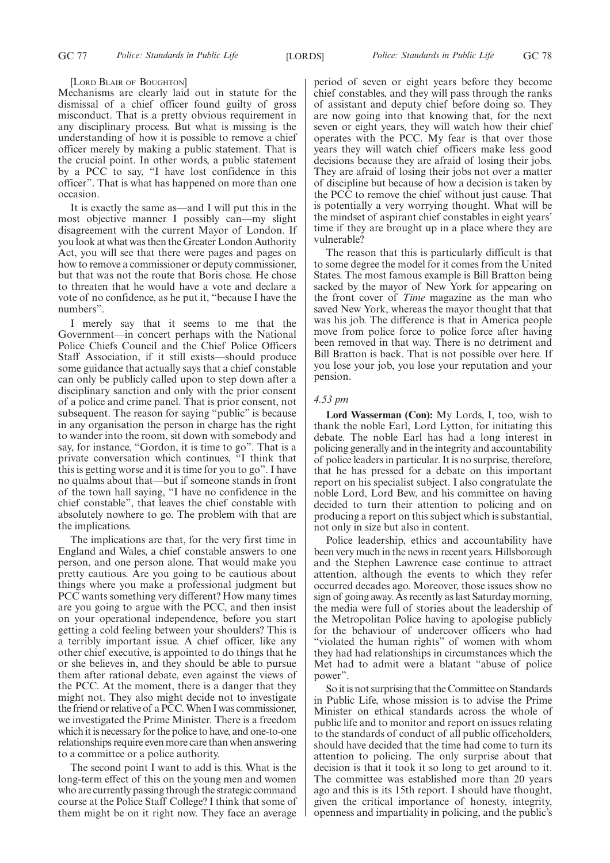[LORD BLAIR OF BOUGHTON]

Mechanisms are clearly laid out in statute for the dismissal of a chief officer found guilty of gross misconduct. That is a pretty obvious requirement in any disciplinary process. But what is missing is the understanding of how it is possible to remove a chief officer merely by making a public statement. That is the crucial point. In other words, a public statement by a PCC to say, "I have lost confidence in this officer". That is what has happened on more than one occasion.

It is exactly the same as—and I will put this in the most objective manner I possibly can—my slight disagreement with the current Mayor of London. If you look at what was then the Greater London Authority Act, you will see that there were pages and pages on how to remove a commissioner or deputy commissioner, but that was not the route that Boris chose. He chose to threaten that he would have a vote and declare a vote of no confidence, as he put it, "because I have the numbers".

I merely say that it seems to me that the Government—in concert perhaps with the National Police Chiefs Council and the Chief Police Officers Staff Association, if it still exists—should produce some guidance that actually says that a chief constable can only be publicly called upon to step down after a disciplinary sanction and only with the prior consent of a police and crime panel. That is prior consent, not subsequent. The reason for saying "public" is because in any organisation the person in charge has the right to wander into the room, sit down with somebody and say, for instance, "Gordon, it is time to go". That is a private conversation which continues, "I think that this is getting worse and it is time for you to go". I have no qualms about that—but if someone stands in front of the town hall saying, "I have no confidence in the chief constable", that leaves the chief constable with absolutely nowhere to go. The problem with that are the implications.

The implications are that, for the very first time in England and Wales, a chief constable answers to one person, and one person alone. That would make you pretty cautious. Are you going to be cautious about things where you make a professional judgment but PCC wants something very different? How many times are you going to argue with the PCC, and then insist on your operational independence, before you start getting a cold feeling between your shoulders? This is a terribly important issue. A chief officer, like any other chief executive, is appointed to do things that he or she believes in, and they should be able to pursue them after rational debate, even against the views of the PCC. At the moment, there is a danger that they might not. They also might decide not to investigate the friend or relative of a PCC.When I was commissioner, we investigated the Prime Minister. There is a freedom which it is necessary for the police to have, and one-to-one relationships require even more care than when answering to a committee or a police authority.

The second point I want to add is this. What is the long-term effect of this on the young men and women who are currently passing through the strategic command course at the Police Staff College? I think that some of them might be on it right now. They face an average period of seven or eight years before they become chief constables, and they will pass through the ranks of assistant and deputy chief before doing so. They are now going into that knowing that, for the next seven or eight years, they will watch how their chief operates with the PCC. My fear is that over those years they will watch chief officers make less good decisions because they are afraid of losing their jobs. They are afraid of losing their jobs not over a matter of discipline but because of how a decision is taken by the PCC to remove the chief without just cause. That is potentially a very worrying thought. What will be the mindset of aspirant chief constables in eight years' time if they are brought up in a place where they are vulnerable?

The reason that this is particularly difficult is that to some degree the model for it comes from the United States. The most famous example is Bill Bratton being sacked by the mayor of New York for appearing on the front cover of *Time* magazine as the man who saved New York, whereas the mayor thought that that was his job. The difference is that in America people move from police force to police force after having been removed in that way. There is no detriment and Bill Bratton is back. That is not possible over here. If you lose your job, you lose your reputation and your pension.

### *4.53 pm*

**Lord Wasserman (Con):** My Lords, I, too, wish to thank the noble Earl, Lord Lytton, for initiating this debate. The noble Earl has had a long interest in policing generally and in the integrity and accountability of police leaders in particular. It is no surprise, therefore, that he has pressed for a debate on this important report on his specialist subject. I also congratulate the noble Lord, Lord Bew, and his committee on having decided to turn their attention to policing and on producing a report on this subject which is substantial, not only in size but also in content.

Police leadership, ethics and accountability have been very much in the news in recent years. Hillsborough and the Stephen Lawrence case continue to attract attention, although the events to which they refer occurred decades ago. Moreover, those issues show no sign of going away. As recently as last Saturday morning, the media were full of stories about the leadership of the Metropolitan Police having to apologise publicly for the behaviour of undercover officers who had "violated the human rights" of women with whom they had had relationships in circumstances which the Met had to admit were a blatant "abuse of police power".

So it is not surprising that the Committee on Standards in Public Life, whose mission is to advise the Prime Minister on ethical standards across the whole of public life and to monitor and report on issues relating to the standards of conduct of all public officeholders, should have decided that the time had come to turn its attention to policing. The only surprise about that decision is that it took it so long to get around to it. The committee was established more than 20 years ago and this is its 15th report. I should have thought, given the critical importance of honesty, integrity, openness and impartiality in policing, and the public's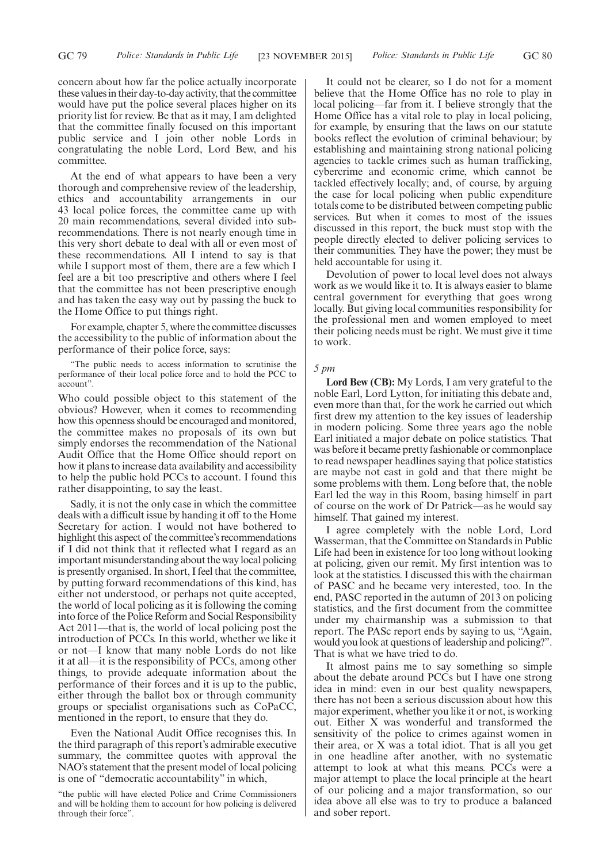concern about how far the police actually incorporate these values in their day-to-day activity, that the committee would have put the police several places higher on its priority list for review. Be that as it may, I am delighted that the committee finally focused on this important public service and I join other noble Lords in congratulating the noble Lord, Lord Bew, and his committee.

At the end of what appears to have been a very thorough and comprehensive review of the leadership, ethics and accountability arrangements in our 43 local police forces, the committee came up with 20 main recommendations, several divided into subrecommendations. There is not nearly enough time in this very short debate to deal with all or even most of these recommendations. All I intend to say is that while I support most of them, there are a few which I feel are a bit too prescriptive and others where I feel that the committee has not been prescriptive enough and has taken the easy way out by passing the buck to the Home Office to put things right.

For example, chapter 5, where the committee discusses the accessibility to the public of information about the performance of their police force, says:

"The public needs to access information to scrutinise the performance of their local police force and to hold the PCC to account".

Who could possible object to this statement of the obvious? However, when it comes to recommending how this openness should be encouraged and monitored, the committee makes no proposals of its own but simply endorses the recommendation of the National Audit Office that the Home Office should report on how it plans to increase data availability and accessibility to help the public hold PCCs to account. I found this rather disappointing, to say the least.

Sadly, it is not the only case in which the committee deals with a difficult issue by handing it off to the Home Secretary for action. I would not have bothered to highlight this aspect of the committee's recommendations if I did not think that it reflected what I regard as an important misunderstanding about the way local policing is presently organised. In short, I feel that the committee, by putting forward recommendations of this kind, has either not understood, or perhaps not quite accepted, the world of local policing as it is following the coming into force of the Police Reform and Social Responsibility Act 2011—that is, the world of local policing post the introduction of PCCs. In this world, whether we like it or not—I know that many noble Lords do not like it at all—it is the responsibility of PCCs, among other things, to provide adequate information about the performance of their forces and it is up to the public, either through the ballot box or through community groups or specialist organisations such as CoPaCC, mentioned in the report, to ensure that they do.

Even the National Audit Office recognises this. In the third paragraph of this report's admirable executive summary, the committee quotes with approval the NAO's statement that the present model of local policing is one of "democratic accountability" in which,

It could not be clearer, so I do not for a moment believe that the Home Office has no role to play in local policing—far from it. I believe strongly that the Home Office has a vital role to play in local policing, for example, by ensuring that the laws on our statute books reflect the evolution of criminal behaviour; by establishing and maintaining strong national policing agencies to tackle crimes such as human trafficking, cybercrime and economic crime, which cannot be tackled effectively locally; and, of course, by arguing the case for local policing when public expenditure totals come to be distributed between competing public services. But when it comes to most of the issues discussed in this report, the buck must stop with the people directly elected to deliver policing services to their communities. They have the power; they must be held accountable for using it.

Devolution of power to local level does not always work as we would like it to. It is always easier to blame central government for everything that goes wrong locally. But giving local communities responsibility for the professional men and women employed to meet their policing needs must be right. We must give it time to work.

### *5 pm*

**Lord Bew (CB):** My Lords, I am very grateful to the noble Earl, Lord Lytton, for initiating this debate and, even more than that, for the work he carried out which first drew my attention to the key issues of leadership in modern policing. Some three years ago the noble Earl initiated a major debate on police statistics. That was before it became pretty fashionable or commonplace to read newspaper headlines saying that police statistics are maybe not cast in gold and that there might be some problems with them. Long before that, the noble Earl led the way in this Room, basing himself in part of course on the work of Dr Patrick—as he would say himself. That gained my interest.

I agree completely with the noble Lord, Lord Wasserman, that the Committee on Standards in Public Life had been in existence for too long without looking at policing, given our remit. My first intention was to look at the statistics. I discussed this with the chairman of PASC and he became very interested, too. In the end, PASC reported in the autumn of 2013 on policing statistics, and the first document from the committee under my chairmanship was a submission to that report. The PASc report ends by saying to us, "Again, would you look at questions of leadership and policing?". That is what we have tried to do.

It almost pains me to say something so simple about the debate around PCCs but I have one strong idea in mind: even in our best quality newspapers, there has not been a serious discussion about how this major experiment, whether you like it or not, is working out. Either X was wonderful and transformed the sensitivity of the police to crimes against women in their area, or X was a total idiot. That is all you get in one headline after another, with no systematic attempt to look at what this means. PCCs were a major attempt to place the local principle at the heart of our policing and a major transformation, so our idea above all else was to try to produce a balanced and sober report.

<sup>&</sup>quot;the public will have elected Police and Crime Commissioners and will be holding them to account for how policing is delivered through their force".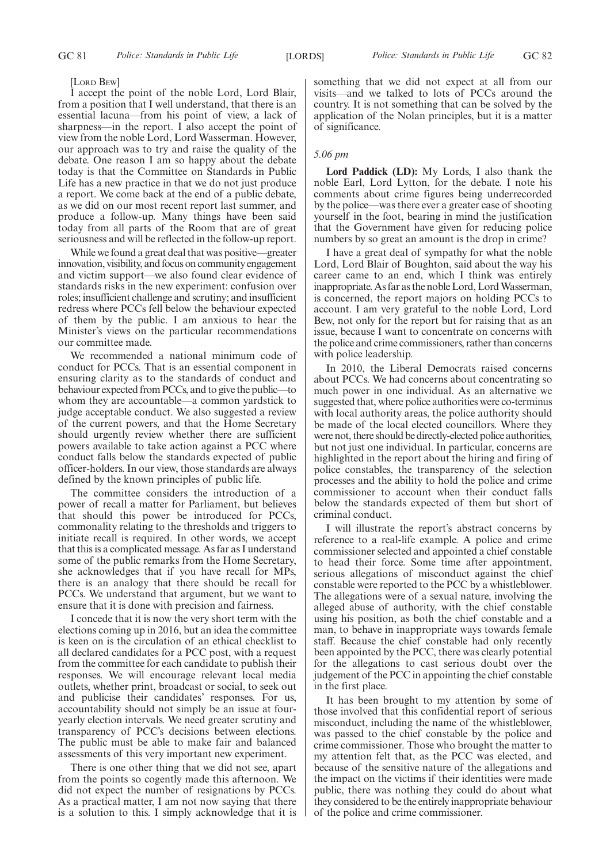### [LORD BEW]

I accept the point of the noble Lord, Lord Blair, from a position that I well understand, that there is an essential lacuna—from his point of view, a lack of sharpness—in the report. I also accept the point of view from the noble Lord, Lord Wasserman. However, our approach was to try and raise the quality of the debate. One reason I am so happy about the debate today is that the Committee on Standards in Public Life has a new practice in that we do not just produce a report. We come back at the end of a public debate, as we did on our most recent report last summer, and produce a follow-up. Many things have been said today from all parts of the Room that are of great seriousness and will be reflected in the follow-up report.

While we found a great deal that was positive—greater innovation, visibility, and focus on community engagement and victim support—we also found clear evidence of standards risks in the new experiment: confusion over roles; insufficient challenge and scrutiny; and insufficient redress where PCCs fell below the behaviour expected of them by the public. I am anxious to hear the Minister's views on the particular recommendations our committee made.

We recommended a national minimum code of conduct for PCCs. That is an essential component in ensuring clarity as to the standards of conduct and behaviour expected from PCCs, and to give the public—to whom they are accountable—a common yardstick to judge acceptable conduct. We also suggested a review of the current powers, and that the Home Secretary should urgently review whether there are sufficient powers available to take action against a PCC where conduct falls below the standards expected of public officer-holders. In our view, those standards are always defined by the known principles of public life.

The committee considers the introduction of a power of recall a matter for Parliament, but believes that should this power be introduced for PCCs, commonality relating to the thresholds and triggers to initiate recall is required. In other words, we accept that this is a complicated message. As far as I understand some of the public remarks from the Home Secretary, she acknowledges that if you have recall for MPs, there is an analogy that there should be recall for PCCs. We understand that argument, but we want to ensure that it is done with precision and fairness.

I concede that it is now the very short term with the elections coming up in 2016, but an idea the committee is keen on is the circulation of an ethical checklist to all declared candidates for a PCC post, with a request from the committee for each candidate to publish their responses. We will encourage relevant local media outlets, whether print, broadcast or social, to seek out and publicise their candidates' responses. For us, accountability should not simply be an issue at fouryearly election intervals. We need greater scrutiny and transparency of PCC's decisions between elections. The public must be able to make fair and balanced assessments of this very important new experiment.

There is one other thing that we did not see, apart from the points so cogently made this afternoon. We did not expect the number of resignations by PCCs. As a practical matter, I am not now saying that there is a solution to this. I simply acknowledge that it is something that we did not expect at all from our visits—and we talked to lots of PCCs around the country. It is not something that can be solved by the application of the Nolan principles, but it is a matter of significance.

### *5.06 pm*

**Lord Paddick (LD):** My Lords, I also thank the noble Earl, Lord Lytton, for the debate. I note his comments about crime figures being underrecorded by the police—was there ever a greater case of shooting yourself in the foot, bearing in mind the justification that the Government have given for reducing police numbers by so great an amount is the drop in crime?

I have a great deal of sympathy for what the noble Lord, Lord Blair of Boughton, said about the way his career came to an end, which I think was entirely inappropriate. As far as the noble Lord, Lord Wasserman, is concerned, the report majors on holding PCCs to account. I am very grateful to the noble Lord, Lord Bew, not only for the report but for raising that as an issue, because I want to concentrate on concerns with the police and crime commissioners, rather than concerns with police leadership.

In 2010, the Liberal Democrats raised concerns about PCCs. We had concerns about concentrating so much power in one individual. As an alternative we suggested that, where police authorities were co-terminus with local authority areas, the police authority should be made of the local elected councillors. Where they were not, there should be directly-elected police authorities, but not just one individual. In particular, concerns are highlighted in the report about the hiring and firing of police constables, the transparency of the selection processes and the ability to hold the police and crime commissioner to account when their conduct falls below the standards expected of them but short of criminal conduct.

I will illustrate the report's abstract concerns by reference to a real-life example. A police and crime commissioner selected and appointed a chief constable to head their force. Some time after appointment, serious allegations of misconduct against the chief constable were reported to the PCC by a whistleblower. The allegations were of a sexual nature, involving the alleged abuse of authority, with the chief constable using his position, as both the chief constable and a man, to behave in inappropriate ways towards female staff. Because the chief constable had only recently been appointed by the PCC, there was clearly potential for the allegations to cast serious doubt over the judgement of the PCC in appointing the chief constable in the first place.

It has been brought to my attention by some of those involved that this confidential report of serious misconduct, including the name of the whistleblower, was passed to the chief constable by the police and crime commissioner. Those who brought the matter to my attention felt that, as the PCC was elected, and because of the sensitive nature of the allegations and the impact on the victims if their identities were made public, there was nothing they could do about what they considered to be the entirely inappropriate behaviour of the police and crime commissioner.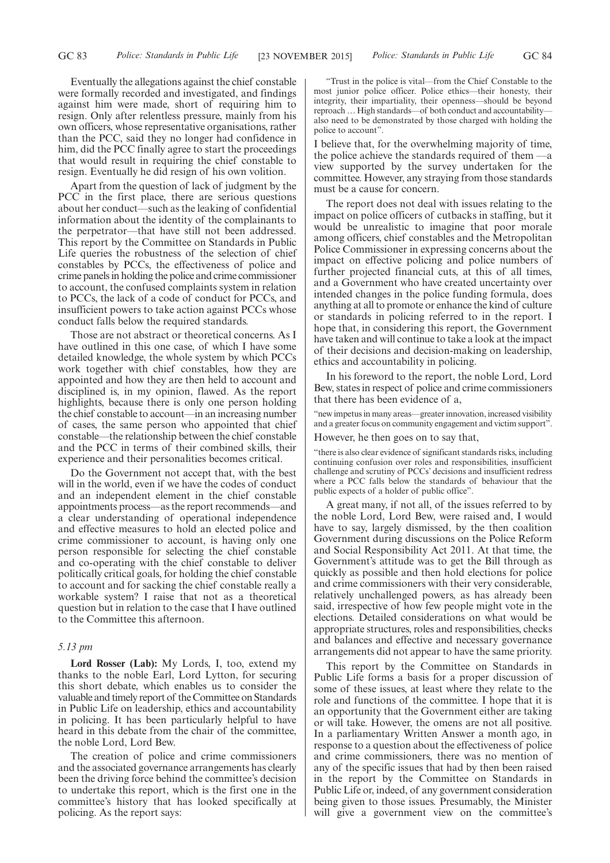Eventually the allegations against the chief constable were formally recorded and investigated, and findings against him were made, short of requiring him to resign. Only after relentless pressure, mainly from his own officers, whose representative organisations, rather than the PCC, said they no longer had confidence in him, did the PCC finally agree to start the proceedings that would result in requiring the chief constable to resign. Eventually he did resign of his own volition.

Apart from the question of lack of judgment by the PCC in the first place, there are serious questions about her conduct—such as the leaking of confidential information about the identity of the complainants to the perpetrator—that have still not been addressed. This report by the Committee on Standards in Public Life queries the robustness of the selection of chief constables by PCCs, the effectiveness of police and crime panels in holding the police and crime commissioner to account, the confused complaints system in relation to PCCs, the lack of a code of conduct for PCCs, and insufficient powers to take action against PCCs whose conduct falls below the required standards.

Those are not abstract or theoretical concerns. As I have outlined in this one case, of which I have some detailed knowledge, the whole system by which PCCs work together with chief constables, how they are appointed and how they are then held to account and disciplined is, in my opinion, flawed. As the report highlights, because there is only one person holding the chief constable to account—in an increasing number of cases, the same person who appointed that chief constable—the relationship between the chief constable and the PCC in terms of their combined skills, their experience and their personalities becomes critical.

Do the Government not accept that, with the best will in the world, even if we have the codes of conduct and an independent element in the chief constable appointments process—as the report recommends—and a clear understanding of operational independence and effective measures to hold an elected police and crime commissioner to account, is having only one person responsible for selecting the chief constable and co-operating with the chief constable to deliver politically critical goals, for holding the chief constable to account and for sacking the chief constable really a workable system? I raise that not as a theoretical question but in relation to the case that I have outlined to the Committee this afternoon.

### *5.13 pm*

**Lord Rosser (Lab):** My Lords, I, too, extend my thanks to the noble Earl, Lord Lytton, for securing this short debate, which enables us to consider the valuable and timely report of the Committee on Standards in Public Life on leadership, ethics and accountability in policing. It has been particularly helpful to have heard in this debate from the chair of the committee, the noble Lord, Lord Bew.

The creation of police and crime commissioners and the associated governance arrangements has clearly been the driving force behind the committee's decision to undertake this report, which is the first one in the committee's history that has looked specifically at policing. As the report says:

"Trust in the police is vital—from the Chief Constable to the most junior police officer. Police ethics—their honesty, their integrity, their impartiality, their openness—should be beyond reproach… High standards—of both conduct and accountability also need to be demonstrated by those charged with holding the police to account".

I believe that, for the overwhelming majority of time, the police achieve the standards required of them —a view supported by the survey undertaken for the committee. However, any straying from those standards must be a cause for concern.

The report does not deal with issues relating to the impact on police officers of cutbacks in staffing, but it would be unrealistic to imagine that poor morale among officers, chief constables and the Metropolitan Police Commissioner in expressing concerns about the impact on effective policing and police numbers of further projected financial cuts, at this of all times, and a Government who have created uncertainty over intended changes in the police funding formula, does anything at all to promote or enhance the kind of culture or standards in policing referred to in the report. I hope that, in considering this report, the Government have taken and will continue to take a look at the impact of their decisions and decision-making on leadership, ethics and accountability in policing.

In his foreword to the report, the noble Lord, Lord Bew, states in respect of police and crime commissioners that there has been evidence of a,

"new impetus in many areas—greater innovation, increased visibility and a greater focus on community engagement and victim support".

However, he then goes on to say that,

"there is also clear evidence of significant standards risks, including continuing confusion over roles and responsibilities, insufficient challenge and scrutiny of PCCs' decisions and insufficient redress where a PCC falls below the standards of behaviour that the public expects of a holder of public office".

A great many, if not all, of the issues referred to by the noble Lord, Lord Bew, were raised and, I would have to say, largely dismissed, by the then coalition Government during discussions on the Police Reform and Social Responsibility Act 2011. At that time, the Government's attitude was to get the Bill through as quickly as possible and then hold elections for police and crime commissioners with their very considerable, relatively unchallenged powers, as has already been said, irrespective of how few people might vote in the elections. Detailed considerations on what would be appropriate structures, roles and responsibilities, checks and balances and effective and necessary governance arrangements did not appear to have the same priority.

This report by the Committee on Standards in Public Life forms a basis for a proper discussion of some of these issues, at least where they relate to the role and functions of the committee. I hope that it is an opportunity that the Government either are taking or will take. However, the omens are not all positive. In a parliamentary Written Answer a month ago, in response to a question about the effectiveness of police and crime commissioners, there was no mention of any of the specific issues that had by then been raised in the report by the Committee on Standards in Public Life or, indeed, of any government consideration being given to those issues. Presumably, the Minister will give a government view on the committee's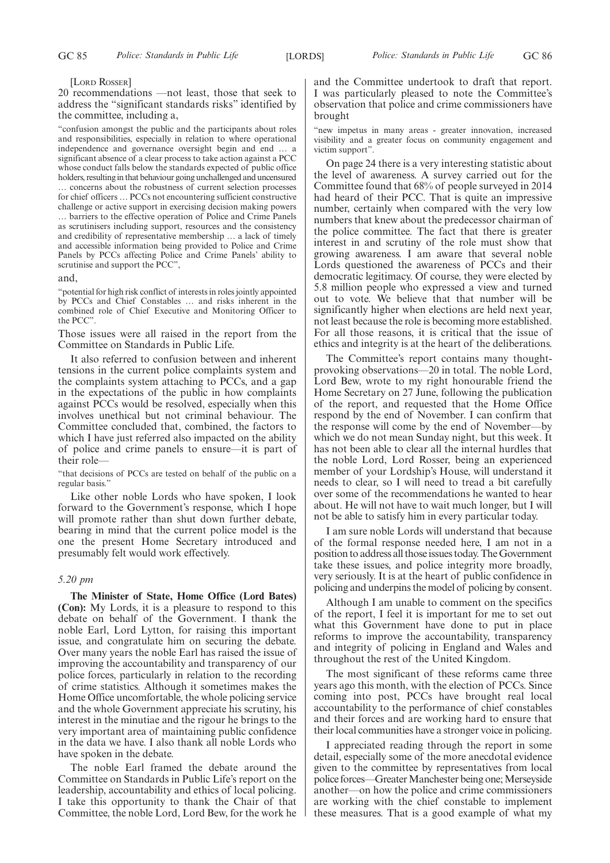[LORD ROSSER]

20 recommendations —not least, those that seek to address the "significant standards risks" identified by the committee, including a,

"confusion amongst the public and the participants about roles and responsibilities, especially in relation to where operational independence and governance oversight begin and end … a significant absence of a clear process to take action against a PCC whose conduct falls below the standards expected of public office holders, resulting in that behaviour going unchallenged and uncensured … concerns about the robustness of current selection processes for chief officers … PCCs not encountering sufficient constructive challenge or active support in exercising decision making powers … barriers to the effective operation of Police and Crime Panels as scrutinisers including support, resources and the consistency and credibility of representative membership … a lack of timely and accessible information being provided to Police and Crime Panels by PCCs affecting Police and Crime Panels' ability to scrutinise and support the PCC",

and,

"potential for high risk conflict of interests in roles jointly appointed by PCCs and Chief Constables … and risks inherent in the combined role of Chief Executive and Monitoring Officer to the PCC".

Those issues were all raised in the report from the Committee on Standards in Public Life.

It also referred to confusion between and inherent tensions in the current police complaints system and the complaints system attaching to PCCs, and a gap in the expectations of the public in how complaints against PCCs would be resolved, especially when this involves unethical but not criminal behaviour. The Committee concluded that, combined, the factors to which I have just referred also impacted on the ability of police and crime panels to ensure—it is part of their role—

"that decisions of PCCs are tested on behalf of the public on a regular basis."

Like other noble Lords who have spoken, I look forward to the Government's response, which I hope will promote rather than shut down further debate, bearing in mind that the current police model is the one the present Home Secretary introduced and presumably felt would work effectively.

### *5.20 pm*

**The Minister of State, Home Office (Lord Bates) (Con):** My Lords, it is a pleasure to respond to this debate on behalf of the Government. I thank the noble Earl, Lord Lytton, for raising this important issue, and congratulate him on securing the debate. Over many years the noble Earl has raised the issue of improving the accountability and transparency of our police forces, particularly in relation to the recording of crime statistics. Although it sometimes makes the Home Office uncomfortable, the whole policing service and the whole Government appreciate his scrutiny, his interest in the minutiae and the rigour he brings to the very important area of maintaining public confidence in the data we have. I also thank all noble Lords who have spoken in the debate.

The noble Earl framed the debate around the Committee on Standards in Public Life's report on the leadership, accountability and ethics of local policing. I take this opportunity to thank the Chair of that Committee, the noble Lord, Lord Bew, for the work he and the Committee undertook to draft that report. I was particularly pleased to note the Committee's observation that police and crime commissioners have brought

"new impetus in many areas - greater innovation, increased visibility and a greater focus on community engagement and victim support".

On page 24 there is a very interesting statistic about the level of awareness. A survey carried out for the Committee found that 68% of people surveyed in 2014 had heard of their PCC. That is quite an impressive number, certainly when compared with the very low numbers that knew about the predecessor chairman of the police committee. The fact that there is greater interest in and scrutiny of the role must show that growing awareness. I am aware that several noble Lords questioned the awareness of PCCs and their democratic legitimacy. Of course, they were elected by 5.8 million people who expressed a view and turned out to vote. We believe that that number will be significantly higher when elections are held next year, not least because the role is becoming more established. For all those reasons, it is critical that the issue of ethics and integrity is at the heart of the deliberations.

The Committee's report contains many thoughtprovoking observations—20 in total. The noble Lord, Lord Bew, wrote to my right honourable friend the Home Secretary on 27 June, following the publication of the report, and requested that the Home Office respond by the end of November. I can confirm that the response will come by the end of November—by which we do not mean Sunday night, but this week. It has not been able to clear all the internal hurdles that the noble Lord, Lord Rosser, being an experienced member of your Lordship's House, will understand it needs to clear, so I will need to tread a bit carefully over some of the recommendations he wanted to hear about. He will not have to wait much longer, but I will not be able to satisfy him in every particular today.

I am sure noble Lords will understand that because of the formal response needed here, I am not in a position to address all those issues today. The Government take these issues, and police integrity more broadly, very seriously. It is at the heart of public confidence in policing and underpins the model of policing by consent.

Although I am unable to comment on the specifics of the report, I feel it is important for me to set out what this Government have done to put in place reforms to improve the accountability, transparency and integrity of policing in England and Wales and throughout the rest of the United Kingdom.

The most significant of these reforms came three years ago this month, with the election of PCCs. Since coming into post, PCCs have brought real local accountability to the performance of chief constables and their forces and are working hard to ensure that their local communities have a stronger voice in policing.

I appreciated reading through the report in some detail, especially some of the more anecdotal evidence given to the committee by representatives from local police forces—Greater Manchester being one; Merseyside another—on how the police and crime commissioners are working with the chief constable to implement these measures. That is a good example of what my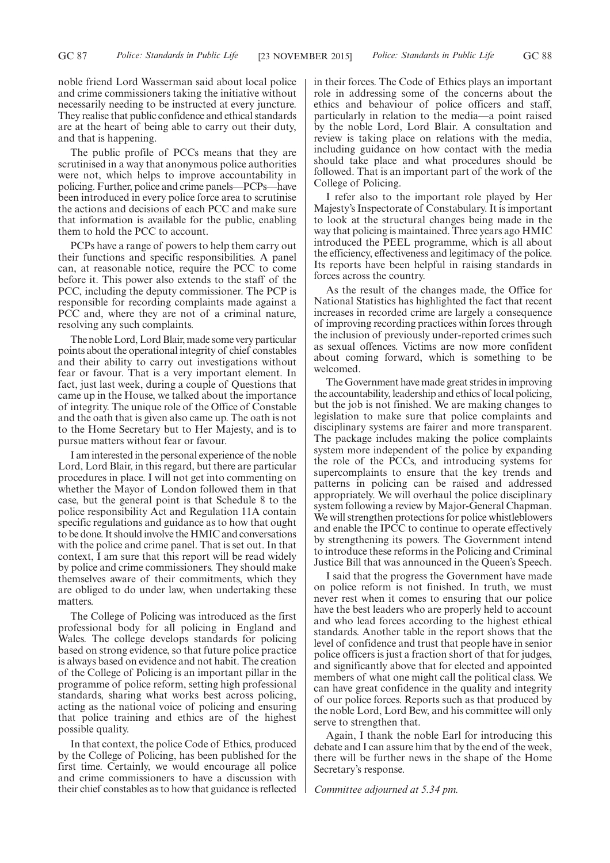noble friend Lord Wasserman said about local police and crime commissioners taking the initiative without necessarily needing to be instructed at every juncture. They realise that public confidence and ethical standards are at the heart of being able to carry out their duty, and that is happening.

The public profile of PCCs means that they are scrutinised in a way that anonymous police authorities were not, which helps to improve accountability in policing. Further, police and crime panels—PCPs—have been introduced in every police force area to scrutinise the actions and decisions of each PCC and make sure that information is available for the public, enabling them to hold the PCC to account.

PCPs have a range of powers to help them carry out their functions and specific responsibilities. A panel can, at reasonable notice, require the PCC to come before it. This power also extends to the staff of the PCC, including the deputy commissioner. The PCP is responsible for recording complaints made against a PCC and, where they are not of a criminal nature, resolving any such complaints.

The noble Lord, Lord Blair, made some very particular points about the operational integrity of chief constables and their ability to carry out investigations without fear or favour. That is a very important element. In fact, just last week, during a couple of Questions that came up in the House, we talked about the importance of integrity. The unique role of the Office of Constable and the oath that is given also came up. The oath is not to the Home Secretary but to Her Majesty, and is to pursue matters without fear or favour.

I am interested in the personal experience of the noble Lord, Lord Blair, in this regard, but there are particular procedures in place. I will not get into commenting on whether the Mayor of London followed them in that case, but the general point is that Schedule 8 to the police responsibility Act and Regulation 11A contain specific regulations and guidance as to how that ought to be done. It should involve the HMIC and conversations with the police and crime panel. That is set out. In that context, I am sure that this report will be read widely by police and crime commissioners. They should make themselves aware of their commitments, which they are obliged to do under law, when undertaking these matters.

The College of Policing was introduced as the first professional body for all policing in England and Wales. The college develops standards for policing based on strong evidence, so that future police practice is always based on evidence and not habit. The creation of the College of Policing is an important pillar in the programme of police reform, setting high professional standards, sharing what works best across policing, acting as the national voice of policing and ensuring that police training and ethics are of the highest possible quality.

In that context, the police Code of Ethics, produced by the College of Policing, has been published for the first time. Certainly, we would encourage all police and crime commissioners to have a discussion with their chief constables as to how that guidance is reflected in their forces. The Code of Ethics plays an important role in addressing some of the concerns about the ethics and behaviour of police officers and staff, particularly in relation to the media—a point raised by the noble Lord, Lord Blair. A consultation and review is taking place on relations with the media, including guidance on how contact with the media should take place and what procedures should be followed. That is an important part of the work of the College of Policing.

I refer also to the important role played by Her Majesty's Inspectorate of Constabulary. It is important to look at the structural changes being made in the way that policing is maintained. Three years ago HMIC introduced the PEEL programme, which is all about the efficiency, effectiveness and legitimacy of the police. Its reports have been helpful in raising standards in forces across the country.

As the result of the changes made, the Office for National Statistics has highlighted the fact that recent increases in recorded crime are largely a consequence of improving recording practices within forces through the inclusion of previously under-reported crimes such as sexual offences. Victims are now more confident about coming forward, which is something to be welcomed.

The Government have made great strides in improving the accountability, leadership and ethics of local policing, but the job is not finished. We are making changes to legislation to make sure that police complaints and disciplinary systems are fairer and more transparent. The package includes making the police complaints system more independent of the police by expanding the role of the PCCs, and introducing systems for supercomplaints to ensure that the key trends and patterns in policing can be raised and addressed appropriately. We will overhaul the police disciplinary system following a review by Major-General Chapman. We will strengthen protections for police whistleblowers and enable the IPCC to continue to operate effectively by strengthening its powers. The Government intend to introduce these reforms in the Policing and Criminal Justice Bill that was announced in the Queen's Speech.

I said that the progress the Government have made on police reform is not finished. In truth, we must never rest when it comes to ensuring that our police have the best leaders who are properly held to account and who lead forces according to the highest ethical standards. Another table in the report shows that the level of confidence and trust that people have in senior police officers is just a fraction short of that for judges, and significantly above that for elected and appointed members of what one might call the political class. We can have great confidence in the quality and integrity of our police forces. Reports such as that produced by the noble Lord, Lord Bew, and his committee will only serve to strengthen that.

Again, I thank the noble Earl for introducing this debate and I can assure him that by the end of the week, there will be further news in the shape of the Home Secretary's response.

*Committee adjourned at 5.34 pm.*